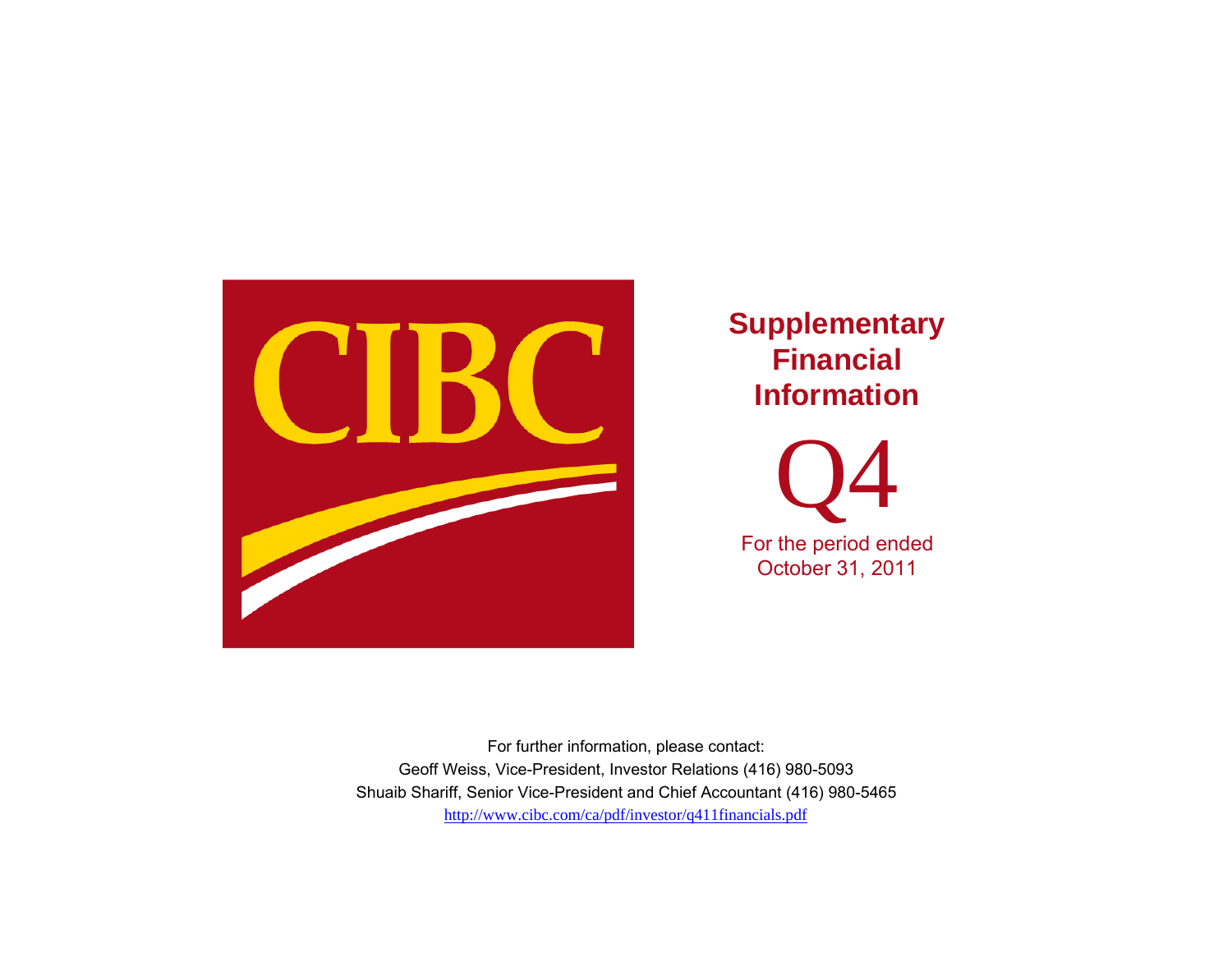

**Supplementary Financial Information** 

Q4 For the period ended October 31, 2011

http://www.cibc.com/ca/pdf/investor/q411financials.pdf For further information, please contact: Geoff Weiss, Vice-President, Investor Relations (416) 980-5093 Shuaib Shariff, Senior Vice-President and Chief Accountant (416) 980-5465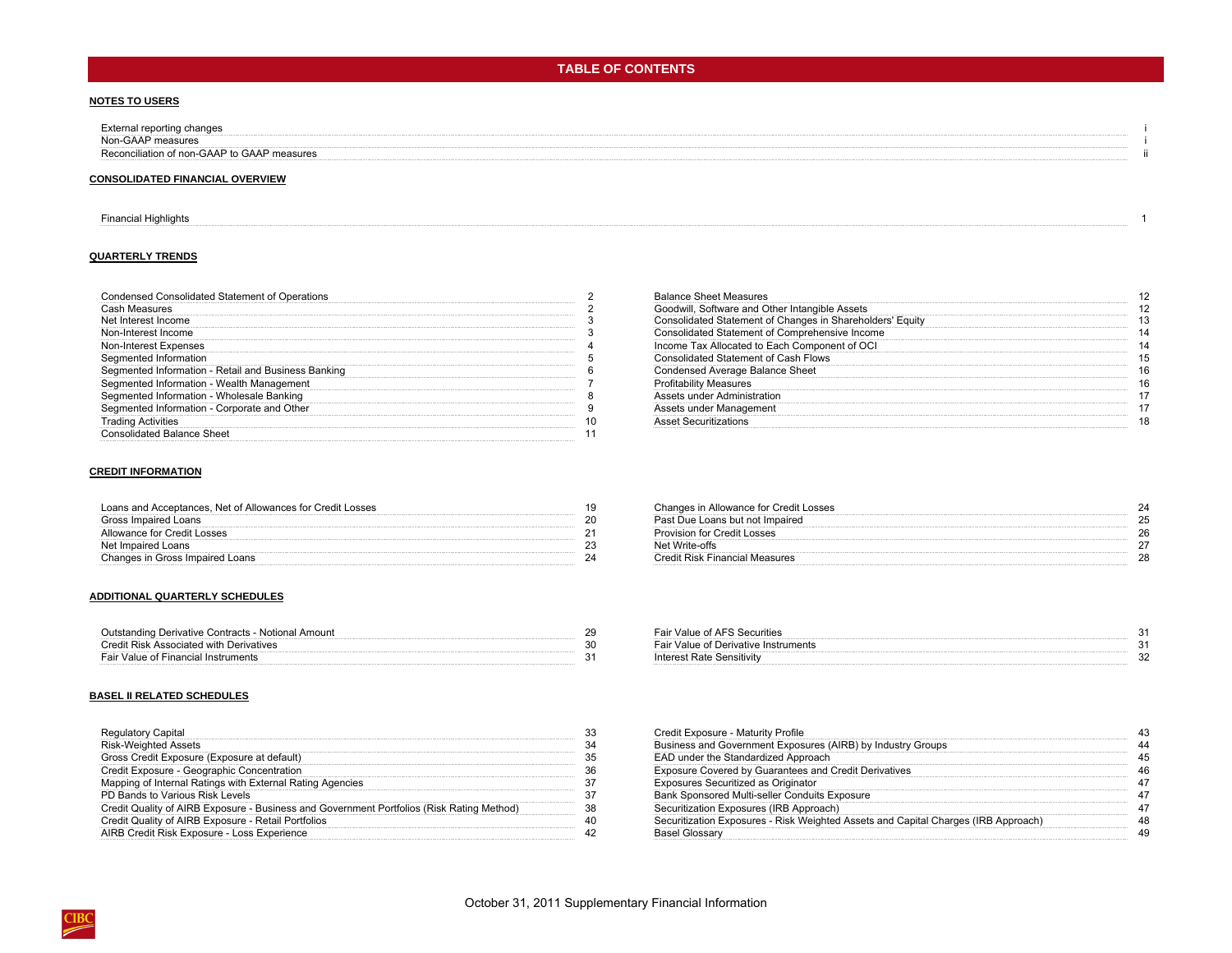## **TABLE OF CONTENTS**

#### **NOTES TO USERS**

| External reporting changes                  |  |
|---------------------------------------------|--|
| Non-GAAP measures                           |  |
| Reconciliation of non-GAAP to GAAP measures |  |
|                                             |  |

#### **CONSOLIDATED FINANCIAL OVERVIEW**

#### [Financial Highlights](#page-4-0) 1

#### **QUARTERLY TRENDS**

| Condensed Consolidated Statement of Operations      |  |
|-----------------------------------------------------|--|
| Cash Measures                                       |  |
| Net Interest Income                                 |  |
| Non-Interest Income                                 |  |
| Non-Interest Expenses                               |  |
| Segmented Information                               |  |
| Segmented Information - Retail and Business Banking |  |
| Segmented Information - Wealth Management           |  |
| Segmented Information - Wholesale Banking           |  |
| Segmented Information - Corporate and Other         |  |
| <b>Trading Activities</b>                           |  |
| Consolidated Balance Sheet                          |  |

#### **CREDIT INFORMATION**

| Loans and Acceptances, Net of Allowances for Credit Losses |  |
|------------------------------------------------------------|--|
| Gross Impaired Loans                                       |  |
| Allowance for Credit Losses                                |  |
| Net Impaired Loans                                         |  |
| Changes in Gross Impaired Loans                            |  |

#### **ADDITIONAL QUARTERLY SCHEDULES**

| Outstanding Derivative Contracts - Notional Amount | Fair Value of AFS Securities         |  |
|----------------------------------------------------|--------------------------------------|--|
| Credit Risk Associated with Derivatives            | Fair Value of Derivative Instruments |  |
| Fair Value of Financial Instruments                | Interest Rate Sensitivity            |  |

#### **BASEL II RELATED SCHEDULES**

| <b>Risk-Weighted Assets</b>                                                               |  |
|-------------------------------------------------------------------------------------------|--|
| Gross Credit Exposure (Exposure at default)                                               |  |
| Credit Exposure - Geographic Concentration                                                |  |
| apping of Internal Ratings with External Rating Agencies                                  |  |
| PD Bands to Various Risk Levels                                                           |  |
| Credit Quality of AIRB Exposure - Business and Government Portfolios (Risk Rating Method) |  |
| redit Quality of AIRB Exposure - Retail Portfolios                                        |  |
| IRB Credit Risk Exposure - Loss Experience                                                |  |

| Condensed Consolidated Statement of Operations      | <b>Balance Sheet Measures</b>                             |  |
|-----------------------------------------------------|-----------------------------------------------------------|--|
| Cash Measures                                       | Goodwill, Software and Other Intangible Assets            |  |
| Net Interest Income                                 | Consolidated Statement of Changes in Shareholders' Equity |  |
| Non-Interest Income                                 | Consolidated Statement of Comprehensive Income            |  |
| Non-Interest Expenses                               | Income Tax Allocated to Each Component of OCI             |  |
| Segmented Information                               | Consolidated Statement of Cash Flows                      |  |
| Seamented Information - Retail and Business Banking | Condensed Average Balance Sheet                           |  |
| Seamented Information - Wealth Management           | <b>Profitability Measures</b>                             |  |
| Seamented Information - Wholesale Banking           | Assets under Administration                               |  |
| Seamented Information - Corporate and Other         | Assets under Management                                   |  |
| I rading Activities                                 | <b>Asset Securitizations</b>                              |  |
|                                                     |                                                           |  |

| Loans and Acceptances. Net of Allowances for Credit Losses | Changes in Allowance for Credit Losses |  |
|------------------------------------------------------------|----------------------------------------|--|
| Gross Impaired Loans                                       | Past Due Loans but not Impaired        |  |
| Allowance for Credit Losses                                | <b>Provision for Credit Losses</b>     |  |
| Net Impaired Loans                                         | Net Write-offs                         |  |
| Changes in Gross Impaired Loans                            | Credit Risk Financial Measures         |  |

| - Notional Amount | Fair Value of AFS Securities         |  |
|-------------------|--------------------------------------|--|
| atives            | Fair Value of Derivative Instruments |  |
|                   | nterest Rate Sensitivity             |  |

| Regulatory Capital                                                                        | Credit Exposure - Maturity Profile                                                 |  |
|-------------------------------------------------------------------------------------------|------------------------------------------------------------------------------------|--|
| Risk-Weighted Assets                                                                      | Business and Government Exposures (AIRB) by Industry Groups                        |  |
| Gross Credit Exposure (Exposure at default)                                               | EAD under the Standardized Approach                                                |  |
| Credit Exposure - Geographic Concentration                                                | <b>Exposure Covered by Guarantees and Credit Derivatives</b>                       |  |
| Mapping of Internal Ratings with External Rating Agencies                                 | Exposures Securitized as Originator                                                |  |
| PD Bands to Various Risk Levels                                                           | <b>Bank Sponsored Multi-seller Conduits Exposure</b>                               |  |
| Credit Quality of AIRB Exposure - Business and Government Portfolios (Risk Rating Method) | Securitization Exposures (IRB Approach)                                            |  |
| Credit Quality of AIRB Exposure - Retail Portfolios                                       | Securitization Exposures - Risk Weighted Assets and Capital Charges (IRB Approach) |  |
| AIRB Credit Risk Exposure - Loss Experience                                               | <b>Basel Glossary</b>                                                              |  |
|                                                                                           |                                                                                    |  |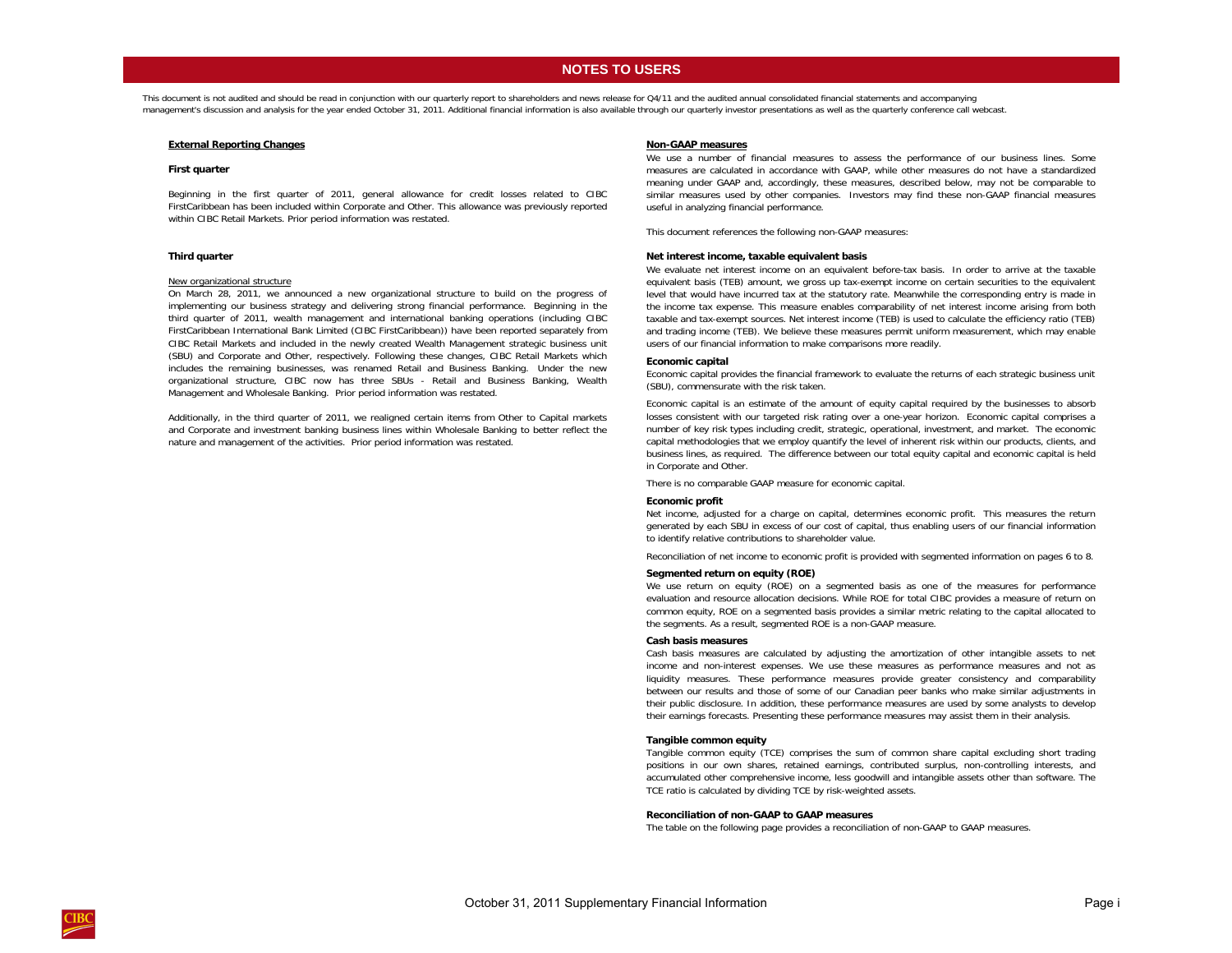## **NOTES TO USERS**

<span id="page-2-0"></span>This document is not audited and should be read in conjunction with our quarterly report to shareholders and news release for Q4/11 and the audited annual consolidated financial statements and accompanying management's discussion and analysis for the year ended October 31, 2011. Additional financial information is also available through our quarterly investor presentations as well as the quarterly conference call webcast.

#### **External Reporting Changes**

#### **First quarter**

Beginning in the first quarter of 2011, general allowance for credit losses related to CIBC FirstCaribbean has been included within Corporate and Other. This allowance was previously reported within CIBC Retail Markets. Prior period information was restated.

#### **Third quarter**

#### New organizational structure

On March 28, 2011, we announced <sup>a</sup> new organizational structure to build on the progress of implementing our business strategy and delivering strong financial performance. Beginning in the third quarter of 2011, wealth management and international banking operations (including CIBC FirstCaribbean International Bank Limited (CIBC FirstCaribbean)) have been reported separately from CIBC Retail Markets and included in the newly created Wealth Management strategic business unit (SBU) and Corporate and Other, respectively. Following these changes, CIBC Retail Markets which includes the remaining businesses, was renamed Retail and Business Banking. Under the new organizational structure, CIBC now has three SBUs - Retail and Business Banking, Wealth Management and Wholesale Banking. Prior period information was restated.

Additionally, in the third quarter of 2011, we realigned certain items from Other to Capital markets and Corporate and investment banking business lines within Wholesale Banking to better reflect the nature and management of the activities. Prior period information was restated.

#### **Non-GAAP measures**

We use <sup>a</sup> number of financial measures to assess the performance of our business lines. Some measures are calculated in accordance with GAAP, while other measures do not have <sup>a</sup> standardized meaning under GAAP and, accordingly, these measures, described below, may not be comparable to similar measures used by other companies. Investors may find these non-GAAP financial measures useful in analyzing financial performance.

This document references the following non-GAAP measures:

#### **Net interest income, taxable equivalent basis**

We evaluate net interest income on an equivalent before-tax basis. In order to arrive at the taxable equivalent basis (TEB) amount, we gross up tax-exempt income on certain securities to the equivalent level that would have incurred tax at the statutory rate. Meanwhile the corresponding entry is made in the income tax expense. This measure enables comparability of net interest income arising from both taxable and tax-exempt sources. Net interest income (TEB) is used to calculate the efficiency ratio (TEB) and trading income (TEB). We believe these measures permit uniform measurement, which may enable users of our financial information to make comparisons more readily.

#### **Economic capital**

Economic capital provides the financial framework to evaluate the returns of each strategic business unit (SBU), commensurate with the risk taken.

Economic capital is an estimate of the amount of equity capital required by the businesses to absorb losses consistent with our targeted risk rating over <sup>a</sup> one-year horizon. Economic capital comprises <sup>a</sup> number of key risk types including credit, strategic, operational, investment, and market. The economic capital methodologies that we employ quantify the level of inherent risk within our products, clients, and business lines, as required. The difference between our total equity capital and economic capital is held in Corporate and Other.

There is no comparable GAAP measure for economic capital.

#### **Economic profit**

Net income, adjusted for <sup>a</sup> charge on capital, determines economic profit. This measures the return generated by each SBU in excess of our cost of capital, thus enabling users of our financial information to identify relative contributions to shareholder value.

Reconciliation of net income to economic profit is provided with segmented information on pages 6 to 8.

#### **Segmented return on equity (ROE)**

We use return on equity (ROE) on <sup>a</sup> segmented basis as one of the measures for performance evaluation and resource allocation decisions. While ROE for total CIBC provides <sup>a</sup> measure of return on common equity, ROE on <sup>a</sup> segmented basis provides <sup>a</sup> similar metric relating to the capital allocated to the segments. As a result, segmented ROE is a non-GAAP measure.

#### **Cash basis measures**

Cash basis measures are calculated by adjusting the amortization of other intangible assets to net income and non-interest expenses. We use these measures as performance measures and not as liquidity measures. These performance measures provide greater consistency and comparability between our results and those of some of our Canadian peer banks who make similar adjustments in their public disclosure. In addition, these performance measures are used by some analysts to develop their earnings forecasts. Presenting these performance measures may assist them in their analysis.

#### **Tangible common equity**

Tangible common equity (TCE) comprises the sum of common share capital excluding short trading positions in our own shares, retained earnings, contributed surplus, non-controlling interests, and accumulated other comprehensive income, less goodwill and intangible assets other than software. The TCE ratio is calculated by dividing TCE by risk-weighted assets.

#### **Reconciliation of non-GAAP to GAAP measures**

The table on the following page provides a reconciliation of non-GAAP to GAAP measures.

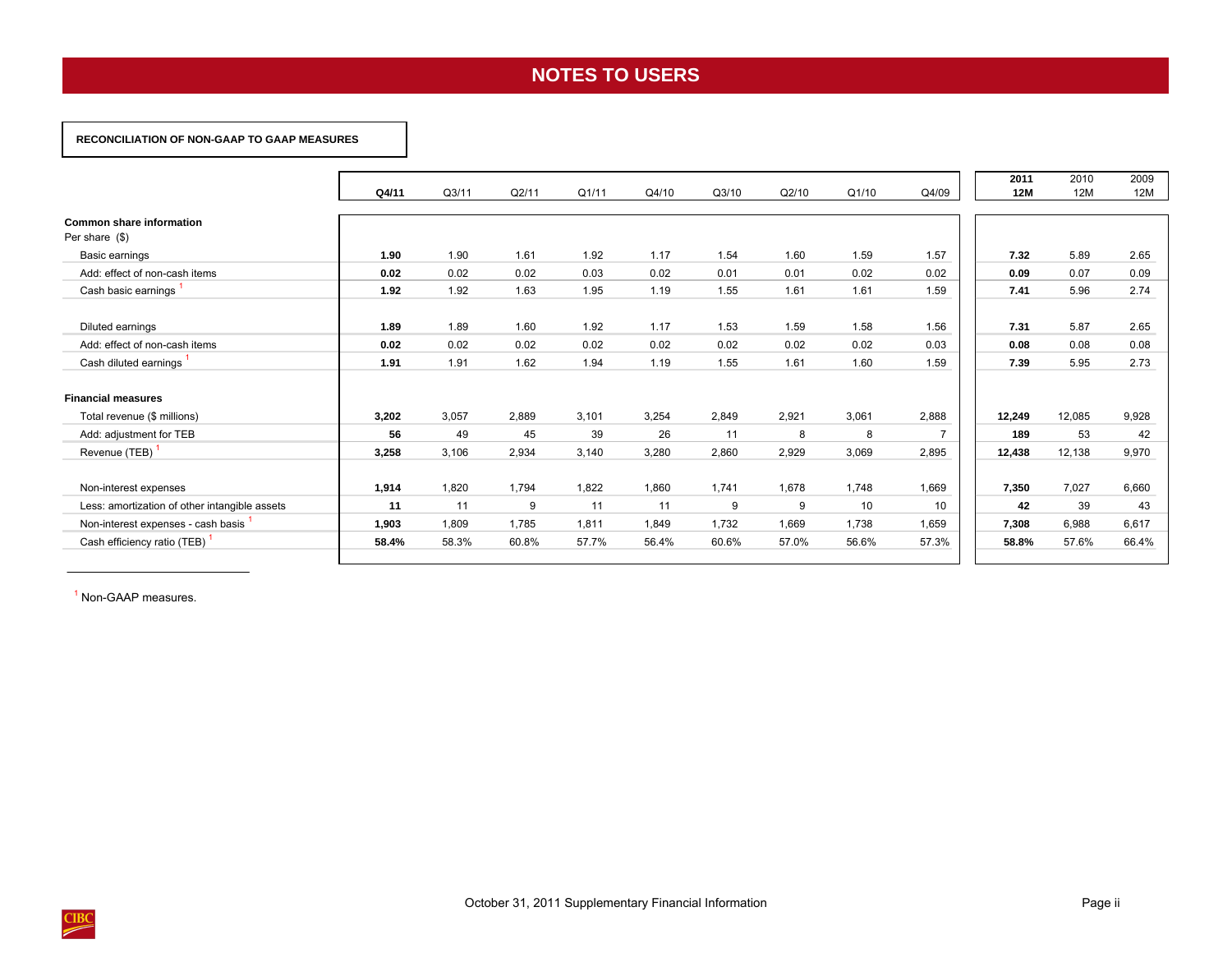# **NOTES TO USERS**

### <span id="page-3-0"></span> **RECONCILIATION OF NON-GAAP TO GAAP MEASURES**

|                                                     |       |       |       |       |       |       |       |       |                | 2011       | 2010   | 2009  |
|-----------------------------------------------------|-------|-------|-------|-------|-------|-------|-------|-------|----------------|------------|--------|-------|
|                                                     | Q4/11 | Q3/11 | Q2/11 | Q1/11 | Q4/10 | Q3/10 | Q2/10 | Q1/10 | Q4/09          | <b>12M</b> | 12M    | 12M   |
| <b>Common share information</b><br>Per share $(\$)$ |       |       |       |       |       |       |       |       |                |            |        |       |
| Basic earnings                                      | 1.90  | 1.90  | 1.61  | 1.92  | 1.17  | 1.54  | 1.60  | 1.59  | 1.57           | 7.32       | 5.89   | 2.65  |
| Add: effect of non-cash items                       | 0.02  | 0.02  | 0.02  | 0.03  | 0.02  | 0.01  | 0.01  | 0.02  | 0.02           | 0.09       | 0.07   | 0.09  |
| Cash basic earnings <sup>1</sup>                    | 1.92  | 1.92  | 1.63  | 1.95  | 1.19  | 1.55  | 1.61  | 1.61  | 1.59           | 7.41       | 5.96   | 2.74  |
| Diluted earnings                                    | 1.89  | 1.89  | 1.60  | 1.92  | 1.17  | 1.53  | 1.59  | 1.58  | 1.56           | 7.31       | 5.87   | 2.65  |
| Add: effect of non-cash items                       | 0.02  | 0.02  | 0.02  | 0.02  | 0.02  | 0.02  | 0.02  | 0.02  | 0.03           | 0.08       | 0.08   | 0.08  |
| Cash diluted earnings                               | 1.91  | 1.91  | 1.62  | 1.94  | 1.19  | 1.55  | 1.61  | 1.60  | 1.59           | 7.39       | 5.95   | 2.73  |
| <b>Financial measures</b>                           |       |       |       |       |       |       |       |       |                |            |        |       |
| Total revenue (\$ millions)                         | 3,202 | 3,057 | 2,889 | 3,101 | 3,254 | 2,849 | 2,921 | 3,061 | 2,888          | 12,249     | 12,085 | 9,928 |
| Add: adjustment for TEB                             | 56    | 49    | 45    | 39    | 26    | 11    | 8     | 8     | $\overline{7}$ | 189        | 53     | 42    |
| Revenue (TEB)                                       | 3,258 | 3,106 | 2,934 | 3,140 | 3,280 | 2,860 | 2,929 | 3,069 | 2,895          | 12,438     | 12,138 | 9,970 |
| Non-interest expenses                               | 1,914 | 1,820 | 1,794 | 1,822 | 1,860 | 1,741 | 1,678 | 1,748 | 1,669          | 7,350      | 7,027  | 6,660 |
| Less: amortization of other intangible assets       | 11    | 11    | 9     | 11    | 11    | 9     | 9     | 10    | 10             | 42         | 39     | 43    |
| Non-interest expenses - cash basis                  | 1,903 | 1,809 | 1,785 | 1,811 | 1,849 | 1,732 | 1,669 | 1,738 | 1,659          | 7,308      | 6,988  | 6,617 |
| Cash efficiency ratio (TEB)                         | 58.4% | 58.3% | 60.8% | 57.7% | 56.4% | 60.6% | 57.0% | 56.6% | 57.3%          | 58.8%      | 57.6%  | 66.4% |

<sup>1</sup> Non-GAAP measures.

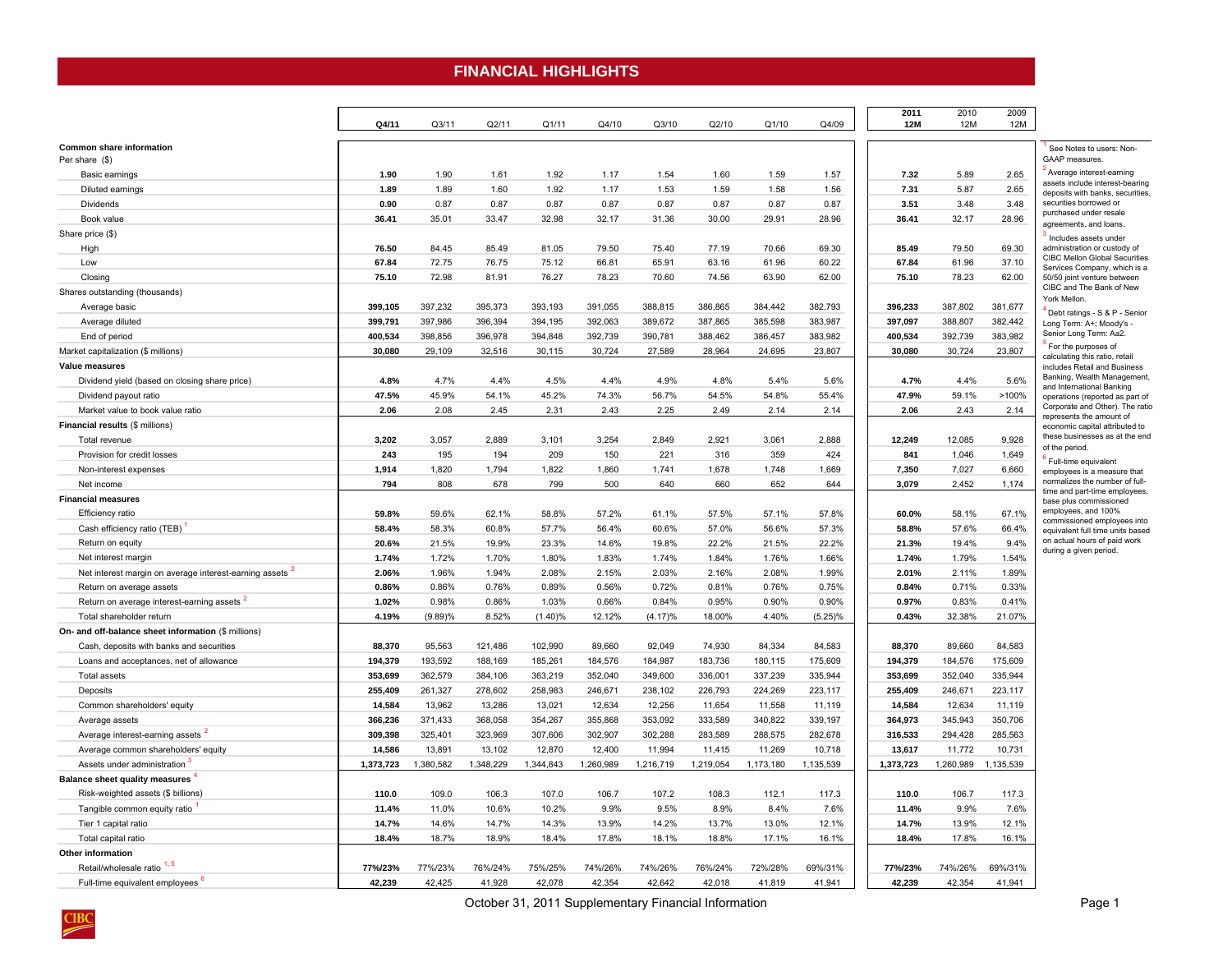## **FINANCIAL HIGHLIGHTS**

<span id="page-4-0"></span>

|                                                                     | Q4/11     | Q3/11     | Q2/11     | Q1/11     | Q4/10     | Q3/10     | Q2/10     | Q1/10     | Q4/09      | 2011<br><b>12M</b> | 2010<br><b>12M</b> | 2009<br>12M |                                                                      |
|---------------------------------------------------------------------|-----------|-----------|-----------|-----------|-----------|-----------|-----------|-----------|------------|--------------------|--------------------|-------------|----------------------------------------------------------------------|
| Common share information                                            |           |           |           |           |           |           |           |           |            |                    |                    |             | See Notes to users: Non-                                             |
| Per share (\$)                                                      |           |           |           |           |           |           |           |           |            |                    |                    |             | GAAP measures.                                                       |
| Basic earnings                                                      | 1.90      | 1.90      | 1.61      | 1.92      | 1.17      | 1.54      | 1.60      | 1.59      | 1.57       | 7.32               | 5.89               | 2.65        | Average interest-earning                                             |
| Diluted earnings                                                    | 1.89      | 1.89      | 1.60      | 1.92      | 1.17      | 1.53      | 1.59      | 1.58      | 1.56       | 7.31               | 5.87               | 2.65        | assets include interest-bearing<br>deposits with banks, securities,  |
| <b>Dividends</b>                                                    | 0.90      | 0.87      | 0.87      | 0.87      | 0.87      | 0.87      | 0.87      | 0.87      | 0.87       | 3.51               | 3.48               | 3.48        | securities borrowed or                                               |
| Book value                                                          | 36.41     | 35.01     | 33.47     | 32.98     | 32.17     | 31.36     | 30.00     | 29.91     | 28.96      | 36.41              | 32.17              | 28.96       | purchased under resale<br>agreements, and loans.                     |
| Share price (\$)                                                    |           |           |           |           |           |           |           |           |            |                    |                    |             | Includes assets under                                                |
| High                                                                | 76.50     | 84.45     | 85.49     | 81.05     | 79.50     | 75.40     | 77.19     | 70.66     | 69.30      | 85.49              | 79.50              | 69.30       | administration or custody of                                         |
| Low                                                                 | 67.84     | 72.75     | 76.75     | 75.12     | 66.81     | 65.91     | 63.16     | 61.96     | 60.22      | 67.84              | 61.96              | 37.10       | <b>CIBC Mellon Global Securities</b><br>Services Company, which is a |
| Closing                                                             | 75.10     | 72.98     | 81.91     | 76.27     | 78.23     | 70.60     | 74.56     | 63.90     | 62.00      | 75.10              | 78.23              | 62.00       | 50/50 joint venture between                                          |
| Shares outstanding (thousands)                                      |           |           |           |           |           |           |           |           |            |                    |                    |             | CIBC and The Bank of New                                             |
| Average basic                                                       | 399,105   | 397,232   | 395,373   | 393,193   | 391,055   | 388,815   | 386,865   | 384,442   | 382,793    | 396,233            | 387,802            | 381,677     | York Mellon.                                                         |
| Average diluted                                                     | 399,791   | 397,986   | 396,394   | 394,195   | 392,063   | 389,672   | 387,865   | 385,598   | 383,987    | 397,097            | 388,807            | 382,442     | Debt ratings - S & P - Senior<br>Long Term: A+; Moody's -            |
| End of period                                                       | 400,534   | 398,856   | 396,978   | 394,848   | 392,739   | 390,781   | 388,462   | 386,457   | 383,982    | 400,534            | 392,739            | 383,982     | Senior Long Term: Aa2.                                               |
| Market capitalization (\$ millions)                                 | 30,080    | 29,109    | 32,516    | 30,115    | 30,724    | 27,589    | 28,964    | 24,695    | 23,807     | 30,080             | 30,724             | 23,807      | For the purposes of                                                  |
| Value measures                                                      |           |           |           |           |           |           |           |           |            |                    |                    |             | calculating this ratio, retail<br>includes Retail and Business       |
| Dividend yield (based on closing share price)                       | 4.8%      | 4.7%      | 4.4%      | 4.5%      | 4.4%      | 4.9%      | 4.8%      | 5.4%      | 5.6%       | 4.7%               | 4.4%               | 5.6%        | Banking, Wealth Management,                                          |
| Dividend payout ratio                                               | 47.5%     | 45.9%     | 54.1%     | 45.2%     | 74.3%     | 56.7%     | 54.5%     | 54.8%     | 55.4%      | 47.9%              | 59.1%              | >100%       | and International Banking<br>operations (reported as part of         |
| Market value to book value ratio                                    | 2.06      | 2.08      | 2.45      | 2.31      | 2.43      | 2.25      | 2.49      | 2.14      | 2.14       | 2.06               | 2.43               | 2.14        | Corporate and Other). The ratio                                      |
| Financial results (\$ millions)                                     |           |           |           |           |           |           |           |           |            |                    |                    |             | represents the amount of<br>economic capital attributed to           |
| Total revenue                                                       | 3,202     | 3,057     | 2,889     | 3,101     | 3,254     | 2,849     | 2,921     | 3,061     | 2,888      | 12,249             | 12,085             | 9,928       | these businesses as at the end                                       |
| Provision for credit losses                                         | 243       | 195       | 194       | 209       | 150       | 221       | 316       | 359       | 424        | 841                | 1,046              | 1,649       | of the period.                                                       |
| Non-interest expenses                                               | 1,914     | 1,820     | 1,794     | 1,822     | 1,860     | 1,741     | 1,678     | 1,748     | 1,669      | 7,350              | 7,027              | 6,660       | Full-time equivalent<br>employees is a measure that                  |
| Net income                                                          | 794       | 808       | 678       | 799       | 500       | 640       | 660       | 652       | 644        | 3,079              | 2,452              | 1,174       | normalizes the number of full-                                       |
| <b>Financial measures</b>                                           |           |           |           |           |           |           |           |           |            |                    |                    |             | time and part-time employees,<br>base plus commissioned              |
| Efficiency ratio                                                    | 59.8%     | 59.6%     | 62.1%     | 58.8%     | 57.2%     | 61.1%     | 57.5%     | 57.1%     | 57.8%      | 60.0%              | 58.1%              | 67.1%       | employees, and 100%                                                  |
| Cash efficiency ratio (TEB)                                         | 58.4%     | 58.3%     | 60.8%     | 57.7%     | 56.4%     | 60.6%     | 57.0%     | 56.6%     | 57.3%      | 58.8%              | 57.6%              | 66.4%       | commissioned employees into                                          |
| Return on equity                                                    | 20.6%     | 21.5%     | 19.9%     | 23.3%     | 14.6%     | 19.8%     | 22.2%     | 21.5%     | 22.2%      | 21.3%              | 19.4%              | 9.4%        | equivalent full time units based<br>on actual hours of paid work     |
| Net interest margin                                                 | 1.74%     | 1.72%     | 1.70%     | 1.80%     | 1.83%     | 1.74%     | 1.84%     | 1.76%     | 1.66%      | 1.74%              | 1.79%              | 1.54%       | during a given period.                                               |
| Net interest margin on average interest-earning assets <sup>2</sup> | 2.06%     | 1.96%     | 1.94%     | 2.08%     | 2.15%     | 2.03%     | 2.16%     | 2.08%     | 1.99%      | 2.01%              | 2.11%              | 1.89%       |                                                                      |
| Return on average assets                                            | 0.86%     | 0.86%     | 0.76%     | 0.89%     | 0.56%     | 0.72%     | 0.81%     | 0.76%     | 0.75%      | 0.84%              | 0.71%              | 0.33%       |                                                                      |
| Return on average interest-earning assets <sup>2</sup>              | 1.02%     | 0.98%     | 0.86%     | 1.03%     | 0.66%     | 0.84%     | 0.95%     | 0.90%     | 0.90%      | 0.97%              | 0.83%              | 0.41%       |                                                                      |
| Total shareholder return                                            | 4.19%     | (9.89)%   | 8.52%     | (1.40)%   | 12.12%    | (4.17)%   | 18.00%    | 4.40%     | $(5.25)\%$ | 0.43%              | 32.38%             | 21.07%      |                                                                      |
| On- and off-balance sheet information (\$ millions)                 |           |           |           |           |           |           |           |           |            |                    |                    |             |                                                                      |
| Cash, deposits with banks and securities                            | 88,370    | 95,563    | 121,486   | 102,990   | 89,660    | 92,049    | 74,930    | 84,334    | 84,583     | 88,370             | 89,660             | 84,583      |                                                                      |
| Loans and acceptances, net of allowance                             | 194,379   | 193,592   | 188,169   | 185,261   | 184,576   | 184,987   | 183,736   | 180,115   | 175,609    | 194,379            | 184,576            | 175,609     |                                                                      |
| <b>Total assets</b>                                                 | 353,699   | 362,579   | 384,106   | 363,219   | 352,040   | 349,600   | 336,001   | 337,239   | 335,944    | 353,699            | 352,040            | 335,944     |                                                                      |
| Deposits                                                            | 255,409   | 261,327   | 278,602   | 258,983   | 246,671   | 238,102   | 226,793   | 224,269   | 223,117    | 255,409            | 246,671            | 223,117     |                                                                      |
| Common shareholders' equity                                         | 14,584    | 13,962    | 13,286    | 13,021    | 12,634    | 12,256    | 11,654    | 11,558    | 11,119     | 14,584             | 12,634             | 11,119      |                                                                      |
| Average assets                                                      | 366,236   | 371,433   | 368,058   | 354,267   | 355,868   | 353,092   | 333,589   | 340,822   | 339,197    | 364,973            | 345,943            | 350,706     |                                                                      |
| Average interest-earning assets <sup>2</sup>                        | 309,398   | 325,401   | 323,969   | 307,606   | 302,907   | 302,288   | 283,589   | 288,575   | 282,678    | 316,533            | 294,428            | 285,563     |                                                                      |
| Average common shareholders' equity                                 | 14,586    | 13,891    | 13,102    | 12,870    | 12,400    | 11,994    | 11,415    | 11,269    | 10,718     | 13,617             | 11,772             | 10,731      |                                                                      |
| Assets under administration                                         | 1,373,723 | 1,380,582 | 1,348,229 | 1,344,843 | 1,260,989 | 1,216,719 | 1,219,054 | 1,173,180 | 1,135,539  | 1,373,723          | 1,260,989          | 1,135,539   |                                                                      |
|                                                                     |           |           |           |           |           |           |           |           |            |                    |                    |             |                                                                      |
| <b>Balance sheet quality measures</b>                               |           | 109.0     |           |           | 106.7     |           |           |           |            |                    |                    |             |                                                                      |
| Risk-weighted assets (\$ billions)                                  | 110.0     |           | 106.3     | 107.0     |           | 107.2     | 108.3     | 112.1     | 117.3      | 110.0              | 106.7              | 117.3       |                                                                      |
| Tangible common equity ratio                                        | 11.4%     | 11.0%     | 10.6%     | 10.2%     | 9.9%      | 9.5%      | 8.9%      | 8.4%      | 7.6%       | 11.4%              | 9.9%               | 7.6%        |                                                                      |
| Tier 1 capital ratio                                                | 14.7%     | 14.6%     | 14.7%     | 14.3%     | 13.9%     | 14.2%     | 13.7%     | 13.0%     | 12.1%      | 14.7%              | 13.9%              | 12.1%       |                                                                      |
| Total capital ratio                                                 | 18.4%     | 18.7%     | 18.9%     | 18.4%     | 17.8%     | 18.1%     | 18.8%     | 17.1%     | 16.1%      | 18.4%              | 17.8%              | 16.1%       |                                                                      |
| Other information                                                   |           |           |           |           |           |           |           |           |            |                    |                    |             |                                                                      |
| Retail/wholesale ratio <sup>1,5</sup>                               | 77%/23%   | 77%/23%   | 76%/24%   | 75%/25%   | 74%/26%   | 74%/26%   | 76%/24%   | 72%/28%   | 69%/31%    | <b>77%/23%</b>     | 74%/26%            | 69%/31%     |                                                                      |
| Full-time equivalent employees                                      | 42.239    | 42.425    | 41.928    | 42.078    | 42.354    | 42.642    | 42.018    | 41.819    | 41.941     | 42.239             | 42.354             | 41.941      |                                                                      |

October 31, 2011 Supplementary Financial Information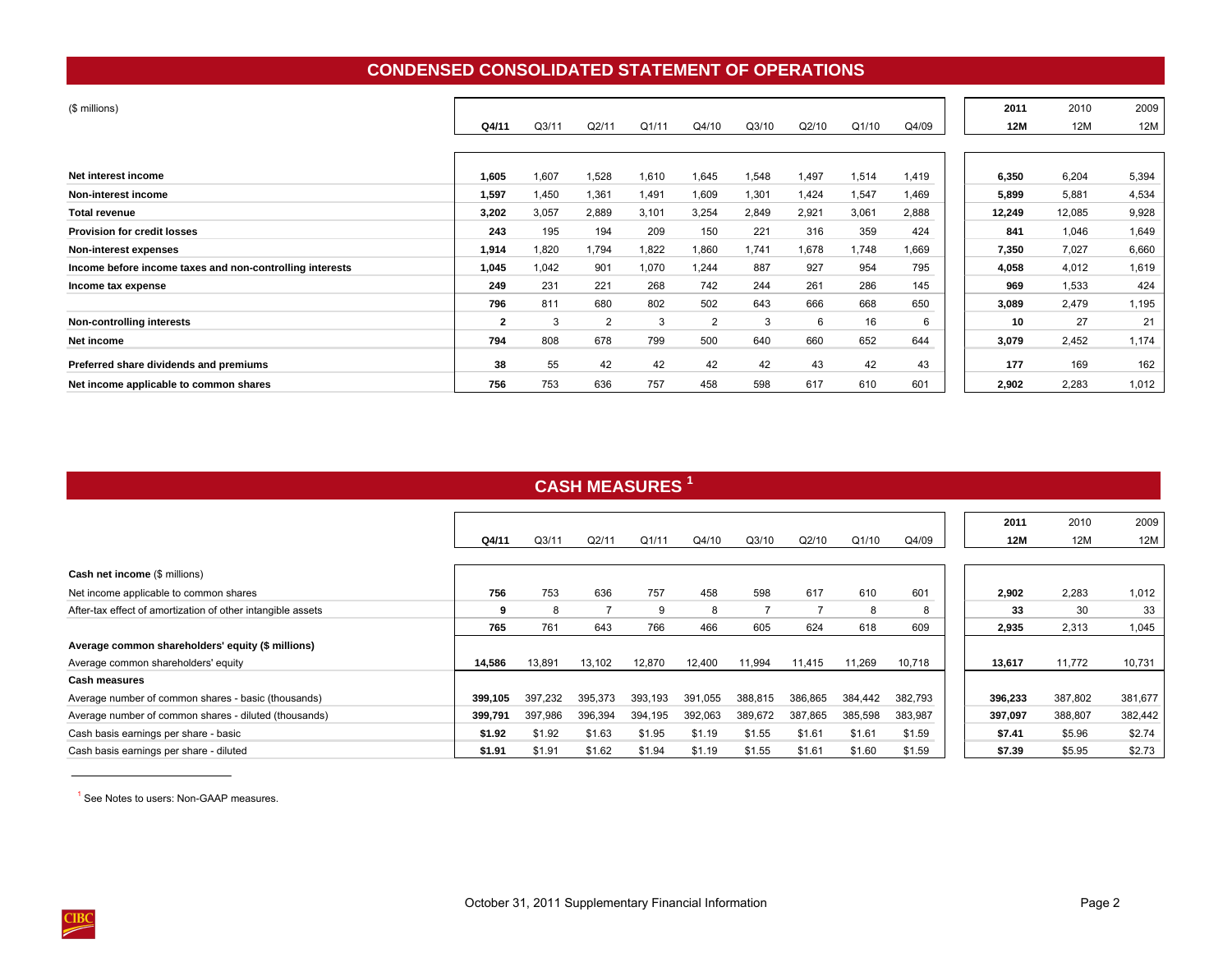## **CONDENSED CONSOLIDATED STATEMENT OF OPERATIONS**

<span id="page-5-0"></span>

| (\$ millions)                                            |                         |                   |       |       |       |       |       |       |       | 2011       | 2010   | 2009  |
|----------------------------------------------------------|-------------------------|-------------------|-------|-------|-------|-------|-------|-------|-------|------------|--------|-------|
|                                                          | Q4/11                   | Q <sub>3/11</sub> | Q2/11 | Q1/11 | Q4/10 | Q3/10 | Q2/10 | Q1/10 | Q4/09 | <b>12M</b> | 12M    | 12M   |
|                                                          |                         |                   |       |       |       |       |       |       |       |            |        |       |
| Net interest income                                      | 1,605                   | 1,607             | 1,528 | 1,610 | 1,645 | 1,548 | 1,497 | 1,514 | 1,419 | 6,350      | 6,204  | 5,394 |
| Non-interest income                                      | 1,597                   | 1,450             | 1,361 | 1,491 | 1,609 | 1,301 | 1,424 | 1,547 | 1,469 | 5,899      | 5,881  | 4,534 |
| <b>Total revenue</b>                                     | 3,202                   | 3,057             | 2,889 | 3,101 | 3,254 | 2,849 | 2,921 | 3,061 | 2,888 | 12,249     | 12,085 | 9,928 |
| <b>Provision for credit losses</b>                       | 243                     | 195               | 194   | 209   | 150   | 221   | 316   | 359   | 424   | 841        | 1,046  | 1,649 |
| Non-interest expenses                                    | 1,914                   | 1,820             | 1,794 | 1,822 | 1,860 | 1,741 | 1,678 | 1,748 | 1,669 | 7,350      | 7,027  | 6,660 |
| Income before income taxes and non-controlling interests | 1,045                   | 1,042             | 901   | 1,070 | 1,244 | 887   | 927   | 954   | 795   | 4,058      | 4,012  | 1,619 |
| Income tax expense                                       | 249                     | 231               | 221   | 268   | 742   | 244   | 261   | 286   | 145   | 969        | 1,533  | 424   |
|                                                          | 796                     | 811               | 680   | 802   | 502   | 643   | 666   | 668   | 650   | 3,089      | 2,479  | 1,195 |
| Non-controlling interests                                | $\overline{\mathbf{2}}$ | 3                 | 2     | 3     | 2     | 3     | 6     | 16    | 6     | 10         | 27     | 21    |
| Net income                                               | 794                     | 808               | 678   | 799   | 500   | 640   | 660   | 652   | 644   | 3,079      | 2,452  | 1,174 |
| Preferred share dividends and premiums                   | 38                      | 55                | 42    | 42    | 42    | 42    | 43    | 42    | 43    | 177        | 169    | 162   |
| Net income applicable to common shares                   | 756                     | 753               | 636   | 757   | 458   | 598   | 617   | 610   | 601   | 2,902      | 2,283  | 1,012 |

# **CASH MEASURES <sup>1</sup>**

|                                                             | Q4/11   | Q <sub>3/11</sub> | Q2/11   | Q1/11   | Q4/10        | Q3/10   | Q2/10   | Q1/10   | Q4/09   | 2011    | 12M | 2010<br>12M | 2009<br>12M |
|-------------------------------------------------------------|---------|-------------------|---------|---------|--------------|---------|---------|---------|---------|---------|-----|-------------|-------------|
| Cash net income (\$ millions)                               |         |                   |         |         |              |         |         |         |         |         |     |             |             |
| Net income applicable to common shares                      | 756     | 753               | 636     | 757     | 458          | 598     | 617     | 610     | 601     | 2,902   |     | 2,283       | 1,012       |
| After-tax effect of amortization of other intangible assets | 9       | 8                 |         | 9       | 8            |         |         | 8       |         |         | 33  | 30          | 33          |
|                                                             | 765     | 761               | 643     | 766     | 466          | 605     | 624     | 618     | 609     | 2,935   |     | 2,313       | 1,045       |
| Average common shareholders' equity (\$ millions)           |         |                   |         |         |              |         |         |         |         |         |     |             |             |
| Average common shareholders' equity                         | 14,586  | 13,891            | 13,102  | 12,870  | 12,400       | 11,994  | 11,415  | 11,269  | 10,718  | 13,617  |     | 11,772      | 10,731      |
| <b>Cash measures</b>                                        |         |                   |         |         |              |         |         |         |         |         |     |             |             |
| Average number of common shares - basic (thousands)         | 399,105 | 397,232           | 395,373 | 393.193 | 391.<br>.055 | 388.815 | 386.865 | 384.442 | 382,793 | 396,233 |     | 387,802     | 381,677     |
| Average number of common shares - diluted (thousands)       | 399,791 | 397,986           | 396,394 | 394,195 | 392,063      | 389,672 | 387,865 | 385,598 | 383,987 | 397,097 |     | 388,807     | 382,442     |
| Cash basis earnings per share - basic                       | \$1.92  | \$1.92            | \$1.63  | \$1.95  | \$1.19       | \$1.55  | \$1.61  | \$1.61  | \$1.59  | \$7.41  |     | \$5.96      | \$2.74      |
| Cash basis earnings per share - diluted                     | \$1.91  | \$1.91            | \$1.62  | \$1.94  | \$1.19       | \$1.55  | \$1.61  | \$1.60  | \$1.59  | \$7.39  |     | \$5.95      | \$2.73      |

<sup>1</sup> See Notes to users: Non-GAAP measures.

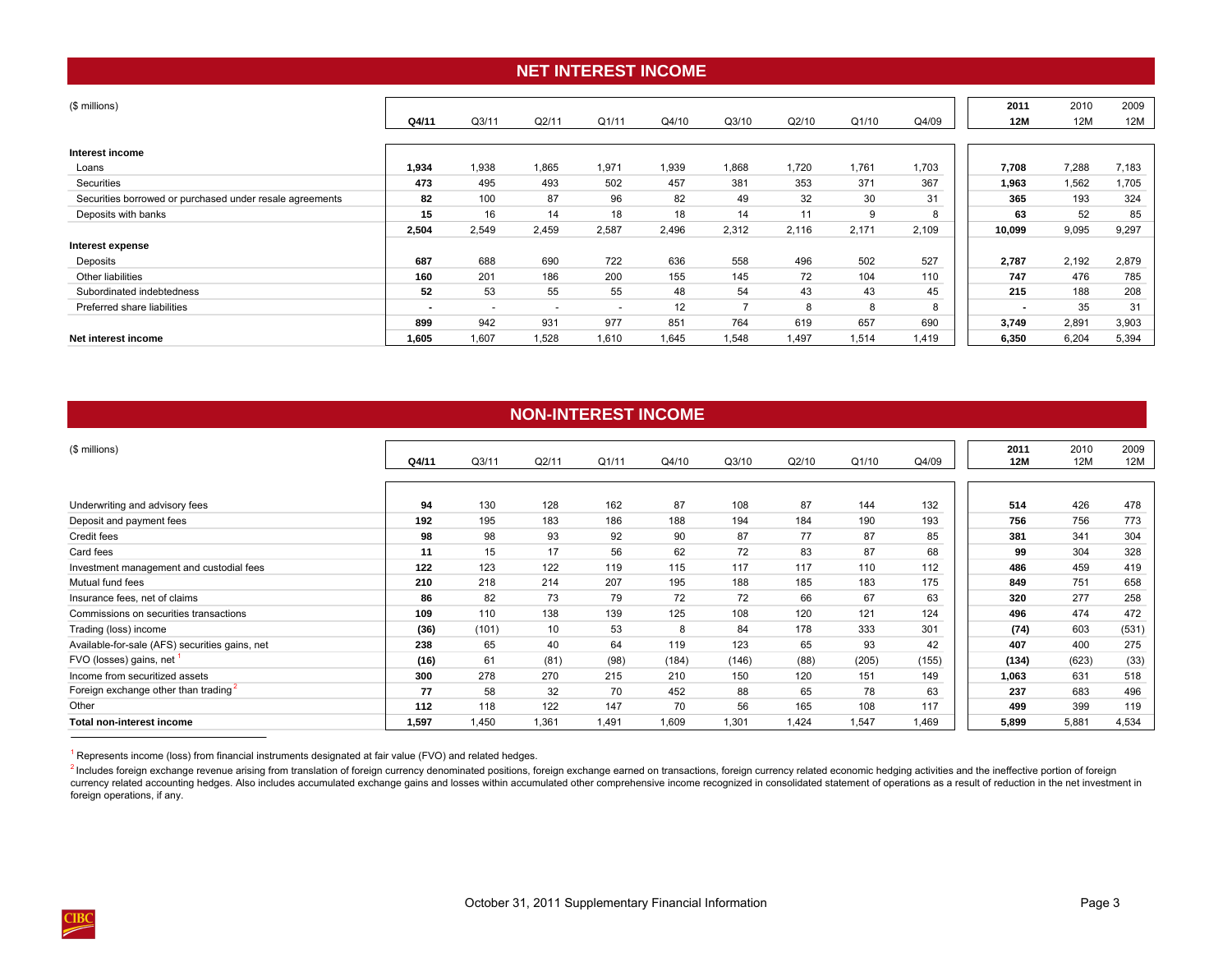## **NET INTEREST INCOME**

<span id="page-6-0"></span>

| (\$ millions)                                            |                |                          |                          |                          |       |                |       |       |       | 2011                     | 2010  | 2009  |
|----------------------------------------------------------|----------------|--------------------------|--------------------------|--------------------------|-------|----------------|-------|-------|-------|--------------------------|-------|-------|
|                                                          | Q4/11          | Q3/11                    | Q2/11                    | Q1/11                    | Q4/10 | Q3/10          | Q2/10 | Q1/10 | Q4/09 | 12M                      | 12M   | 12M   |
|                                                          |                |                          |                          |                          |       |                |       |       |       |                          |       |       |
| Interest income                                          |                |                          |                          |                          |       |                |       |       |       |                          |       |       |
| Loans                                                    | 1,934          | 1,938                    | 1,865                    | 1,971                    | 1,939 | 1,868          | 1,720 | 1,761 | 1,703 | 7,708                    | 7,288 | 7,183 |
| Securities                                               | 473            | 495                      | 493                      | 502                      | 457   | 381            | 353   | 371   | 367   | 1,963                    | 1,562 | 1,705 |
| Securities borrowed or purchased under resale agreements | 82             | 100                      | 87                       | 96                       | 82    | 49             | 32    | 30    | 31    | 365                      | 193   | 324   |
| Deposits with banks                                      | 15             | 16                       | 14                       | 18                       | 18    | 14             | 11    | 9     | 8     | 63                       | 52    | 85    |
|                                                          | 2,504          | 2,549                    | 2,459                    | 2,587                    | 2,496 | 2,312          | 2,116 | 2,171 | 2,109 | 10.099                   | 9,095 | 9,297 |
| Interest expense                                         |                |                          |                          |                          |       |                |       |       |       |                          |       |       |
| Deposits                                                 | 687            | 688                      | 690                      | 722                      | 636   | 558            | 496   | 502   | 527   | 2,787                    | 2,192 | 2,879 |
| Other liabilities                                        | 160            | 201                      | 186                      | 200                      | 155   | 145            | 72    | 104   | 110   | 747                      | 476   | 785   |
| Subordinated indebtedness                                | 52             | 53                       | 55                       | 55                       | 48    | 54             | 43    | 43    | 45    | 215                      | 188   | 208   |
| Preferred share liabilities                              | $\blacksquare$ | $\overline{\phantom{a}}$ | $\overline{\phantom{a}}$ | $\overline{\phantom{a}}$ | 12    | $\overline{ }$ | 8     | 8     | 8     | $\overline{\phantom{a}}$ | 35    | 31    |
|                                                          | 899            | 942                      | 931                      | 977                      | 851   | 764            | 619   | 657   | 690   | 3,749                    | 2,891 | 3,903 |
| Net interest income                                      | 1,605          | 1,607                    | 1,528                    | 1,610                    | 1,645 | 1,548          | 1,497 | 1,514 | 1,419 | 6,350                    | 6,204 | 5,394 |

| <b>NON-INTEREST INCOME</b>                     |       |       |       |       |       |       |       |       |       |       |       |       |  |  |  |
|------------------------------------------------|-------|-------|-------|-------|-------|-------|-------|-------|-------|-------|-------|-------|--|--|--|
| (\$ millions)                                  |       |       |       |       |       |       |       |       |       | 2011  | 2010  | 2009  |  |  |  |
|                                                | Q4/11 | Q3/11 | Q2/11 | Q1/11 | Q4/10 | Q3/10 | Q2/10 | Q1/10 | Q4/09 | 12M   | 12M   | 12M   |  |  |  |
|                                                |       |       |       |       |       |       |       |       |       |       |       |       |  |  |  |
| Underwriting and advisory fees                 | 94    | 130   | 128   | 162   | 87    | 108   | 87    | 144   | 132   | 514   | 426   | 478   |  |  |  |
| Deposit and payment fees                       | 192   | 195   | 183   | 186   | 188   | 194   | 184   | 190   | 193   | 756   | 756   | 773   |  |  |  |
| Credit fees                                    | 98    | 98    | 93    | 92    | 90    | 87    | 77    | 87    | 85    | 381   | 341   | 304   |  |  |  |
| Card fees                                      | 11    | 15    | 17    | 56    | 62    | 72    | 83    | 87    | 68    | 99    | 304   | 328   |  |  |  |
| Investment management and custodial fees       | 122   | 123   | 122   | 119   | 115   | 117   | 117   | 110   | 112   | 486   | 459   | 419   |  |  |  |
| Mutual fund fees                               | 210   | 218   | 214   | 207   | 195   | 188   | 185   | 183   | 175   | 849   | 751   | 658   |  |  |  |
| Insurance fees, net of claims                  | 86    | 82    | 73    | 79    | 72    | 72    | 66    | 67    | 63    | 320   | 277   | 258   |  |  |  |
| Commissions on securities transactions         | 109   | 110   | 138   | 139   | 125   | 108   | 120   | 121   | 124   | 496   | 474   | 472   |  |  |  |
| Trading (loss) income                          | (36)  | (101) | 10    | 53    | 8     | 84    | 178   | 333   | 301   | (74)  | 603   | (531) |  |  |  |
| Available-for-sale (AFS) securities gains, net | 238   | 65    | 40    | 64    | 119   | 123   | 65    | 93    | 42    | 407   | 400   | 275   |  |  |  |
| FVO (losses) gains, net <sup>1</sup>           | (16)  | 61    | (81)  | (98)  | (184) | (146) | (88)  | (205) | (155) | (134) | (623) | (33)  |  |  |  |
| Income from securitized assets                 | 300   | 278   | 270   | 215   | 210   | 150   | 120   | 151   | 149   | 1,063 | 631   | 518   |  |  |  |
| Foreign exchange other than trading            | 77    | 58    | 32    | 70    | 452   | 88    | 65    | 78    | 63    | 237   | 683   | 496   |  |  |  |
| Other                                          | 112   | 118   | 122   | 147   | 70    | 56    | 165   | 108   | 117   | 499   | 399   | 119   |  |  |  |
| <b>Total non-interest income</b>               | 1,597 | 1,450 | 1,361 | 1,491 | 1,609 | 1,301 | 1,424 | 1,547 | .469  | 5,899 | 5,881 | 4,534 |  |  |  |

 $1$  Represents income (loss) from financial instruments designated at fair value (FVO) and related hedges.

<sup>2</sup> Includes foreign exchange revenue arising from translation of foreign currency denominated positions, foreign exchange earned on transactions, foreign currency related economic hedging activities and the ineffective po currency related accounting hedges. Also includes accumulated exchange gains and losses within accumulated other comprehensive income recognized in consolidated statement of operations as a result of reduction in the net i foreign operations, if any.

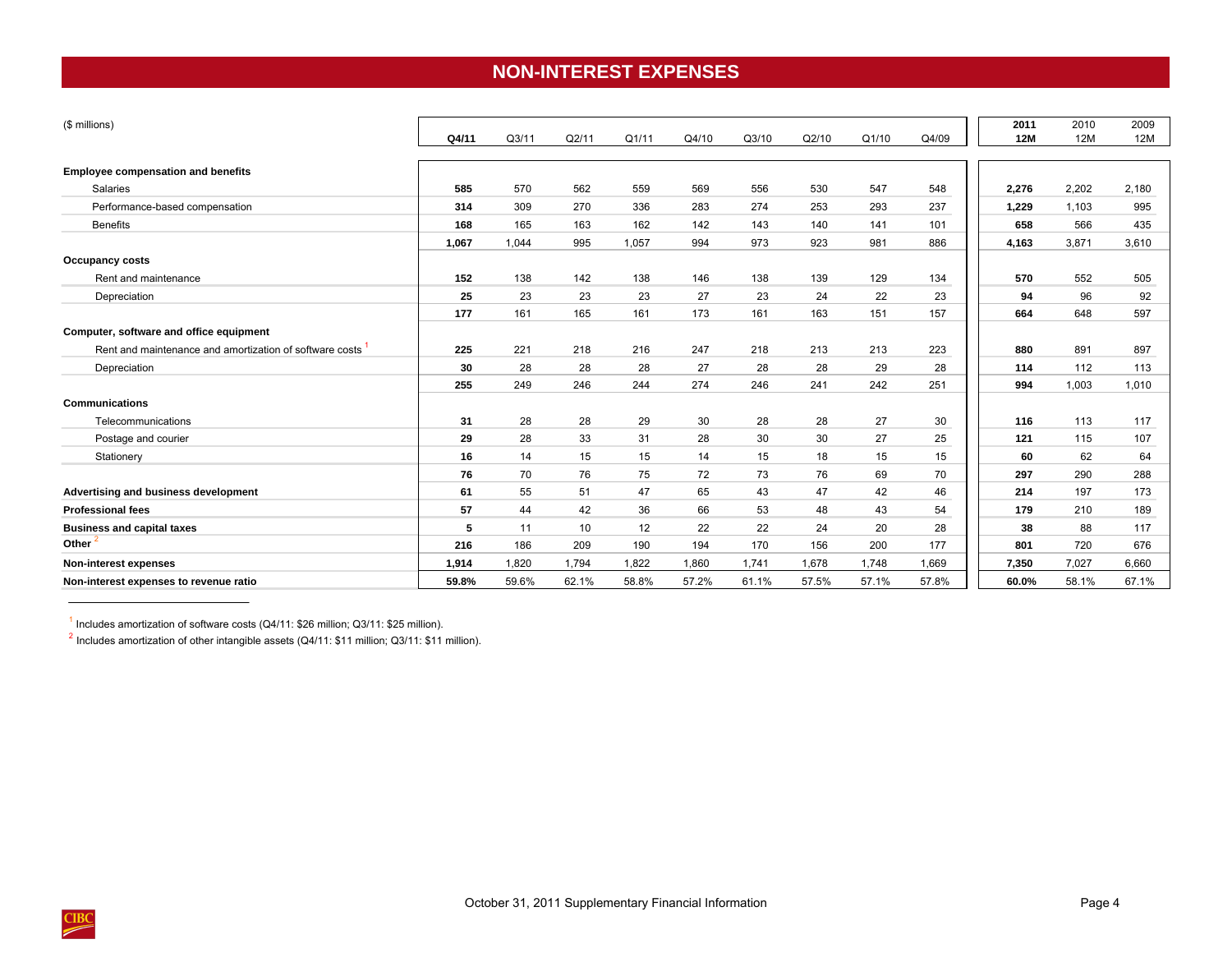## **NON-INTEREST EXPENSES**

<span id="page-7-0"></span>

| (\$ millions)                                           |       |       |       |       |       |       |       |       |       | 2011       | 2010  | 2009  |
|---------------------------------------------------------|-------|-------|-------|-------|-------|-------|-------|-------|-------|------------|-------|-------|
|                                                         | Q4/11 | Q3/11 | Q2/11 | Q1/11 | Q4/10 | Q3/10 | Q2/10 | Q1/10 | Q4/09 | <b>12M</b> | 12M   | 12M   |
| <b>Employee compensation and benefits</b>               |       |       |       |       |       |       |       |       |       |            |       |       |
| Salaries                                                | 585   | 570   | 562   | 559   | 569   | 556   | 530   | 547   | 548   | 2,276      | 2,202 | 2,180 |
| Performance-based compensation                          | 314   | 309   | 270   | 336   | 283   | 274   | 253   | 293   | 237   | 1,229      | 1,103 | 995   |
| <b>Benefits</b>                                         | 168   | 165   | 163   | 162   | 142   | 143   | 140   | 141   | 101   | 658        | 566   | 435   |
|                                                         | 1,067 | 1,044 | 995   | 1,057 | 994   | 973   | 923   | 981   | 886   | 4,163      | 3,871 | 3,610 |
| <b>Occupancy costs</b>                                  |       |       |       |       |       |       |       |       |       |            |       |       |
| Rent and maintenance                                    | 152   | 138   | 142   | 138   | 146   | 138   | 139   | 129   | 134   | 570        | 552   | 505   |
| Depreciation                                            | 25    | 23    | 23    | 23    | 27    | 23    | 24    | 22    | 23    | 94         | 96    | 92    |
|                                                         | 177   | 161   | 165   | 161   | 173   | 161   | 163   | 151   | 157   | 664        | 648   | 597   |
| Computer, software and office equipment                 |       |       |       |       |       |       |       |       |       |            |       |       |
| Rent and maintenance and amortization of software costs | 225   | 221   | 218   | 216   | 247   | 218   | 213   | 213   | 223   | 880        | 891   | 897   |
| Depreciation                                            | 30    | 28    | 28    | 28    | 27    | 28    | 28    | 29    | 28    | 114        | 112   | 113   |
|                                                         | 255   | 249   | 246   | 244   | 274   | 246   | 241   | 242   | 251   | 994        | 1,003 | 1,010 |
| <b>Communications</b>                                   |       |       |       |       |       |       |       |       |       |            |       |       |
| Telecommunications                                      | 31    | 28    | 28    | 29    | 30    | 28    | 28    | 27    | 30    | 116        | 113   | 117   |
| Postage and courier                                     | 29    | 28    | 33    | 31    | 28    | 30    | 30    | 27    | 25    | 121        | 115   | 107   |
| Stationery                                              | 16    | 14    | 15    | 15    | 14    | 15    | 18    | 15    | 15    | 60         | 62    | 64    |
|                                                         | 76    | 70    | 76    | 75    | 72    | 73    | 76    | 69    | 70    | 297        | 290   | 288   |
| Advertising and business development                    | 61    | 55    | 51    | 47    | 65    | 43    | 47    | 42    | 46    | 214        | 197   | 173   |
| <b>Professional fees</b>                                | 57    | 44    | 42    | 36    | 66    | 53    | 48    | 43    | 54    | 179        | 210   | 189   |
| <b>Business and capital taxes</b>                       | 5     | 11    | 10    | 12    | 22    | 22    | 24    | 20    | 28    | 38         | 88    | 117   |
| Other <sup>2</sup>                                      | 216   | 186   | 209   | 190   | 194   | 170   | 156   | 200   | 177   | 801        | 720   | 676   |
| Non-interest expenses                                   | 1,914 | 1,820 | 1,794 | 1,822 | 1,860 | 1,741 | 1,678 | 1,748 | 1,669 | 7,350      | 7,027 | 6,660 |
| Non-interest expenses to revenue ratio                  | 59.8% | 59.6% | 62.1% | 58.8% | 57.2% | 61.1% | 57.5% | 57.1% | 57.8% | 60.0%      | 58.1% | 67.1% |

1 Includes amortization of software costs (Q4/11: \$26 million; Q3/11: \$25 million).

 $^2$  Includes amortization of other intangible assets (Q4/11: \$11 million; Q3/11: \$11 million).

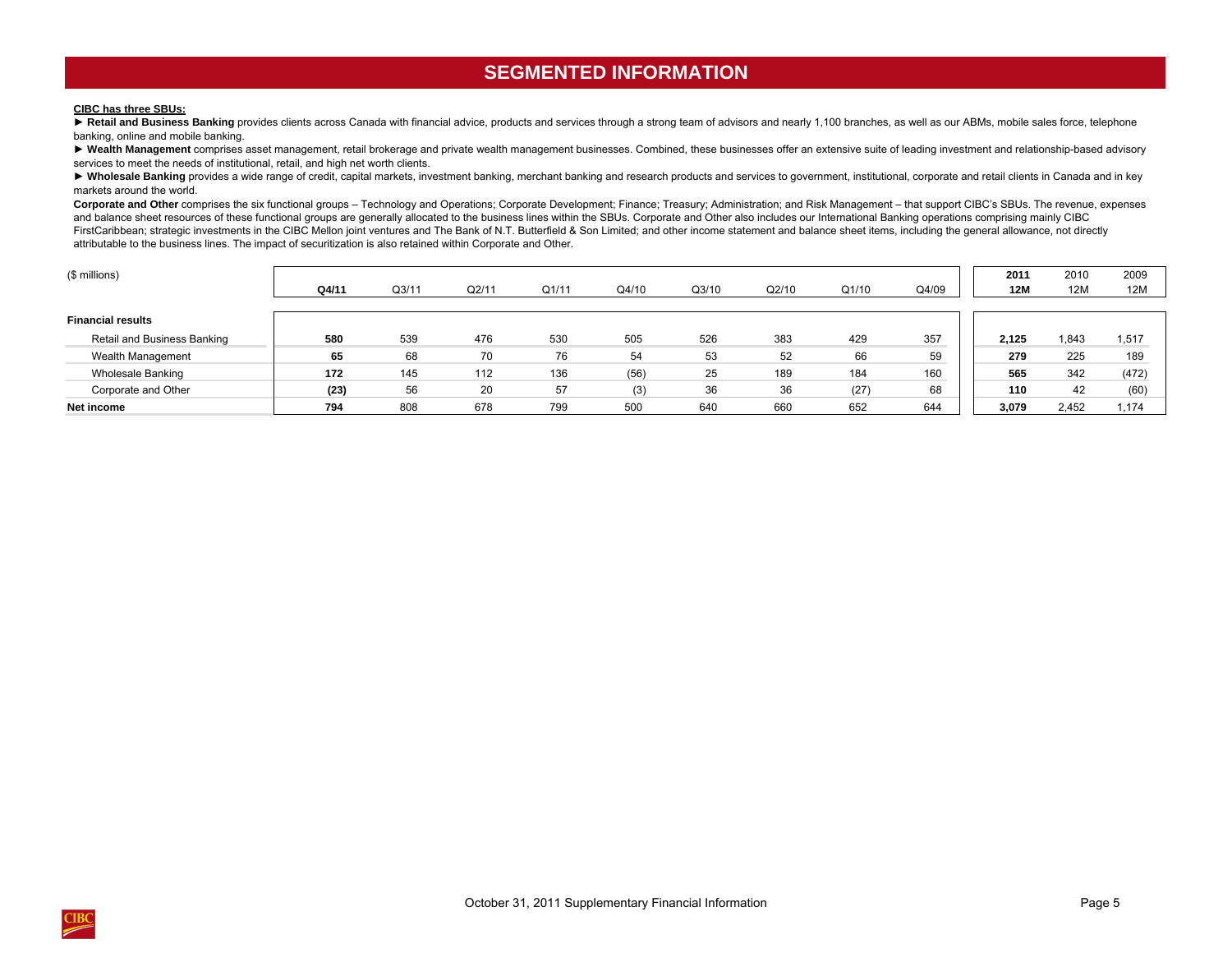## **SEGMENTED INFORMATION**

#### <span id="page-8-0"></span>**CIBC has three SBUs:**

**►** Retail and Business Banking provides clients across Canada with financial advice, products and services through a strong team of advisors and nearly 1,100 branches, as well as our ABMs, mobile sales force, telephone banking, online and mobile banking.

▶ Wealth Management comprises asset management, retail brokerage and private wealth management businesses. Combined, these businesses offer an extensive suite of leading investment and relationship-based advisory services to meet the needs of institutional, retail, and high net worth clients.

> Wholesale Banking provides a wide range of credit, capital markets, investment banking, merchant banking and research products and services to government, institutional, corporate and retail clients in Canada and in key markets around the world.

Corporate and Other comprises the six functional groups – Technology and Operations; Corporate Development; Finance; Treasury; Administration; and Risk Management – that support CIBC's SBUs. The revenue, expenses and balance sheet resources of these functional groups are generally allocated to the business lines within the SBUs. Corporate and Other also includes our International Banking operations comprising mainly CIBC FirstCaribbean; strategic investments in the CIBC Mellon joint ventures and The Bank of N.T. Butterfield & Son Limited; and other income statement and balance sheet items, including the general allowance, not directly attributable to the business lines. The impact of securitization is also retained within Corporate and Other.

| (\$ millions)               |       |       |       |       |       |       |       |       |       | 2011       | 2010  | 2009  |
|-----------------------------|-------|-------|-------|-------|-------|-------|-------|-------|-------|------------|-------|-------|
|                             | Q4/11 | Q3/11 | Q2/11 | Q1/11 | Q4/10 | Q3/10 | Q2/10 | Q1/10 | Q4/09 | <b>12M</b> | 12M   | 12M   |
|                             |       |       |       |       |       |       |       |       |       |            |       |       |
| <b>Financial results</b>    |       |       |       |       |       |       |       |       |       |            |       |       |
| Retail and Business Banking | 580   | 539   | 476   | 530   | 505   | 526   | 383   | 429   | 357   | 2.125      | 1,843 | 1,517 |
| Wealth Management           | 65    | 68    | 70    | 76    | 54    | 53    | 52    | 66    | 59    | 279        | 225   | 189   |
| <b>Wholesale Banking</b>    | 172   | 145   | 112   | 136   | (56)  | 25    | 189   | 184   | 160   | 565        | 342   | (472) |
| Corporate and Other         | (23)  | 56    | 20    | 57    | (3)   | 36    | 36    | (27)  | 68    | 110        | 42    | (60)  |
| Net income                  | 794   | 808   | 678   | 799   | 500   | 640   | 660   | 652   | 644   | 3,079      | 2,452 | 1,174 |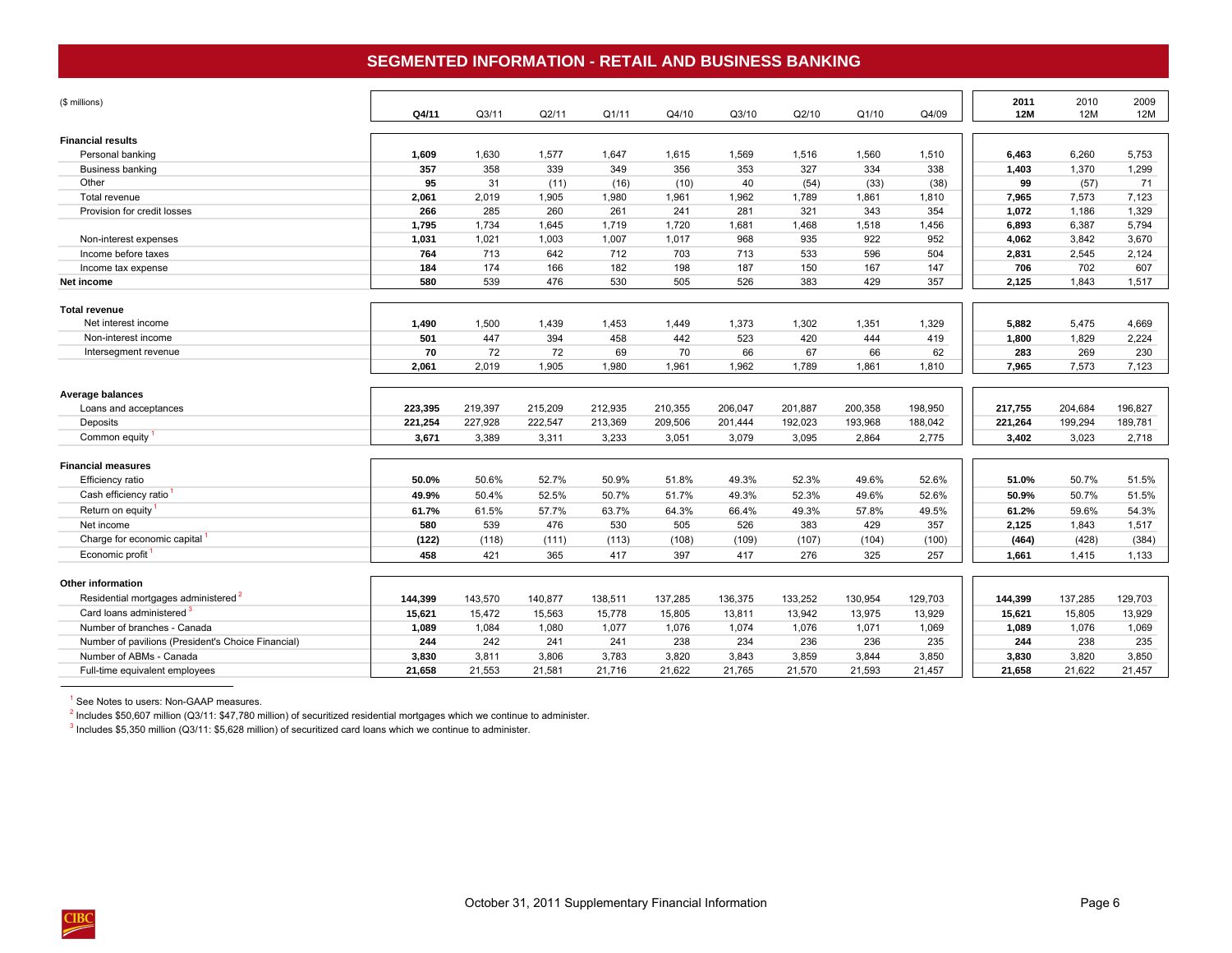## **SEGMENTED INFORMATION - RETAIL AND BUSINESS BANKING**

<span id="page-9-0"></span>

| (\$ millions)                                      | Q4/11   | Q <sub>3/11</sub> | Q2/11   | Q1/11   | Q4/10   | Q3/10   | Q2/10   | Q1/10   | Q4/09   | 2011<br><b>12M</b> | 2010<br><b>12M</b> | 2009<br>12M |
|----------------------------------------------------|---------|-------------------|---------|---------|---------|---------|---------|---------|---------|--------------------|--------------------|-------------|
| <b>Financial results</b>                           |         |                   |         |         |         |         |         |         |         |                    |                    |             |
| Personal banking                                   | 1,609   | 1,630             | 1,577   | 1,647   | 1,615   | 1,569   | 1,516   | 1,560   | 1,510   | 6.463              | 6.260              | 5,753       |
| Business banking                                   | 357     | 358               | 339     | 349     | 356     | 353     | 327     | 334     | 338     | 1,403              | 1,370              | 1,299       |
| Other                                              | 95      | 31                | (11)    | (16)    | (10)    | 40      | (54)    | (33)    | (38)    | 99                 | (57)               | 71          |
| Total revenue                                      | 2,061   | 2,019             | 1,905   | 1,980   | 1,961   | 1,962   | 1,789   | 1,861   | 1,810   | 7,965              | 7,573              | 7,123       |
| Provision for credit losses                        | 266     | 285               | 260     | 261     | 241     | 281     | 321     | 343     | 354     | 1,072              | 1,186              | 1,329       |
|                                                    | 1,795   | 1,734             | 1,645   | 1,719   | 1,720   | 1,681   | 1,468   | 1,518   | 1,456   | 6,893              | 6,387              | 5,794       |
| Non-interest expenses                              | 1,031   | 1,021             | 1,003   | 1,007   | 1,017   | 968     | 935     | 922     | 952     | 4,062              | 3,842              | 3,670       |
| Income before taxes                                | 764     | 713               | 642     | 712     | 703     | 713     | 533     | 596     | 504     | 2,831              | 2,545              | 2,124       |
| Income tax expense                                 | 184     | 174               | 166     | 182     | 198     | 187     | 150     | 167     | 147     | 706                | 702                | 607         |
| Net income                                         | 580     | 539               | 476     | 530     | 505     | 526     | 383     | 429     | 357     | 2,125              | 1,843              | 1,517       |
| <b>Total revenue</b>                               |         |                   |         |         |         |         |         |         |         |                    |                    |             |
| Net interest income                                | 1,490   | 1,500             | 1,439   | 1,453   | 1,449   | 1,373   | 1,302   | 1,351   | 1,329   | 5,882              | 5,475              | 4,669       |
| Non-interest income                                | 501     | 447               | 394     | 458     | 442     | 523     | 420     | 444     | 419     | 1,800              | 1,829              | 2,224       |
| Intersegment revenue                               | 70      | 72                | 72      | 69      | 70      | 66      | 67      | 66      | 62      | 283                | 269                | 230         |
|                                                    | 2,061   | 2,019             | 1,905   | 1,980   | 1,961   | 1,962   | 1,789   | 1,861   | 1,810   | 7,965              | 7,573              | 7,123       |
| Average balances                                   |         |                   |         |         |         |         |         |         |         |                    |                    |             |
| Loans and acceptances                              | 223,395 | 219,397           | 215,209 | 212,935 | 210,355 | 206,047 | 201,887 | 200,358 | 198,950 | 217,755            | 204,684            | 196,827     |
| Deposits                                           | 221,254 | 227,928           | 222,547 | 213,369 | 209,506 | 201,444 | 192,023 | 193,968 | 188,042 | 221,264            | 199,294            | 189,781     |
| Common equity                                      | 3,671   | 3,389             | 3,311   | 3,233   | 3,051   | 3,079   | 3,095   | 2,864   | 2,775   | 3,402              | 3,023              | 2,718       |
| <b>Financial measures</b>                          |         |                   |         |         |         |         |         |         |         |                    |                    |             |
| Efficiency ratio                                   | 50.0%   | 50.6%             | 52.7%   | 50.9%   | 51.8%   | 49.3%   | 52.3%   | 49.6%   | 52.6%   | 51.0%              | 50.7%              | 51.5%       |
| Cash efficiency ratio                              | 49.9%   | 50.4%             | 52.5%   | 50.7%   | 51.7%   | 49.3%   | 52.3%   | 49.6%   | 52.6%   | 50.9%              | 50.7%              | 51.5%       |
| Return on equity <sup>1</sup>                      | 61.7%   | 61.5%             | 57.7%   | 63.7%   | 64.3%   | 66.4%   | 49.3%   | 57.8%   | 49.5%   | 61.2%              | 59.6%              | 54.3%       |
| Net income                                         | 580     | 539               | 476     | 530     | 505     | 526     | 383     | 429     | 357     | 2,125              | 1,843              | 1,517       |
| Charge for economic capital                        | (122)   | (118)             | (111)   | (113)   | (108)   | (109)   | (107)   | (104)   | (100)   | (464)              | (428)              | (384)       |
| Economic profit                                    | 458     | 421               | 365     | 417     | 397     | 417     | 276     | 325     | 257     | 1,661              | 1,415              | 1,133       |
| Other information                                  |         |                   |         |         |         |         |         |         |         |                    |                    |             |
| Residential mortgages administered <sup>2</sup>    | 144,399 | 143,570           | 140.877 | 138,511 | 137,285 | 136,375 | 133,252 | 130,954 | 129,703 | 144,399            | 137,285            | 129,703     |
| Card loans administered 3                          | 15,621  | 15,472            | 15,563  | 15,778  | 15,805  | 13,811  | 13,942  | 13,975  | 13,929  | 15,621             | 15,805             | 13,929      |
| Number of branches - Canada                        | 1,089   | 1,084             | 1,080   | 1,077   | 1,076   | 1,074   | 1,076   | 1,071   | 1,069   | 1,089              | 1,076              | 1,069       |
| Number of pavilions (President's Choice Financial) | 244     | 242               | 241     | 241     | 238     | 234     | 236     | 236     | 235     | 244                | 238                | 235         |
| Number of ABMs - Canada                            | 3,830   | 3,811             | 3,806   | 3,783   | 3,820   | 3,843   | 3,859   | 3,844   | 3,850   | 3,830              | 3,820              | 3,850       |
| Full-time equivalent employees                     | 21,658  | 21,553            | 21,581  | 21,716  | 21,622  | 21,765  | 21,570  | 21,593  | 21,457  | 21,658             | 21,622             | 21,457      |
|                                                    |         |                   |         |         |         |         |         |         |         |                    |                    |             |

<sup>1</sup> See Notes to users: Non-GAAP measures.

<sup>2</sup> Includes \$50,607 million (Q3/11: \$47,780 million) of securitized residential mortgages which we continue to administer.

<sup>3</sup> Includes \$5,350 million (Q3/11: \$5,628 million) of securitized card loans which we continue to administer.

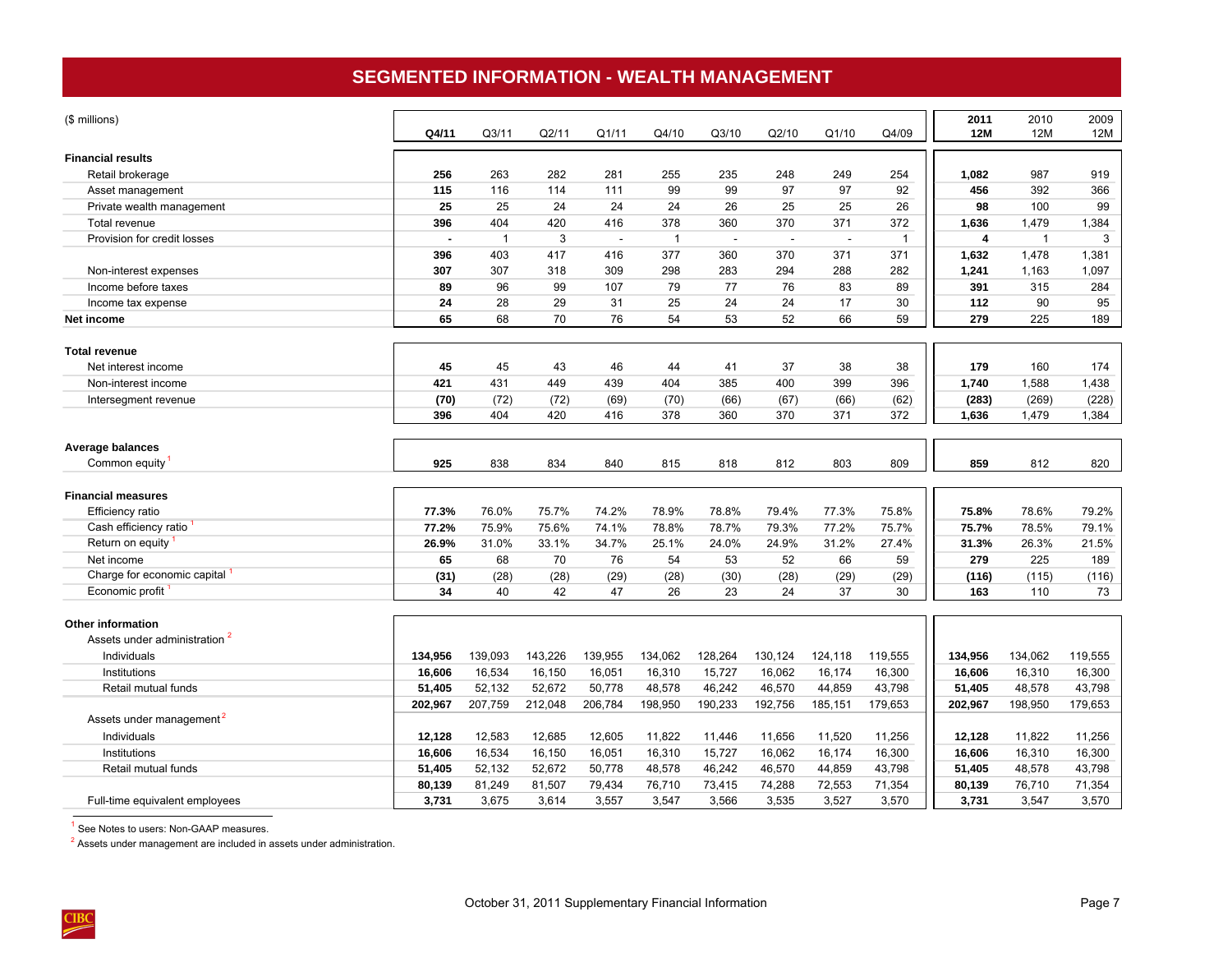## **SEGMENTED INFORMATION - WEALTH MANAGEMENT**

<span id="page-10-0"></span>

| (\$ millions)                            | Q4/11                    | Q3/11          | Q2/11   | Q1/11   | Q4/10          | Q3/10   | Q2/10   | Q1/10   | Q4/09          | 2011<br>12M | 2010<br>12M  | 2009<br>12M |
|------------------------------------------|--------------------------|----------------|---------|---------|----------------|---------|---------|---------|----------------|-------------|--------------|-------------|
| <b>Financial results</b>                 |                          |                |         |         |                |         |         |         |                |             |              |             |
| Retail brokerage                         | 256                      | 263            | 282     | 281     | 255            | 235     | 248     | 249     | 254            | 1,082       | 987          | 919         |
| Asset management                         | 115                      | 116            | 114     | 111     | 99             | 99      | 97      | 97      | 92             | 456         | 392          | 366         |
| Private wealth management                | 25                       | 25             | 24      | 24      | 24             | 26      | 25      | 25      | 26             | 98          | 100          | 99          |
| Total revenue                            | 396                      | 404            | 420     | 416     | 378            | 360     | 370     | 371     | 372            | 1,636       | 1,479        | 1,384       |
| Provision for credit losses              | $\overline{\phantom{a}}$ | $\overline{1}$ | 3       | ÷.      | $\overline{1}$ | ÷.      | ÷.      | ÷.      | $\overline{1}$ | 4           | $\mathbf{1}$ | 3           |
|                                          | 396                      | 403            | 417     | 416     | 377            | 360     | 370     | 371     | 371            | 1,632       | 1,478        | 1,381       |
| Non-interest expenses                    | 307                      | 307            | 318     | 309     | 298            | 283     | 294     | 288     | 282            | 1,241       | 1,163        | 1,097       |
| Income before taxes                      | 89                       | 96             | 99      | 107     | 79             | 77      | 76      | 83      | 89             | 391         | 315          | 284         |
| Income tax expense                       | 24                       | 28             | 29      | 31      | 25             | 24      | 24      | 17      | 30             | 112         | 90           | 95          |
| Net income                               | 65                       | 68             | 70      | 76      | 54             | 53      | 52      | 66      | 59             | 279         | 225          | 189         |
|                                          |                          |                |         |         |                |         |         |         |                |             |              |             |
| <b>Total revenue</b>                     |                          |                |         |         |                |         |         |         |                |             |              |             |
| Net interest income                      | 45                       | 45             | 43      | 46      | 44             | 41      | 37      | 38      | 38             | 179         | 160          | 174         |
| Non-interest income                      | 421                      | 431            | 449     | 439     | 404            | 385     | 400     | 399     | 396            | 1,740       | 1,588        | 1,438       |
| Intersegment revenue                     | (70)                     | (72)           | (72)    | (69)    | (70)           | (66)    | (67)    | (66)    | (62)           | (283)       | (269)        | (228)       |
|                                          | 396                      | 404            | 420     | 416     | 378            | 360     | 370     | 371     | 372            | 1,636       | 1,479        | 1,384       |
| <b>Average balances</b>                  |                          |                |         |         |                |         |         |         |                |             |              |             |
| Common equity                            | 925                      | 838            | 834     | 840     | 815            | 818     | 812     | 803     | 809            | 859         | 812          | 820         |
|                                          |                          |                |         |         |                |         |         |         |                |             |              |             |
| <b>Financial measures</b>                |                          |                |         |         |                |         |         |         |                |             |              |             |
| Efficiency ratio                         | 77.3%                    | 76.0%          | 75.7%   | 74.2%   | 78.9%          | 78.8%   | 79.4%   | 77.3%   | 75.8%          | 75.8%       | 78.6%        | 79.2%       |
| Cash efficiency ratio                    | 77.2%                    | 75.9%          | 75.6%   | 74.1%   | 78.8%          | 78.7%   | 79.3%   | 77.2%   | 75.7%          | 75.7%       | 78.5%        | 79.1%       |
| Return on equity                         | 26.9%                    | 31.0%          | 33.1%   | 34.7%   | 25.1%          | 24.0%   | 24.9%   | 31.2%   | 27.4%          | 31.3%       | 26.3%        | 21.5%       |
| Net income                               | 65                       | 68             | 70      | 76      | 54             | 53      | 52      | 66      | 59             | 279         | 225          | 189         |
| Charge for economic capital              | (31)                     | (28)           | (28)    | (29)    | (28)           | (30)    | (28)    | (29)    | (29)           | (116)       | (115)        | (116)       |
| Economic profit                          | 34                       | 40             | 42      | 47      | 26             | 23      | 24      | 37      | 30             | 163         | 110          | 73          |
|                                          |                          |                |         |         |                |         |         |         |                |             |              |             |
| <b>Other information</b>                 |                          |                |         |         |                |         |         |         |                |             |              |             |
| Assets under administration <sup>2</sup> |                          |                |         |         |                |         |         |         |                |             |              |             |
| Individuals                              | 134,956                  | 139,093        | 143,226 | 139,955 | 134,062        | 128,264 | 130,124 | 124,118 | 119,555        | 134,956     | 134,062      | 119,555     |
| Institutions                             | 16,606                   | 16,534         | 16,150  | 16,051  | 16,310         | 15,727  | 16,062  | 16,174  | 16,300         | 16,606      | 16,310       | 16,300      |
| Retail mutual funds                      | 51,405                   | 52,132         | 52,672  | 50,778  | 48,578         | 46,242  | 46,570  | 44,859  | 43,798         | 51,405      | 48,578       | 43,798      |
|                                          | 202,967                  | 207,759        | 212,048 | 206,784 | 198,950        | 190,233 | 192,756 | 185,151 | 179,653        | 202,967     | 198,950      | 179,653     |
| Assets under management <sup>2</sup>     |                          |                |         |         |                |         |         |         |                |             |              |             |
| Individuals                              | 12,128                   | 12,583         | 12,685  | 12,605  | 11,822         | 11.446  | 11.656  | 11,520  | 11,256         | 12,128      | 11,822       | 11,256      |
| Institutions                             | 16,606                   | 16,534         | 16,150  | 16,051  | 16,310         | 15,727  | 16,062  | 16,174  | 16,300         | 16,606      | 16,310       | 16,300      |
| Retail mutual funds                      | 51,405                   | 52,132         | 52,672  | 50,778  | 48,578         | 46,242  | 46,570  | 44,859  | 43,798         | 51,405      | 48,578       | 43,798      |
|                                          | 80,139                   | 81,249         | 81,507  | 79,434  | 76,710         | 73,415  | 74,288  | 72,553  | 71,354         | 80,139      | 76,710       | 71,354      |
| Full-time equivalent employees           | 3,731                    | 3,675          | 3,614   | 3,557   | 3,547          | 3,566   | 3,535   | 3,527   | 3,570          | 3,731       | 3,547        | 3,570       |

<sup>1</sup> See Notes to users: Non-GAAP measures.

 $2$  Assets under management are included in assets under administration.

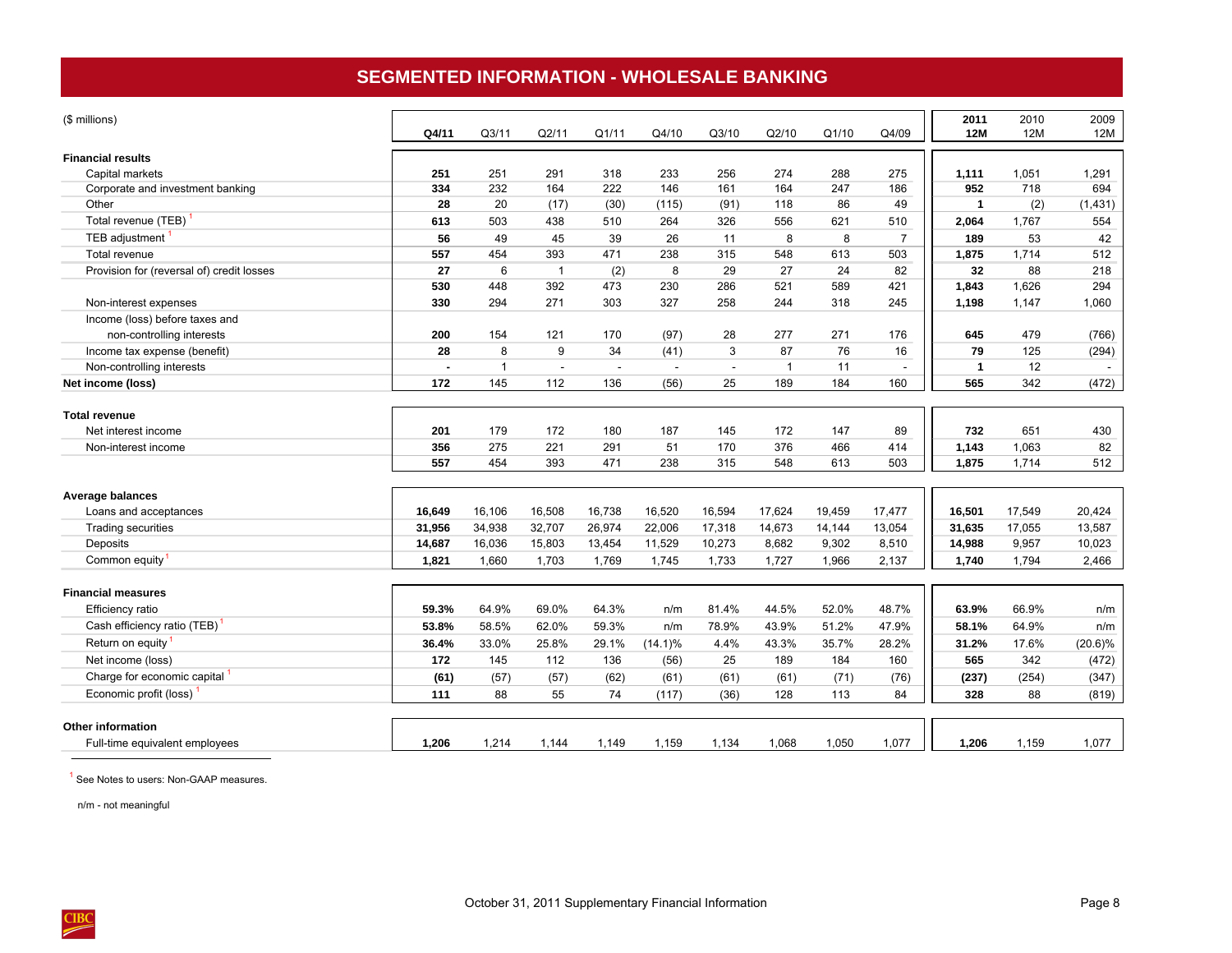## **SEGMENTED INFORMATION - WHOLESALE BANKING**

<span id="page-11-0"></span>

| (\$ millions)                             | Q4/11  | Q <sub>3/11</sub> | Q2/11          | Q1/11  | Q4/10      | Q3/10  | Q2/10          | Q1/10  | Q4/09          | 2011<br><b>12M</b> | 2010<br>12M | 2009<br>12M |
|-------------------------------------------|--------|-------------------|----------------|--------|------------|--------|----------------|--------|----------------|--------------------|-------------|-------------|
| <b>Financial results</b>                  |        |                   |                |        |            |        |                |        |                |                    |             |             |
| Capital markets                           | 251    | 251               | 291            | 318    | 233        | 256    | 274            | 288    | 275            | 1,111              | 1,051       | 1,291       |
| Corporate and investment banking          | 334    | 232               | 164            | 222    | 146        | 161    | 164            | 247    | 186            | 952                | 718         | 694         |
| Other                                     | 28     | 20                | (17)           | (30)   | (115)      | (91)   | 118            | 86     | 49             | $\mathbf{1}$       | (2)         | (1,431)     |
| Total revenue (TEB)                       | 613    | 503               | 438            | 510    | 264        | 326    | 556            | 621    | 510            | 2,064              | 1,767       | 554         |
| TEB adjustment <sup>1</sup>               | 56     | 49                | 45             | 39     | 26         | 11     | 8              | 8      | $\overline{7}$ | 189                | 53          | 42          |
| Total revenue                             | 557    | 454               | 393            | 471    | 238        | 315    | 548            | 613    | 503            | 1,875              | 1,714       | 512         |
| Provision for (reversal of) credit losses | 27     | 6                 | $\overline{1}$ | (2)    | 8          | 29     | 27             | 24     | 82             | 32                 | 88          | 218         |
|                                           | 530    | 448               | 392            | 473    | 230        | 286    | 521            | 589    | 421            | 1.843              | 1.626       | 294         |
| Non-interest expenses                     | 330    | 294               | 271            | 303    | 327        | 258    | 244            | 318    | 245            | 1,198              | 1,147       | 1,060       |
| Income (loss) before taxes and            |        |                   |                |        |            |        |                |        |                |                    |             |             |
| non-controlling interests                 | 200    | 154               | 121            | 170    | (97)       | 28     | 277            | 271    | 176            | 645                | 479         | (766)       |
| Income tax expense (benefit)              | 28     | 8                 | 9              | 34     | (41)       | 3      | 87             | 76     | 16             | 79                 | 125         | (294)       |
| Non-controlling interests                 | Î.     | $\mathbf{1}$      | $\sim$         |        | $\sim$     | $\sim$ | $\overline{1}$ | 11     | $\sim$         | $\mathbf{1}$       | 12          |             |
| Net income (loss)                         | 172    | 145               | 112            | 136    | (56)       | 25     | 189            | 184    | 160            | 565                | 342         | (472)       |
| <b>Total revenue</b>                      |        |                   |                |        |            |        |                |        |                |                    |             |             |
| Net interest income                       | 201    | 179               | 172            | 180    | 187        | 145    | 172            | 147    | 89             | 732                | 651         | 430         |
| Non-interest income                       | 356    | 275               | 221            | 291    | 51         | 170    | 376            | 466    | 414            | 1,143              | 1,063       | 82          |
|                                           | 557    | 454               | 393            | 471    | 238        | 315    | 548            | 613    | 503            | 1,875              | 1,714       | 512         |
| Average balances                          |        |                   |                |        |            |        |                |        |                |                    |             |             |
| Loans and acceptances                     | 16,649 | 16,106            | 16,508         | 16,738 | 16,520     | 16,594 | 17,624         | 19,459 | 17,477         | 16,501             | 17,549      | 20,424      |
| Trading securities                        | 31,956 | 34,938            | 32,707         | 26,974 | 22,006     | 17,318 | 14,673         | 14,144 | 13,054         | 31,635             | 17,055      | 13,587      |
| Deposits                                  | 14,687 | 16,036            | 15,803         | 13,454 | 11,529     | 10,273 | 8,682          | 9,302  | 8,510          | 14,988             | 9,957       | 10,023      |
| Common equity <sup>1</sup>                | 1,821  | 1,660             | 1,703          | 1,769  | 1,745      | 1,733  | 1,727          | 1,966  | 2,137          | 1,740              | 1,794       | 2,466       |
| <b>Financial measures</b>                 |        |                   |                |        |            |        |                |        |                |                    |             |             |
| Efficiency ratio                          | 59.3%  | 64.9%             | 69.0%          | 64.3%  | n/m        | 81.4%  | 44.5%          | 52.0%  | 48.7%          | 63.9%              | 66.9%       | n/m         |
| Cash efficiency ratio (TEB)               | 53.8%  | 58.5%             | 62.0%          | 59.3%  | n/m        | 78.9%  | 43.9%          | 51.2%  | 47.9%          | 58.1%              | 64.9%       | n/m         |
| Return on equity <sup>1</sup>             | 36.4%  | 33.0%             | 25.8%          | 29.1%  | $(14.1)\%$ | 4.4%   | 43.3%          | 35.7%  | 28.2%          | 31.2%              | 17.6%       | $(20.6)\%$  |
| Net income (loss)                         | 172    | 145               | 112            | 136    | (56)       | 25     | 189            | 184    | 160            | 565                | 342         | (472)       |
| Charge for economic capital <sup>1</sup>  | (61)   | (57)              | (57)           | (62)   | (61)       | (61)   | (61)           | (71)   | (76)           | (237)              | (254)       | (347)       |
| Economic profit (loss) <sup>1</sup>       | 111    | 88                | 55             | 74     | (117)      | (36)   | 128            | 113    | 84             | 328                | 88          | (819)       |
| <b>Other information</b>                  |        |                   |                |        |            |        |                |        |                |                    |             |             |
| Full-time equivalent employees            | 1,206  | 1,214             | 1,144          | 1,149  | 1,159      | 1,134  | 1,068          | 1,050  | 1,077          | 1,206              | 1,159       | 1,077       |

<sup>1</sup> See Notes to users: Non-GAAP measures.

n/m - not meaningful

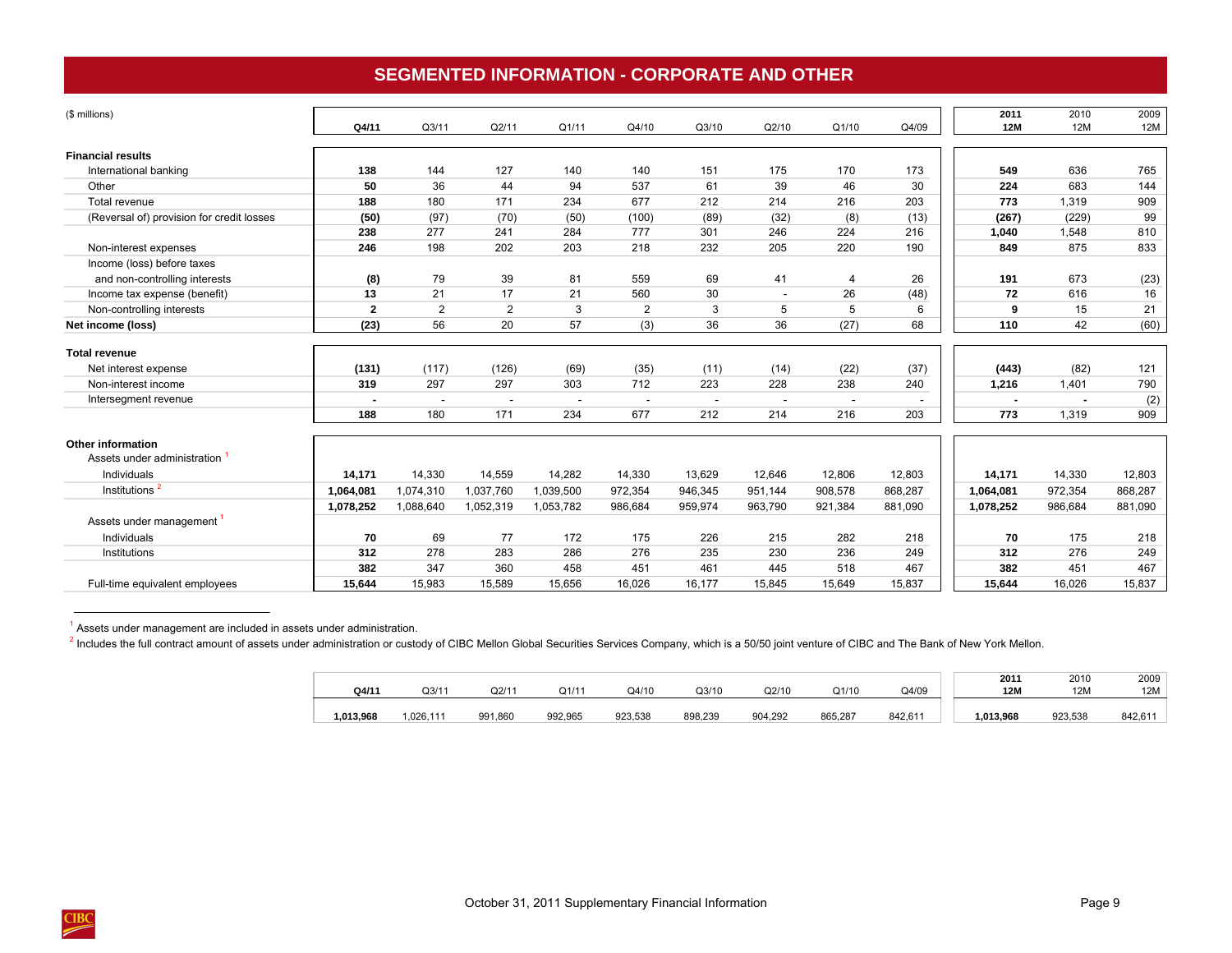## **SEGMENTED INFORMATION - CORPORATE AND OTHER**

<span id="page-12-0"></span>

| (\$ millions)                             | Q4/11          | Q3/11          | Q2/11                    | Q1/11     | Q4/10                    | Q3/10   | Q2/10                    | Q1/10                    | Q4/09   | 2011<br><b>12M</b> | 2010<br>12M | 2009<br>12M |
|-------------------------------------------|----------------|----------------|--------------------------|-----------|--------------------------|---------|--------------------------|--------------------------|---------|--------------------|-------------|-------------|
|                                           |                |                |                          |           |                          |         |                          |                          |         |                    |             |             |
| <b>Financial results</b>                  |                |                |                          |           |                          |         |                          |                          |         |                    |             |             |
| International banking                     | 138            | 144            | 127                      | 140       | 140                      | 151     | 175                      | 170                      | 173     | 549                | 636         | 765         |
| Other                                     | 50             | 36             | 44                       | 94        | 537                      | 61      | 39                       | 46                       | 30      | 224                | 683         | 144         |
| Total revenue                             | 188            | 180            | 171                      | 234       | 677                      | 212     | 214                      | 216                      | 203     | 773                | 1,319       | 909         |
| (Reversal of) provision for credit losses | (50)           | (97)           | (70)                     | (50)      | (100)                    | (89)    | (32)                     | (8)                      | (13)    | (267)              | (229)       | 99          |
|                                           | 238            | 277            | 241                      | 284       | 777                      | 301     | 246                      | 224                      | 216     | 1,040              | 1,548       | 810         |
| Non-interest expenses                     | 246            | 198            | 202                      | 203       | 218                      | 232     | 205                      | 220                      | 190     | 849                | 875         | 833         |
| Income (loss) before taxes                |                |                |                          |           |                          |         |                          |                          |         |                    |             |             |
| and non-controlling interests             | (8)            | 79             | 39                       | 81        | 559                      | 69      | 41                       | 4                        | 26      | 191                | 673         | (23)        |
| Income tax expense (benefit)              | 13             | 21             | 17                       | 21        | 560                      | 30      | $\sim$                   | 26                       | (48)    | 72                 | 616         | 16          |
| Non-controlling interests                 | $\mathbf{2}$   | $\overline{2}$ | 2                        | 3         | $\overline{2}$           | 3       | 5                        | 5                        | 6       | 9                  | 15          | 21          |
| Net income (loss)                         | (23)           | 56             | 20                       | 57        | (3)                      | 36      | 36                       | (27)                     | 68      | 110                | 42          | (60)        |
| <b>Total revenue</b>                      |                |                |                          |           |                          |         |                          |                          |         |                    |             |             |
| Net interest expense                      | (131)          | (117)          | (126)                    | (69)      | (35)                     | (11)    | (14)                     | (22)                     | (37)    | (443)              | (82)        | 121         |
| Non-interest income                       | 319            | 297            | 297                      | 303       | 712                      | 223     | 228                      | 238                      | 240     | 1,216              | 1,401       | 790         |
| Intersegment revenue                      | $\blacksquare$ |                | $\overline{\phantom{a}}$ |           | $\overline{\phantom{a}}$ |         | $\overline{\phantom{a}}$ | $\overline{\phantom{a}}$ |         |                    |             | (2)         |
|                                           | 188            | 180            | 171                      | 234       | 677                      | 212     | 214                      | 216                      | 203     | 773                | 1,319       | 909         |
| <b>Other information</b>                  |                |                |                          |           |                          |         |                          |                          |         |                    |             |             |
| Assets under administration               |                |                |                          |           |                          |         |                          |                          |         |                    |             |             |
| Individuals                               | 14,171         | 14,330         | 14,559                   | 14,282    | 14,330                   | 13,629  | 12,646                   | 12,806                   | 12,803  | 14,171             | 14,330      | 12,803      |
| Institutions <sup>2</sup>                 | 1,064,081      | 1,074,310      | 1,037,760                | 1,039,500 | 972,354                  | 946,345 | 951,144                  | 908,578                  | 868,287 | 1,064,081          | 972,354     | 868,287     |
|                                           | 1,078,252      | 1,088,640      | 1,052,319                | 1,053,782 | 986,684                  | 959,974 | 963,790                  | 921,384                  | 881,090 | 1,078,252          | 986,684     | 881,090     |
| Assets under management <sup>1</sup>      |                |                |                          |           |                          |         |                          |                          |         |                    |             |             |
| Individuals                               | 70             | 69             | 77                       | 172       | 175                      | 226     | 215                      | 282                      | 218     | 70                 | 175         | 218         |
| Institutions                              | 312            | 278            | 283                      | 286       | 276                      | 235     | 230                      | 236                      | 249     | 312                | 276         | 249         |
|                                           | 382            | 347            | 360                      | 458       | 451                      | 461     | 445                      | 518                      | 467     | 382                | 451         | 467         |
| Full-time equivalent employees            | 15,644         | 15,983         | 15,589                   | 15,656    | 16,026                   | 16,177  | 15,845                   | 15,649                   | 15,837  | 15,644             | 16,026      | 15,837      |

 $<sup>1</sup>$  Assets under management are included in assets under administration.</sup>

 $\frac{\text{CIBC}}{\text{CIBC}}$ 

<sup>2</sup> Includes the full contract amount of assets under administration or custody of CIBC Mellon Global Securities Services Company, which is a 50/50 joint venture of CIBC and The Bank of New York Mellon.

|           |             |         |         |         |         |         |         |         | 2011     | 2010    | 2009    |
|-----------|-------------|---------|---------|---------|---------|---------|---------|---------|----------|---------|---------|
| Q4/11     | 0311<br>، س | Q2/11   | Q1/11   | Q4/10   | Q3/10   | Q2/10   | Q1/10   | Q4/09   | 12M      | 12M     | 12M     |
|           |             |         |         |         |         |         |         |         |          |         |         |
| 1.013.968 | 1.026.111   | 991,860 | 992,965 | 923,538 | 898,239 | 904,292 | 865,287 | 842,611 | .013.968 | 923,538 | 842,611 |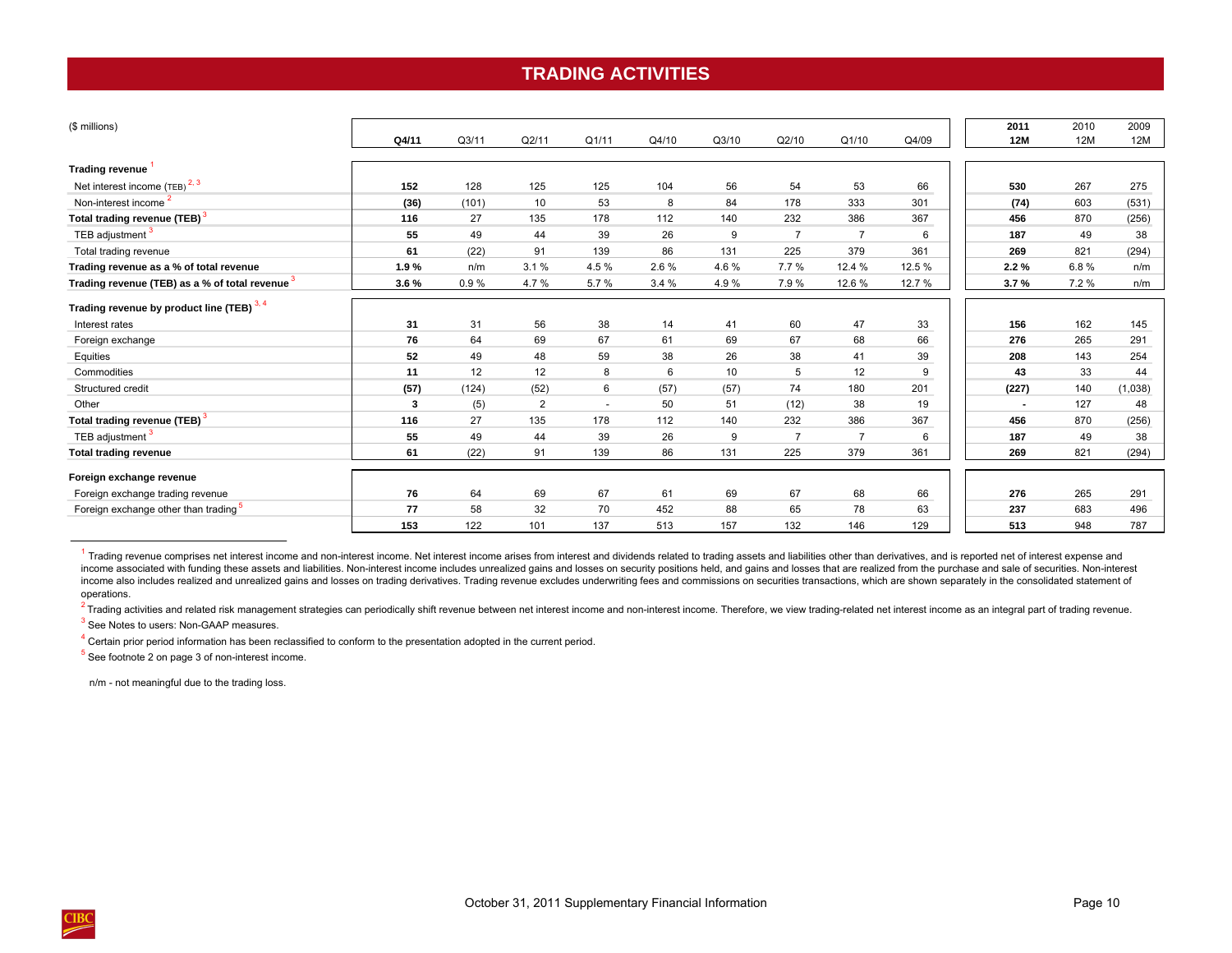## **TRADING ACTIVITIES**

<span id="page-13-0"></span>

| (\$ millions)                                    |       |                   |                |                          |       |       |                |                |        | 2011           | 2010 | 2009    |
|--------------------------------------------------|-------|-------------------|----------------|--------------------------|-------|-------|----------------|----------------|--------|----------------|------|---------|
|                                                  | Q4/11 | Q <sub>3/11</sub> | Q2/11          | Q1/11                    | Q4/10 | Q3/10 | Q2/10          | Q1/10          | Q4/09  | 12M            | 12M  | 12M     |
| Trading revenue                                  |       |                   |                |                          |       |       |                |                |        |                |      |         |
| Net interest income $(TEB)$ <sup>2, 3</sup>      | 152   | 128               | 125            | 125                      | 104   | 56    | 54             | 53             | 66     | 530            | 267  | 275     |
| Non-interest income                              | (36)  | (101)             | 10             | 53                       | 8     | 84    | 178            | 333            | 301    | (74)           | 603  | (531)   |
| Total trading revenue (TEB) <sup>3</sup>         | 116   | 27                | 135            | 178                      | 112   | 140   | 232            | 386            | 367    | 456            | 870  | (256)   |
| TEB adjustment <sup>3</sup>                      | 55    | 49                | 44             | 39                       | 26    | 9     | $\overline{7}$ | $\overline{7}$ | 6      | 187            | 49   | 38      |
| Total trading revenue                            | 61    | (22)              | 91             | 139                      | 86    | 131   | 225            | 379            | 361    | 269            | 821  | (294)   |
| Trading revenue as a % of total revenue          | 1.9%  | n/m               | 3.1%           | 4.5%                     | 2.6 % | 4.6%  | 7.7%           | 12.4 %         | 12.5 % | 2.2%           | 6.8% | n/m     |
| Trading revenue (TEB) as a % of total revenue 3  | 3.6%  | 0.9%              | 4.7%           | 5.7%                     | 3.4%  | 4.9%  | 7.9%           | 12.6%          | 12.7 % | 3.7%           | 7.2% | n/m     |
| Trading revenue by product line (TEB) 3, 4       |       |                   |                |                          |       |       |                |                |        |                |      |         |
| Interest rates                                   | 31    | 31                | 56             | 38                       | 14    | 41    | 60             | 47             | 33     | 156            | 162  | 145     |
| Foreign exchange                                 | 76    | 64                | 69             | 67                       | 61    | 69    | 67             | 68             | 66     | 276            | 265  | 291     |
| Equities                                         | 52    | 49                | 48             | 59                       | 38    | 26    | 38             | 41             | 39     | 208            | 143  | 254     |
| Commodities                                      | 11    | 12                | 12             | 8                        | 6     | 10    | 5              | 12             | 9      | 43             | 33   | 44      |
| Structured credit                                | (57)  | (124)             | (52)           | 6                        | (57)  | (57)  | 74             | 180            | 201    | (227)          | 140  | (1,038) |
| Other                                            | 3     | (5)               | $\overline{2}$ | $\overline{\phantom{a}}$ | 50    | 51    | (12)           | 38             | 19     | $\blacksquare$ | 127  | 48      |
| Total trading revenue (TEB) <sup>3</sup>         | 116   | 27                | 135            | 178                      | 112   | 140   | 232            | 386            | 367    | 456            | 870  | (256)   |
| TEB adjustment <sup>3</sup>                      | 55    | 49                | 44             | 39                       | 26    | 9     | $\overline{7}$ | $\overline{7}$ | 6      | 187            | 49   | 38      |
| <b>Total trading revenue</b>                     | 61    | (22)              | 91             | 139                      | 86    | 131   | 225            | 379            | 361    | 269            | 821  | (294)   |
| Foreign exchange revenue                         |       |                   |                |                          |       |       |                |                |        |                |      |         |
| Foreign exchange trading revenue                 | 76    | 64                | 69             | 67                       | 61    | 69    | 67             | 68             | 66     | 276            | 265  | 291     |
| Foreign exchange other than trading <sup>5</sup> | 77    | 58                | 32             | 70                       | 452   | 88    | 65             | 78             | 63     | 237            | 683  | 496     |
|                                                  | 153   | 122               | 101            | 137                      | 513   | 157   | 132            | 146            | 129    | 513            | 948  | 787     |

1 Trading revenue comprises net interest income and non-interest income. Net interest income arises from interest and dividends related to trading assets and liabilities other than derivatives, and is reported net of inter income associated with funding these assets and liabilities. Non-interest income includes unrealized gains and losses on security positions held, and gains and losses that are realized from the purchase and sale of securit income also includes realized and unrealized gains and losses on trading derivatives. Trading revenue excludes underwriting fees and commissions on securities transactions, which are shown separately in the consolidated st operations.

<sup>2</sup> Trading activities and related risk management strategies can periodically shift revenue between net interest income and non-interest income. Therefore, we view trading-related net interest income as an integral part o

<sup>3</sup> See Notes to users: Non-GAAP measures.

 $4$  Certain prior period information has been reclassified to conform to the presentation adopted in the current period.

 $<sup>5</sup>$  See footnote 2 on page 3 of non-interest income.</sup>

n/m - not meaningful due to the trading loss.

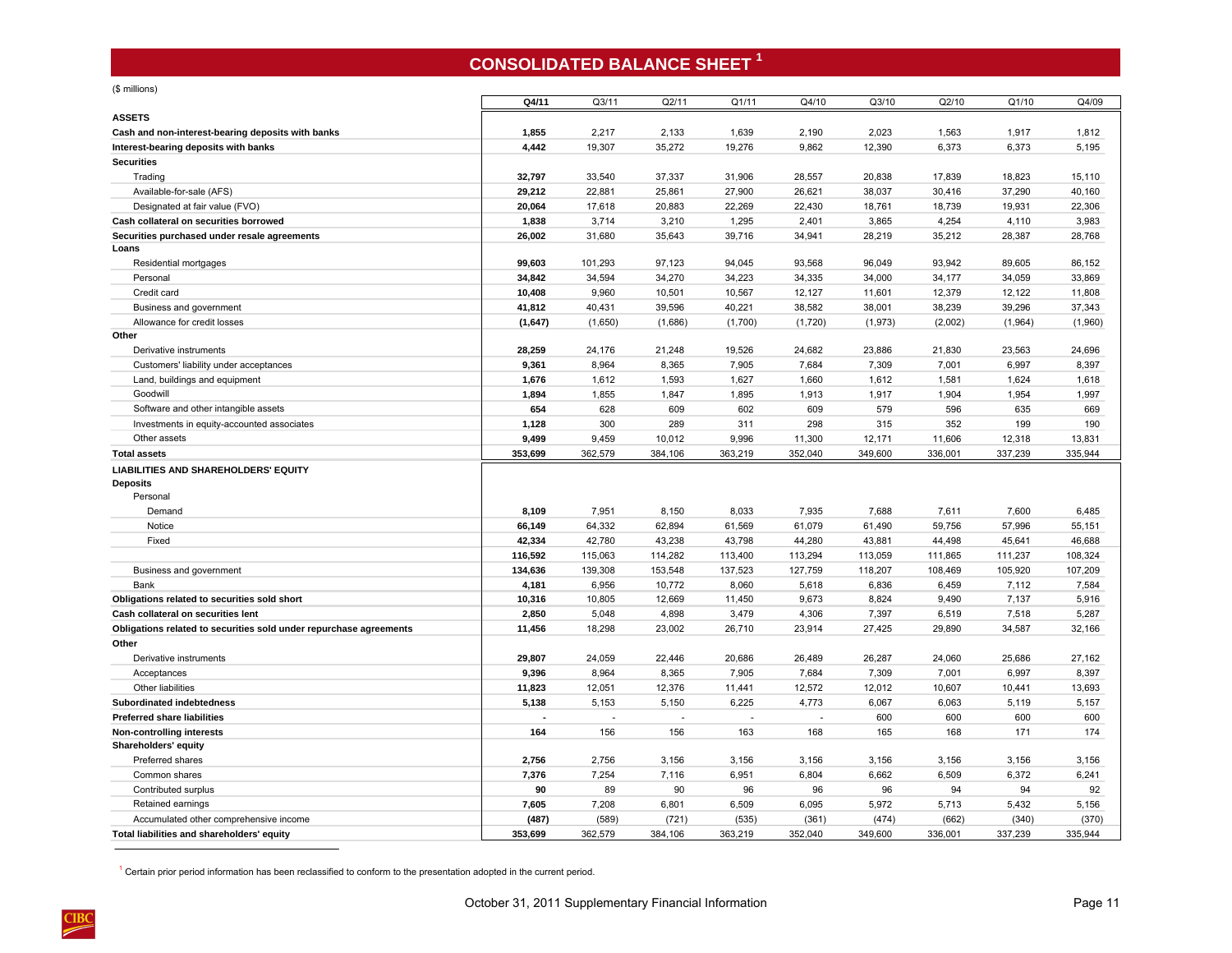# **CONSOLIDATED BALANCE SHEET <sup>1</sup>**

| <b>ASSETS</b>                                                                             | Q4/11          | Q3/11           | Q2/11           | Q1/11           | Q4/10          | Q3/10           | Q2/10          | Q1/10          | Q4/09          |
|-------------------------------------------------------------------------------------------|----------------|-----------------|-----------------|-----------------|----------------|-----------------|----------------|----------------|----------------|
|                                                                                           |                |                 |                 |                 |                |                 |                |                |                |
| Cash and non-interest-bearing deposits with banks<br>Interest-bearing deposits with banks | 1,855<br>4,442 | 2,217<br>19,307 | 2,133<br>35,272 | 1,639<br>19,276 | 2,190<br>9,862 | 2,023<br>12,390 | 1,563<br>6,373 | 1,917<br>6,373 | 1,812<br>5,195 |
| <b>Securities</b>                                                                         |                |                 |                 |                 |                |                 |                |                |                |
| Trading                                                                                   | 32,797         | 33,540          | 37,337          | 31,906          | 28,557         | 20,838          | 17,839         | 18,823         | 15,110         |
| Available-for-sale (AFS)                                                                  | 29,212         | 22,881          | 25,861          | 27,900          | 26,621         | 38,037          | 30,416         | 37,290         | 40,160         |
| Designated at fair value (FVO)                                                            | 20,064         | 17,618          | 20,883          | 22,269          | 22,430         | 18,761          | 18,739         | 19,931         | 22,306         |
| Cash collateral on securities borrowed                                                    | 1,838          | 3,714           | 3,210           | 1,295           | 2,401          | 3,865           | 4,254          | 4,110          | 3,983          |
| Securities purchased under resale agreements                                              | 26,002         | 31,680          | 35,643          | 39,716          | 34,941         | 28,219          | 35,212         | 28,387         | 28,768         |
| Loans                                                                                     |                |                 |                 |                 |                |                 |                |                |                |
| Residential mortgages                                                                     | 99,603         | 101,293         | 97,123          | 94,045          | 93,568         | 96,049          | 93,942         | 89,605         | 86,152         |
| Personal                                                                                  | 34,842         | 34,594          | 34,270          | 34,223          | 34,335         | 34,000          | 34,177         | 34,059         | 33,869         |
| Credit card                                                                               | 10,408         | 9,960           | 10,501          | 10,567          | 12,127         | 11,601          | 12,379         | 12,122         | 11,808         |
| Business and government                                                                   | 41,812         | 40,431          | 39,596          | 40,221          | 38,582         | 38,001          | 38,239         | 39,296         | 37,343         |
| Allowance for credit losses                                                               | (1,647)        | (1,650)         | (1,686)         | (1,700)         | (1,720)        | (1,973)         | (2,002)        | (1,964)        | (1,960)        |
| Other                                                                                     |                |                 |                 |                 |                |                 |                |                |                |
| Derivative instruments                                                                    | 28,259         | 24,176          | 21,248          | 19,526          | 24,682         | 23,886          | 21,830         | 23,563         | 24,696         |
| Customers' liability under acceptances                                                    | 9,361          | 8,964           | 8,365           | 7,905           | 7,684          | 7,309           | 7,001          | 6,997          | 8,397          |
| Land, buildings and equipment                                                             | 1,676          | 1,612           | 1,593           | 1,627           | 1,660          | 1,612           | 1,581          | 1,624          | 1,618          |
| Goodwill                                                                                  | 1,894          | 1,855           | 1,847           | 1,895           | 1,913          | 1,917           | 1,904          | 1,954          | 1,997          |
| Software and other intangible assets                                                      | 654            | 628             | 609             | 602             | 609            | 579             | 596            | 635            | 669            |
| Investments in equity-accounted associates                                                | 1,128          | 300             | 289             | 311             | 298            | 315             | 352            | 199            | 190            |
| Other assets                                                                              | 9,499          | 9,459           | 10,012          | 9,996           | 11,300         | 12,171          | 11,606         | 12,318         | 13,831         |
| <b>Total assets</b>                                                                       | 353,699        | 362,579         | 384,106         | 363,219         | 352,040        | 349,600         | 336,001        | 337,239        | 335,944        |
| LIABILITIES AND SHAREHOLDERS' EQUITY                                                      |                |                 |                 |                 |                |                 |                |                |                |
| <b>Deposits</b>                                                                           |                |                 |                 |                 |                |                 |                |                |                |
| Personal                                                                                  |                |                 |                 |                 |                |                 |                |                |                |
| Demand                                                                                    | 8,109          | 7,951           | 8,150           | 8,033           | 7,935          | 7,688           | 7,611          | 7,600          | 6,485          |
| Notice                                                                                    | 66,149         | 64,332          | 62,894          | 61,569          | 61,079         | 61,490          | 59,756         | 57,996         | 55,151         |
| Fixed                                                                                     | 42,334         | 42,780          | 43,238          | 43,798          | 44,280         | 43,881          | 44,498         | 45,641         | 46,688         |
|                                                                                           | 116,592        | 115,063         | 114,282         | 113,400         | 113,294        | 113,059         | 111,865        | 111,237        | 108,324        |
| Business and government                                                                   | 134,636        | 139,308         | 153,548         | 137,523         | 127,759        | 118,207         | 108,469        | 105,920        | 107,209        |
| Bank                                                                                      | 4,181          | 6,956           | 10,772          | 8,060           | 5,618          | 6,836           | 6,459          | 7,112          | 7,584          |
| Obligations related to securities sold short                                              | 10,316         | 10,805          | 12,669          | 11,450          | 9,673          | 8,824           | 9,490          | 7,137          | 5,916          |
| Cash collateral on securities lent                                                        | 2,850          | 5,048           | 4,898           | 3,479           | 4,306          | 7,397           | 6,519          | 7,518          | 5,287          |
| Obligations related to securities sold under repurchase agreements                        | 11,456         | 18,298          | 23,002          | 26,710          | 23,914         | 27,425          | 29,890         | 34,587         | 32,166         |
| Other                                                                                     |                |                 |                 |                 |                |                 |                |                |                |
| Derivative instruments                                                                    | 29,807         | 24,059          | 22.446          | 20,686          | 26,489         | 26,287          | 24,060         | 25,686         | 27,162         |
| Acceptances                                                                               | 9,396          | 8,964           | 8,365           | 7,905           | 7,684          | 7,309           | 7,001          | 6,997          | 8,397          |
| Other liabilities                                                                         | 11,823         | 12,051          | 12,376          | 11,441          | 12,572         | 12,012          | 10,607         | 10,441         | 13,693         |
| Subordinated indebtedness                                                                 | 5,138          | 5,153           | 5,150           | 6,225           | 4,773          | 6,067           | 6,063          | 5,119          | 5,157          |
| Preferred share liabilities                                                               |                | ÷,              |                 | ÷,              | $\sim$         | 600             | 600            | 600            | 600            |
| Non-controlling interests                                                                 | 164            | 156             | 156             | 163             | 168            | 165             | 168            | 171            | 174            |
| Shareholders' equity                                                                      |                |                 |                 |                 |                |                 |                |                |                |
| Preferred shares                                                                          | 2,756          | 2,756           | 3,156           | 3,156           | 3,156          | 3,156           | 3,156          | 3,156          | 3,156          |
| Common shares                                                                             | 7,376          | 7,254           | 7,116           | 6,951           | 6,804          | 6,662           | 6,509          | 6,372          | 6,241          |
| Contributed surplus                                                                       | 90             | 89              | 90              | 96              | 96             | 96              | 94             | 94             | 92             |
| Retained earnings                                                                         | 7,605          | 7,208           | 6,801           | 6,509           | 6,095          | 5,972           | 5,713          | 5,432          | 5,156          |
| Accumulated other comprehensive income                                                    | (487)          | (589)           | (721)           | (535)           | (361)          | (474)           | (662)          | (340)          | (370)          |
| Total liabilities and shareholders' equity                                                | 353,699        | 362,579         | 384,106         | 363,219         | 352,040        | 349,600         | 336,001        | 337,239        | 335,944        |

<sup>1</sup> Certain prior period information has been reclassified to conform to the presentation adopted in the current period.

<span id="page-14-0"></span>(\$ millions)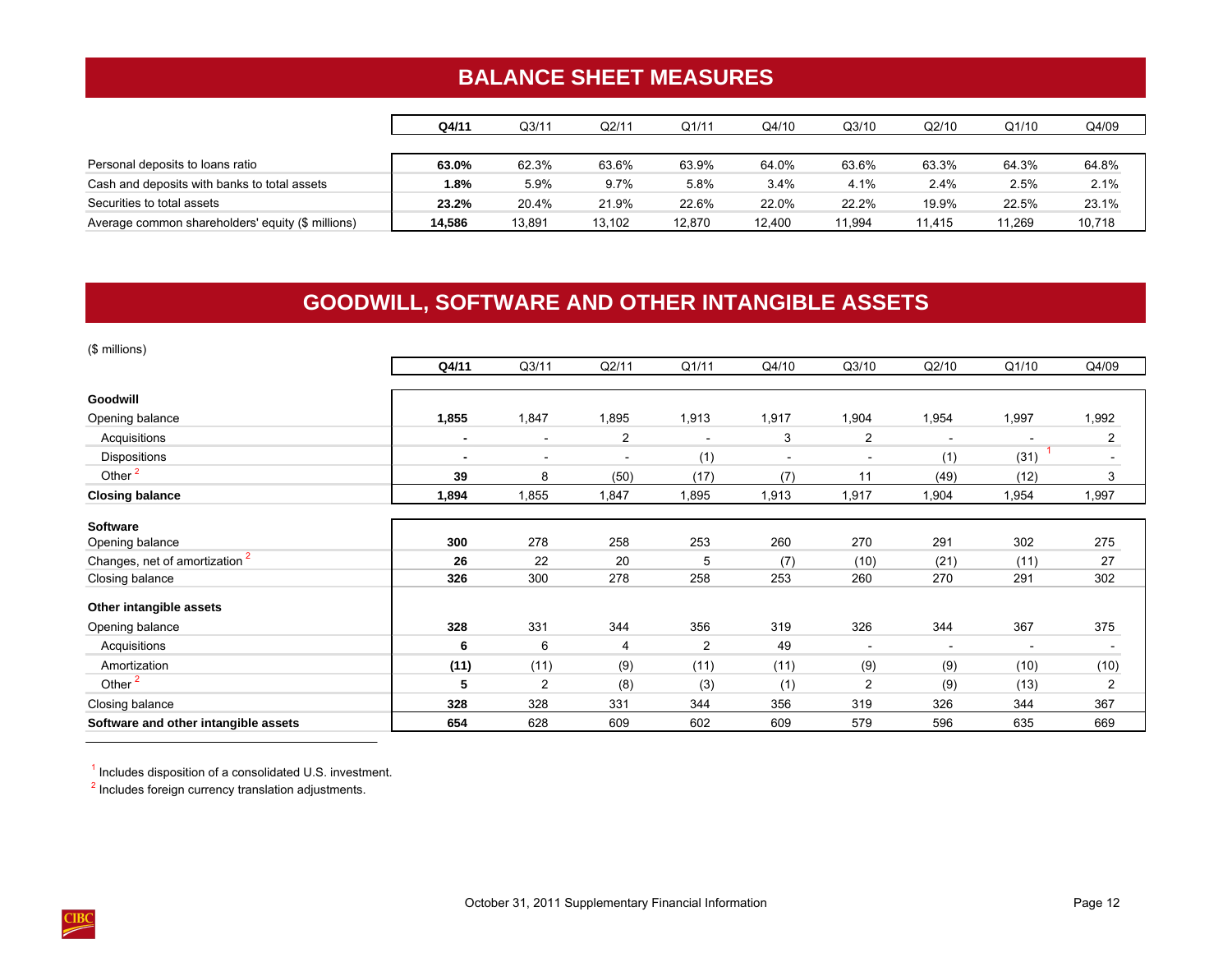# **BALANCE SHEET MEASURES**

<span id="page-15-0"></span>

|                                                   | Q4/11  | Q3/11  | Q2/11  | Q1/11  | Q4/10  | Q3/10  | Q2/10  | Q1/10  | Q4/09  |
|---------------------------------------------------|--------|--------|--------|--------|--------|--------|--------|--------|--------|
|                                                   |        |        |        |        |        |        |        |        |        |
| Personal deposits to loans ratio                  | 63.0%  | 62.3%  | 63.6%  | 63.9%  | 64.0%  | 63.6%  | 63.3%  | 64.3%  | 64.8%  |
| Cash and deposits with banks to total assets      | 1.8%   | 5.9%   | 9.7%   | 5.8%   | 3.4%   | 4.1%   | 2.4%   | 2.5%   | 2.1%   |
| Securities to total assets                        | 23.2%  | 20.4%  | 21.9%  | 22.6%  | 22.0%  | 22.2%  | 19.9%  | 22.5%  | 23.1%  |
| Average common shareholders' equity (\$ millions) | 14.586 | 13,891 | 13.102 | 12.870 | 12.400 | 11,994 | 11.415 | 11,269 | 10,718 |

# **GOODWILL, SOFTWARE AND OTHER INTANGIBLE ASSETS**

| (\$ millions)                             |                |                          |                          |       |                          |                          |                          |                          |                          |
|-------------------------------------------|----------------|--------------------------|--------------------------|-------|--------------------------|--------------------------|--------------------------|--------------------------|--------------------------|
|                                           | Q4/11          | Q3/11                    | Q2/11                    | Q1/11 | Q4/10                    | Q3/10                    | Q2/10                    | Q1/10                    | Q4/09                    |
| Goodwill                                  |                |                          |                          |       |                          |                          |                          |                          |                          |
| Opening balance                           | 1,855          | 1,847                    | 1,895                    | 1,913 | 1,917                    | 1,904                    | 1,954                    | 1,997                    | 1,992                    |
| Acquisitions                              | $\blacksquare$ | $\overline{\phantom{a}}$ | $\overline{2}$           |       | 3                        | $\overline{2}$           | $\overline{\phantom{a}}$ |                          | $\overline{a}$           |
| Dispositions                              | $\blacksquare$ | $\overline{\phantom{a}}$ | $\overline{\phantom{a}}$ | (1)   | $\overline{\phantom{a}}$ | $\overline{\phantom{a}}$ | (1)                      | (31)                     | $\overline{\phantom{a}}$ |
| Other <sup>2</sup>                        | 39             | 8                        | (50)                     | (17)  | (7)                      | 11                       | (49)                     | (12)                     | 3                        |
| <b>Closing balance</b>                    | 1,894          | 1,855                    | 1,847                    | 1,895 | 1,913                    | 1,917                    | 1,904                    | 1,954                    | 1,997                    |
| <b>Software</b>                           |                |                          |                          |       |                          |                          |                          |                          |                          |
| Opening balance                           | 300            | 278                      | 258                      | 253   | 260                      | 270                      | 291                      | 302                      | 275                      |
| Changes, net of amortization <sup>2</sup> | 26             | 22                       | 20                       | 5     | (7)                      | (10)                     | (21)                     | (11)                     | 27                       |
| Closing balance                           | 326            | 300                      | 278                      | 258   | 253                      | 260                      | 270                      | 291                      | 302                      |
| Other intangible assets                   |                |                          |                          |       |                          |                          |                          |                          |                          |
| Opening balance                           | 328            | 331                      | 344                      | 356   | 319                      | 326                      | 344                      | 367                      | 375                      |
| Acquisitions                              | 6              | 6                        | 4                        | 2     | 49                       | $\blacksquare$           | $\overline{\phantom{a}}$ | $\overline{\phantom{a}}$ | $\overline{\phantom{a}}$ |
| Amortization                              | (11)           | (11)                     | (9)                      | (11)  | (11)                     | (9)                      | (9)                      | (10)                     | (10)                     |
| Other <sup>2</sup>                        | 5              | 2                        | (8)                      | (3)   | (1)                      | $\overline{2}$           | (9)                      | (13)                     | $\overline{2}$           |
| Closing balance                           | 328            | 328                      | 331                      | 344   | 356                      | 319                      | 326                      | 344                      | 367                      |
| Software and other intangible assets      | 654            | 628                      | 609                      | 602   | 609                      | 579                      | 596                      | 635                      | 669                      |

 $<sup>1</sup>$  Includes disposition of a consolidated U.S. investment.</sup>

<sup>2</sup> Includes foreign currency translation adjustments.

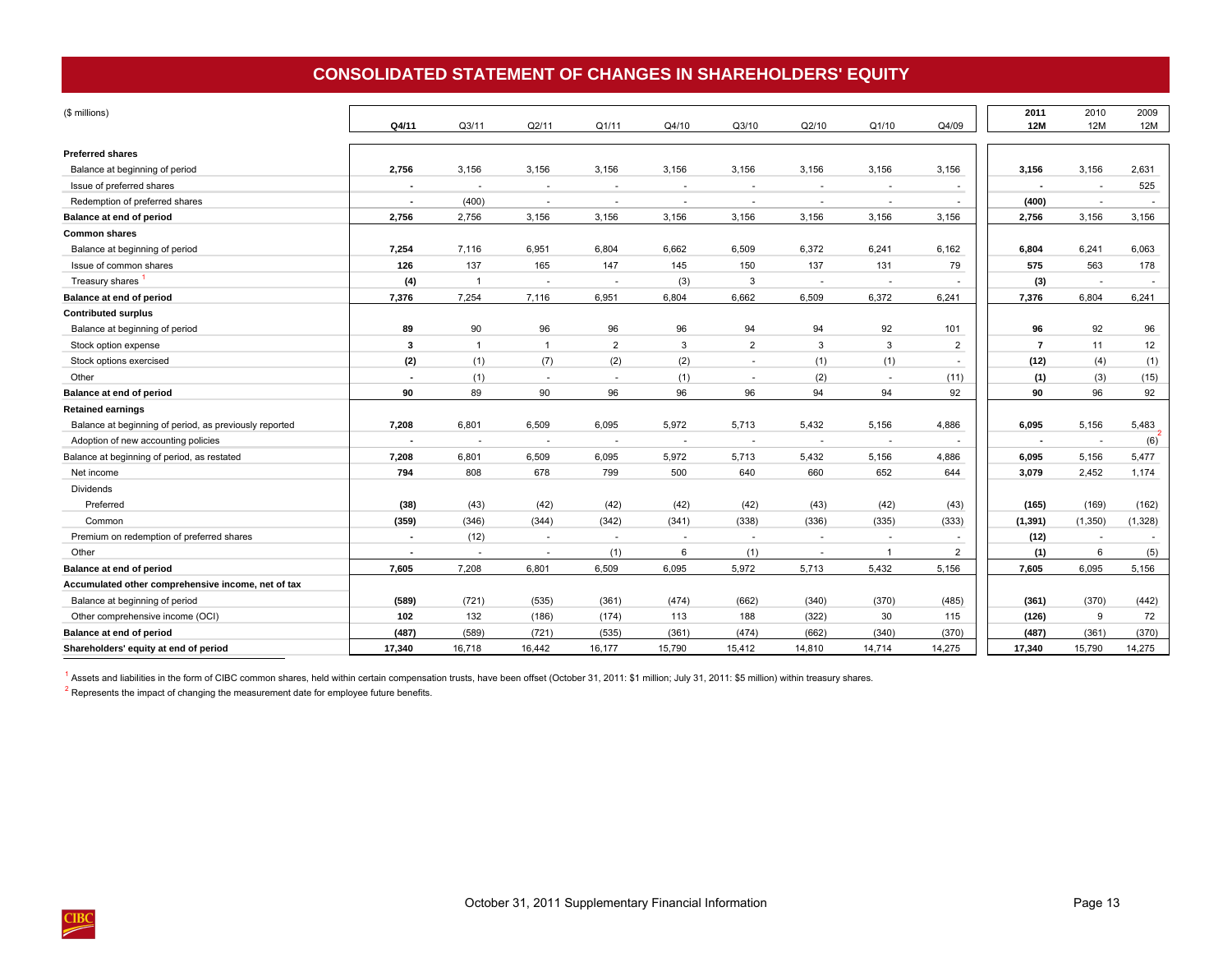## **CONSOLIDATED STATEMENT OF CHANGES IN SHAREHOLDERS' EQUITY**

<span id="page-16-0"></span>

| (\$ millions)                                          | Q4/11                    | Q3/11                    | Q2/11          | Q1/11          | Q4/10  | Q3/10                    | Q2/10        | Q1/10          | Q4/09          | 2011<br><b>12M</b> | 2010<br>12M    | 2009<br><b>12M</b> |
|--------------------------------------------------------|--------------------------|--------------------------|----------------|----------------|--------|--------------------------|--------------|----------------|----------------|--------------------|----------------|--------------------|
| <b>Preferred shares</b>                                |                          |                          |                |                |        |                          |              |                |                |                    |                |                    |
| Balance at beginning of period                         | 2,756                    | 3,156                    | 3,156          | 3,156          | 3,156  | 3,156                    | 3,156        | 3,156          | 3,156          | 3,156              | 3,156          | 2,631              |
| Issue of preferred shares                              |                          | ٠                        | $\sim$         | $\sim$         |        | $\sim$                   | $\sim$       | $\overline{a}$ | ٠              |                    |                | 525                |
| Redemption of preferred shares                         |                          | (400)                    |                | $\sim$         |        | $\sim$                   | $\sim$       |                | ٠              | (400)              |                |                    |
| Balance at end of period                               | 2,756                    | 2,756                    | 3,156          | 3,156          | 3,156  | 3,156                    | 3,156        | 3,156          | 3,156          | 2,756              | 3,156          | 3,156              |
| <b>Common shares</b>                                   |                          |                          |                |                |        |                          |              |                |                |                    |                |                    |
| Balance at beginning of period                         | 7,254                    | 7,116                    | 6,951          | 6,804          | 6,662  | 6,509                    | 6,372        | 6,241          | 6,162          | 6.804              | 6,241          | 6,063              |
| Issue of common shares                                 | 126                      | 137                      | 165            | 147            | 145    | 150                      | 137          | 131            | 79             | 575                | 563            | 178                |
| Treasury shares                                        | (4)                      | $\overline{1}$           |                | $\sim$         | (3)    | 3                        | $\sim$       |                | ٠              | (3)                |                | $\sim$             |
| Balance at end of period                               | 7,376                    | 7,254                    | 7,116          | 6,951          | 6,804  | 6,662                    | 6,509        | 6,372          | 6,241          | 7,376              | 6,804          | 6,241              |
| <b>Contributed surplus</b>                             |                          |                          |                |                |        |                          |              |                |                |                    |                |                    |
| Balance at beginning of period                         | 89                       | 90                       | 96             | 96             | 96     | 94                       | 94           | 92             | 101            | 96                 | 92             | 96                 |
| Stock option expense                                   | $\mathbf{3}$             | $\mathbf{1}$             | $\overline{1}$ | $\overline{2}$ | 3      | $\overline{2}$           | $\mathbf{3}$ | 3              | $\overline{2}$ | $\overline{7}$     | 11             | 12                 |
| Stock options exercised                                | (2)                      | (1)                      | (7)            | (2)            | (2)    | $\sim$                   | (1)          | (1)            | $\sim$         | (12)               | (4)            | (1)                |
| Other                                                  | $\overline{\phantom{a}}$ | (1)                      | $\sim$         | $\sim$         | (1)    | $\sim$                   | (2)          | $\sim$         | (11)           | (1)                | (3)            | (15)               |
| Balance at end of period                               | 90                       | 89                       | 90             | 96             | 96     | 96                       | 94           | 94             | 92             | 90                 | 96             | 92                 |
| <b>Retained earnings</b>                               |                          |                          |                |                |        |                          |              |                |                |                    |                |                    |
| Balance at beginning of period, as previously reported | 7,208                    | 6,801                    | 6,509          | 6,095          | 5,972  | 5,713                    | 5,432        | 5,156          | 4,886          | 6,095              | 5,156          | 5,483              |
| Adoption of new accounting policies                    |                          | $\overline{\phantom{a}}$ |                | ÷,             |        | $\overline{\phantom{a}}$ | $\sim$       |                |                | $\blacksquare$     | $\overline{a}$ | (6)                |
| Balance at beginning of period, as restated            | 7,208                    | 6,801                    | 6,509          | 6,095          | 5,972  | 5,713                    | 5,432        | 5,156          | 4,886          | 6,095              | 5,156          | 5,477              |
| Net income                                             | 794                      | 808                      | 678            | 799            | 500    | 640                      | 660          | 652            | 644            | 3,079              | 2,452          | 1,174              |
| Dividends                                              |                          |                          |                |                |        |                          |              |                |                |                    |                |                    |
| Preferred                                              | (38)                     | (43)                     | (42)           | (42)           | (42)   | (42)                     | (43)         | (42)           | (43)           | (165)              | (169)          | (162)              |
| Common                                                 | (359)                    | (346)                    | (344)          | (342)          | (341)  | (338)                    | (336)        | (335)          | (333)          | (1, 391)           | (1, 350)       | (1, 328)           |
| Premium on redemption of preferred shares              | $\overline{\phantom{a}}$ | (12)                     | $\sim$         | $\sim$         | $\sim$ | $\sim$                   | $\sim$       | $\overline{a}$ | $\sim$         | (12)               | $\sim$         |                    |
| Other                                                  | $\overline{\phantom{a}}$ | $\sim$                   |                | (1)            | 6      | (1)                      | $\sim$       | -1             | $\overline{2}$ | (1)                | 6              | (5)                |
| Balance at end of period                               | 7,605                    | 7,208                    | 6,801          | 6,509          | 6,095  | 5,972                    | 5,713        | 5,432          | 5,156          | 7,605              | 6,095          | 5,156              |
| Accumulated other comprehensive income, net of tax     |                          |                          |                |                |        |                          |              |                |                |                    |                |                    |
| Balance at beginning of period                         | (589)                    | (721)                    | (535)          | (361)          | (474)  | (662)                    | (340)        | (370)          | (485)          | (361)              | (370)          | (442)              |
| Other comprehensive income (OCI)                       | 102                      | 132                      | (186)          | (174)          | 113    | 188                      | (322)        | 30             | 115            | (126)              | 9              | 72                 |
| Balance at end of period                               | (487)                    | (589)                    | (721)          | (535)          | (361)  | (474)                    | (662)        | (340)          | (370)          | (487)              | (361)          | (370)              |
| Shareholders' equity at end of period                  | 17,340                   | 16,718                   | 16.442         | 16,177         | 15,790 | 15,412                   | 14,810       | 14,714         | 14,275         | 17,340             | 15,790         | 14,275             |

<sup>1</sup> Assets and liabilities in the form of CIBC common shares, held within certain compensation trusts, have been offset (October 31, 2011: \$1 million; July 31, 2011: \$5 million) within treasury shares.

 $2$  Represents the impact of changing the measurement date for employee future benefits.

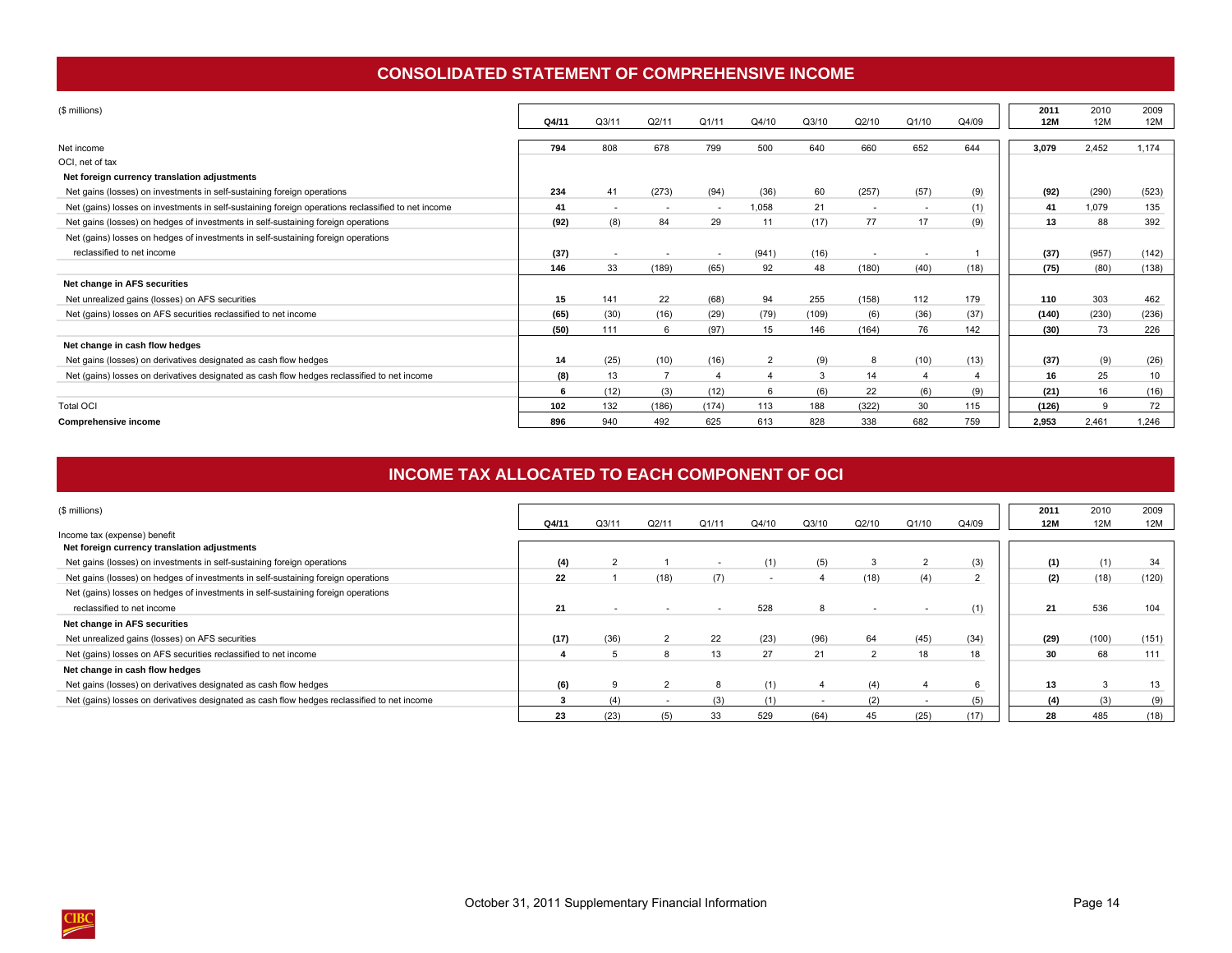## **CONSOLIDATED STATEMENT OF COMPREHENSIVE INCOME**

<span id="page-17-0"></span>

| (\$ millions)                                                                                      | Q4/11 | Q3/11  | Q2/11          | Q1/11                    | Q4/10          | Q3/10 | Q2/10                    | Q1/10                    | Q4/09 | 2011<br><b>12M</b> | 2010<br><b>12M</b> | 2009<br>12M |
|----------------------------------------------------------------------------------------------------|-------|--------|----------------|--------------------------|----------------|-------|--------------------------|--------------------------|-------|--------------------|--------------------|-------------|
| Net income                                                                                         | 794   | 808    | 678            | 799                      | 500            | 640   | 660                      | 652                      | 644   | 3,079              | 2,452              | 1,174       |
| OCI, net of tax                                                                                    |       |        |                |                          |                |       |                          |                          |       |                    |                    |             |
| Net foreign currency translation adjustments                                                       |       |        |                |                          |                |       |                          |                          |       |                    |                    |             |
| Net gains (losses) on investments in self-sustaining foreign operations                            | 234   | 41     | (273)          | (94)                     | (36)           | 60    | (257)                    | (57)                     | (9)   | (92)               | (290)              | (523)       |
| Net (gains) losses on investments in self-sustaining foreign operations reclassified to net income | 41    | $\sim$ | $\sim$         | $\sim$                   | 1.058          | 21    | $\overline{\phantom{a}}$ | $\overline{\phantom{a}}$ | (1)   | 41                 | 1.079              | 135         |
| Net gains (losses) on hedges of investments in self-sustaining foreign operations                  | (92)  | (8)    | 84             | 29                       | 11             | (17)  | 77                       | 17                       | (9)   | 13                 | 88                 | 392         |
| Net (gains) losses on hedges of investments in self-sustaining foreign operations                  |       |        |                |                          |                |       |                          |                          |       |                    |                    |             |
| reclassified to net income                                                                         | (37)  |        |                | $\overline{\phantom{a}}$ | (941)          | (16)  |                          |                          |       | (37)               | (957)              | (142)       |
|                                                                                                    | 146   | 33     | (189)          | (65)                     | 92             | 48    | (180)                    | (40)                     | (18)  | (75)               | (80)               | (138)       |
| Net change in AFS securities                                                                       |       |        |                |                          |                |       |                          |                          |       |                    |                    |             |
| Net unrealized gains (losses) on AFS securities                                                    | 15    | 141    | 22             | (68)                     | 94             | 255   | (158)                    | 112                      | 179   | 110                | 303                | 462         |
| Net (gains) losses on AFS securities reclassified to net income                                    | (65)  | (30)   | (16)           | (29)                     | (79)           | (109) | (6)                      | (36)                     | (37)  | (140)              | (230)              | (236)       |
|                                                                                                    | (50)  | 111    | 6              | (97)                     | 15             | 146   | (164)                    | 76                       | 142   | (30)               | 73                 | 226         |
| Net change in cash flow hedges                                                                     |       |        |                |                          |                |       |                          |                          |       |                    |                    |             |
| Net gains (losses) on derivatives designated as cash flow hedges                                   | 14    | (25)   | (10)           | (16)                     | $\overline{2}$ | (9)   | 8                        | (10)                     | (13)  | (37)               | (9)                | (26)        |
| Net (gains) losses on derivatives designated as cash flow hedges reclassified to net income        | (8)   | 13     | $\overline{ }$ | $\overline{4}$           | $\overline{4}$ | 3     | 14                       | 4                        |       | 16                 | 25                 | 10          |
|                                                                                                    |       | (12)   | (3)            | (12)                     | 6              | (6)   | 22                       | (6)                      | (9)   | (21)               | 16                 | (16)        |
| <b>Total OCI</b>                                                                                   | 102   | 132    | (186)          | (174)                    | 113            | 188   | (322)                    | 30                       | 115   | (126)              | 9                  | 72          |
| <b>Comprehensive income</b>                                                                        | 896   | 940    | 492            | 625                      | 613            | 828   | 338                      | 682                      | 759   | 2.953              | 2,461              | 1,246       |

## **INCOME TAX ALLOCATED TO EACH COMPONENT OF OCI**

| (\$ millions)                                                                               |       |      |       |                          |                          |       |                |       |       | 2011 | 2010  | 2009  |
|---------------------------------------------------------------------------------------------|-------|------|-------|--------------------------|--------------------------|-------|----------------|-------|-------|------|-------|-------|
|                                                                                             | Q4/11 | Q3/1 | Q2/11 | Q1/11                    | Q4/10                    | Q3/10 | Q2/10          | Q1/10 | Q4/09 | 12M  | 12M   | 12M   |
| Income tax (expense) benefit                                                                |       |      |       |                          |                          |       |                |       |       |      |       |       |
| Net foreign currency translation adjustments                                                |       |      |       |                          |                          |       |                |       |       |      |       |       |
| Net gains (losses) on investments in self-sustaining foreign operations                     | (4)   |      |       |                          | (1)                      | (5)   | 3              |       | (3)   | (1)  |       | -34   |
| Net gains (losses) on hedges of investments in self-sustaining foreign operations           | 22    |      | (18)  | (7)                      | $\overline{\phantom{a}}$ |       | (18)           | (4)   |       | (2)  | (18)  | (120) |
| Net (gains) losses on hedges of investments in self-sustaining foreign operations           |       |      |       |                          |                          |       |                |       |       |      |       |       |
| reclassified to net income                                                                  | 21    |      |       | $\overline{\phantom{a}}$ | 528                      |       |                |       | (1)   | 21   | 536   | 104   |
| Net change in AFS securities                                                                |       |      |       |                          |                          |       |                |       |       |      |       |       |
| Net unrealized gains (losses) on AFS securities                                             | (17)  | (36) |       | 22                       | (23)                     | (96)  | 64             | (45)  | (34)  | (29) | (100) | (151) |
| Net (gains) losses on AFS securities reclassified to net income                             |       | 5    | 8     | 13                       | 27                       | 21    | $\overline{2}$ | 18    | 18    | 30   | 68    | 111   |
| Net change in cash flow hedges                                                              |       |      |       |                          |                          |       |                |       |       |      |       |       |
| Net gains (losses) on derivatives designated as cash flow hedges                            | (6)   | 9    |       | 8                        | (1)                      |       | (4)            |       | 6     | 13   |       |       |
| Net (gains) losses on derivatives designated as cash flow hedges reclassified to net income |       | (4)  |       | (3)                      | (1)                      |       | (2)            |       |       | (4)  |       |       |
|                                                                                             | 23    | (23) | (5)   | 33                       | 529                      | (64)  | 45             | (25)  | (17)  | 28   | 485   | (18)  |

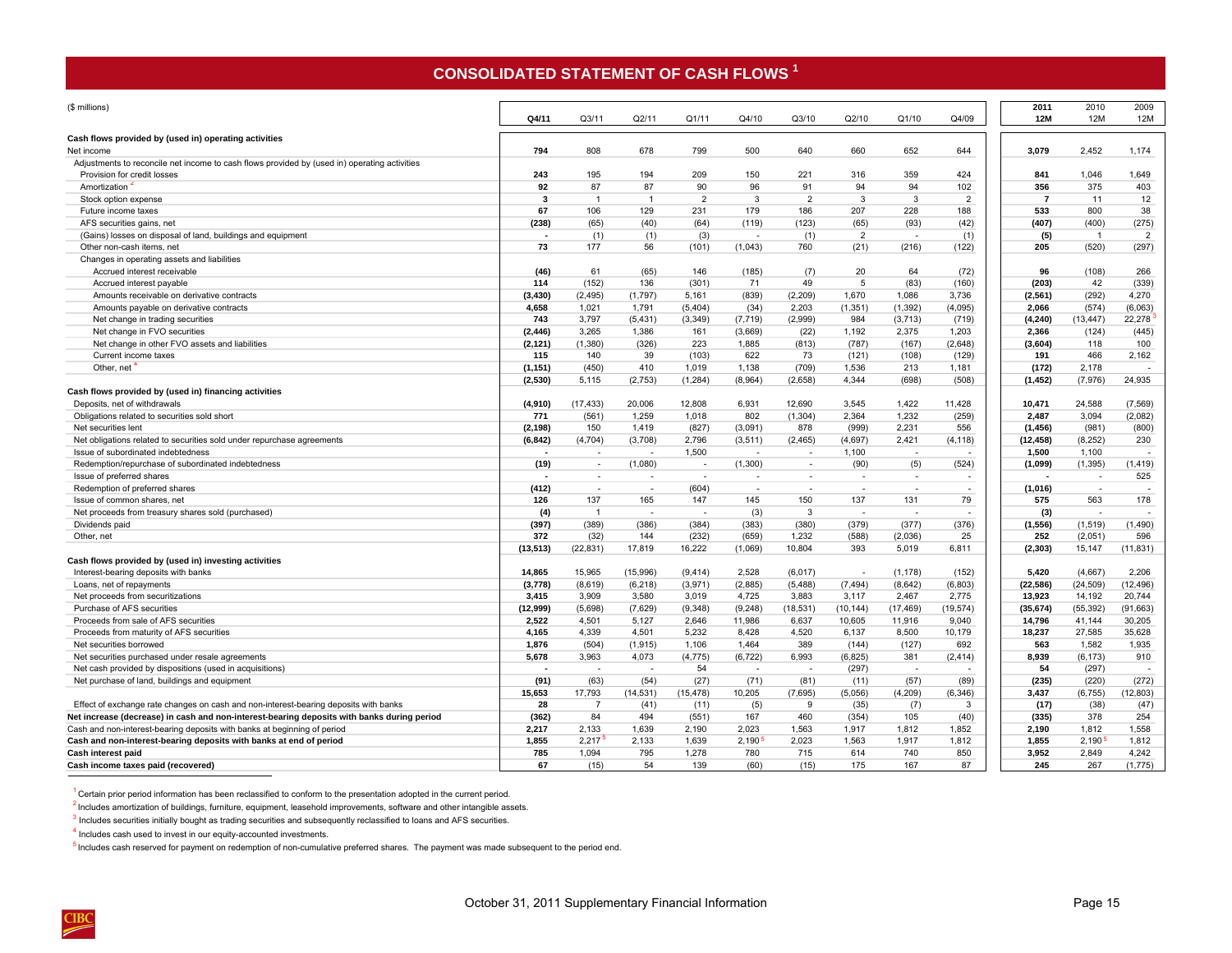## **CONSOLIDATED STATEMENT OF CASH FLOWS <sup>1</sup>**

<span id="page-18-0"></span>

| (\$ millions)                                                                                |                          |                          |                          |                          |                          |                          |                 |                          |                          | 2011<br>12M    | 2010                     | 2009                     |
|----------------------------------------------------------------------------------------------|--------------------------|--------------------------|--------------------------|--------------------------|--------------------------|--------------------------|-----------------|--------------------------|--------------------------|----------------|--------------------------|--------------------------|
|                                                                                              | Q4/11                    | Q3/11                    | Q2/11                    | Q1/11                    | Q4/10                    | Q3/10                    | Q2/10           | Q1/10                    | Q4/09                    |                | 12M                      | 12M                      |
| Cash flows provided by (used in) operating activities<br>Net income                          | 794                      | 808                      | 678                      | 799                      | 500                      | 640                      | 660             | 652                      | 644                      | 3.079          | 2,452                    | 1,174                    |
| Adjustments to reconcile net income to cash flows provided by (used in) operating activities |                          |                          |                          |                          |                          |                          |                 |                          |                          |                |                          |                          |
| Provision for credit losses                                                                  | 243                      | 195                      | 194                      | 209                      | 150                      | 221                      | 316             | 359                      | 424                      | 841            | 1.046                    | 1,649                    |
| Amortization                                                                                 | 92                       | 87                       | 87                       | 90                       | 96                       | 91                       | 94              | 94                       | 102                      | 356            | 375                      | 403                      |
| Stock option expense                                                                         | $\overline{\mathbf{3}}$  | $\overline{1}$           | $\overline{1}$           | 2                        | 3                        | $\overline{2}$           | 3               | 3                        | $\overline{2}$           | $\overline{7}$ | 11                       | 12                       |
| Future income taxes                                                                          | 67                       | 106                      | 129                      | 231                      | 179                      | 186                      | 207             | 228                      | 188                      | 533            | 800                      | 38                       |
| AFS securities gains, net                                                                    | (238)                    | (65)                     | (40)                     | (64)                     | (119)                    | (123)                    | (65)            | (93)                     | (42)                     | (407)          | (400)                    | (275)                    |
| (Gains) losses on disposal of land, buildings and equipment                                  | $\blacksquare$           | (1)                      | (1)                      | (3)                      |                          | (1)                      | $\overline{2}$  | $\overline{\phantom{a}}$ | (1)                      | (5)            | $\overline{1}$           | $\overline{2}$           |
| Other non-cash items, net                                                                    | 73                       | 177                      | 56                       | (101)                    | (1,043)                  | 760                      | (21)            | (216)                    | (122)                    | 205            | (520)                    | (297)                    |
| Changes in operating assets and liabilities                                                  |                          |                          |                          |                          |                          |                          |                 |                          |                          |                |                          |                          |
| Accrued interest receivable                                                                  | (46)                     | 61                       | (65)                     | 146                      | (185)                    | (7)                      | 20              | 64                       | (72)                     | 96             | (108)                    | 266                      |
| Accrued interest payable                                                                     | 114                      | (152)                    | 136                      | (301)                    | 71                       | 49                       | 5               | (83)                     | (160)                    | (203)          | 42                       | (339)                    |
| Amounts receivable on derivative contracts                                                   | (3, 430)                 | (2, 495)                 | (1,797)                  | 5,161                    | (839)                    | (2, 209)                 | 1,670           | 1,086                    | 3,736                    | (2, 561)       | (292)                    | 4,270                    |
| Amounts payable on derivative contracts                                                      | 4,658                    | 1,021                    | 1,791                    | (5, 404)                 | (34)                     | 2,203                    | (1, 351)        | (1, 392)                 | (4,095)                  | 2,066          | (574)                    | (6,063)                  |
| Net change in trading securities                                                             | 743                      | 3,797                    | (5, 431)                 | (3, 349)                 | (7, 719)                 | (2,999)                  | 984             | (3,713)                  | (719)                    | (4, 240)       | (13, 447)                | 22,278                   |
| Net change in FVO securities                                                                 | (2, 446)                 | 3.265                    | 1,386                    | 161                      | (3,669)                  | (22)                     | 1,192           | 2,375                    | 1.203                    | 2,366          | (124)                    | (445)                    |
| Net change in other FVO assets and liabilities                                               | (2, 121)                 | (1,380)                  | (326)                    | 223                      | 1,885                    | (813)                    | (787)           | (167)                    | (2,648)                  | (3,604)        | 118                      | 100                      |
| Current income taxes                                                                         | 115                      | 140                      | 39                       | (103)                    | 622                      | 73                       | (121)           | (108)                    | (129)                    | 191            | 466                      | 2,162                    |
| Other, net                                                                                   | (1, 151)                 | (450)                    | 410                      | 1,019                    | 1,138                    | (709)                    | 1,536           | 213                      | 1,181                    | (172)          | 2,178                    | $\overline{\phantom{a}}$ |
|                                                                                              | (2,530)                  | 5,115                    | (2,753)                  | (1, 284)                 | (8,964)                  | (2,658)                  | 4,344           | (698)                    | (508)                    | (1, 452)       | (7,976)                  | 24,935                   |
| Cash flows provided by (used in) financing activities                                        |                          |                          |                          |                          |                          |                          |                 |                          |                          |                |                          |                          |
| Deposits, net of withdrawals                                                                 | (4,910)                  | (17, 433)                | 20,006                   | 12,808                   | 6,931                    | 12,690                   | 3,545           | 1,422                    | 11,428                   | 10,471         | 24,588                   | (7, 569)                 |
| Obligations related to securities sold short                                                 | 771                      | (561)                    | 1,259                    | 1,018                    | 802                      | (1, 304)                 | 2,364           | 1,232                    | (259)                    | 2,487          | 3,094                    | (2,082)                  |
| Net securities lent                                                                          | (2, 198)                 | 150                      | 1,419                    | (827)                    | (3,091)                  | 878                      | (999)           | 2.231                    | 556                      | (1, 456)       | (981)                    | (800)                    |
| Net obligations related to securities sold under repurchase agreements                       | (6, 842)                 | (4,704)                  | (3,708)                  | 2,796                    | (3, 511)                 | (2, 465)                 | (4,697)         | 2,421                    | (4, 118)                 | (12, 458)      | (8.252)                  | 230                      |
| Issue of subordinated indebtedness                                                           |                          | $\overline{\phantom{a}}$ | $\overline{\phantom{a}}$ | 1,500                    | $\overline{\phantom{a}}$ | $\overline{\phantom{a}}$ | 1,100           | $\overline{a}$           |                          | 1,500          | 1,100                    |                          |
| Redemption/repurchase of subordinated indebtedness                                           | (19)                     | $\overline{\phantom{a}}$ | (1,080)                  | $\overline{\phantom{a}}$ | (1, 300)                 | $\sim$                   | (90)            | (5)                      | (524)                    | (1,099)        | (1, 395)                 | (1, 419)                 |
| Issue of preferred shares                                                                    | $\overline{\phantom{a}}$ | $\sim$                   | $\sim$                   | $\sim$                   | $\sim$                   | $\overline{\phantom{a}}$ | $\sim$          | $\sim$                   | $\sim$                   |                | ٠.                       | 525                      |
| Redemption of preferred shares                                                               | (412)                    | $\sim$                   | $\sim$                   | (604)                    | $\overline{\phantom{a}}$ | $\overline{\phantom{a}}$ | $\sim$          | $\sim$                   | $\overline{\phantom{a}}$ | (1,016)        | $\sim$                   | $\sim$                   |
| Issue of common shares, net                                                                  | 126                      | 137                      | 165                      | 147                      | 145                      | 150                      | 137             | 131                      | 79                       | 575            | 563                      | 178                      |
| Net proceeds from treasury shares sold (purchased)                                           | (4)                      | $\overline{1}$           | $\sim$                   | $\sim$                   | (3)                      | 3                        | $\sim$          | $\overline{a}$           |                          | (3)            | $\overline{\phantom{a}}$ | $\overline{\phantom{a}}$ |
| Dividends paid                                                                               | (397)                    | (389)                    | (386)                    | (384)                    | (383)                    | (380)                    | (379)           | (377)                    | (376)                    | (1, 556)       | (1,519)                  | (1, 490)                 |
| Other, net                                                                                   | 372                      | (32)                     | 144                      | (232)                    | (659)                    | 1,232                    | (588)           | (2,036)                  | 25                       | 252            | (2,051)                  | 596                      |
|                                                                                              | (13, 513)                | (22, 831)                | 17,819                   | 16,222                   | (1,069)                  | 10,804                   | 393             | 5,019                    | 6,811                    | (2, 303)       | 15,147                   | (11, 831)                |
| Cash flows provided by (used in) investing activities                                        |                          |                          |                          |                          |                          |                          |                 |                          |                          |                |                          |                          |
| Interest-bearing deposits with banks                                                         | 14,865                   | 15,965                   | (15,996)                 | (9, 414)                 | 2,528                    | (6,017)                  | $\sim$          | (1, 178)                 | (152)                    | 5,420          | (4,667)                  | 2,206                    |
| Loans, net of repayments                                                                     | (3,778)                  | (8,619)                  | (6, 218)                 | (3,971)                  | (2,885)                  | (5, 488)                 | (7, 494)        | (8,642)                  | (6, 803)                 | (22, 586)      | (24, 509)                | (12, 496)                |
| Net proceeds from securitizations                                                            | 3.415                    | 3.909                    | 3,580                    | 3.019                    | 4.725                    | 3.883                    | 3.117           | 2.467                    | 2.775                    | 13.923         | 14.192                   | 20.744                   |
| Purchase of AFS securities                                                                   | (12, 999)                | (5,698)                  | (7,629)                  | (9, 348)                 | (9, 248)                 | (18, 531)                | (10, 144)       | (17, 469)                | (19, 574)                | (35, 674)      | (55, 392)                | (91, 663)                |
| Proceeds from sale of AFS securities                                                         | 2,522                    | 4,501                    | 5,127                    | 2,646                    | 11,986                   | 6,637                    | 10,605          | 11,916                   | 9,040                    | 14,796         | 41,144                   | 30,205                   |
| Proceeds from maturity of AFS securities                                                     | 4,165                    | 4,339                    | 4,501                    | 5,232                    | 8,428                    | 4,520                    | 6,137           | 8,500                    | 10,179                   | 18,237         | 27,585                   | 35,628                   |
| Net securities borrowed                                                                      | 1,876                    | (504)                    | (1, 915)                 | 1,106                    | 1,464                    | 389                      | (144)           | (127)                    | 692                      | 563            | 1,582                    | 1,935                    |
| Net securities purchased under resale agreements                                             | 5,678                    | 3,963                    | 4,073                    | (4, 775)                 | (6, 722)                 | 6,993                    | (6, 825)        | 381                      | (2, 414)                 | 8,939          | (6, 173)                 | 910                      |
|                                                                                              | $\overline{\phantom{a}}$ | $\sim$                   | $\overline{a}$           | 54                       | $\sim$                   | $\sim$                   |                 | $\sim$                   |                          | 54             | (297)                    | $\sim$                   |
| Net cash provided by dispositions (used in acquisitions)                                     |                          |                          |                          |                          |                          |                          | (297)           |                          |                          |                |                          |                          |
| Net purchase of land, buildings and equipment                                                | (91)<br>15.653           | (63)<br>17,793           | (54)                     | (27)<br>(15, 478)        | (71)                     | (81)<br>(7,695)          | (11)<br>(5,056) | (57)                     | (89)                     | (235)<br>3.437 | (220)<br>(6, 755)        | (272)                    |
|                                                                                              |                          |                          | (14, 531)                |                          | 10,205                   |                          |                 | (4,209)                  | (6, 346)                 |                |                          | (12, 803)                |
| Effect of exchange rate changes on cash and non-interest-bearing deposits with banks         | 28                       | $\overline{7}$           | (41)                     | (11)                     | (5)                      | 9                        | (35)            | (7)                      | 3                        | (17)           | (38)                     | (47)                     |
| Net increase (decrease) in cash and non-interest-bearing deposits with banks during period   | (362)                    | 84                       | 494                      | (551)                    | 167                      | 460                      | (354)           | 105                      | (40)                     | (335)          | 378                      | 254                      |
| Cash and non-interest-bearing deposits with banks at beginning of period                     | 2.217                    | 2.133                    | 1.639                    | 2.190                    | 2.023                    | 1.563                    | 1,917           | 1.812                    | 1,852                    | 2.190          | 1,812                    | 1,558                    |
| Cash and non-interest-bearing deposits with banks at end of period                           | 1,855                    | 2.217                    | 2.133                    | 1.639                    | 2.190                    | 2.023                    | 1.563           | 1.917                    | 1,812                    | 1.855          | 2.190                    | 1,812                    |
| Cash interest paid                                                                           | 785                      | 1.094                    | 795                      | 1.278                    | 780                      | 715                      | 614             | 740                      | 850                      | 3.952          | 2.849                    | 4.242                    |
| Cash income taxes paid (recovered)                                                           | 67                       | (15)                     | 54                       | 139                      | (60)                     | (15)                     | 175             | 167                      | 87                       | 245            | 267                      | (1.775)                  |

 $1$  Certain prior period information has been reclassified to conform to the presentation adopted in the current period.

<sup>2</sup> Includes amortization of buildings, furniture, equipment, leasehold improvements, software and other intangible assets.

 $3$  Includes securities initially bought as trading securities and subsequently reclassified to loans and AFS securities.

4 Includes cash used to invest in our equity-accounted investments.

<sup>5</sup> Includes cash reserved for payment on redemption of non-cumulative preferred shares. The payment was made subsequent to the period end.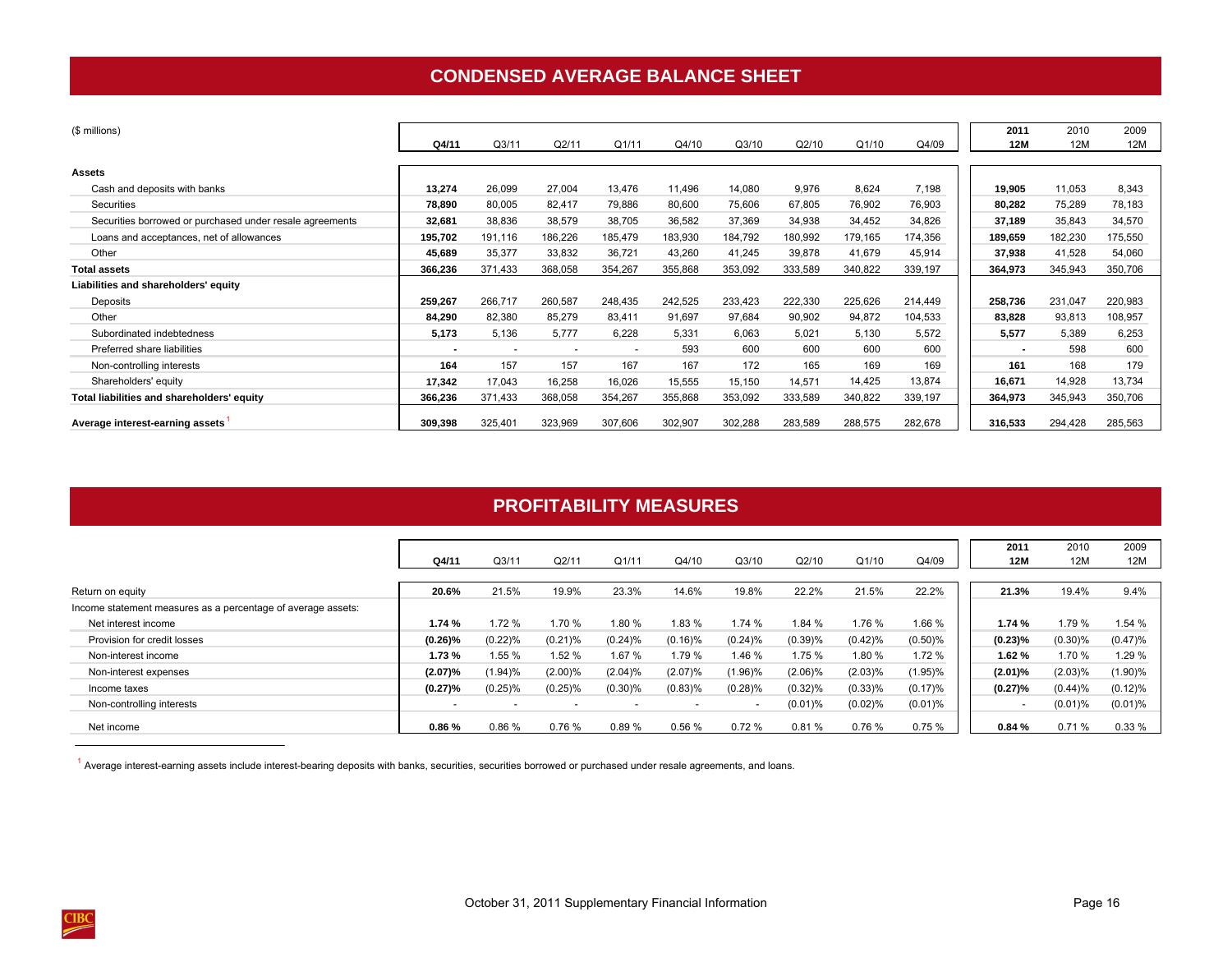## **CONDENSED AVERAGE BALANCE SHEET**

<span id="page-19-0"></span>

| (\$ millions)                                            |                          |                          |         |         |         |         |         |         |         | 2011       | 2010    | 2009    |
|----------------------------------------------------------|--------------------------|--------------------------|---------|---------|---------|---------|---------|---------|---------|------------|---------|---------|
|                                                          | Q4/11                    | Q3/11                    | Q2/11   | Q1/11   | Q4/10   | Q3/10   | Q2/10   | Q1/10   | Q4/09   | <b>12M</b> | 12M     | 12M     |
|                                                          |                          |                          |         |         |         |         |         |         |         |            |         |         |
| <b>Assets</b>                                            |                          |                          |         |         |         |         |         |         |         |            |         |         |
| Cash and deposits with banks                             | 13,274                   | 26,099                   | 27,004  | 13,476  | 11,496  | 14,080  | 9,976   | 8,624   | 7,198   | 19,905     | 11,053  | 8,343   |
| Securities                                               | 78,890                   | 80,005                   | 82,417  | 79,886  | 80,600  | 75,606  | 67,805  | 76,902  | 76,903  | 80,282     | 75,289  | 78,183  |
| Securities borrowed or purchased under resale agreements | 32,681                   | 38,836                   | 38,579  | 38,705  | 36,582  | 37,369  | 34,938  | 34,452  | 34,826  | 37,189     | 35,843  | 34,570  |
| Loans and acceptances, net of allowances                 | 195,702                  | 191,116                  | 186,226 | 185,479 | 183,930 | 184,792 | 180,992 | 179,165 | 174,356 | 189,659    | 182,230 | 175,550 |
| Other                                                    | 45,689                   | 35,377                   | 33,832  | 36,721  | 43,260  | 41,245  | 39,878  | 41,679  | 45,914  | 37,938     | 41,528  | 54,060  |
| <b>Total assets</b>                                      | 366,236                  | 371,433                  | 368,058 | 354,267 | 355,868 | 353,092 | 333,589 | 340,822 | 339,197 | 364,973    | 345,943 | 350,706 |
| Liabilities and shareholders' equity                     |                          |                          |         |         |         |         |         |         |         |            |         |         |
| Deposits                                                 | 259,267                  | 266,717                  | 260,587 | 248,435 | 242,525 | 233,423 | 222,330 | 225,626 | 214,449 | 258,736    | 231,047 | 220,983 |
| Other                                                    | 84,290                   | 82,380                   | 85,279  | 83,411  | 91,697  | 97,684  | 90,902  | 94,872  | 104,533 | 83,828     | 93,813  | 108,957 |
| Subordinated indebtedness                                | 5,173                    | 5,136                    | 5,777   | 6,228   | 5,331   | 6,063   | 5,021   | 5,130   | 5,572   | 5,577      | 5,389   | 6,253   |
| Preferred share liabilities                              | $\overline{\phantom{a}}$ | $\overline{\phantom{a}}$ | ٠       |         | 593     | 600     | 600     | 600     | 600     |            | 598     | 600     |
| Non-controlling interests                                | 164                      | 157                      | 157     | 167     | 167     | 172     | 165     | 169     | 169     | 161        | 168     | 179     |
| Shareholders' equity                                     | 17,342                   | 17,043                   | 16,258  | 16,026  | 15,555  | 15,150  | 14,571  | 14,425  | 13,874  | 16,671     | 14,928  | 13,734  |
| Total liabilities and shareholders' equity               | 366,236                  | 371,433                  | 368,058 | 354,267 | 355,868 | 353,092 | 333,589 | 340,822 | 339,197 | 364,973    | 345,943 | 350,706 |
| Average interest-earning assets                          | 309,398                  | 325,401                  | 323,969 | 307,606 | 302,907 | 302,288 | 283,589 | 288,575 | 282,678 | 316,533    | 294,428 | 285,563 |

## **PROFITABILITY MEASURES**

|                                                              |                          |                          |            |            |                          |                          |            |         |            | 2011                     | 2010       | 2009       |
|--------------------------------------------------------------|--------------------------|--------------------------|------------|------------|--------------------------|--------------------------|------------|---------|------------|--------------------------|------------|------------|
|                                                              | Q4/11                    | Q3/1                     | Q2/11      | Q1/11      | Q4/10                    | Q3/10                    | Q2/10      | Q1/10   | Q4/09      | 12M                      | 12M        | 12M        |
|                                                              |                          |                          |            |            |                          |                          |            |         |            |                          |            |            |
| Return on equity                                             | 20.6%                    | 21.5%                    | 19.9%      | 23.3%      | 14.6%                    | 19.8%                    | 22.2%      | 21.5%   | 22.2%      | 21.3%                    | 19.4%      | 9.4%       |
| Income statement measures as a percentage of average assets: |                          |                          |            |            |                          |                          |            |         |            |                          |            |            |
| Net interest income                                          | 1.74 %                   | 1.72 %                   | 1.70 %     | .80%       | 1.83%                    | 1.74 %                   | 1.84 %     | 1.76%   | 1.66 %     | 1.74%                    | 1.79 %     | 1.54 %     |
| Provision for credit losses                                  | $(0.26)\%$               | (0.22)%                  | $(0.21)$ % | (0.24)%    | $(0.16)$ %               | (0.24)%                  | (0.39)%    | (0.42)% | $(0.50)\%$ | (0.23)%                  | $(0.30)\%$ | (0.47)%    |
| Non-interest income                                          | 1.73%                    | 1.55 %                   | 1.52 %     | 1.67 %     | 1.79 %                   | 1.46 %                   | 1.75 %     | 1.80 %  | 1.72%      | 1.62%                    | 1.70 %     | 1.29 %     |
| Non-interest expenses                                        | (2.07)%                  | $(1.94)$ %               | $(2.00)\%$ | $(2.04)\%$ | $(2.07)\%$               | 1.96%                    | $(2.06)\%$ | (2.03)% | $(1.95)\%$ | (2.01)%                  | (2.03)%    | (1.90)%    |
| Income taxes                                                 | (0.27)%                  | $(0.25)\%$               | $(0.25)\%$ | $(0.30)\%$ | $(0.83)\%$               | $(0.28)\%$               | $(0.32)\%$ | (0.33)% | (0.17)%    | (0.27)%                  | (0.44)%    | (0.12)%    |
| Non-controlling interests                                    | $\overline{\phantom{0}}$ | $\overline{\phantom{a}}$ |            |            | $\overline{\phantom{0}}$ | $\overline{\phantom{a}}$ | $(0.01)$ % | (0.02)% | $(0.01)\%$ | $\overline{\phantom{a}}$ | $(0.01)$ % | $(0.01)\%$ |
| Net income                                                   | 0.86%                    | 0.86%                    | 0.76%      | 0.89%      | 0.56%                    | 0.72%                    | 0.81%      | 0.76%   | 0.75%      | 0.84%                    | 0.71%      | 0.33%      |

<sup>1</sup> Average interest-earning assets include interest-bearing deposits with banks, securities, securities borrowed or purchased under resale agreements, and loans.

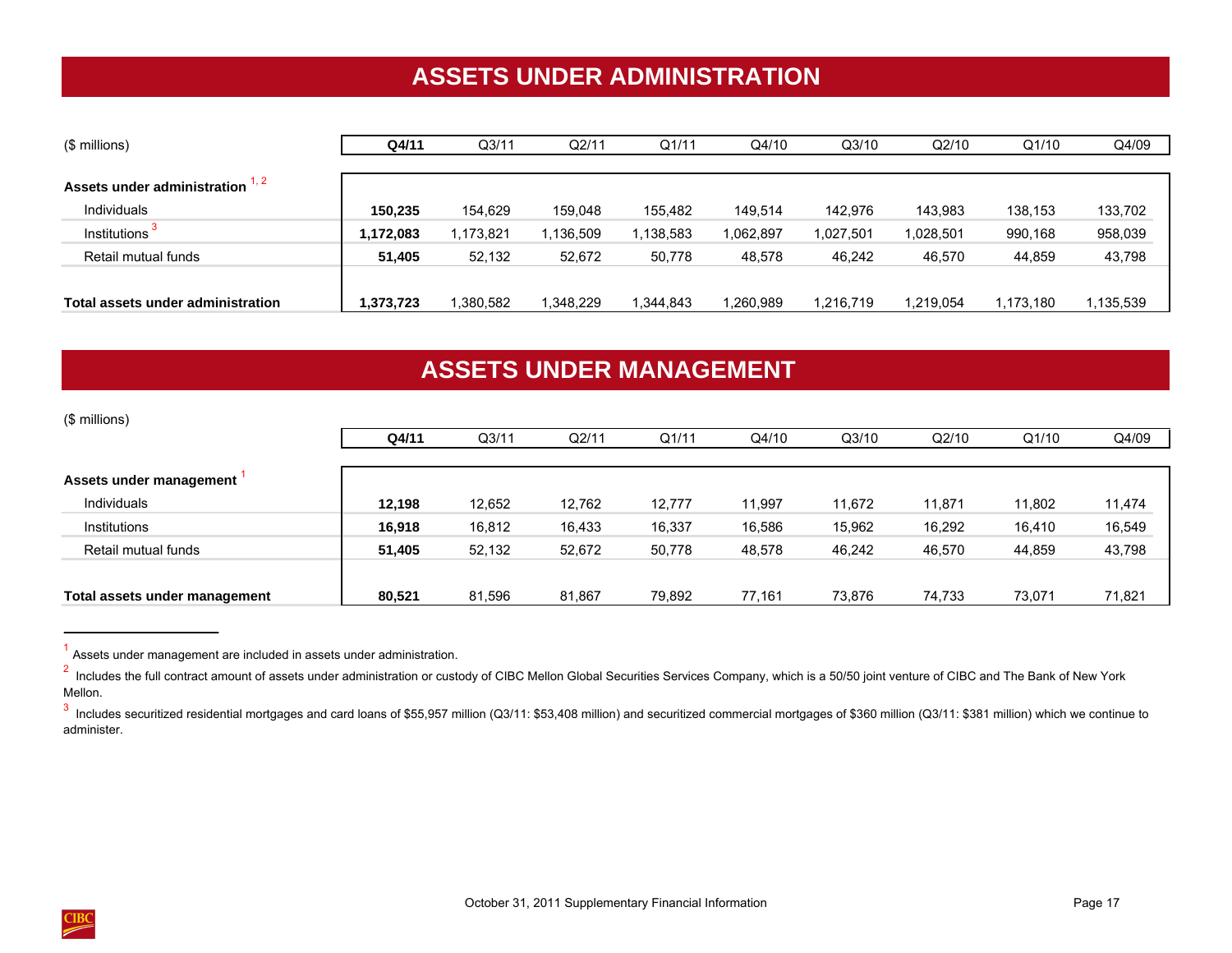# **ASSETS UNDER ADMINISTRATION**

<span id="page-20-0"></span>

| (\$ millions)                     | Q4/11     | Q <sub>3/11</sub> | Q2/11     | Q1/11      | Q4/10     | Q3/10     | Q2/10     | Q1/10     | Q4/09    |
|-----------------------------------|-----------|-------------------|-----------|------------|-----------|-----------|-----------|-----------|----------|
|                                   |           |                   |           |            |           |           |           |           |          |
| Assets under administration 1, 2  |           |                   |           |            |           |           |           |           |          |
| <b>Individuals</b>                | 150,235   | 154,629           | 159,048   | 155,482    | 149,514   | 142,976   | 143,983   | 138,153   | 133,702  |
| Institutions <sup>3</sup>         | 1,172,083 | 173.821           | 1,136,509 | 138,583    | 1,062,897 | 1,027,501 | 1,028,501 | 990,168   | 958,039  |
| Retail mutual funds               | 51,405    | 52,132            | 52,672    | 50,778     | 48,578    | 46,242    | 46,570    | 44,859    | 43,798   |
|                                   |           |                   |           |            |           |           |           |           |          |
| Total assets under administration | 1,373,723 | .380,582          | 1,348,229 | 344,843. ا | 1,260,989 | 1,216,719 | 1,219,054 | 1,173,180 | ,135,539 |

# **ASSETS UNDER MANAGEMENT**

| (\$ millions)                 |        |                   |        |        |        |        |        |        |        |
|-------------------------------|--------|-------------------|--------|--------|--------|--------|--------|--------|--------|
|                               | Q4/11  | Q <sub>3/11</sub> | Q2/11  | Q1/11  | Q4/10  | Q3/10  | Q2/10  | Q1/10  | Q4/09  |
|                               |        |                   |        |        |        |        |        |        |        |
| Assets under management       |        |                   |        |        |        |        |        |        |        |
| Individuals                   | 12,198 | 12,652            | 12,762 | 12,777 | 11,997 | 11,672 | 11,871 | 11,802 | 11,474 |
| Institutions                  | 16,918 | 16,812            | 16,433 | 16,337 | 16,586 | 15,962 | 16,292 | 16,410 | 16,549 |
| Retail mutual funds           | 51,405 | 52,132            | 52,672 | 50,778 | 48,578 | 46,242 | 46,570 | 44,859 | 43,798 |
|                               |        |                   |        |        |        |        |        |        |        |
| Total assets under management | 80,521 | 81,596            | 81,867 | 79,892 | 77,161 | 73,876 | 74,733 | 73,071 | 71,821 |

<sup>&</sup>lt;sup>1</sup> Assets under management are included in assets under administration.



<sup>&</sup>lt;sup>2</sup> Includes the full contract amount of assets under administration or custody of CIBC Mellon Global Securities Services Company, which is a 50/50 joint venture of CIBC and The Bank of New York Mellon.

<sup>&</sup>lt;sup>3</sup> Includes securitized residential mortgages and card loans of \$55,957 million (Q3/11: \$53,408 million) and securitized commercial mortgages of \$360 million (Q3/11: \$381 million) which we continue to administer.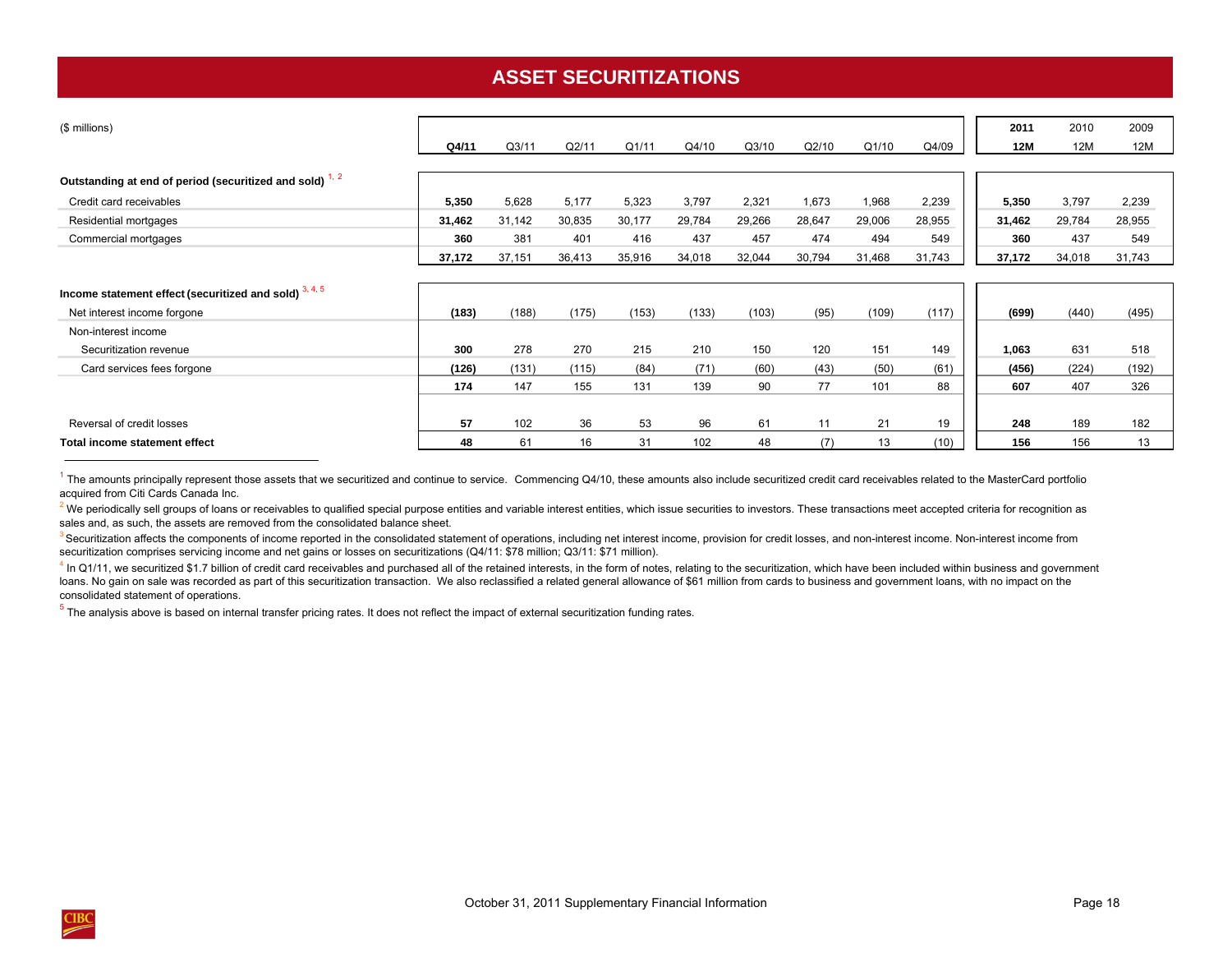# **ASSET SECURITIZATIONS**

<span id="page-21-0"></span>

| (\$ millions)                                            |        |                   |        |        |        |        |        |        |        | 2011       | 2010   | 2009   |
|----------------------------------------------------------|--------|-------------------|--------|--------|--------|--------|--------|--------|--------|------------|--------|--------|
|                                                          | Q4/11  | Q <sub>3/11</sub> | Q2/11  | Q1/11  | Q4/10  | Q3/10  | Q2/10  | Q1/10  | Q4/09  | <b>12M</b> | 12M    | 12M    |
|                                                          |        |                   |        |        |        |        |        |        |        |            |        |        |
| Outstanding at end of period (securitized and sold) 1, 2 |        |                   |        |        |        |        |        |        |        |            |        |        |
| Credit card receivables                                  | 5,350  | 5,628             | 5,177  | 5,323  | 3,797  | 2,321  | 1,673  | 1,968  | 2,239  | 5,350      | 3,797  | 2,239  |
| Residential mortgages                                    | 31,462 | 31,142            | 30,835 | 30,177 | 29,784 | 29,266 | 28,647 | 29,006 | 28,955 | 31,462     | 29,784 | 28,955 |
| Commercial mortgages                                     | 360    | 381               | 401    | 416    | 437    | 457    | 474    | 494    | 549    | 360        | 437    | 549    |
|                                                          | 37,172 | 37,151            | 36,413 | 35,916 | 34,018 | 32,044 | 30,794 | 31,468 | 31,743 | 37,172     | 34,018 | 31,743 |
|                                                          |        |                   |        |        |        |        |        |        |        |            |        |        |
| Income statement effect (securitized and sold) 3, 4, 5   |        |                   |        |        |        |        |        |        |        |            |        |        |
| Net interest income forgone                              | (183)  | (188)             | (175)  | (153)  | (133)  | (103)  | (95)   | (109)  | (117)  | (699)      | (440)  | (495)  |
| Non-interest income                                      |        |                   |        |        |        |        |        |        |        |            |        |        |
| Securitization revenue                                   | 300    | 278               | 270    | 215    | 210    | 150    | 120    | 151    | 149    | 1,063      | 631    | 518    |
| Card services fees forgone                               | (126)  | (131)             | (115)  | (84)   | (71)   | (60)   | (43)   | (50)   | (61)   | (456)      | (224)  | (192)  |
|                                                          | 174    | 147               | 155    | 131    | 139    | 90     | 77     | 101    | 88     | 607        | 407    | 326    |
|                                                          |        |                   |        |        |        |        |        |        |        |            |        |        |
| Reversal of credit losses                                | 57     | 102               | 36     | 53     | 96     | 61     | 11     | 21     | 19     | 248        | 189    | 182    |
| Total income statement effect                            | 48     | 61                | 16     | 31     | 102    | 48     | (7)    | 13     | (10)   | 156        | 156    | 13     |

 $1$  The amounts principally represent those assets that we securitized and continue to service. Commencing Q4/10, these amounts also include securitized credit card receivables related to the MasterCard portfolio acquired from Citi Cards Canada Inc.

 $^2$  We periodically sell groups of loans or receivables to qualified special purpose entities and variable interest entities, which issue securities to investors. These transactions meet accepted criteria for recognition sales and, as such, the assets are removed from the consolidated balance sheet.

<sup>3</sup> Securitization affects the components of income reported in the consolidated statement of operations, including net interest income, provision for credit losses, and non-interest income. Non-interest income from securitization comprises servicing income and net gains or losses on securitizations (Q4/11: \$78 million; Q3/11: \$71 million).

<sup>4</sup> In Q1/11, we securitized \$1.7 billion of credit card receivables and purchased all of the retained interests, in the form of notes, relating to the securitization, which have been included within business and governmen loans. No gain on sale was recorded as part of this securitization transaction. We also reclassified a related general allowance of \$61 million from cards to business and government loans, with no impact on the consolidated statement of operations.

 $5$  The analysis above is based on internal transfer pricing rates. It does not reflect the impact of external securitization funding rates.

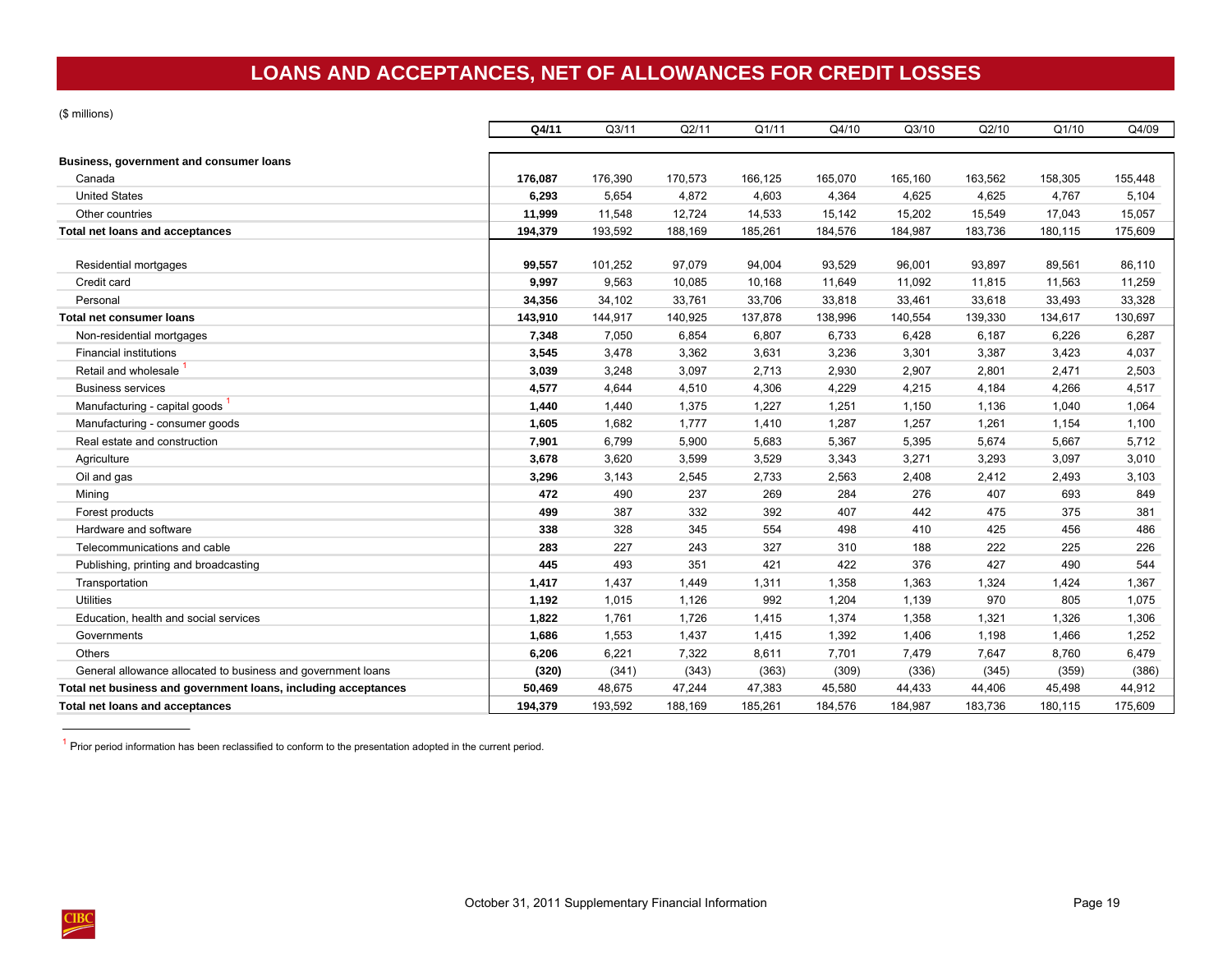# **LOANS AND ACCEPTANCES, NET OF ALLOWANCES FOR CREDIT LOSSES**

<span id="page-22-0"></span>(\$ millions)

|                                                                | Q4/11   | Q3/11   | Q2/11   | Q1/11   | Q4/10   | Q3/10   | Q2/10   | Q1/10   | Q4/09   |
|----------------------------------------------------------------|---------|---------|---------|---------|---------|---------|---------|---------|---------|
| Business, government and consumer loans                        |         |         |         |         |         |         |         |         |         |
| Canada                                                         | 176,087 | 176,390 | 170,573 | 166,125 | 165,070 | 165,160 | 163,562 | 158,305 | 155,448 |
| <b>United States</b>                                           | 6,293   | 5,654   | 4,872   | 4,603   | 4,364   | 4,625   | 4,625   | 4,767   | 5,104   |
| Other countries                                                | 11,999  | 11,548  | 12,724  | 14,533  | 15,142  | 15,202  | 15,549  | 17,043  | 15,057  |
| Total net loans and acceptances                                | 194,379 | 193,592 | 188,169 | 185,261 | 184,576 | 184,987 | 183,736 | 180,115 | 175,609 |
| Residential mortgages                                          | 99,557  | 101,252 | 97,079  | 94,004  | 93,529  | 96,001  | 93,897  | 89,561  | 86,110  |
| Credit card                                                    | 9,997   | 9,563   | 10,085  | 10,168  | 11,649  | 11,092  | 11,815  | 11,563  | 11,259  |
| Personal                                                       | 34,356  | 34,102  | 33,761  | 33,706  | 33,818  | 33,461  | 33,618  | 33,493  | 33,328  |
| Total net consumer loans                                       | 143,910 | 144,917 | 140,925 | 137,878 | 138,996 | 140,554 | 139,330 | 134,617 | 130,697 |
| Non-residential mortgages                                      | 7,348   | 7,050   | 6,854   | 6,807   | 6,733   | 6,428   | 6,187   | 6,226   | 6,287   |
| <b>Financial institutions</b>                                  | 3,545   | 3,478   | 3,362   | 3,631   | 3,236   | 3,301   | 3,387   | 3,423   | 4,037   |
| Retail and wholesale                                           | 3,039   | 3,248   | 3,097   | 2,713   | 2,930   | 2,907   | 2,801   | 2,471   | 2,503   |
| <b>Business services</b>                                       | 4,577   | 4,644   | 4,510   | 4,306   | 4,229   | 4,215   | 4,184   | 4,266   | 4,517   |
| Manufacturing - capital goods                                  | 1,440   | 1,440   | 1,375   | 1,227   | 1,251   | 1,150   | 1,136   | 1,040   | 1,064   |
| Manufacturing - consumer goods                                 | 1,605   | 1,682   | 1,777   | 1,410   | 1,287   | 1,257   | 1,261   | 1,154   | 1,100   |
| Real estate and construction                                   | 7,901   | 6,799   | 5,900   | 5,683   | 5,367   | 5,395   | 5,674   | 5,667   | 5,712   |
| Agriculture                                                    | 3,678   | 3,620   | 3,599   | 3,529   | 3,343   | 3,271   | 3,293   | 3,097   | 3,010   |
| Oil and gas                                                    | 3,296   | 3,143   | 2,545   | 2,733   | 2,563   | 2,408   | 2,412   | 2,493   | 3,103   |
| Mining                                                         | 472     | 490     | 237     | 269     | 284     | 276     | 407     | 693     | 849     |
| Forest products                                                | 499     | 387     | 332     | 392     | 407     | 442     | 475     | 375     | 381     |
| Hardware and software                                          | 338     | 328     | 345     | 554     | 498     | 410     | 425     | 456     | 486     |
| Telecommunications and cable                                   | 283     | 227     | 243     | 327     | 310     | 188     | 222     | 225     | 226     |
| Publishing, printing and broadcasting                          | 445     | 493     | 351     | 421     | 422     | 376     | 427     | 490     | 544     |
| Transportation                                                 | 1,417   | 1,437   | 1,449   | 1,311   | 1,358   | 1,363   | 1,324   | 1,424   | 1,367   |
| <b>Utilities</b>                                               | 1,192   | 1,015   | 1,126   | 992     | 1,204   | 1,139   | 970     | 805     | 1,075   |
| Education, health and social services                          | 1,822   | 1,761   | 1,726   | 1,415   | 1,374   | 1,358   | 1,321   | 1,326   | 1,306   |
| Governments                                                    | 1,686   | 1,553   | 1,437   | 1,415   | 1,392   | 1,406   | 1,198   | 1,466   | 1,252   |
| <b>Others</b>                                                  | 6,206   | 6,221   | 7,322   | 8,611   | 7,701   | 7,479   | 7,647   | 8,760   | 6,479   |
| General allowance allocated to business and government loans   | (320)   | (341)   | (343)   | (363)   | (309)   | (336)   | (345)   | (359)   | (386)   |
| Total net business and government loans, including acceptances | 50,469  | 48,675  | 47,244  | 47,383  | 45,580  | 44,433  | 44,406  | 45,498  | 44,912  |
| <b>Total net loans and acceptances</b>                         | 194.379 | 193,592 | 188.169 | 185,261 | 184.576 | 184.987 | 183.736 | 180.115 | 175,609 |

 $1$  Prior period information has been reclassified to conform to the presentation adopted in the current period.

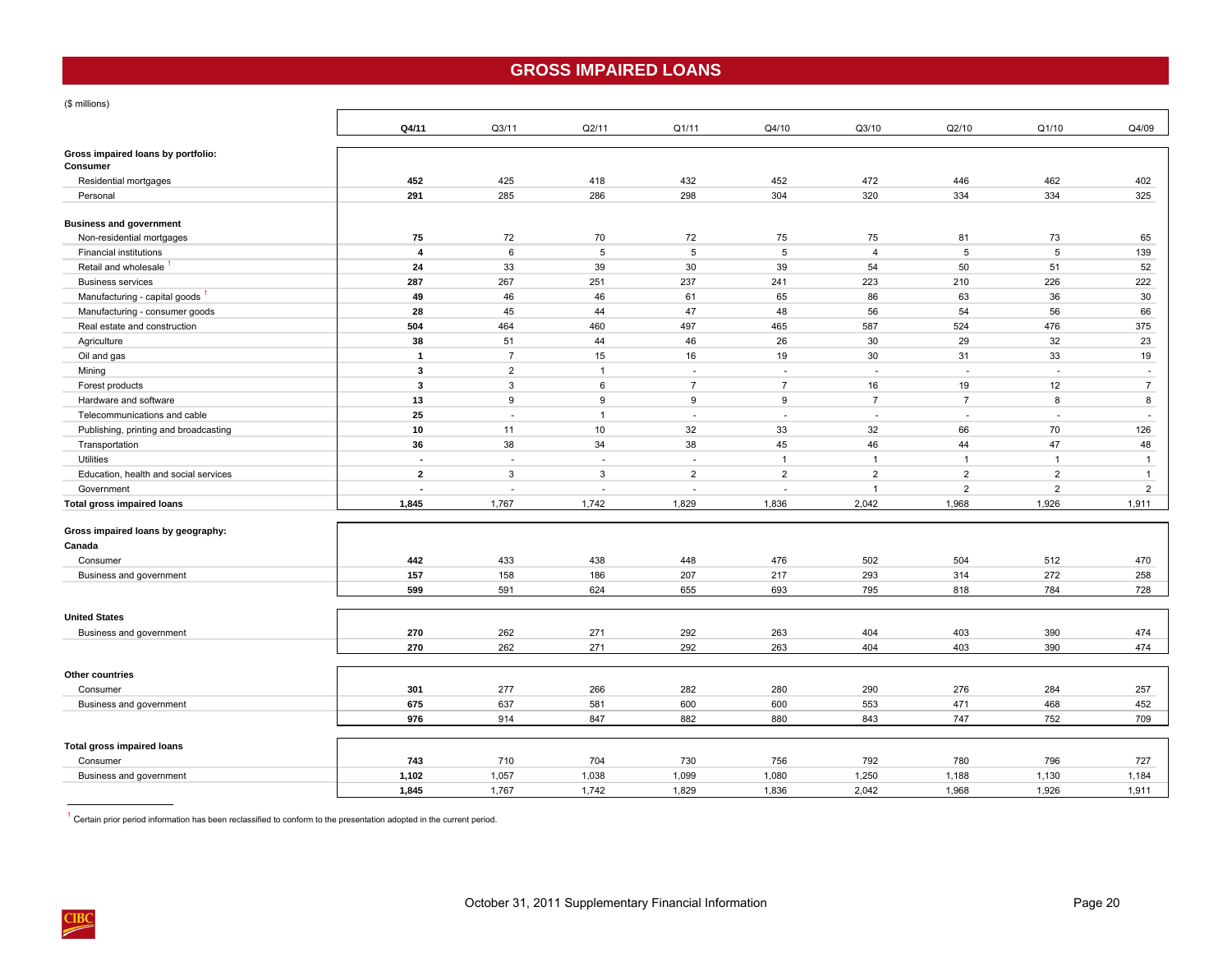## **GROSS IMPAIRED LOANS**

<span id="page-23-0"></span>(\$ millions)

|                                                | Q4/11          | Q3/11          | Q2/11          | Q1/11          | Q4/10                    | Q3/10          | Q2/10          | Q1/10          | Q4/09          |
|------------------------------------------------|----------------|----------------|----------------|----------------|--------------------------|----------------|----------------|----------------|----------------|
| Gross impaired loans by portfolio:<br>Consumer |                |                |                |                |                          |                |                |                |                |
| Residential mortgages                          | 452            | 425            | 418            | 432            | 452                      | 472            | 446            | 462            | 402            |
| Personal                                       | 291            | 285            | 286            | 298            | 304                      | 320            | 334            | 334            | 325            |
|                                                |                |                |                |                |                          |                |                |                |                |
| <b>Business and government</b>                 |                |                |                |                |                          |                |                |                |                |
| Non-residential mortgages                      | 75             | 72             | 70             | 72             | 75                       | 75             | 81             | 73             | 65             |
| <b>Financial institutions</b>                  | $\overline{4}$ | 6              | 5              | 5              | 5                        | $\overline{4}$ | 5              | 5              | 139            |
| Retail and wholesale                           | 24             | 33             | 39             | 30             | 39                       | 54             | 50             | 51             | 52             |
| <b>Business services</b>                       | 287            | 267            | 251            | 237            | 241                      | 223            | 210            | 226            | 222            |
| Manufacturing - capital goods                  | 49             | 46             | 46             | 61             | 65                       | 86             | 63             | 36             | 30             |
| Manufacturing - consumer goods                 | 28             | 45             | 44             | 47             | 48                       | 56             | 54             | 56             | 66             |
| Real estate and construction                   | 504            | 464            | 460            | 497            | 465                      | 587            | 524            | 476            | 375            |
| Agriculture                                    | 38             | 51             | 44             | 46             | 26                       | 30             | 29             | 32             | 23             |
| Oil and gas                                    | $\mathbf{1}$   | $\overline{7}$ | 15             | 16             | 19                       | 30             | 31             | 33             | 19             |
| Mining                                         | 3              | $\overline{2}$ | $\overline{1}$ | $\sim$         | ÷.                       | ÷.             | ÷.             | ×.             | $\sim$         |
| Forest products                                | $\mathbf{3}$   | 3              | 6              | $\overline{7}$ | $\overline{7}$           | 16             | 19             | 12             | $\overline{7}$ |
| Hardware and software                          | 13             | 9              | 9              | 9              | 9                        | $\overline{7}$ | $\overline{7}$ | 8              | 8              |
| Telecommunications and cable                   | 25             | $\sim$         | $\mathbf{1}$   | $\sim$         | $\overline{\phantom{a}}$ | $\sim$         | $\sim$         | ÷.             | $\sim$         |
| Publishing, printing and broadcasting          | 10             | 11             | 10             | 32             | 33                       | 32             | 66             | 70             | 126            |
| Transportation                                 | 36             | 38             | 34             | 38             | 45                       | 46             | 44             | 47             | 48             |
| Utilities                                      | $\blacksquare$ | $\sim$         | $\sim$         | $\sim$         | $\mathbf{1}$             | $\mathbf{1}$   | $\overline{1}$ | $\mathbf{1}$   | $\overline{1}$ |
| Education, health and social services          | $\overline{2}$ | 3              | $\mathbf{3}$   | $\overline{2}$ | $\overline{2}$           | $\overline{2}$ | $\overline{2}$ | $\overline{2}$ | $\mathbf{1}$   |
| Government                                     | $\sim$         | $\sim$         | ÷.             | $\sim$         | $\sim$                   | $\mathbf{1}$   | $\overline{2}$ | $\overline{2}$ | $\overline{2}$ |
| <b>Total gross impaired loans</b>              | 1,845          | 1,767          | 1,742          | 1,829          | 1,836                    | 2,042          | 1,968          | 1,926          | 1,911          |
| Gross impaired loans by geography:             |                |                |                |                |                          |                |                |                |                |
| Canada                                         |                |                |                |                |                          |                |                |                |                |
| Consumer                                       | 442            | 433            | 438            | 448            | 476                      | 502            | 504            | 512            | 470            |
| Business and government                        | 157            | 158            | 186            | 207            | 217                      | 293            | 314            | 272            | 258            |
|                                                | 599            | 591            | 624            | 655            | 693                      | 795            | 818            | 784            | 728            |
| <b>United States</b>                           |                |                |                |                |                          |                |                |                |                |
| Business and government                        | 270            | 262            | 271            | 292            | 263                      | 404            | 403            | 390            | 474            |
|                                                | 270            | 262            | 271            | 292            | 263                      | 404            | 403            | 390            | 474            |
| Other countries                                |                |                |                |                |                          |                |                |                |                |
| Consumer                                       | 301            | 277            | 266            | 282            | 280                      | 290            | 276            | 284            | 257            |
| Business and government                        | 675            | 637            | 581            | 600            | 600                      | 553            | 471            | 468            | 452            |
|                                                | 976            | 914            | 847            | 882            | 880                      | 843            | 747            | 752            | 709            |
|                                                |                |                |                |                |                          |                |                |                |                |
| <b>Total gross impaired loans</b>              |                |                |                |                |                          |                |                |                |                |
| Consumer                                       | 743            | 710            | 704            | 730            | 756                      | 792            | 780            | 796            | 727            |
| Business and government                        | 1,102          | 1,057          | 1,038          | 1,099          | 1,080                    | 1,250          | 1,188          | 1,130          | 1,184          |
|                                                | 1,845          | 1,767          | 1,742          | 1,829          | 1,836                    | 2,042          | 1,968          | 1,926          | 1,911          |

 $1$  Certain prior period information has been reclassified to conform to the presentation adopted in the current period.

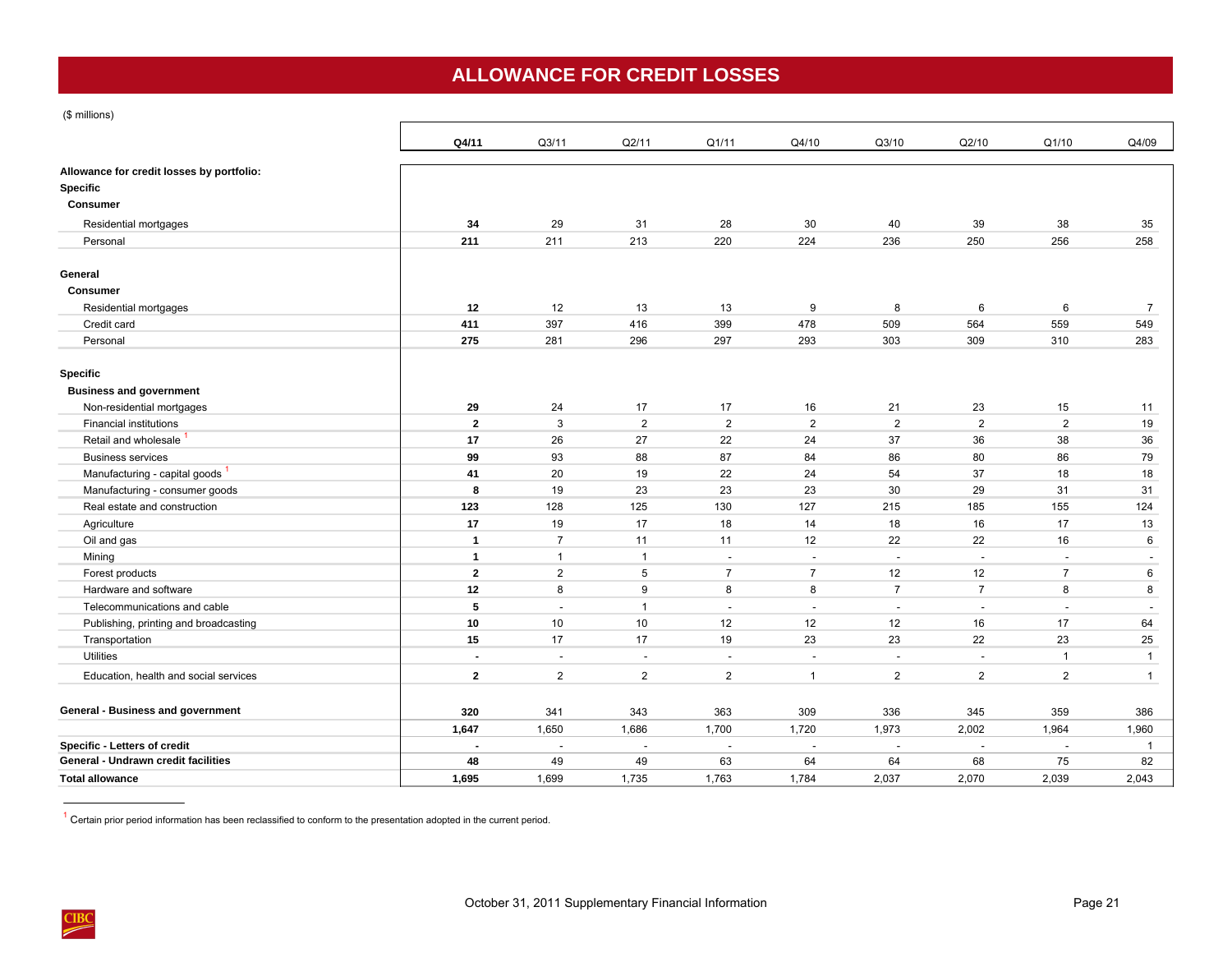# **ALLOWANCE FOR CREDIT LOSSES**

<span id="page-24-0"></span>(\$ millions)

|                                           | Q4/11                    | Q3/11                    | Q2/11          | Q1/11                    | Q4/10                    | Q3/10                    | Q2/10          | Q1/10          | Q4/09                    |
|-------------------------------------------|--------------------------|--------------------------|----------------|--------------------------|--------------------------|--------------------------|----------------|----------------|--------------------------|
| Allowance for credit losses by portfolio: |                          |                          |                |                          |                          |                          |                |                |                          |
| Specific                                  |                          |                          |                |                          |                          |                          |                |                |                          |
| <b>Consumer</b>                           |                          |                          |                |                          |                          |                          |                |                |                          |
| Residential mortgages                     | 34                       | 29                       | 31             | 28                       | 30                       | 40                       | 39             | 38             | 35                       |
| Personal                                  | 211                      | 211                      | 213            | 220                      | 224                      | 236                      | 250            | 256            | 258                      |
|                                           |                          |                          |                |                          |                          |                          |                |                |                          |
| General                                   |                          |                          |                |                          |                          |                          |                |                |                          |
| <b>Consumer</b>                           |                          |                          |                |                          |                          |                          |                |                |                          |
| Residential mortgages                     | 12                       | 12                       | 13             | 13                       | 9                        | 8                        | 6              | 6              | $\overline{7}$           |
| Credit card                               | 411                      | 397                      | 416            | 399                      | 478                      | 509                      | 564            | 559            | 549                      |
| Personal                                  | 275                      | 281                      | 296            | 297                      | 293                      | 303                      | 309            | 310            | 283                      |
|                                           |                          |                          |                |                          |                          |                          |                |                |                          |
| Specific                                  |                          |                          |                |                          |                          |                          |                |                |                          |
| <b>Business and government</b>            |                          |                          |                |                          |                          |                          |                |                |                          |
| Non-residential mortgages                 | 29                       | 24                       | 17             | 17                       | 16                       | 21                       | 23             | 15             | 11                       |
| <b>Financial institutions</b>             | $\overline{2}$           | 3                        | $\overline{2}$ | $\overline{2}$           | $\overline{2}$           | $\overline{2}$           | $\overline{2}$ | $\overline{2}$ | 19                       |
| Retail and wholesale                      | 17                       | 26                       | 27             | 22                       | 24                       | 37                       | 36             | 38             | 36                       |
| <b>Business services</b>                  | 99                       | 93                       | 88             | 87                       | 84                       | 86                       | 80             | 86             | 79                       |
| Manufacturing - capital goods             | 41                       | 20                       | 19             | 22                       | 24                       | 54                       | 37             | 18             | 18                       |
| Manufacturing - consumer goods            | 8                        | 19                       | 23             | 23                       | 23                       | 30                       | 29             | 31             | 31                       |
| Real estate and construction              | 123                      | 128                      | 125            | 130                      | 127                      | 215                      | 185            | 155            | 124                      |
| Agriculture                               | 17                       | 19                       | 17             | 18                       | 14                       | 18                       | 16             | 17             | 13                       |
| Oil and gas                               | $\overline{1}$           | $\overline{7}$           | 11             | 11                       | 12                       | 22                       | 22             | 16             | 6                        |
| Mining                                    | $\mathbf{1}$             | $\mathbf{1}$             | $\overline{1}$ | $\overline{a}$           | $\overline{\phantom{a}}$ | $\overline{a}$           | $\sim$         | $\overline{a}$ |                          |
| Forest products                           | $\overline{2}$           | $\overline{2}$           | 5              | $\overline{7}$           | $\overline{7}$           | 12                       | 12             | $\overline{7}$ | 6                        |
| Hardware and software                     | 12                       | 8                        | 9              | 8                        | 8                        | $\overline{7}$           | $\overline{7}$ | 8              | 8                        |
| Telecommunications and cable              | 5                        | $\sim$                   | $\overline{1}$ | $\sim$                   |                          | $\sim$                   | $\sim$         |                | $\overline{\phantom{a}}$ |
| Publishing, printing and broadcasting     | 10                       | 10                       | 10             | 12                       | 12                       | 12                       | 16             | 17             | 64                       |
| Transportation                            | 15                       | 17                       | 17             | 19                       | 23                       | 23                       | 22             | 23             | 25                       |
| <b>Utilities</b>                          | $\overline{\phantom{a}}$ | $\overline{a}$           | $\blacksquare$ | $\overline{\phantom{a}}$ | $\overline{\phantom{a}}$ | $\blacksquare$           |                | $\mathbf{1}$   | $\mathbf{1}$             |
| Education, health and social services     | $\overline{2}$           | $\overline{2}$           | $\overline{2}$ | $\overline{2}$           | $\overline{1}$           | $\overline{2}$           | $\overline{2}$ | $\overline{2}$ | $\mathbf{1}$             |
|                                           |                          |                          |                |                          |                          |                          |                |                |                          |
| General - Business and government         | 320                      | 341                      | 343            | 363                      | 309                      | 336                      | 345            | 359            | 386                      |
|                                           | 1,647                    | 1,650                    | 1,686          | 1,700                    | 1,720                    | 1,973                    | 2,002          | 1,964          | 1,960                    |
| Specific - Letters of credit              | $\blacksquare$           | $\overline{\phantom{a}}$ | $\sim$         | $\sim$                   | $\overline{\phantom{a}}$ | $\overline{\phantom{a}}$ |                |                | $\mathbf{1}$             |
| General - Undrawn credit facilities       | 48                       | 49                       | 49             | 63                       | 64                       | 64                       | 68             | 75             | 82                       |
| <b>Total allowance</b>                    | 1,695                    | 1,699                    | 1,735          | 1,763                    | 1,784                    | 2,037                    | 2,070          | 2,039          | 2,043                    |

 $<sup>1</sup>$  Certain prior period information has been reclassified to conform to the presentation adopted in the current period.</sup>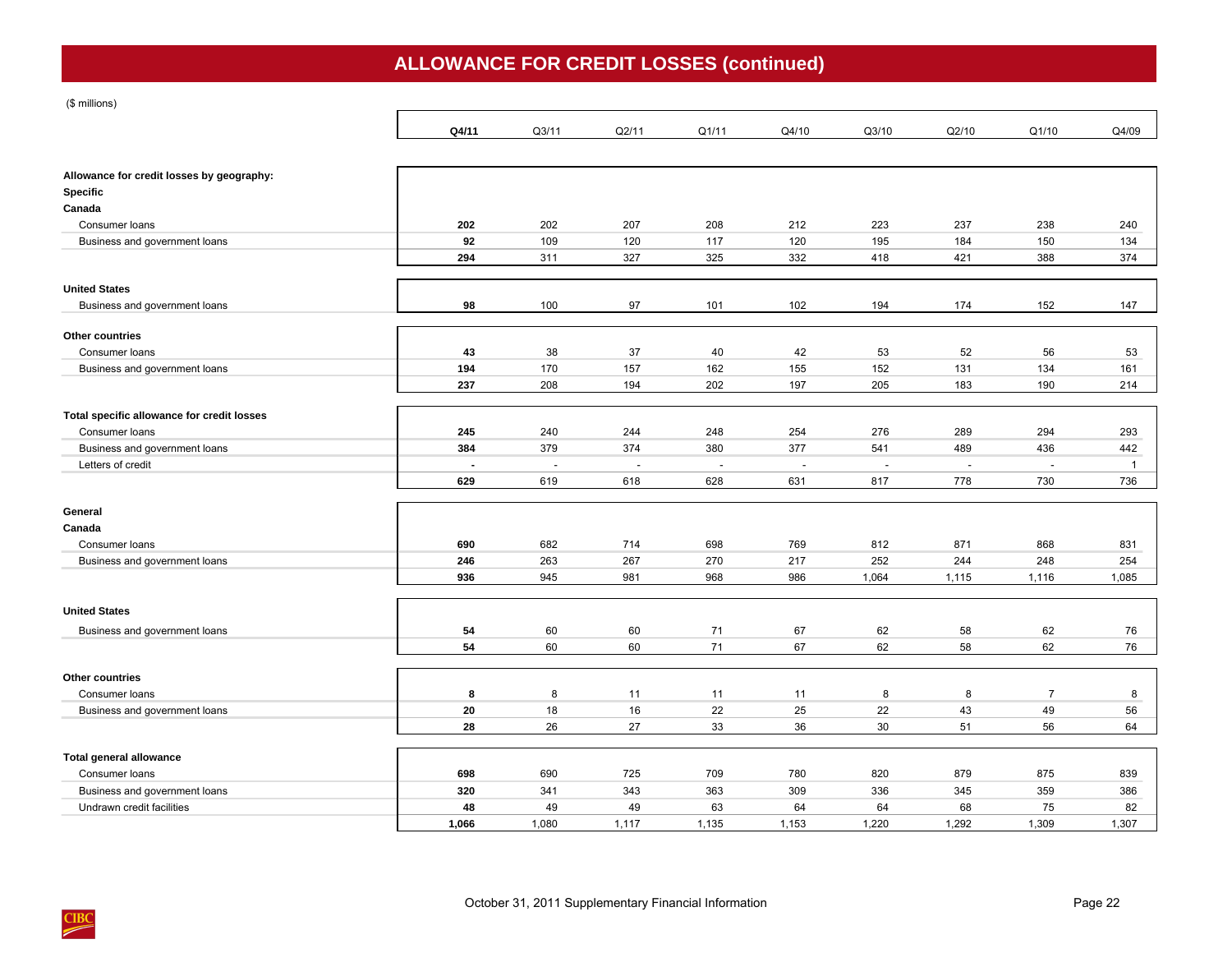# **ALLOWANCE FOR CREDIT LOSSES (continued)**

(\$ millions)

|                                            | Q4/11          | Q3/11  | Q2/11          | Q1/11  | Q4/10  | Q3/10                    | Q2/10                    | Q1/10                    | Q4/09        |
|--------------------------------------------|----------------|--------|----------------|--------|--------|--------------------------|--------------------------|--------------------------|--------------|
|                                            |                |        |                |        |        |                          |                          |                          |              |
| Allowance for credit losses by geography:  |                |        |                |        |        |                          |                          |                          |              |
| <b>Specific</b>                            |                |        |                |        |        |                          |                          |                          |              |
| Canada                                     |                |        |                |        |        |                          |                          |                          |              |
| Consumer loans                             | 202            | 202    | 207            | 208    | 212    | 223                      | 237                      | 238                      | 240          |
| Business and government loans              | 92             | 109    | 120            | 117    | 120    | 195                      | 184                      | 150                      | 134          |
|                                            | 294            | 311    | 327            | 325    | 332    | 418                      | 421                      | 388                      | 374          |
| <b>United States</b>                       |                |        |                |        |        |                          |                          |                          |              |
| Business and government loans              | 98             | 100    | 97             | 101    | 102    | 194                      | 174                      | 152                      | 147          |
| Other countries                            |                |        |                |        |        |                          |                          |                          |              |
| Consumer loans                             | 43             | 38     | 37             | 40     | 42     | 53                       | 52                       | 56                       | 53           |
| <b>Business and government loans</b>       | 194            | 170    | 157            | 162    | 155    | 152                      | 131                      | 134                      | 161          |
|                                            | 237            | 208    | 194            | 202    | 197    | 205                      | 183                      | 190                      | 214          |
| Total specific allowance for credit losses |                |        |                |        |        |                          |                          |                          |              |
| Consumer loans                             | 245            | 240    | 244            | 248    | 254    | 276                      | 289                      | 294                      | 293          |
| Business and government loans              | 384            | 379    | 374            | 380    | 377    | 541                      | 489                      | 436                      | 442          |
| Letters of credit                          | $\blacksquare$ | $\sim$ | $\blacksquare$ | $\sim$ | $\sim$ | $\overline{\phantom{a}}$ | $\overline{\phantom{a}}$ | $\overline{\phantom{a}}$ | $\mathbf{1}$ |
|                                            | 629            | 619    | 618            | 628    | 631    | 817                      | 778                      | 730                      | 736          |
| General                                    |                |        |                |        |        |                          |                          |                          |              |
| Canada                                     |                |        |                |        |        |                          |                          |                          |              |
| Consumer loans                             | 690            | 682    | 714            | 698    | 769    | 812                      | 871                      | 868                      | 831          |
| Business and government loans              | 246            | 263    | 267            | 270    | 217    | 252                      | 244                      | 248                      | 254          |
|                                            | 936            | 945    | 981            | 968    | 986    | 1,064                    | 1,115                    | 1,116                    | 1,085        |
| <b>United States</b>                       |                |        |                |        |        |                          |                          |                          |              |
| Business and government loans              | 54             | 60     | 60             | 71     | 67     | 62                       | 58                       | 62                       | 76           |
|                                            | 54             | 60     | 60             | 71     | 67     | 62                       | 58                       | 62                       | 76           |
| Other countries                            |                |        |                |        |        |                          |                          |                          |              |
| Consumer loans                             | 8              | 8      | 11             | 11     | 11     | 8                        | 8                        | $\overline{7}$           | 8            |
| Business and government loans              | 20             | 18     | 16             | 22     | 25     | 22                       | 43                       | 49                       | 56           |
|                                            | 28             | 26     | 27             | 33     | 36     | 30                       | 51                       | 56                       | 64           |
|                                            |                |        |                |        |        |                          |                          |                          |              |
| Total general allowance                    |                |        |                |        |        |                          |                          |                          |              |
| Consumer loans                             | 698            | 690    | 725            | 709    | 780    | 820                      | 879                      | 875                      | 839          |
| Business and government loans              | 320            | 341    | 343            | 363    | 309    | 336                      | 345                      | 359                      | 386          |
| Undrawn credit facilities                  | 48             | 49     | 49             | 63     | 64     | 64                       | 68                       | 75                       | 82           |
|                                            | 1.066          | 1.080  | 1.117          | 1,135  | 1,153  | 1,220                    | 1,292                    | 1.309                    | 1.307        |

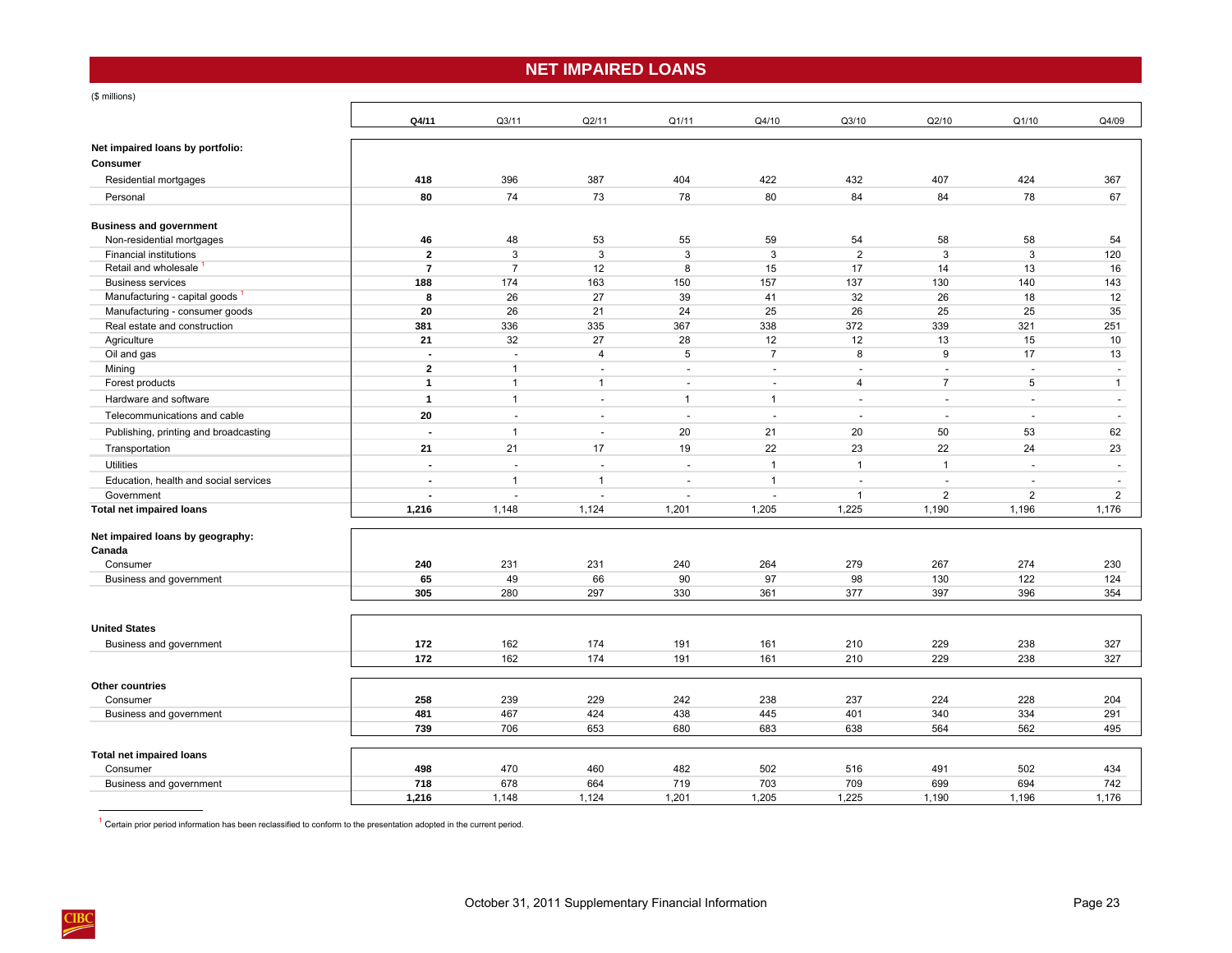## **NET IMPAIRED LOANS**

<span id="page-26-0"></span>(\$ millions)

 $\frac{\text{CIBC}}{\text{CIBC}}$ 

|                                            | Q4/11                            | Q3/11                        | Q2/11                                    | Q1/11                              | Q4/10            | Q3/10                    | Q2/10                    | Q1/10                    | Q4/09                                    |
|--------------------------------------------|----------------------------------|------------------------------|------------------------------------------|------------------------------------|------------------|--------------------------|--------------------------|--------------------------|------------------------------------------|
| Net impaired loans by portfolio:           |                                  |                              |                                          |                                    |                  |                          |                          |                          |                                          |
| Consumer                                   |                                  |                              |                                          |                                    |                  |                          |                          |                          |                                          |
| Residential mortgages                      | 418                              | 396                          | 387                                      | 404                                | 422              | 432                      | 407                      | 424                      | 367                                      |
| Personal                                   | 80                               | 74                           | 73                                       | 78                                 | 80               | 84                       | 84                       | 78                       | 67                                       |
|                                            |                                  |                              |                                          |                                    |                  |                          |                          |                          |                                          |
| <b>Business and government</b>             |                                  |                              |                                          |                                    |                  |                          |                          |                          |                                          |
| Non-residential mortgages                  | 46                               | 48                           | 53                                       | 55                                 | 59               | 54                       | 58                       | 58                       | 54                                       |
| <b>Financial institutions</b>              | $\overline{2}$                   | 3                            | 3                                        | 3                                  | 3                | $\overline{2}$           | 3                        | 3                        | 120                                      |
| Retail and wholesale                       | $\overline{7}$                   | $\overline{7}$               | 12                                       | 8                                  | 15               | 17                       | 14                       | 13                       | 16                                       |
| <b>Business services</b>                   | 188                              | 174                          | 163                                      | 150                                | 157              | 137                      | 130                      | 140                      | 143                                      |
| Manufacturing - capital goods              | 8                                | 26                           | 27                                       | 39                                 | 41               | 32                       | 26                       | 18                       | 12                                       |
| Manufacturing - consumer goods             | 20                               | 26                           | 21                                       | 24                                 | 25               | 26                       | 25                       | 25                       | 35                                       |
| Real estate and construction               | 381                              | 336                          | 335                                      | 367                                | 338              | 372                      | 339                      | 321                      | 251                                      |
| Agriculture                                | 21                               | 32                           | 27                                       | 28                                 | 12               | 12                       | 13                       | 15                       | 10                                       |
| Oil and gas                                | $\blacksquare$<br>$\overline{2}$ | $\overline{\phantom{a}}$     | $\overline{4}$                           | 5                                  | $\overline{7}$   | 8                        | 9                        | 17                       | 13                                       |
| Mining<br>Forest products                  | $\mathbf{1}$                     | $\mathbf{1}$<br>$\mathbf{1}$ | $\overline{\phantom{a}}$<br>$\mathbf{1}$ | $\overline{\phantom{a}}$<br>$\sim$ | $\sim$<br>$\sim$ | $\sim$<br>$\overline{4}$ | $\sim$<br>$\overline{7}$ | $\sim$<br>5              | $\overline{\phantom{a}}$<br>$\mathbf{1}$ |
|                                            |                                  |                              |                                          |                                    |                  |                          |                          |                          |                                          |
| Hardware and software                      | $\mathbf{1}$                     | $\mathbf{1}$                 | $\sim$                                   | $\mathbf{1}$                       | $\mathbf{1}$     | $\sim$                   | $\sim$                   | $\sim$                   | $\sim$                                   |
| Telecommunications and cable               | 20                               | $\overline{\phantom{a}}$     | $\sim$                                   | $\sim$                             | $\overline{a}$   |                          | ÷,                       | $\overline{\phantom{a}}$ | $\sim$                                   |
| Publishing, printing and broadcasting      | $\blacksquare$                   | $\mathbf{1}$                 | $\sim$                                   | 20                                 | 21               | 20                       | 50                       | 53                       | 62                                       |
| Transportation                             | 21                               | 21                           | 17                                       | 19                                 | 22               | 23                       | 22                       | 24                       | 23                                       |
| <b>Utilities</b>                           | $\blacksquare$                   | $\sim$                       | $\overline{\phantom{a}}$                 | $\blacksquare$                     | $\overline{1}$   | $\mathbf{1}$             | $\mathbf{1}$             | $\sim$                   | $\overline{\phantom{a}}$                 |
| Education, health and social services      |                                  | $\mathbf{1}$                 | $\overline{1}$                           | $\overline{a}$                     | $\mathbf{1}$     | $\sim$                   | ÷,                       |                          |                                          |
| Government                                 |                                  | ÷,                           | $\overline{\phantom{a}}$                 | $\sim$                             | ÷,               | $\overline{1}$           | $\overline{2}$           | $\overline{2}$           | $\overline{2}$                           |
| <b>Total net impaired loans</b>            | 1,216                            | 1,148                        | 1,124                                    | 1,201                              | 1,205            | 1,225                    | 1,190                    | 1,196                    | 1,176                                    |
|                                            |                                  |                              |                                          |                                    |                  |                          |                          |                          |                                          |
| Net impaired loans by geography:<br>Canada |                                  |                              |                                          |                                    |                  |                          |                          |                          |                                          |
| Consumer                                   | 240                              | 231                          | 231                                      | 240                                | 264              | 279                      | 267                      | 274                      | 230                                      |
| Business and government                    | 65                               | 49                           | 66                                       | 90                                 | 97               | 98                       | 130                      | 122                      | 124                                      |
|                                            | 305                              | 280                          | 297                                      | 330                                | 361              | 377                      | 397                      | 396                      | 354                                      |
|                                            |                                  |                              |                                          |                                    |                  |                          |                          |                          |                                          |
| <b>United States</b>                       |                                  |                              |                                          |                                    |                  |                          |                          |                          |                                          |
|                                            |                                  |                              |                                          |                                    |                  |                          |                          |                          |                                          |
| Business and government                    | 172<br>172                       | 162                          | 174<br>174                               | 191                                | 161              | 210                      | 229                      | 238                      | 327<br>327                               |
|                                            |                                  | 162                          |                                          | 191                                | 161              | 210                      | 229                      | 238                      |                                          |
| Other countries                            |                                  |                              |                                          |                                    |                  |                          |                          |                          |                                          |
| Consumer                                   | 258                              | 239                          | 229                                      | 242                                | 238              | 237                      | 224                      | 228                      | 204                                      |
| Business and government                    | 481                              | 467                          | 424                                      | 438                                | 445              | 401                      | 340                      | 334                      | 291                                      |
|                                            | 739                              | 706                          | 653                                      | 680                                | 683              | 638                      | 564                      | 562                      | 495                                      |
|                                            |                                  |                              |                                          |                                    |                  |                          |                          |                          |                                          |
| <b>Total net impaired loans</b>            |                                  |                              |                                          |                                    |                  |                          |                          |                          |                                          |
| Consumer                                   | 498                              | 470                          | 460                                      | 482                                | 502              | 516                      | 491                      | 502                      | 434                                      |
| Business and government                    | 718                              | 678                          | 664                                      | 719                                | 703              | 709                      | 699                      | 694                      | 742                                      |
|                                            | 1,216                            | 1,148                        | 1,124                                    | 1,201                              | 1,205            | 1,225                    | 1,190                    | 1,196                    | 1,176                                    |

 $1$  Certain prior period information has been reclassified to conform to the presentation adopted in the current period.

 $\mathbf{r}$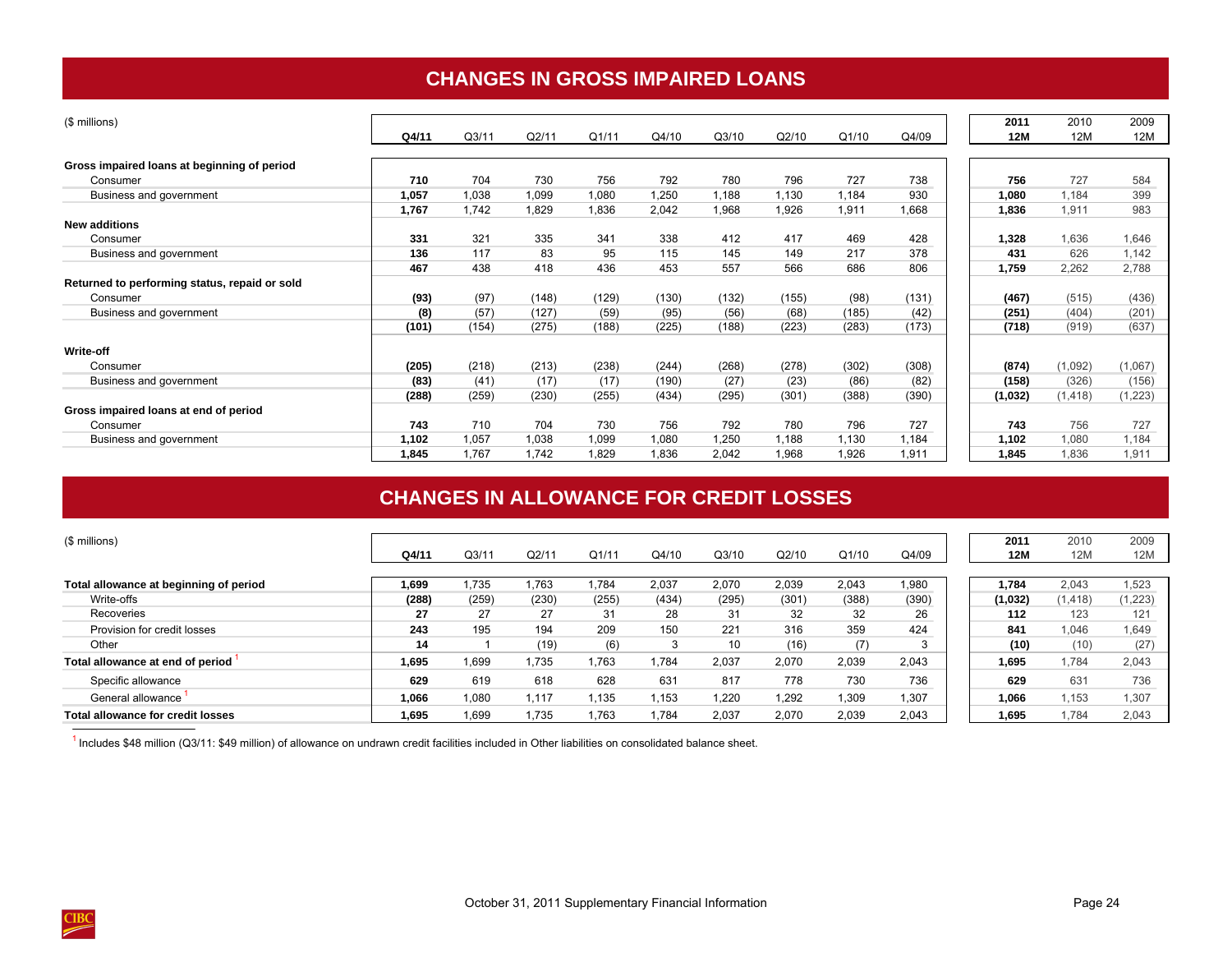## **CHANGES IN GROSS IMPAIRED LOANS**

<span id="page-27-0"></span>

| (\$ millions)                                 |       |       |       |       |       |       |       |       |       | 2011    | 2010     | 2009    |
|-----------------------------------------------|-------|-------|-------|-------|-------|-------|-------|-------|-------|---------|----------|---------|
|                                               | Q4/11 | Q3/11 | Q2/11 | Q1/11 | Q4/10 | Q3/10 | Q2/10 | Q1/10 | Q4/09 | 12M     | 12M      | 12M     |
| Gross impaired loans at beginning of period   |       |       |       |       |       |       |       |       |       |         |          |         |
| Consumer                                      | 710   | 704   | 730   | 756   | 792   | 780   | 796   | 727   | 738   | 756     | 727      | 584     |
| Business and government                       | 1,057 | 1,038 | 1,099 | 1,080 | 1,250 | 1,188 | 1,130 | 1,184 | 930   | 1,080   | 1,184    | 399     |
|                                               | 1,767 | 1,742 | 1,829 | 1,836 | 2,042 | 1,968 | 1,926 | 1,911 | 1,668 | 1,836   | 1,911    | 983     |
| <b>New additions</b>                          |       |       |       |       |       |       |       |       |       |         |          |         |
| Consumer                                      | 331   | 321   | 335   | 341   | 338   | 412   | 417   | 469   | 428   | 1,328   | 1,636    | 1,646   |
| Business and government                       | 136   | 117   | 83    | 95    | 115   | 145   | 149   | 217   | 378   | 431     | 626      | 1,142   |
|                                               | 467   | 438   | 418   | 436   | 453   | 557   | 566   | 686   | 806   | 1,759   | 2,262    | 2,788   |
| Returned to performing status, repaid or sold |       |       |       |       |       |       |       |       |       |         |          |         |
| Consumer                                      | (93)  | (97)  | (148) | (129) | (130) | (132) | (155) | (98)  | (131) | (467)   | (515)    | (436)   |
| Business and government                       | (8)   | (57)  | (127) | (59)  | (95)  | (56)  | (68)  | (185) | (42)  | (251)   | (404)    | (201)   |
|                                               | (101) | (154) | (275) | (188) | (225) | (188) | (223) | (283) | (173) | (718)   | (919)    | (637)   |
| Write-off                                     |       |       |       |       |       |       |       |       |       |         |          |         |
| Consumer                                      | (205) | (218) | (213) | (238) | (244) | (268) | (278) | (302) | (308) | (874)   | (1,092)  | (1,067) |
| Business and government                       | (83)  | (41)  | (17)  | (17)  | (190) | (27)  | (23)  | (86)  | (82)  | (158)   | (326)    | (156)   |
|                                               | (288) | (259) | (230) | (255) | (434) | (295) | (301) | (388) | (390) | (1,032) | (1, 418) | 1,223)  |
| Gross impaired loans at end of period         |       |       |       |       |       |       |       |       |       |         |          |         |
| Consumer                                      | 743   | 710   | 704   | 730   | 756   | 792   | 780   | 796   | 727   | 743     | 756      | 727     |
| Business and government                       | 1,102 | 1,057 | 1,038 | 1,099 | 1,080 | 1,250 | 1,188 | 1,130 | 1,184 | 1,102   | 1,080    | 1,184   |
|                                               | 1,845 | 1.767 | 1,742 | 1,829 | 1,836 | 2,042 | 1,968 | 1,926 | 1,911 | 1,845   | 1,836    | 1,911   |

## **CHANGES IN ALLOWANCE FOR CREDIT LOSSES**

| (\$ millions)                          |       |       |       |       |       |       |       |       |       | 2011    | 2010     | 2009    |
|----------------------------------------|-------|-------|-------|-------|-------|-------|-------|-------|-------|---------|----------|---------|
|                                        | Q4/11 | Q3/11 | Q2/1  | Q1/11 | Q4/10 | Q3/10 | Q2/10 | Q1/10 | Q4/09 | 12M     | 12M      | 12M     |
|                                        |       |       |       |       |       |       |       |       |       |         |          |         |
| Total allowance at beginning of period | 1.699 | .735  | 1.763 | 1.784 | 2.037 | 2.070 | 2.039 | 2,043 | 1,980 | 1.784   | 2.043    | 1,523   |
| Write-offs                             | (288) | (259) | (230) | (255) | (434) | (295) | (301) | (388) | (390) | (1,032) | (1, 418) | (1,223) |
| Recoveries                             | 27    | 27    | 27    | 31    | 28    | -31   | 32    | 32    | 26    | 112     | 123      | 121     |
| Provision for credit losses            | 243   | 195   | 194   | 209   | 150   | 221   | 316   | 359   | 424   | 841     | 1,046    | 1,649   |
| Other                                  | 14    |       | (19)  | (6)   |       | 10    | (16)  | (7)   | ×     | (10)    | (10)     | (27)    |
| Total allowance at end of period       | 1.695 | 1.699 | 1.735 | 1.763 | 1.784 | 2.037 | 2.070 | 2,039 | 2,043 | 1.695   | 1.784    | 2,043   |
| Specific allowance                     | 629   | 619   | 618   | 628   | 631   | 817   | 778   | 730   | 736   | 629     | 631      | 736     |
| General allowance                      | 1,066 | 1,080 | 1,117 | 1,135 | .153  | 1,220 | .292  | 1,309 | 1,307 | 1,066   | 1,153    | .307    |
| Total allowance for credit losses      | 1.695 | .699  | 1,735 | 1,763 | .784  | 2,037 | 2,070 | 2,039 | 2,043 | 1.695   | 1.784    | 2,043   |

<sup>1</sup> Includes \$48 million (Q3/11: \$49 million) of allowance on undrawn credit facilities included in Other liabilities on consolidated balance sheet.

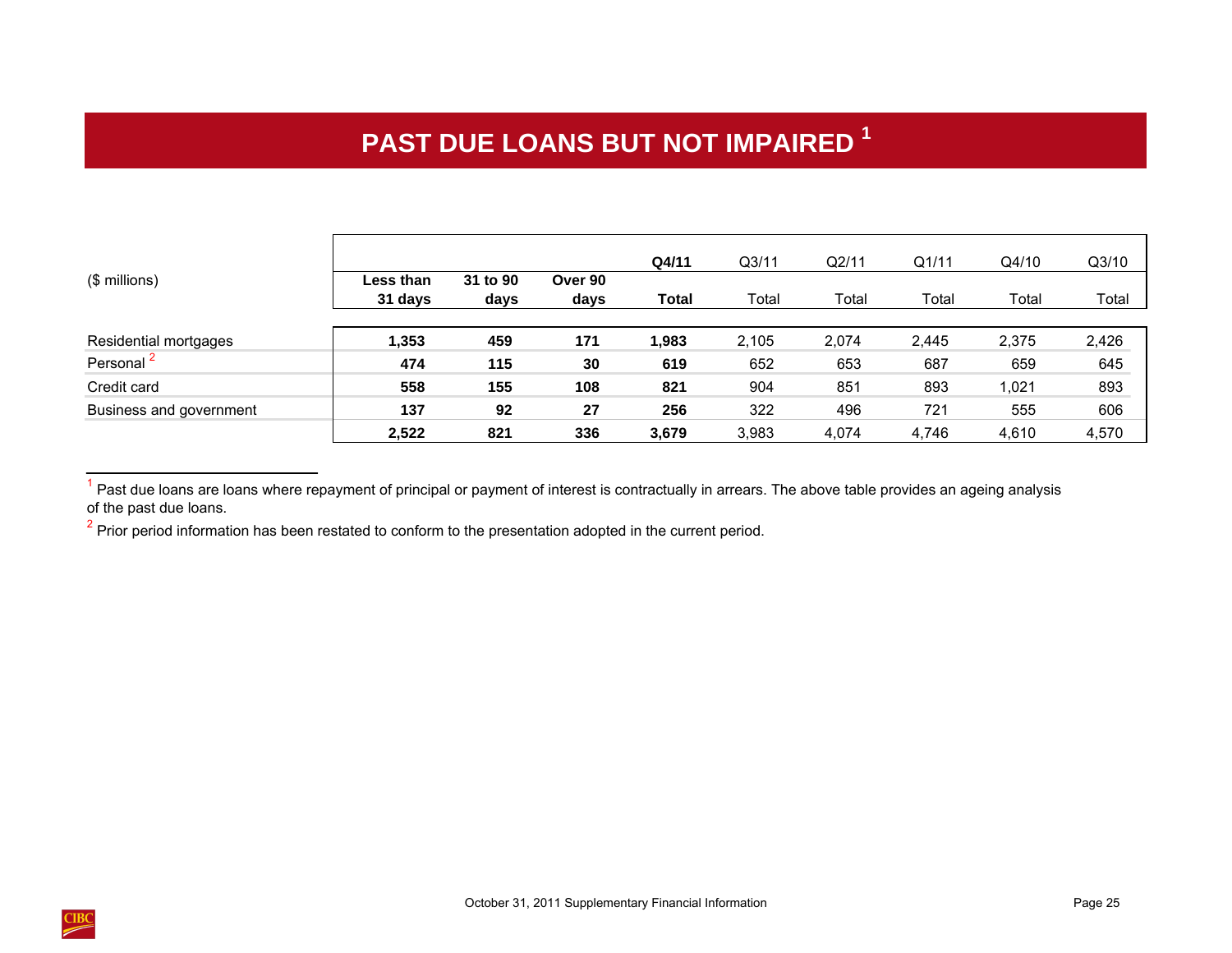# **PAST DUE LOANS BUT NOT IMPAIRED <sup>1</sup>**

<span id="page-28-0"></span>

|                         |                      |                  |                 | Q4/11 | Q <sub>3/11</sub> | Q2/11 | Q1/11 | Q4/10 | Q3/10 |
|-------------------------|----------------------|------------------|-----------------|-------|-------------------|-------|-------|-------|-------|
| (\$ millions)           | Less than<br>31 days | 31 to 90<br>days | Over 90<br>days | Total | Total             | Total | Total | Total | Total |
| Residential mortgages   | 1,353                | 459              | 171             | ,983  | 2,105             | 2,074 | 2,445 | 2,375 | 2,426 |
| Personal <sup>2</sup>   | 474                  | 115              | 30              | 619   | 652               | 653   | 687   | 659   | 645   |
| Credit card             | 558                  | 155              | 108             | 821   | 904               | 851   | 893   | 1,021 | 893   |
| Business and government | 137                  | 92               | 27              | 256   | 322               | 496   | 721   | 555   | 606   |
|                         | 2,522                | 821              | 336             | 3,679 | 3,983             | 4,074 | 4.746 | 4.610 | 4,570 |

 $<sup>1</sup>$  Past due loans are loans where repayment of principal or payment of interest is contractually in arrears. The above table provides an ageing analysis</sup> of the past due loans.



 $2$  Prior period information has been restated to conform to the presentation adopted in the current period.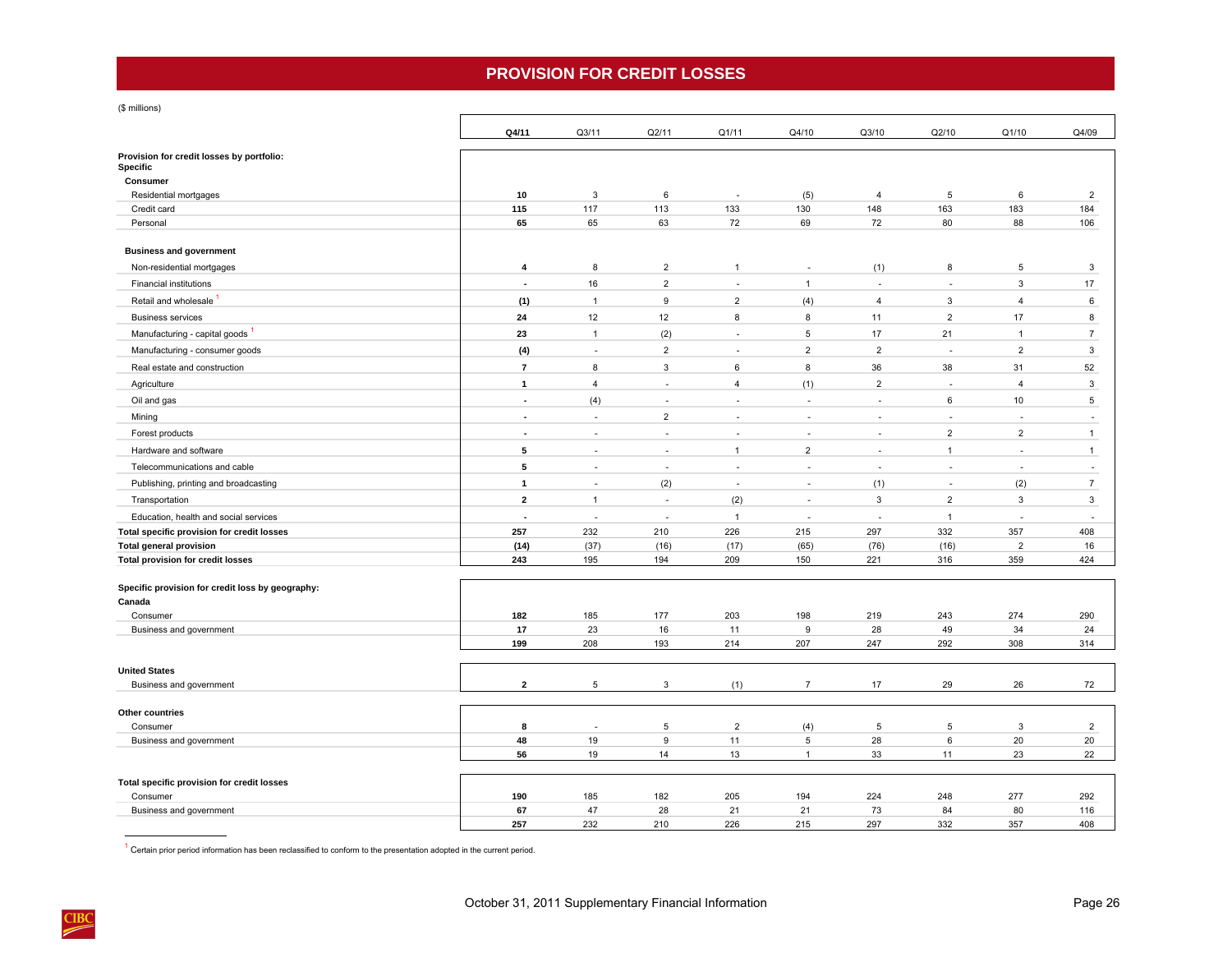## **PROVISION FOR CREDIT LOSSES**

<span id="page-29-0"></span>(\$ millions)

|                                                       | Q4/11                    | Q3/11          | Q2/11                    | Q1/11                    | Q4/10          | Q3/10          | Q2/10                    | Q1/10          | Q4/09          |
|-------------------------------------------------------|--------------------------|----------------|--------------------------|--------------------------|----------------|----------------|--------------------------|----------------|----------------|
| Provision for credit losses by portfolio:<br>Specific |                          |                |                          |                          |                |                |                          |                |                |
| Consumer                                              |                          |                |                          |                          |                |                |                          |                |                |
| Residential mortgages                                 | 10                       | 3              | 6                        | $\sim$                   | (5)            | 4              | 5                        | 6              | $\overline{2}$ |
| Credit card                                           | 115                      | 117            | 113                      | 133                      | 130            | 148            | 163                      | 183            | 184            |
| Personal                                              | 65                       | 65             | 63                       | 72                       | 69             | 72             | 80                       | 88             | 106            |
| <b>Business and government</b>                        |                          |                |                          |                          |                |                |                          |                |                |
| Non-residential mortgages                             | $\overline{4}$           | 8              | $\overline{2}$           | $\mathbf{1}$             | $\sim$         | (1)            | 8                        | 5              | 3              |
| <b>Financial institutions</b>                         | ÷,                       | 16             | $\overline{2}$           | ÷.                       | $\mathbf{1}$   | $\sim$         | ÷,                       | 3              | 17             |
| Retail and wholesale                                  | (1)                      | $\mathbf{1}$   | 9                        | $\overline{2}$           | (4)            | $\overline{4}$ | 3                        | $\overline{4}$ | 6              |
| <b>Business services</b>                              | 24                       | 12             | 12                       | 8                        | 8              | 11             | $\overline{2}$           | 17             | 8              |
| Manufacturing - capital goods <sup>1</sup>            | 23                       | $\mathbf{1}$   | (2)                      | ÷.                       | 5              | 17             | 21                       | $\overline{1}$ | $\overline{7}$ |
| Manufacturing - consumer goods                        | (4)                      | ä,             | $\overline{2}$           | ×                        | $\overline{2}$ | $\overline{2}$ | $\overline{\phantom{a}}$ | $\overline{2}$ | 3              |
| Real estate and construction                          | $\overline{7}$           | 8              | $\mathbf{3}$             | 6                        | 8              | 36             | 38                       | 31             | 52             |
| Agriculture                                           | $\mathbf{1}$             | $\overline{4}$ | ÷,                       | $\overline{4}$           | (1)            | $\overline{2}$ | ä,                       | $\overline{4}$ | 3              |
| Oil and gas                                           | ÷,                       | (4)            | ÷,                       | ÷.                       |                | ÷,             | 6                        | 10             | 5              |
| Mining                                                | $\overline{\phantom{a}}$ | ٠              | $\overline{2}$           | $\sim$                   |                | ä,             | ä,                       | ÷,             | ä,             |
| Forest products                                       | ÷,                       | ä,             | ÷                        | $\overline{\phantom{a}}$ |                | ä,             | $\overline{2}$           | $\overline{2}$ | $\mathbf{1}$   |
| Hardware and software                                 | 5                        | ÷.             | $\overline{\phantom{a}}$ | $\mathbf{1}$             | $\overline{2}$ | ×              | $\mathbf{1}$             | ä,             | $\mathbf{1}$   |
| Telecommunications and cable                          | 5                        | ä,             | ÷                        | ÷.                       |                | ÷,             | ä,                       | Ĭ.             | ä,             |
| Publishing, printing and broadcasting                 | $\mathbf{1}$             | ÷.             | (2)                      | $\overline{\phantom{a}}$ | $\sim$         | (1)            | $\overline{\phantom{a}}$ | (2)            | $\overline{7}$ |
| Transportation                                        | $\overline{2}$           | $\overline{1}$ | $\overline{\phantom{a}}$ | (2)                      |                | 3              | $\overline{2}$           | 3              | $\mathbf{3}$   |
| Education, health and social services                 | $\overline{\phantom{a}}$ | ÷,             | $\sim$                   | $\mathbf{1}$             |                | $\sim$         | $\mathbf{1}$             | ÷,             | ÷,             |
| Total specific provision for credit losses            | 257                      | 232            | 210                      | 226                      | 215            | 297            | 332                      | 357            | 408            |
| <b>Total general provision</b>                        | (14)                     | (37)           | (16)                     | (17)                     | (65)           | (76)           | (16)                     | $\overline{2}$ | 16             |
| <b>Total provision for credit losses</b>              | 243                      | 195            | 194                      | 209                      | 150            | 221            | 316                      | 359            | 424            |
| Specific provision for credit loss by geography:      |                          |                |                          |                          |                |                |                          |                |                |
| Canada                                                |                          |                |                          |                          |                |                |                          |                |                |
| Consumer                                              | 182                      | 185            | 177                      | 203                      | 198            | 219            | 243                      | 274            | 290            |
| Business and government                               | 17                       | 23             | 16                       | 11                       | 9              | 28             | 49                       | 34             | 24             |
|                                                       | 199                      | 208            | 193                      | 214                      | 207            | 247            | 292                      | 308            | 314            |
| <b>United States</b>                                  |                          |                |                          |                          |                |                |                          |                |                |
| Business and government                               | $\overline{2}$           | 5              | 3                        | (1)                      | $\overline{7}$ | 17             | 29                       | 26             | 72             |
|                                                       |                          |                |                          |                          |                |                |                          |                |                |
| Other countries<br>Consumer                           | 8                        |                | 5                        | $\overline{2}$           | (4)            | $\overline{5}$ | 5                        | 3              | $\overline{2}$ |
| Business and government                               | 48                       | 19             | $\boldsymbol{9}$         | 11                       | 5              | 28             | 6                        | 20             | 20             |
|                                                       | 56                       | 19             | 14                       | 13                       | $\overline{1}$ | 33             | 11                       | 23             | 22             |
|                                                       |                          |                |                          |                          |                |                |                          |                |                |
| Total specific provision for credit losses            |                          |                |                          |                          |                |                |                          |                |                |
| Consumer<br>Business and government                   | 190<br>67                | 185<br>47      | 182<br>28                | 205<br>21                | 194<br>21      | 224<br>73      | 248<br>84                | 277<br>80      | 292<br>116     |
|                                                       | 257                      | 232            | 210                      | 226                      | 215            | 297            | 332                      | 357            | 408            |

 $1$  Certain prior period information has been reclassified to conform to the presentation adopted in the current period.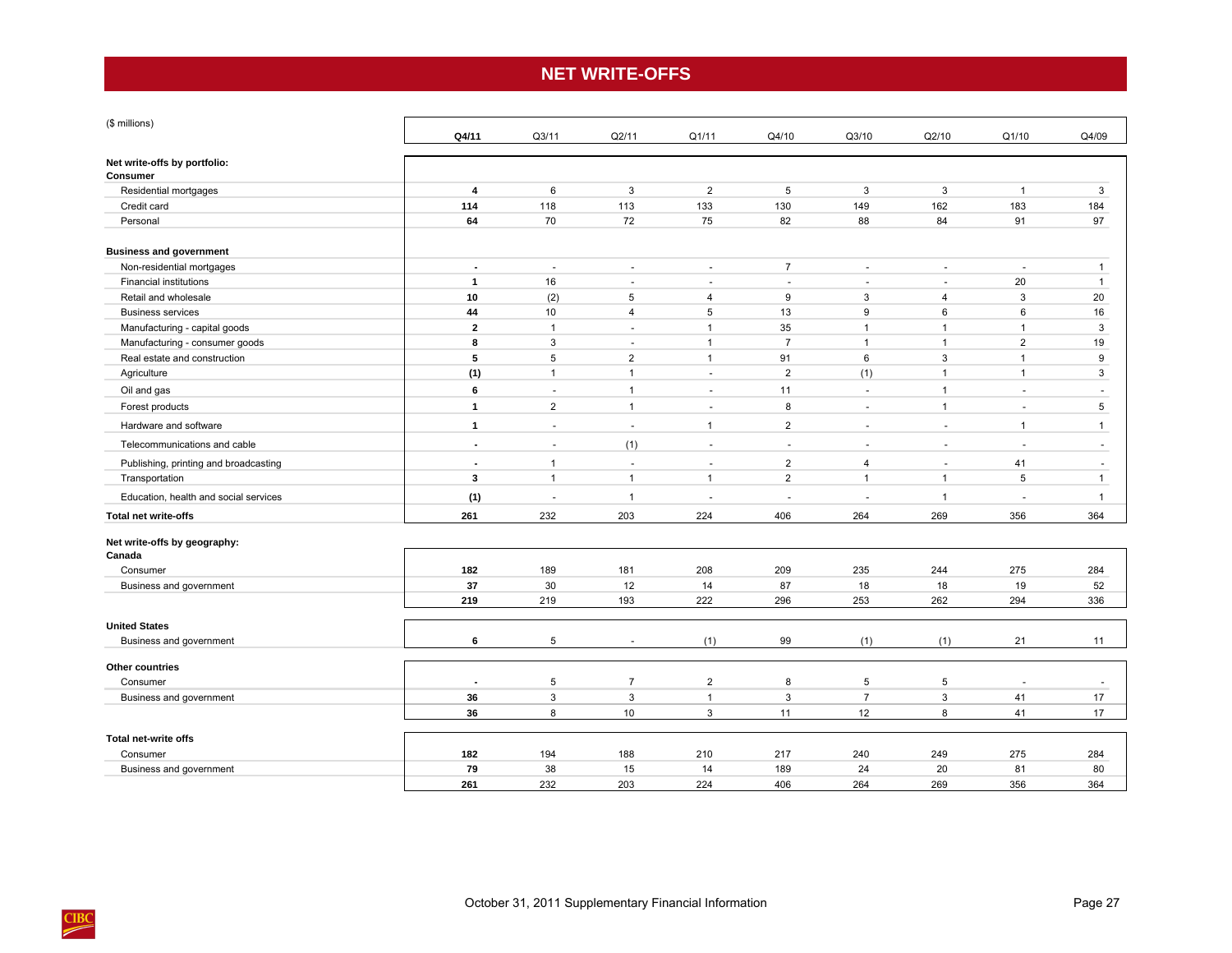## **NET WRITE-OFFS**

<span id="page-30-0"></span>

| (\$ millions)                         |                          |                          |                |                |                |                          |                     |                          |                          |
|---------------------------------------|--------------------------|--------------------------|----------------|----------------|----------------|--------------------------|---------------------|--------------------------|--------------------------|
|                                       | Q4/11                    | Q3/11                    | Q2/11          | Q1/11          | Q4/10          | Q3/10                    | Q2/10               | Q1/10                    | Q4/09                    |
| Net write-offs by portfolio:          |                          |                          |                |                |                |                          |                     |                          |                          |
| Consumer                              |                          |                          |                |                |                |                          |                     |                          |                          |
| Residential mortgages                 | $\overline{\mathbf{4}}$  | 6                        | 3              | $\overline{2}$ | 5              | 3                        | 3                   | $\overline{1}$           | 3                        |
| Credit card                           | 114                      | 118                      | 113            | 133            | 130            | 149                      | 162                 | 183                      | 184                      |
| Personal                              | 64                       | 70                       | 72             | 75             | 82             | 88                       | 84                  | 91                       | 97                       |
| <b>Business and government</b>        |                          |                          |                |                |                |                          |                     |                          |                          |
| Non-residential mortgages             | ÷.                       | ÷                        | $\sim$         | $\sim$         | $\overline{7}$ | $\sim$                   | $\sim$              | $\sim$                   | $\mathbf{1}$             |
| Financial institutions                | $\mathbf{1}$             | 16                       | $\sim$         | $\sim$         | $\sim$         | $\overline{\phantom{a}}$ | $\overline{a}$      | 20                       | $\mathbf{1}$             |
| Retail and wholesale                  | 10                       | (2)                      | 5              | 4              | 9              | 3                        | $\overline{4}$      | 3                        | 20                       |
| <b>Business services</b>              | 44                       | 10                       | $\overline{4}$ | 5              | 13             | 9                        | 6                   | 6                        | 16                       |
| Manufacturing - capital goods         | $\overline{2}$           | $\overline{1}$           | $\sim$         | $\mathbf{1}$   | 35             | $\overline{1}$           | $\mathbf{1}$        | $\overline{1}$           | 3                        |
| Manufacturing - consumer goods        | 8                        | 3                        | $\overline{a}$ | $\mathbf{1}$   | $\overline{7}$ | $\overline{1}$           | $\overline{1}$      | $\overline{2}$           | 19                       |
| Real estate and construction          | 5                        | 5                        | $\overline{2}$ | $\mathbf{1}$   | 91             | 6                        | 3                   | $\overline{1}$           | 9                        |
| Agriculture                           | (1)                      | $\mathbf{1}$             | $\mathbf{1}$   | $\sim$         | $\overline{2}$ | (1)                      | $\mathbf{1}$        | $\mathbf{1}$             | 3                        |
| Oil and gas                           | 6                        | $\sim$                   | $\mathbf{1}$   | $\omega$       | 11             | $\sim$                   | $\mathbf{1}$        | $\sim$                   | $\ddot{\phantom{1}}$     |
| Forest products                       | $\mathbf{1}$             | $\overline{2}$           | $\mathbf{1}$   | $\sim$         | 8              |                          | $\overline{1}$      | $\sim$                   | 5                        |
| Hardware and software                 | $\mathbf{1}$             | $\sim$                   | $\sim$         | $\mathbf{1}$   | $\overline{2}$ | $\sim$                   | $\bar{\phantom{a}}$ | $\overline{1}$           | $\mathbf{1}$             |
| Telecommunications and cable          | $\blacksquare$           | $\sim$                   | (1)            | $\sim$         | $\sim$         | $\sim$                   | $\sim$              | $\sim$                   | $\sim$                   |
| Publishing, printing and broadcasting | $\overline{\phantom{a}}$ | $\mathbf 1$              | $\sim$         | ÷.             | $\overline{2}$ | $\overline{4}$           | $\sim$              | 41                       | ÷,                       |
| Transportation                        | 3                        | $\mathbf{1}$             | $\mathbf{1}$   | $\mathbf{1}$   | $\overline{2}$ | $\overline{1}$           | $\mathbf{1}$        | 5                        | $\mathbf{1}$             |
| Education, health and social services | (1)                      | $\overline{\phantom{a}}$ | $\mathbf{1}$   |                |                |                          | $\overline{1}$      | $\sim$                   | $\mathbf{1}$             |
| <b>Total net write-offs</b>           | 261                      | 232                      | 203            | 224            | 406            | 264                      | 269                 | 356                      | 364                      |
| Net write-offs by geography:          |                          |                          |                |                |                |                          |                     |                          |                          |
| Canada                                |                          |                          |                |                |                |                          |                     |                          |                          |
| Consumer                              | 182                      | 189                      | 181            | 208            | 209            | 235                      | 244                 | 275                      | 284                      |
| Business and government               | 37                       | 30                       | 12             | 14             | 87             | 18                       | 18                  | 19                       | 52                       |
|                                       | 219                      | 219                      | 193            | 222            | 296            | 253                      | 262                 | 294                      | 336                      |
| <b>United States</b>                  |                          |                          |                |                |                |                          |                     |                          |                          |
| Business and government               | 6                        | 5                        |                | (1)            | 99             | (1)                      | (1)                 | 21                       | 11                       |
| Other countries                       |                          |                          |                |                |                |                          |                     |                          |                          |
| Consumer                              | $\overline{\phantom{a}}$ | 5                        | $\overline{7}$ | $\overline{2}$ | 8              | 5                        | 5                   | $\overline{\phantom{a}}$ | $\overline{\phantom{a}}$ |
| Business and government               | 36                       | 3                        | $\mathbf{3}$   | $\mathbf{1}$   | 3              | $\overline{7}$           | 3                   | 41                       | 17                       |
|                                       | 36                       | 8                        | 10             | 3              | 11             | 12                       | 8                   | 41                       | 17                       |
|                                       |                          |                          |                |                |                |                          |                     |                          |                          |
| Total net-write offs                  |                          |                          |                |                |                |                          |                     |                          |                          |
| Consumer                              | 182                      | 194                      | 188            | 210            | 217            | 240                      | 249                 | 275                      | 284                      |
| Business and government               | 79                       | 38<br>232                | 15             | 14             | 189            | 24<br>264                | 20                  | 81                       | 80                       |
|                                       | 261                      |                          | 203            | 224            | 406            |                          | 269                 | 356                      | 364                      |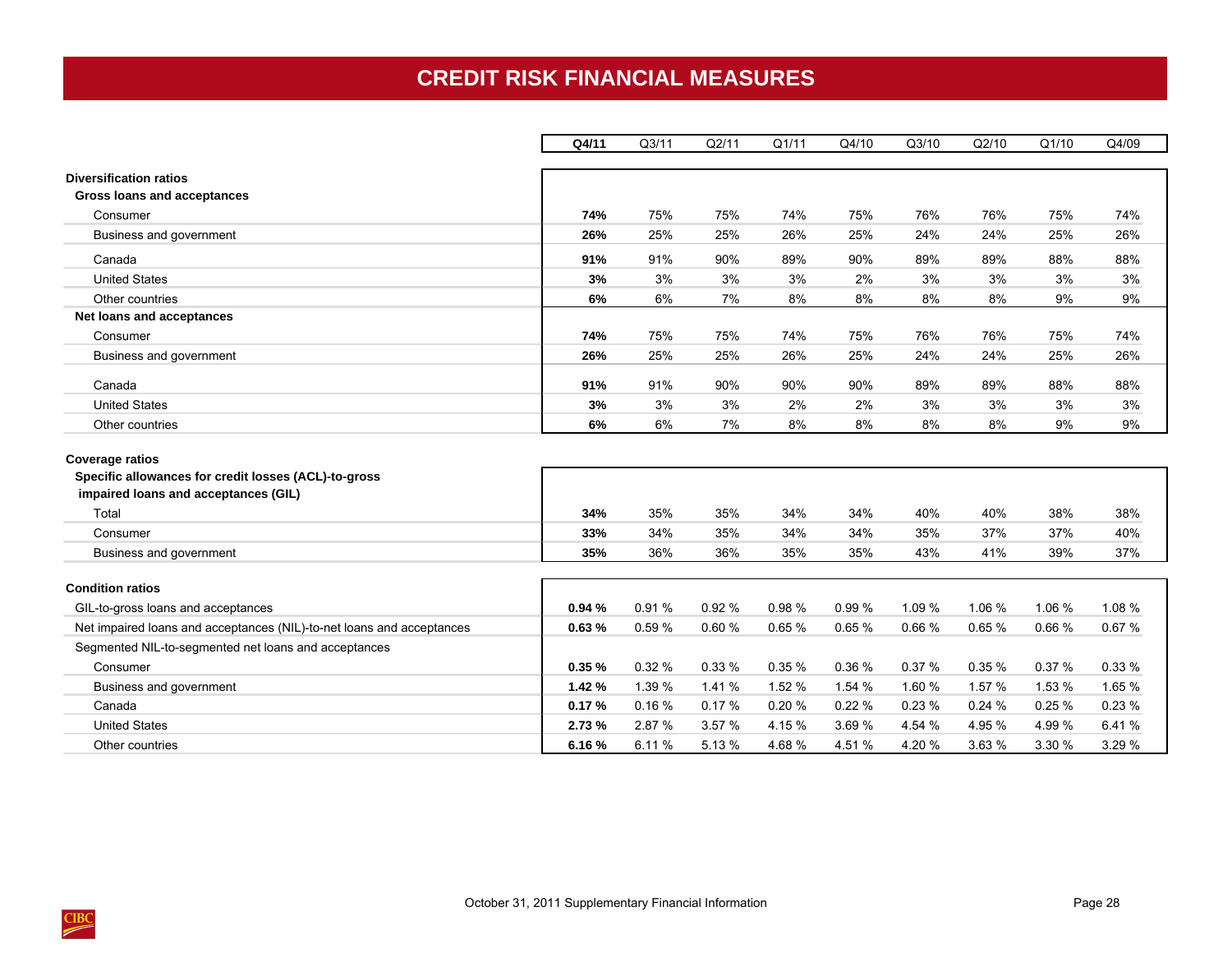# **CREDIT RISK FINANCIAL MEASURES**

<span id="page-31-0"></span>

|                                                                                                                                 | Q4/11  | Q <sub>3/11</sub> | Q2/11  | Q1/11  | Q4/10  | Q3/10  | Q2/10  | Q1/10  | Q4/09  |
|---------------------------------------------------------------------------------------------------------------------------------|--------|-------------------|--------|--------|--------|--------|--------|--------|--------|
| <b>Diversification ratios</b><br>Gross loans and acceptances                                                                    |        |                   |        |        |        |        |        |        |        |
| Consumer                                                                                                                        | 74%    | 75%               | 75%    | 74%    | 75%    | 76%    | 76%    | 75%    | 74%    |
| Business and government                                                                                                         | 26%    | 25%               | 25%    | 26%    | 25%    | 24%    | 24%    | 25%    | 26%    |
| Canada                                                                                                                          | 91%    | 91%               | 90%    | 89%    | 90%    | 89%    | 89%    | 88%    | 88%    |
| <b>United States</b>                                                                                                            | 3%     | 3%                | 3%     | 3%     | 2%     | 3%     | 3%     | 3%     | 3%     |
| Other countries                                                                                                                 | 6%     | 6%                | 7%     | 8%     | 8%     | 8%     | 8%     | 9%     | 9%     |
| Net loans and acceptances                                                                                                       |        |                   |        |        |        |        |        |        |        |
| Consumer                                                                                                                        | 74%    | 75%               | 75%    | 74%    | 75%    | 76%    | 76%    | 75%    | 74%    |
| Business and government                                                                                                         | 26%    | 25%               | 25%    | 26%    | 25%    | 24%    | 24%    | 25%    | 26%    |
| Canada                                                                                                                          | 91%    | 91%               | 90%    | 90%    | 90%    | 89%    | 89%    | 88%    | 88%    |
| <b>United States</b>                                                                                                            | 3%     | 3%                | 3%     | 2%     | 2%     | 3%     | 3%     | 3%     | 3%     |
| Other countries                                                                                                                 | 6%     | 6%                | 7%     | 8%     | 8%     | 8%     | 8%     | 9%     | 9%     |
| <b>Coverage ratios</b><br>Specific allowances for credit losses (ACL)-to-gross<br>impaired loans and acceptances (GIL)<br>Total | 34%    | 35%               | 35%    | 34%    | 34%    | 40%    | 40%    | 38%    | 38%    |
| Consumer                                                                                                                        | 33%    | 34%               | 35%    | 34%    | 34%    | 35%    | 37%    | 37%    | 40%    |
| Business and government                                                                                                         | 35%    | 36%               | 36%    | 35%    | 35%    | 43%    | 41%    | 39%    | 37%    |
| <b>Condition ratios</b>                                                                                                         |        |                   |        |        |        |        |        |        |        |
| GIL-to-gross loans and acceptances                                                                                              | 0.94%  | 0.91%             | 0.92%  | 0.98%  | 0.99%  | 1.09 % | 1.06 % | 1.06 % | 1.08 % |
| Net impaired loans and acceptances (NIL)-to-net loans and acceptances                                                           | 0.63%  | 0.59%             | 0.60%  | 0.65%  | 0.65%  | 0.66%  | 0.65%  | 0.66%  | 0.67%  |
| Segmented NIL-to-segmented net loans and acceptances                                                                            |        |                   |        |        |        |        |        |        |        |
| Consumer                                                                                                                        | 0.35%  | 0.32%             | 0.33%  | 0.35%  | 0.36 % | 0.37%  | 0.35%  | 0.37%  | 0.33%  |
| Business and government                                                                                                         | 1.42%  | 1.39 %            | 1.41 % | 1.52 % | 1.54 % | 1.60 % | 1.57 % | 1.53 % | 1.65 % |
| Canada                                                                                                                          | 0.17%  | 0.16%             | 0.17%  | 0.20%  | 0.22%  | 0.23%  | 0.24%  | 0.25%  | 0.23%  |
| <b>United States</b>                                                                                                            | 2.73 % | 2.87 %            | 3.57 % | 4.15 % | 3.69%  | 4.54 % | 4.95 % | 4.99 % | 6.41%  |
| Other countries                                                                                                                 | 6.16%  | 6.11%             | 5.13 % | 4.68%  | 4.51 % | 4.20%  | 3.63 % | 3.30 % | 3.29 % |

 $\frac{\text{CIBC}}{\text{C}}$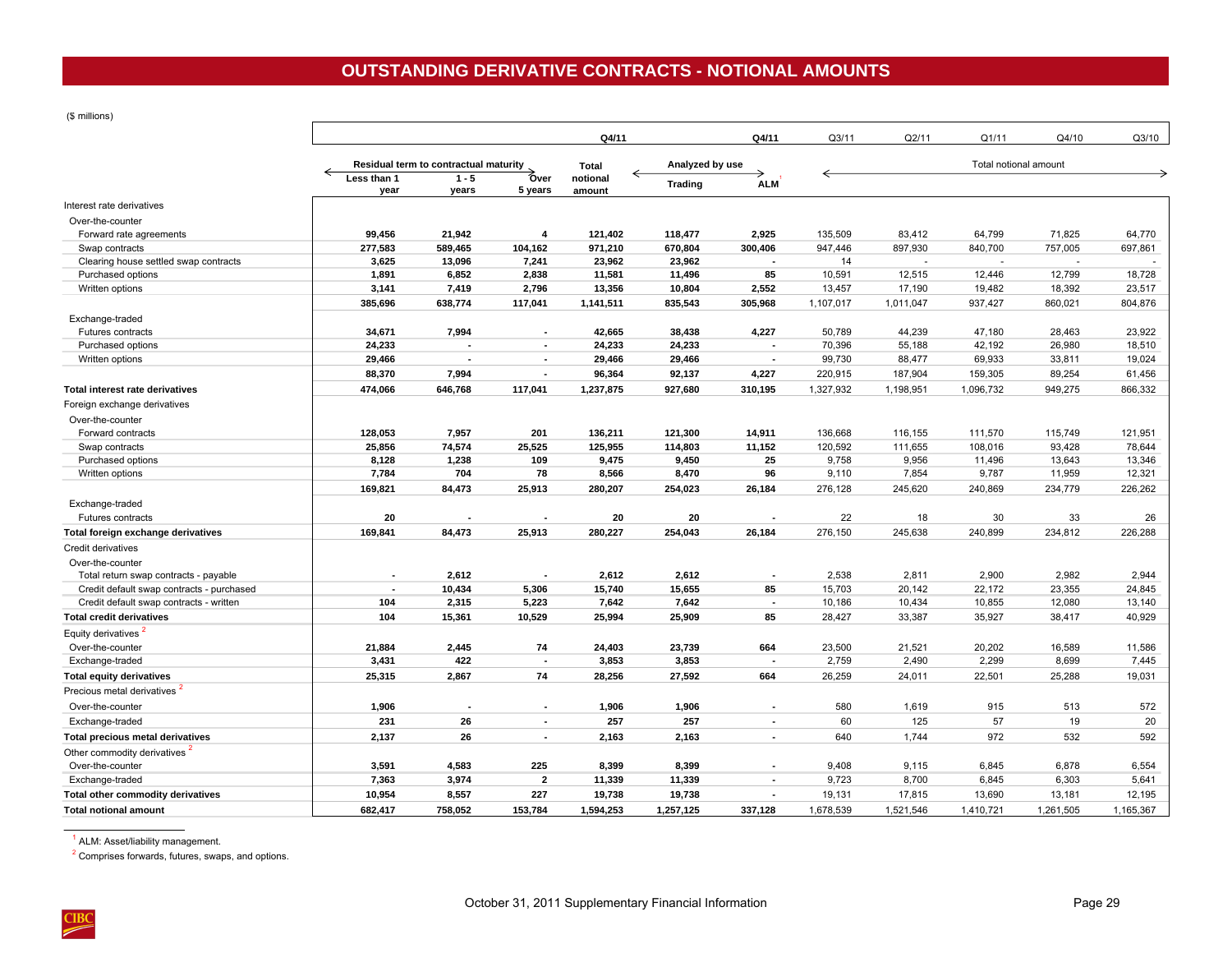<span id="page-32-0"></span>(\$ millions)

|                                           | Q4/11                    |                                       |                          |                    |                 | Q4/11                    | Q3/11     | Q2/11     | Q1/11                 | Q4/10     | Q3/10     |
|-------------------------------------------|--------------------------|---------------------------------------|--------------------------|--------------------|-----------------|--------------------------|-----------|-----------|-----------------------|-----------|-----------|
|                                           |                          | Residual term to contractual maturity |                          | Total              | Analyzed by use |                          |           |           | Total notional amount |           |           |
|                                           | Less than 1<br>year      | $1 - 5$<br>years                      | Over<br>5 years          | notional<br>amount | <b>Trading</b>  | <b>ALM</b>               |           |           |                       |           |           |
| Interest rate derivatives                 |                          |                                       |                          |                    |                 |                          |           |           |                       |           |           |
| Over-the-counter                          |                          |                                       |                          |                    |                 |                          |           |           |                       |           |           |
| Forward rate agreements                   | 99,456                   | 21,942                                | $\overline{4}$           | 121,402            | 118,477         | 2,925                    | 135,509   | 83,412    | 64,799                | 71,825    | 64,770    |
| Swap contracts                            | 277,583                  | 589,465                               | 104,162                  | 971,210            | 670,804         | 300,406                  | 947,446   | 897,930   | 840,700               | 757,005   | 697,861   |
| Clearing house settled swap contracts     | 3,625                    | 13,096                                | 7,241                    | 23,962             | 23,962          |                          | 14        |           | ÷.                    |           |           |
| Purchased options                         | 1,891                    | 6,852                                 | 2,838                    | 11,581             | 11,496          | 85                       | 10,591    | 12,515    | 12,446                | 12,799    | 18,728    |
| Written options                           | 3,141                    | 7,419                                 | 2,796                    | 13,356             | 10,804          | 2,552                    | 13,457    | 17,190    | 19,482                | 18,392    | 23,517    |
|                                           | 385,696                  | 638,774                               | 117,041                  | 1,141,511          | 835,543         | 305,968                  | 1,107,017 | 1,011,047 | 937,427               | 860,021   | 804,876   |
| Exchange-traded                           |                          |                                       |                          |                    |                 |                          |           |           |                       |           |           |
| Futures contracts                         | 34,671                   | 7,994                                 | $\blacksquare$           | 42,665             | 38,438          | 4,227                    | 50,789    | 44,239    | 47,180                | 28.463    | 23,922    |
| Purchased options                         | 24,233                   |                                       | ÷                        | 24,233             | 24,233          |                          | 70,396    | 55,188    | 42,192                | 26,980    | 18,510    |
| Written options                           | 29,466                   |                                       | $\blacksquare$           | 29,466             | 29,466          |                          | 99,730    | 88,477    | 69,933                | 33,811    | 19,024    |
|                                           | 88,370                   | 7,994                                 | $\blacksquare$           | 96,364             | 92,137          | 4,227                    | 220,915   | 187,904   | 159,305               | 89,254    | 61,456    |
| Total interest rate derivatives           | 474,066                  | 646,768                               | 117,041                  | 1,237,875          | 927,680         | 310,195                  | 1,327,932 | 1,198,951 | 1,096,732             | 949,275   | 866,332   |
|                                           |                          |                                       |                          |                    |                 |                          |           |           |                       |           |           |
| Foreign exchange derivatives              |                          |                                       |                          |                    |                 |                          |           |           |                       |           |           |
| Over-the-counter                          |                          |                                       |                          |                    |                 |                          |           |           |                       |           |           |
| Forward contracts                         | 128,053                  | 7,957                                 | 201                      | 136,211            | 121,300         | 14,911                   | 136,668   | 116,155   | 111,570               | 115,749   | 121,951   |
| Swap contracts                            | 25,856                   | 74,574                                | 25,525                   | 125,955            | 114,803         | 11,152                   | 120,592   | 111,655   | 108,016               | 93,428    | 78,644    |
| Purchased options                         | 8,128                    | 1,238                                 | 109                      | 9,475              | 9,450           | 25                       | 9,758     | 9,956     | 11,496                | 13,643    | 13,346    |
| Written options                           | 7,784                    | 704                                   | 78                       | 8,566              | 8,470           | 96                       | 9,110     | 7,854     | 9,787                 | 11,959    | 12,321    |
|                                           | 169,821                  | 84,473                                | 25,913                   | 280,207            | 254,023         | 26,184                   | 276,128   | 245,620   | 240,869               | 234,779   | 226,262   |
| Exchange-traded                           |                          |                                       |                          |                    |                 |                          |           |           |                       |           |           |
| Futures contracts                         | 20                       |                                       |                          | 20                 | 20              |                          | 22        | 18        | 30                    | 33        | 26        |
| Total foreign exchange derivatives        | 169,841                  | 84,473                                | 25,913                   | 280,227            | 254,043         | 26,184                   | 276,150   | 245,638   | 240,899               | 234,812   | 226,288   |
| Credit derivatives                        |                          |                                       |                          |                    |                 |                          |           |           |                       |           |           |
| Over-the-counter                          |                          |                                       |                          |                    |                 |                          |           |           |                       |           |           |
| Total return swap contracts - payable     | $\blacksquare$           | 2,612                                 |                          | 2,612              | 2,612           |                          | 2,538     | 2,811     | 2,900                 | 2,982     | 2,944     |
| Credit default swap contracts - purchased | $\overline{\phantom{a}}$ | 10,434                                | 5,306                    | 15,740             | 15,655          | 85                       | 15,703    | 20,142    | 22,172                | 23,355    | 24,845    |
| Credit default swap contracts - written   | 104                      | 2,315                                 | 5,223                    | 7,642              | 7,642           |                          | 10,186    | 10,434    | 10,855                | 12,080    | 13,140    |
| <b>Total credit derivatives</b>           | 104                      | 15,361                                | 10,529                   | 25,994             | 25,909          | 85                       | 28,427    | 33,387    | 35,927                | 38,417    | 40,929    |
| Equity derivatives                        |                          |                                       |                          |                    |                 |                          |           |           |                       |           |           |
| Over-the-counter                          | 21,884                   | 2,445                                 | 74                       | 24,403             | 23,739          | 664                      | 23,500    | 21,521    | 20,202                | 16,589    | 11,586    |
| Exchange-traded                           | 3,431                    | 422                                   | $\overline{\phantom{a}}$ | 3,853              | 3,853           | $\overline{\phantom{a}}$ | 2,759     | 2,490     | 2,299                 | 8,699     | 7,445     |
| <b>Total equity derivatives</b>           | 25,315                   | 2,867                                 | 74                       | 28,256             | 27,592          | 664                      | 26,259    | 24,011    | 22,501                | 25,288    | 19,031    |
| Precious metal derivatives <sup>2</sup>   |                          |                                       |                          |                    |                 |                          |           |           |                       |           |           |
| Over-the-counter                          | 1,906                    |                                       | $\sim$                   | 1,906              | 1,906           | $\overline{\phantom{a}}$ | 580       |           | 915                   |           |           |
|                                           |                          |                                       |                          |                    |                 |                          |           | 1,619     |                       | 513       | 572       |
| Exchange-traded                           | 231                      | 26                                    | $\blacksquare$           | 257                | 257             | $\overline{\phantom{a}}$ | 60        | 125       | 57                    | 19        | 20        |
| <b>Total precious metal derivatives</b>   | 2,137                    | 26                                    | ÷.                       | 2,163              | 2,163           | $\overline{\phantom{a}}$ | 640       | 1,744     | 972                   | 532       | 592       |
| Other commodity derivatives 4             |                          |                                       |                          |                    |                 |                          |           |           |                       |           |           |
| Over-the-counter                          | 3,591                    | 4,583                                 | 225                      | 8,399              | 8,399           |                          | 9,408     | 9,115     | 6,845                 | 6,878     | 6,554     |
| Exchange-traded                           | 7,363                    | 3,974                                 | $\overline{2}$           | 11,339             | 11,339          | $\sim$                   | 9,723     | 8,700     | 6,845                 | 6,303     | 5,641     |
| Total other commodity derivatives         | 10,954                   | 8,557                                 | 227                      | 19,738             | 19,738          |                          | 19,131    | 17,815    | 13,690                | 13,181    | 12,195    |
| <b>Total notional amount</b>              | 682,417                  | 758,052                               | 153,784                  | 1,594,253          | 1,257,125       | 337,128                  | 1,678,539 | 1,521,546 | 1,410,721             | 1,261,505 | 1,165,367 |

1 ALM: Asset/liability management.

2 Comprises forwards, futures, swaps, and options.

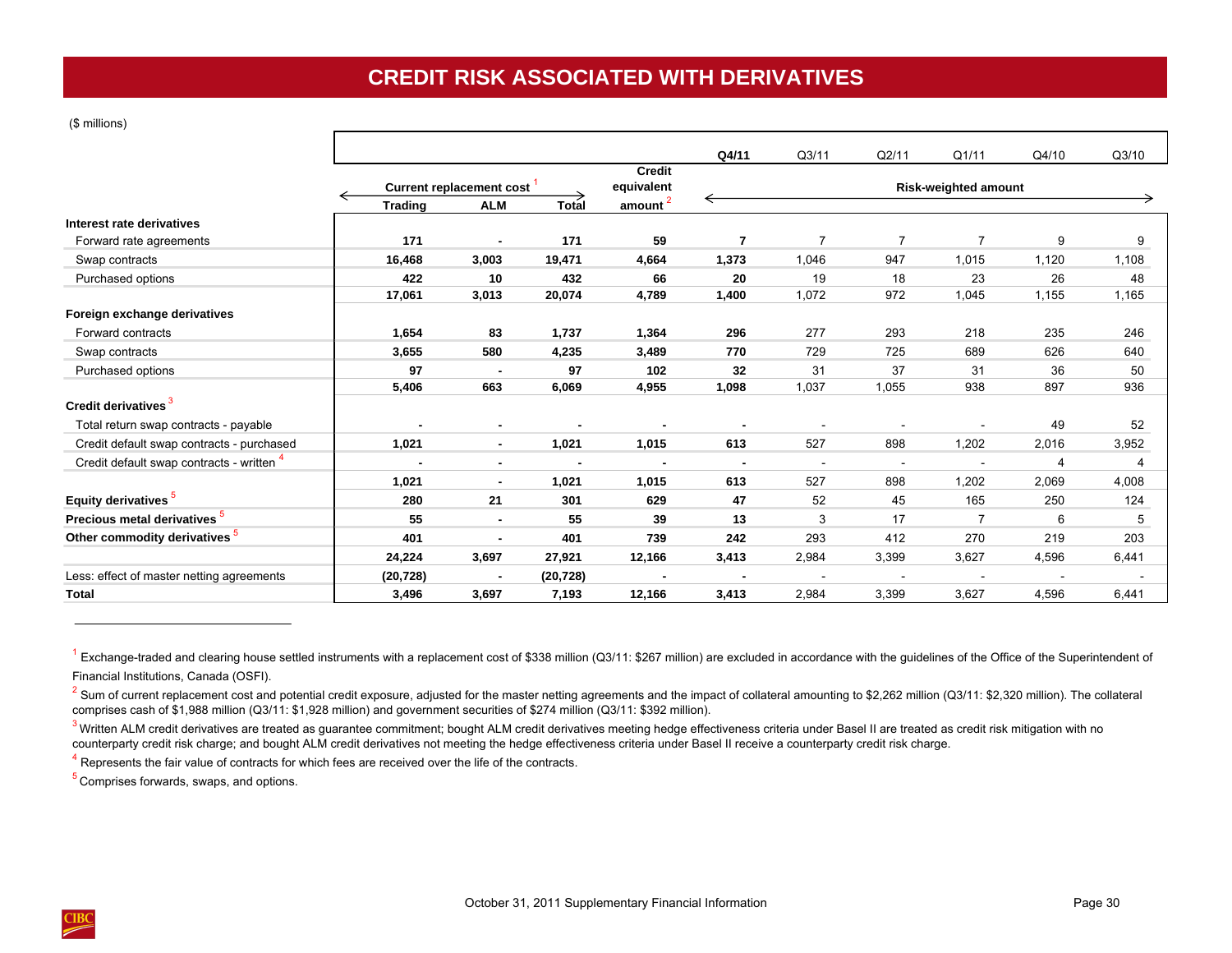# **CREDIT RISK ASSOCIATED WITH DERIVATIVES**

<span id="page-33-0"></span>(\$ millions)

|                                                      |                |                                 |              |                        | Q4/11          | Q <sub>3/11</sub>        | Q2/11          | Q1/11                       | Q4/10 | Q3/10 |
|------------------------------------------------------|----------------|---------------------------------|--------------|------------------------|----------------|--------------------------|----------------|-----------------------------|-------|-------|
|                                                      |                |                                 |              | <b>Credit</b>          |                |                          |                |                             |       |       |
|                                                      |                | <b>Current replacement cost</b> |              | equivalent             |                |                          |                | <b>Risk-weighted amount</b> |       |       |
|                                                      | <b>Trading</b> | <b>ALM</b>                      | <b>Total</b> | $a$ mount <sup>2</sup> |                |                          |                |                             |       |       |
| Interest rate derivatives<br>Forward rate agreements | 171            | $\blacksquare$                  | 171          | 59                     | 7              | $\overline{7}$           | $\overline{7}$ | $\overline{7}$              | 9     | 9     |
| Swap contracts                                       | 16,468         | 3,003                           | 19,471       | 4,664                  | 1,373          | 1,046                    | 947            | 1,015                       | 1,120 | 1,108 |
| Purchased options                                    | 422            | 10                              | 432          | 66                     | 20             | 19                       | 18             | 23                          | 26    | 48    |
|                                                      | 17,061         | 3,013                           | 20,074       | 4,789                  | 1,400          | 1,072                    | 972            | 1,045                       | 1,155 | 1,165 |
| Foreign exchange derivatives                         |                |                                 |              |                        |                |                          |                |                             |       |       |
| Forward contracts                                    | 1,654          | 83                              | 1,737        | 1,364                  | 296            | 277                      | 293            | 218                         | 235   | 246   |
| Swap contracts                                       | 3,655          | 580                             | 4,235        | 3,489                  | 770            | 729                      | 725            | 689                         | 626   | 640   |
| Purchased options                                    | 97             | $\sim$                          | 97           | 102                    | 32             | 31                       | 37             | 31                          | 36    | 50    |
|                                                      | 5,406          | 663                             | 6,069        | 4,955                  | 1,098          | 1,037                    | 1,055          | 938                         | 897   | 936   |
| Credit derivatives                                   |                |                                 |              |                        |                |                          |                |                             |       |       |
| Total return swap contracts - payable                | $\blacksquare$ | $\blacksquare$                  |              |                        |                | $\overline{\phantom{a}}$ |                | $\overline{\phantom{a}}$    | 49    | 52    |
| Credit default swap contracts - purchased            | 1,021          | $\blacksquare$                  | 1,021        | 1,015                  | 613            | 527                      | 898            | 1,202                       | 2,016 | 3,952 |
| Credit default swap contracts - written "            | $\blacksquare$ | $\blacksquare$                  |              | $\blacksquare$         | $\blacksquare$ | $\sim$                   | $\blacksquare$ | $\blacksquare$              | 4     | 4     |
|                                                      | 1,021          | $\blacksquare$                  | 1,021        | 1,015                  | 613            | 527                      | 898            | 1,202                       | 2,069 | 4,008 |
| Equity derivatives <sup>5</sup>                      | 280            | 21                              | 301          | 629                    | 47             | 52                       | 45             | 165                         | 250   | 124   |
| Precious metal derivatives <sup>5</sup>              | 55             | $\blacksquare$                  | 55           | 39                     | 13             | 3                        | 17             | $\overline{7}$              | 6     | 5     |
| Other commodity derivatives <sup>5</sup>             | 401            | $\blacksquare$                  | 401          | 739                    | 242            | 293                      | 412            | 270                         | 219   | 203   |
|                                                      | 24,224         | 3,697                           | 27,921       | 12,166                 | 3,413          | 2,984                    | 3,399          | 3,627                       | 4,596 | 6,441 |
| Less: effect of master netting agreements            | (20, 728)      | $\overline{\phantom{a}}$        | (20, 728)    |                        |                |                          |                | $\blacksquare$              |       |       |
| <b>Total</b>                                         | 3,496          | 3,697                           | 7,193        | 12,166                 | 3,413          | 2,984                    | 3,399          | 3,627                       | 4,596 | 6,441 |

 $^1$  Exchange-traded and clearing house settled instruments with a replacement cost of \$338 million (Q3/11: \$267 million) are excluded in accordance with the guidelines of the Office of the Superintendent of Financial Institutions, Canada (OSFI).

 $2$  Sum of current replacement cost and potential credit exposure, adjusted for the master netting agreements and the impact of collateral amounting to \$2,262 million (Q3/11: \$2,320 million). The collateral comprises cash of \$1,988 million (Q3/11: \$1,928 million) and government securities of \$274 million (Q3/11: \$392 million).

 $^3$  Written ALM credit derivatives are treated as guarantee commitment; bought ALM credit derivatives meeting hedge effectiveness criteria under Basel II are treated as credit risk mitigation with no counterparty credit risk charge; and bought ALM credit derivatives not meeting the hedge effectiveness criteria under Basel II receive a counterparty credit risk charge.

<sup>4</sup> Represents the fair value of contracts for which fees are received over the life of the contracts.

<sup>5</sup> Comprises forwards, swaps, and options.

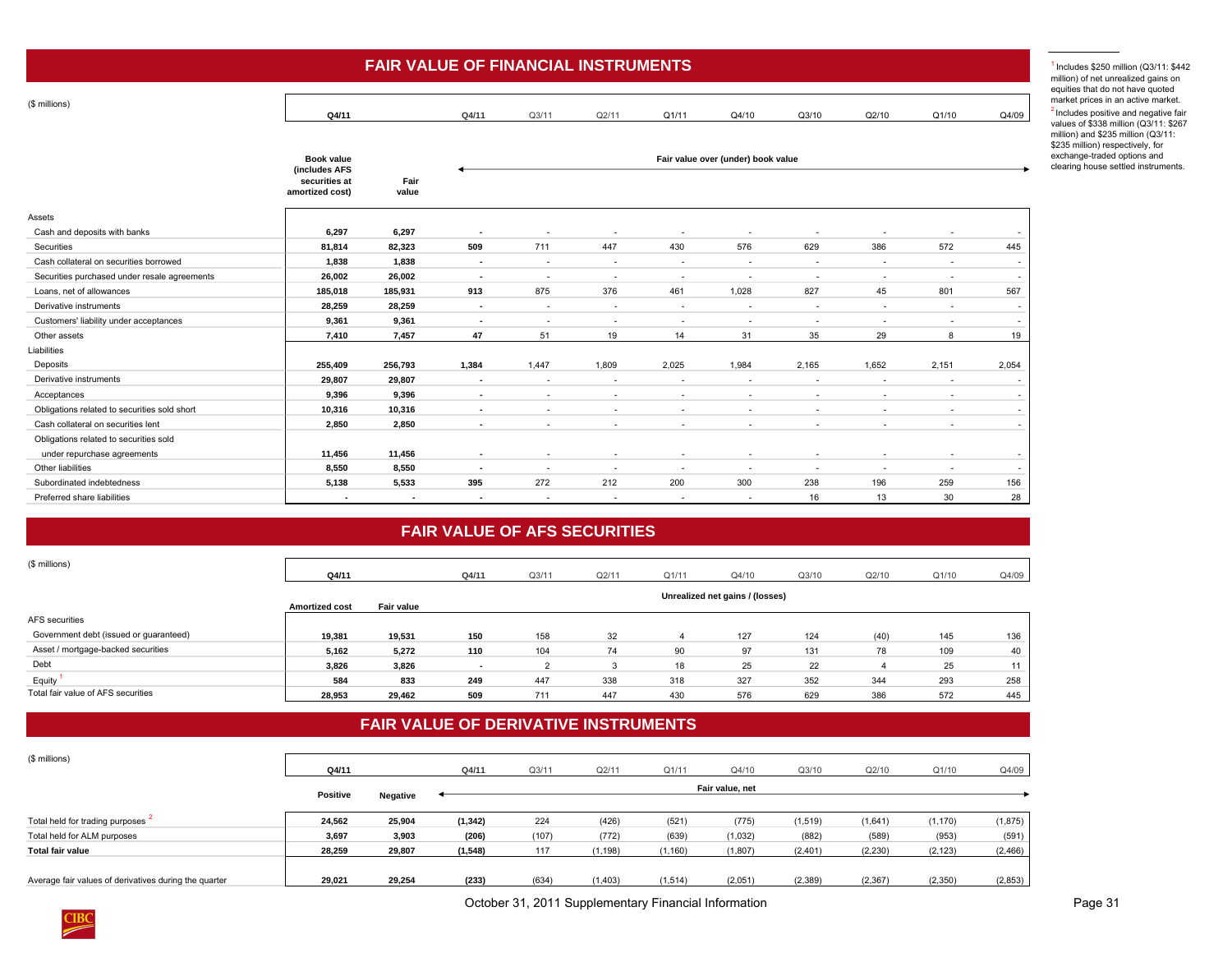<span id="page-34-0"></span>

| (\$ millions)                                |                   |                |                          |                          |                          |                          |                                    |                          |                          |                          |                          |
|----------------------------------------------|-------------------|----------------|--------------------------|--------------------------|--------------------------|--------------------------|------------------------------------|--------------------------|--------------------------|--------------------------|--------------------------|
|                                              | Q4/11             |                | Q4/11                    | Q3/11                    | Q2/11                    | Q1/11                    | Q4/10                              | Q3/10                    | Q2/10                    | Q1/10                    | Q4/09                    |
|                                              |                   |                |                          |                          |                          |                          |                                    |                          |                          |                          |                          |
|                                              | <b>Book value</b> |                |                          |                          |                          |                          |                                    |                          |                          |                          |                          |
|                                              | (includes AFS     |                |                          |                          |                          |                          | Fair value over (under) book value |                          |                          |                          |                          |
|                                              | securities at     | Fair           |                          |                          |                          |                          |                                    |                          |                          |                          |                          |
|                                              | amortized cost)   | value          |                          |                          |                          |                          |                                    |                          |                          |                          |                          |
| Assets                                       |                   |                |                          |                          |                          |                          |                                    |                          |                          |                          |                          |
| Cash and deposits with banks                 | 6,297             | 6,297          |                          |                          |                          |                          |                                    |                          |                          |                          |                          |
| Securities                                   | 81,814            | 82,323         | 509                      | 711                      | 447                      | 430                      | 576                                | 629                      | 386                      | 572                      | 445                      |
| Cash collateral on securities borrowed       | 1,838             | 1,838          | $\blacksquare$           | $\sim$                   | $\overline{\phantom{a}}$ | $\overline{\phantom{a}}$ | $\overline{\phantom{a}}$           | $\overline{\phantom{a}}$ | $\overline{\phantom{a}}$ | $\overline{\phantom{a}}$ | $\overline{\phantom{a}}$ |
| Securities purchased under resale agreements | 26,002            | 26,002         | $\sim$                   | $\overline{\phantom{a}}$ | $\overline{\phantom{a}}$ | $\overline{\phantom{a}}$ | $\overline{\phantom{a}}$           | $\overline{\phantom{a}}$ | $\overline{\phantom{a}}$ | $\overline{\phantom{a}}$ | $\sim$                   |
| Loans, net of allowances                     | 185,018           | 185,931        | 913                      | 875                      | 376                      | 461                      | 1,028                              | 827                      | 45                       | 801                      | 567                      |
| Derivative instruments                       | 28,259            | 28,259         | $\sim$                   | $\sim$                   | $\overline{\phantom{a}}$ | $\overline{\phantom{a}}$ | $\overline{\phantom{a}}$           | $\sim$                   | $\sim$                   | $\sim$                   | $\overline{\phantom{a}}$ |
| Customers' liability under acceptances       | 9,361             | 9,361          | $\blacksquare$           | $\sim$                   | $\overline{\phantom{a}}$ | $\overline{\phantom{a}}$ | $\overline{\phantom{a}}$           | $\overline{\phantom{a}}$ | $\overline{\phantom{a}}$ | $\overline{\phantom{a}}$ | $\overline{\phantom{a}}$ |
| Other assets                                 | 7,410             | 7,457          | 47                       | 51                       | 19                       | 14                       | 31                                 | 35                       | 29                       | 8                        | 19                       |
| Liabilities                                  |                   |                |                          |                          |                          |                          |                                    |                          |                          |                          |                          |
| Deposits                                     | 255,409           | 256,793        | 1,384                    | 1,447                    | 1,809                    | 2,025                    | 1,984                              | 2,165                    | 1,652                    | 2,151                    | 2,054                    |
| Derivative instruments                       | 29,807            | 29,807         | $\blacksquare$           | $\overline{\phantom{a}}$ | $\overline{\phantom{a}}$ | $\overline{\phantom{a}}$ | $\overline{\phantom{a}}$           | $\overline{\phantom{a}}$ | $\overline{\phantom{a}}$ | $\overline{\phantom{a}}$ |                          |
| Acceptances                                  | 9,396             | 9,396          | $\overline{a}$           | $\overline{\phantom{a}}$ | $\overline{\phantom{a}}$ | $\overline{\phantom{a}}$ | $\overline{\phantom{a}}$           | $\overline{\phantom{a}}$ | $\overline{\phantom{a}}$ | $\sim$                   | $\overline{\phantom{a}}$ |
| Obligations related to securities sold short | 10,316            | 10,316         | $\blacksquare$           | $\sim$                   | $\overline{\phantom{a}}$ | $\sim$                   | $\overline{\phantom{a}}$           | $\overline{\phantom{a}}$ | $\overline{\phantom{a}}$ | $\sim$                   | $\overline{\phantom{a}}$ |
| Cash collateral on securities lent           | 2,850             | 2,850          | $\blacksquare$           | $\sim$                   | $\overline{\phantom{a}}$ | $\sim$                   | $\sim$                             | $\sim$                   | $\overline{\phantom{a}}$ | $\sim$                   | $\overline{\phantom{a}}$ |
| Obligations related to securities sold       |                   |                |                          |                          |                          |                          |                                    |                          |                          |                          |                          |
| under repurchase agreements                  | 11,456            | 11,456         | $\overline{\phantom{a}}$ | $\sim$                   | ٠                        | $\overline{\phantom{a}}$ |                                    | ٠                        | $\overline{\phantom{a}}$ | $\overline{\phantom{a}}$ | $\sim$                   |
| Other liabilities                            | 8,550             | 8,550          | $\blacksquare$           | $\sim$                   | $\overline{\phantom{a}}$ | $\overline{\phantom{a}}$ | $\overline{\phantom{a}}$           | $\overline{\phantom{a}}$ | $\overline{\phantom{a}}$ | $\overline{\phantom{a}}$ | $\sim$                   |
| Subordinated indebtedness                    | 5,138             | 5,533          | 395                      | 272                      | 212                      | 200                      | 300                                | 238                      | 196                      | 259                      | 156                      |
| Preferred share liabilities                  | $\blacksquare$    | $\blacksquare$ | $\overline{\phantom{a}}$ | $\sim$                   | $\sim$                   | $\sim$                   | $\overline{\phantom{a}}$           | 16                       | 13                       | 30                       | 28                       |

## **FAIR VALUE OF FINANCIAL INSTRUMENTS**

## **FAIR VALUE OF AFS SECURITIES**

| (\$ millions)                          |                       |                   |       |       |       |       |                                 |       |       |       |       |
|----------------------------------------|-----------------------|-------------------|-------|-------|-------|-------|---------------------------------|-------|-------|-------|-------|
|                                        | Q4/11                 |                   | Q4/11 | Q3/11 | Q2/11 | Q1/11 | Q4/10                           | Q3/10 | Q2/10 | Q1/10 | Q4/09 |
|                                        | <b>Amortized cost</b> | <b>Fair value</b> |       |       |       |       | Unrealized net gains / (losses) |       |       |       |       |
| AFS securities                         |                       |                   |       |       |       |       |                                 |       |       |       |       |
| Government debt (issued or guaranteed) | 19,381                | 19,531            | 150   | 158   | 32    |       | 127                             | 124   | (40)  | 145   | 136   |
| Asset / mortgage-backed securities     | 5,162                 | 5,272             | 110   | 104   | 74    | 90    | 97                              | 131   | 78    | 109   | 40    |
| Debt                                   | 3,826                 | 3,826             | . .   |       |       | 18    | 25                              | 22    |       | 25    | 11    |
| Equity                                 | 584                   | 833               | 249   | 447   | 338   | 318   | 327                             | 352   | 344   | 293   | 258   |
| Total fair value of AFS securities     | 28,953                | 29,462            | 509   | 711   | 447   | 430   | 576                             | 629   | 386   | 572   | 445   |

## **FAIR VALUE OF DERIVATIVE INSTRUMENTS**

| (\$ millions)                                         |                 |          |          |       |          |          |                 |          |          |          |          |
|-------------------------------------------------------|-----------------|----------|----------|-------|----------|----------|-----------------|----------|----------|----------|----------|
|                                                       | Q4/11           |          | Q4/11    | Q3/11 | Q2/11    | Q1/11    | Q4/10           | Q3/10    | Q2/10    | Q1/10    | Q4/09    |
|                                                       |                 |          |          |       |          |          | Fair value, net |          |          |          |          |
|                                                       | <b>Positive</b> | Negative |          |       |          |          |                 |          |          |          |          |
| Total held for trading purposes "                     | 24,562          | 25,904   | (1, 342) | 224   | (426)    | (521)    | (775)           | (1, 519) | (1,641)  | (1, 170) | (1, 875) |
| Total held for ALM purposes                           | 3,697           | 3,903    | (206)    | (107) | (772)    | (639)    | (1,032)         | (882)    | (589)    | (953)    | (591)    |
| <b>Total fair value</b>                               | 28,259          | 29,807   | (1, 548) | 117   | (1, 198) | (1, 160) | (1, 807)        | (2,401)  | (2, 230) | (2, 123) | (2, 466) |
|                                                       |                 |          |          |       |          |          |                 |          |          |          |          |
| Average fair values of derivatives during the quarter | 29.021          | 29.254   | (233)    | (634) | (1, 403) | (1, 514) | (2,051)         | (2,389)  | (2, 367) | (2,350)  | (2,853)  |

1 Includes \$250 million (Q3/11: \$442 net unrealized gains on at do not have quoted ces in an active market. positive and negative fair 338 million (Q3/11: \$267  $4$  \$235 million (Q3/11: n) respectively, for raded options and use settled instruments.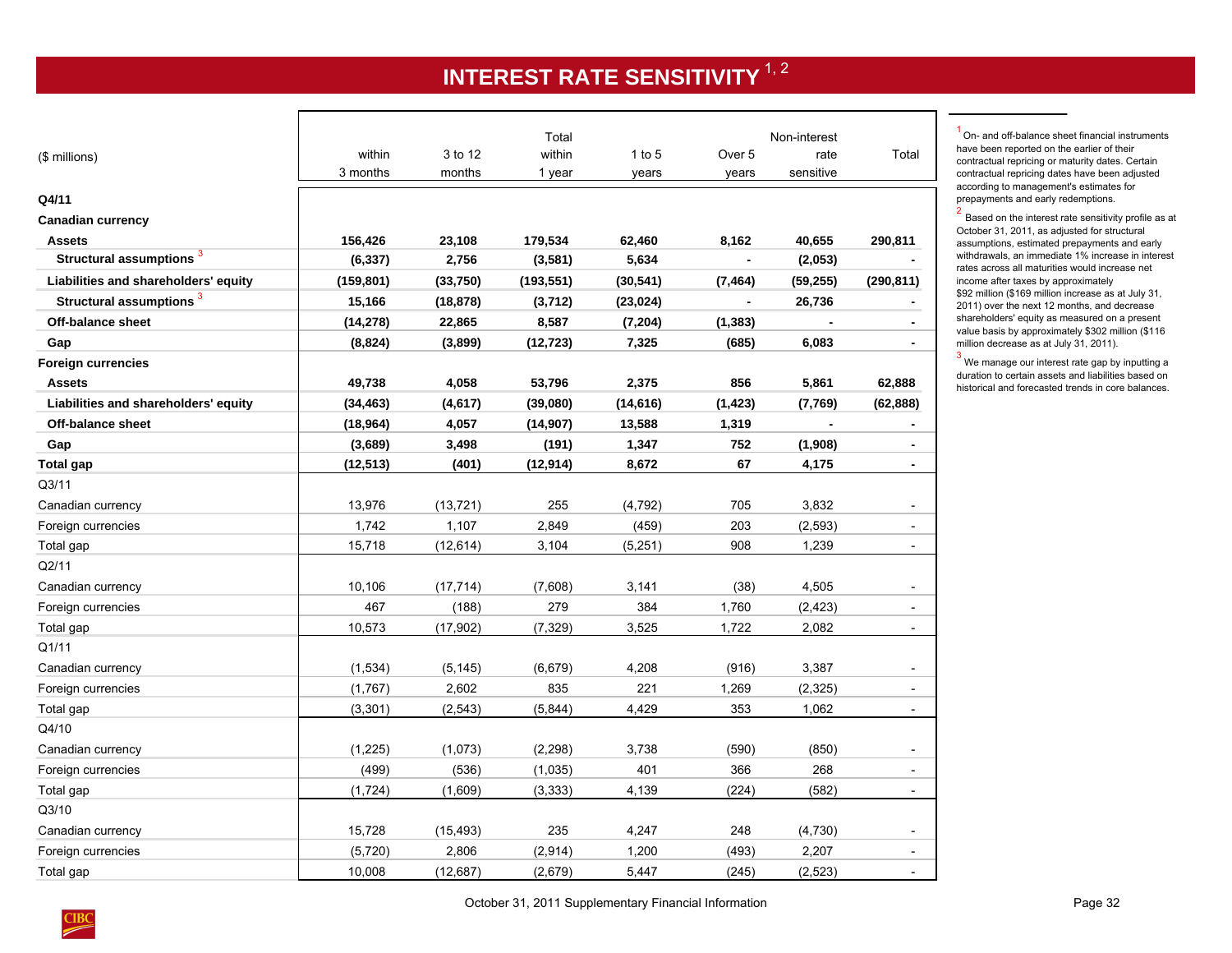# **INTEREST RATE SENSITIVITY**  $^{1, 2}$

<span id="page-35-0"></span>

| (\$ millions)                        | within<br>3 months | 3 to 12<br>months | Total<br>within<br>1 year | $1$ to $5$<br>years | Over <sub>5</sub><br>years | Non-interest<br>rate<br>sensitive | Total                    |
|--------------------------------------|--------------------|-------------------|---------------------------|---------------------|----------------------------|-----------------------------------|--------------------------|
| Q4/11                                |                    |                   |                           |                     |                            |                                   |                          |
| <b>Canadian currency</b>             |                    |                   |                           |                     |                            |                                   |                          |
| <b>Assets</b>                        | 156,426            | 23,108            | 179,534                   | 62,460              | 8,162                      | 40,655                            | 290,811                  |
| Structural assumptions <sup>3</sup>  | (6, 337)           | 2,756             | (3,581)                   | 5,634               | $\blacksquare$             | (2,053)                           |                          |
| Liabilities and shareholders' equity | (159, 801)         | (33,750)          | (193, 551)                | (30, 541)           | (7, 464)                   | (59, 255)                         | (290, 811)               |
| Structural assumptions <sup>3</sup>  | 15,166             | (18, 878)         | (3,712)                   | (23, 024)           | $\blacksquare$             | 26,736                            |                          |
| Off-balance sheet                    | (14, 278)          | 22,865            | 8,587                     | (7, 204)            | (1, 383)                   |                                   |                          |
| Gap                                  | (8,824)            | (3,899)           | (12, 723)                 | 7,325               | (685)                      | 6,083                             |                          |
| <b>Foreign currencies</b>            |                    |                   |                           |                     |                            |                                   |                          |
| <b>Assets</b>                        | 49,738             | 4,058             | 53,796                    | 2,375               | 856                        | 5,861                             | 62,888                   |
| Liabilities and shareholders' equity | (34, 463)          | (4, 617)          | (39,080)                  | (14, 616)           | (1, 423)                   | (7,769)                           | (62, 888)                |
| Off-balance sheet                    | (18, 964)          | 4,057             | (14, 907)                 | 13,588              | 1,319                      |                                   |                          |
| Gap                                  | (3,689)            | 3,498             | (191)                     | 1,347               | 752                        | (1,908)                           | $\blacksquare$           |
| Total gap                            | (12, 513)          | (401)             | (12, 914)                 | 8,672               | 67                         | 4,175                             | $\blacksquare$           |
| Q <sub>3/11</sub>                    |                    |                   |                           |                     |                            |                                   |                          |
| Canadian currency                    | 13,976             | (13, 721)         | 255                       | (4, 792)            | 705                        | 3,832                             |                          |
| Foreign currencies                   | 1,742              | 1,107             | 2,849                     | (459)               | 203                        | (2, 593)                          | $\overline{\phantom{a}}$ |
| Total gap                            | 15,718             | (12, 614)         | 3,104                     | (5,251)             | 908                        | 1,239                             |                          |
| Q2/11                                |                    |                   |                           |                     |                            |                                   |                          |
| Canadian currency                    | 10,106             | (17, 714)         | (7,608)                   | 3,141               | (38)                       | 4,505                             |                          |
| Foreign currencies                   | 467                | (188)             | 279                       | 384                 | 1,760                      | (2, 423)                          | $\overline{\phantom{a}}$ |
| Total gap                            | 10,573             | (17,902)          | (7, 329)                  | 3,525               | 1,722                      | 2,082                             | $\blacksquare$           |
| Q1/11                                |                    |                   |                           |                     |                            |                                   |                          |
| Canadian currency                    | (1,534)            | (5, 145)          | (6,679)                   | 4,208               | (916)                      | 3,387                             |                          |
| Foreign currencies                   | (1,767)            | 2,602             | 835                       | 221                 | 1,269                      | (2,325)                           | $\overline{\phantom{a}}$ |
| Total gap                            | (3,301)            | (2, 543)          | (5,844)                   | 4,429               | 353                        | 1,062                             | $\overline{\phantom{a}}$ |
| Q4/10                                |                    |                   |                           |                     |                            |                                   |                          |
| Canadian currency                    | (1, 225)           | (1,073)           | (2, 298)                  | 3,738               | (590)                      | (850)                             |                          |
| Foreign currencies                   | (499)              | (536)             | (1,035)                   | 401                 | 366                        | 268                               | $\overline{\phantom{a}}$ |
| Total gap                            | (1, 724)           | (1,609)           | (3, 333)                  | 4,139               | (224)                      | (582)                             | $\overline{a}$           |
| Q3/10                                |                    |                   |                           |                     |                            |                                   |                          |
| Canadian currency                    | 15,728             | (15, 493)         | 235                       | 4,247               | 248                        | (4,730)                           |                          |
| Foreign currencies                   | (5,720)            | 2,806             | (2,914)                   | 1,200               | (493)                      | 2,207                             | $\overline{\phantom{a}}$ |
| Total gap                            | 10,008             | (12, 687)         | (2,679)                   | 5,447               | (245)                      | (2, 523)                          |                          |

<sup>1</sup> On- and off-balance sheet financial instruments have been reported on the earlier of their contractual repricing or maturity dates. Certain contractual repricing dates have been adjusted according to management's estimates for prepayments and early redemptions.

 $2$  Based on the interest rate sensitivity profile as at October 31, 2011, as adjusted for structural assumptions, estimated prepayments and early withdrawals, an immediate 1% increase in interest rates across all maturities would increase net income after taxes by approximately \$92 million (\$169 million increase as at July 31, 2011) over the next 12 months, and decrease shareholders' equity as measured on a present value basis by approximately \$302 million (\$116 million decrease as at July 31, 2011).

 $3$  We manage our interest rate gap by inputting a duration to certain assets and liabilities based on historical and forecasted trends in core balances.

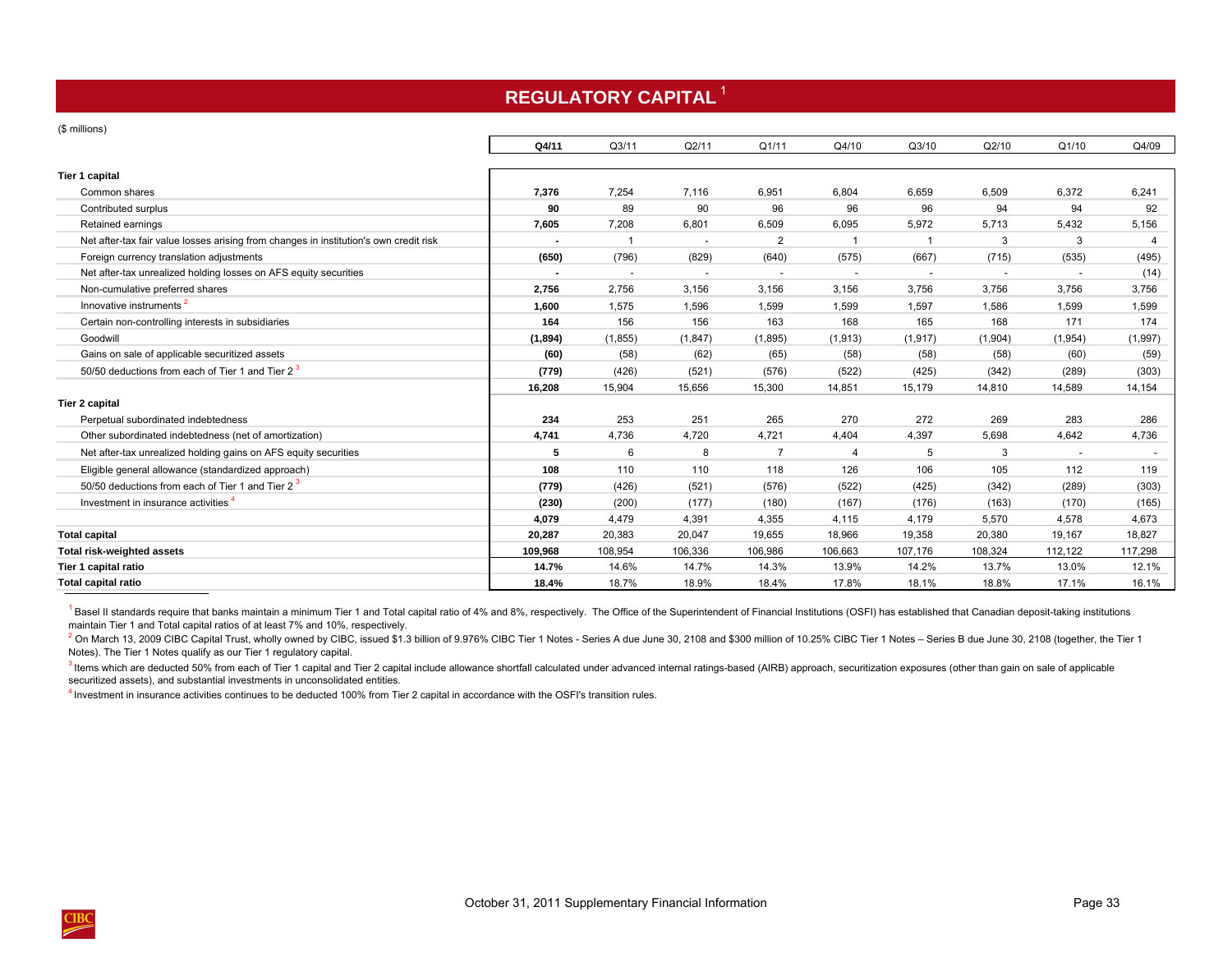# **REGULATORY CAPITAL**<sup>1</sup>

#### <span id="page-36-0"></span>(\$ millions)

|                                                                                       | Q4/11                    | Q3/11                    | Q2/11                    | Q1/11                    | Q4/10                    | Q3/10                    | Q2/10                    | Q1/10                    | Q4/09   |
|---------------------------------------------------------------------------------------|--------------------------|--------------------------|--------------------------|--------------------------|--------------------------|--------------------------|--------------------------|--------------------------|---------|
| Tier 1 capital                                                                        |                          |                          |                          |                          |                          |                          |                          |                          |         |
| Common shares                                                                         | 7,376                    | 7,254                    | 7,116                    | 6,951                    | 6,804                    | 6,659                    | 6,509                    | 6,372                    | 6,241   |
| Contributed surplus                                                                   | 90                       | 89                       | 90                       | 96                       | 96                       | 96                       | 94                       | 94                       | 92      |
| Retained earnings                                                                     | 7,605                    | 7,208                    | 6,801                    | 6,509                    | 6,095                    | 5,972                    | 5,713                    | 5,432                    | 5,156   |
| Net after-tax fair value losses arising from changes in institution's own credit risk |                          |                          |                          | $\overline{2}$           |                          |                          | 3                        | 3                        |         |
| Foreign currency translation adjustments                                              | (650)                    | (796)                    | (829)                    | (640)                    | (575)                    | (667)                    | (715)                    | (535)                    | (495)   |
| Net after-tax unrealized holding losses on AFS equity securities                      | $\overline{\phantom{a}}$ | $\overline{\phantom{a}}$ | $\overline{\phantom{a}}$ | $\overline{\phantom{a}}$ | $\overline{\phantom{a}}$ | $\overline{\phantom{a}}$ | $\overline{\phantom{a}}$ | $\overline{\phantom{a}}$ | (14)    |
| Non-cumulative preferred shares                                                       | 2,756                    | 2,756                    | 3,156                    | 3,156                    | 3,156                    | 3,756                    | 3,756                    | 3,756                    | 3,756   |
| Innovative instruments <sup>2</sup>                                                   | 1,600                    | 1,575                    | 1,596                    | 1,599                    | 1,599                    | 1,597                    | 1,586                    | 1,599                    | 1,599   |
| Certain non-controlling interests in subsidiaries                                     | 164                      | 156                      | 156                      | 163                      | 168                      | 165                      | 168                      | 171                      | 174     |
| Goodwill                                                                              | (1,894)                  | (1, 855)                 | (1, 847)                 | (1,895)                  | (1, 913)                 | (1, 917)                 | (1,904)                  | (1,954)                  | (1,997) |
| Gains on sale of applicable securitized assets                                        | (60)                     | (58)                     | (62)                     | (65)                     | (58)                     | (58)                     | (58)                     | (60)                     | (59)    |
| 50/50 deductions from each of Tier 1 and Tier 2 <sup>3</sup>                          | (779)                    | (426)                    | (521)                    | (576)                    | (522)                    | (425)                    | (342)                    | (289)                    | (303)   |
|                                                                                       | 16,208                   | 15,904                   | 15,656                   | 15,300                   | 14,851                   | 15,179                   | 14,810                   | 14,589                   | 14,154  |
| Tier 2 capital                                                                        |                          |                          |                          |                          |                          |                          |                          |                          |         |
| Perpetual subordinated indebtedness                                                   | 234                      | 253                      | 251                      | 265                      | 270                      | 272                      | 269                      | 283                      | 286     |
| Other subordinated indebtedness (net of amortization)                                 | 4,741                    | 4,736                    | 4,720                    | 4,721                    | 4,404                    | 4,397                    | 5,698                    | 4,642                    | 4,736   |
| Net after-tax unrealized holding gains on AFS equity securities                       | 5                        | 6                        | 8                        |                          | $\overline{4}$           | 5                        | 3                        | $\overline{\phantom{a}}$ |         |
| Eligible general allowance (standardized approach)                                    | 108                      | 110                      | 110                      | 118                      | 126                      | 106                      | 105                      | 112                      | 119     |
| 50/50 deductions from each of Tier 1 and Tier 2 <sup>3</sup>                          | (779)                    | (426)                    | (521)                    | (576)                    | (522)                    | (425)                    | (342)                    | (289)                    | (303)   |
| Investment in insurance activities                                                    | (230)                    | (200)                    | (177)                    | (180)                    | (167)                    | (176)                    | (163)                    | (170)                    | (165)   |
|                                                                                       | 4.079                    | 4.479                    | 4,391                    | 4,355                    | 4,115                    | 4,179                    | 5,570                    | 4,578                    | 4,673   |
| <b>Total capital</b>                                                                  | 20,287                   | 20,383                   | 20,047                   | 19,655                   | 18,966                   | 19,358                   | 20,380                   | 19,167                   | 18,827  |
| Total risk-weighted assets                                                            | 109.968                  | 108,954                  | 106,336                  | 106,986                  | 106,663                  | 107,176                  | 108,324                  | 112,122                  | 117,298 |
| Tier 1 capital ratio                                                                  | 14.7%                    | 14.6%                    | 14.7%                    | 14.3%                    | 13.9%                    | 14.2%                    | 13.7%                    | 13.0%                    | 12.1%   |
| <b>Total capital ratio</b>                                                            | 18.4%                    | 18.7%                    | 18.9%                    | 18.4%                    | 17.8%                    | 18.1%                    | 18.8%                    | 17.1%                    | 16.1%   |

<sup>1</sup> Basel II standards require that banks maintain a minimum Tier 1 and Total capital ratio of 4% and 8%, respectively. The Office of the Superintendent of Financial Institutions (OSFI) has established that Canadian deposi maintain Tier 1 and Total capital ratios of at least 7% and 10%, respectively.

<sup>2</sup> On March 13, 2009 CIBC Capital Trust, wholly owned by CIBC, issued \$1.3 billion of 9.976% CIBC Tier 1 Notes - Series A due June 30, 2108 and \$300 million of 10.25% CIBC Tier 1 Notes - Series B due June 30, 2108 (togeth Notes). The Tier 1 Notes qualify as our Tier 1 regulatory capital.

<sup>3</sup> Items which are deducted 50% from each of Tier 1 capital and Tier 2 capital include allowance shortfall calculated under advanced internal ratings-based (AIRB) approach, securitization exposures (other than gain on sal securitized assets), and substantial investments in unconsolidated entities.

4 Investment in insurance activities continues to be deducted 100% from Tier 2 capital in accordance with the OSFI's transition rules.

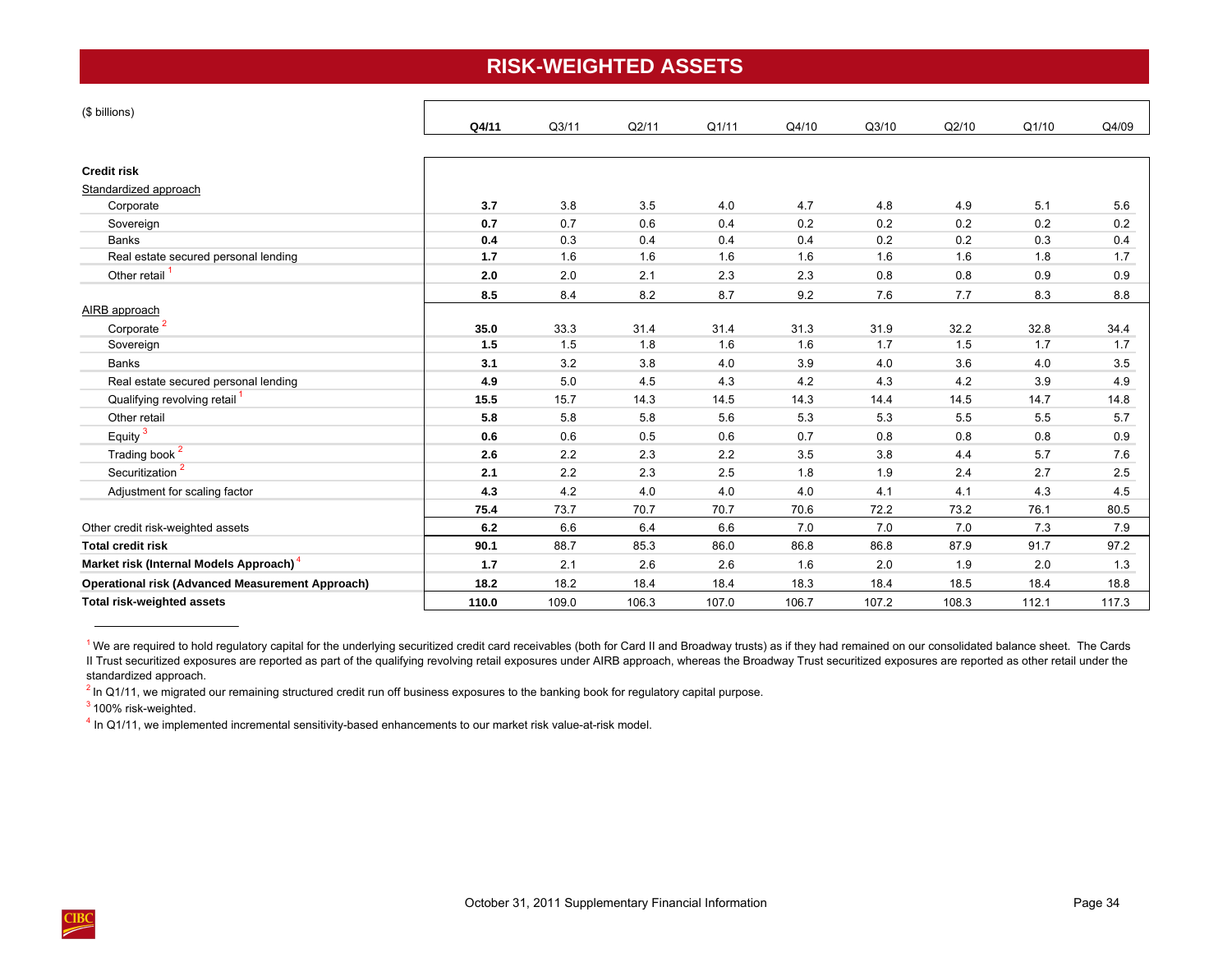## **RISK-WEIGHTED ASSETS**

<span id="page-37-0"></span>

| (\$ billions)                                           |       |       |       |       |       |       |       |       |       |
|---------------------------------------------------------|-------|-------|-------|-------|-------|-------|-------|-------|-------|
|                                                         | Q4/11 | Q3/11 | Q2/11 | Q1/11 | Q4/10 | Q3/10 | Q2/10 | Q1/10 | Q4/09 |
| <b>Credit risk</b>                                      |       |       |       |       |       |       |       |       |       |
| Standardized approach                                   |       |       |       |       |       |       |       |       |       |
| Corporate                                               | 3.7   | 3.8   | 3.5   | 4.0   | 4.7   | 4.8   | 4.9   | 5.1   | 5.6   |
| Sovereign                                               | 0.7   | 0.7   | 0.6   | 0.4   | 0.2   | 0.2   | 0.2   | 0.2   | 0.2   |
| <b>Banks</b>                                            | 0.4   | 0.3   | 0.4   | 0.4   | 0.4   | 0.2   | 0.2   | 0.3   | 0.4   |
| Real estate secured personal lending                    | 1.7   | 1.6   | 1.6   | 1.6   | 1.6   | 1.6   | 1.6   | 1.8   | 1.7   |
| Other retail <sup>1</sup>                               | 2.0   | 2.0   | 2.1   | 2.3   | 2.3   | 0.8   | 0.8   | 0.9   | 0.9   |
|                                                         | 8.5   | 8.4   | 8.2   | 8.7   | 9.2   | 7.6   | 7.7   | 8.3   | 8.8   |
| AIRB approach                                           |       |       |       |       |       |       |       |       |       |
| Corporate <sup>2</sup>                                  | 35.0  | 33.3  | 31.4  | 31.4  | 31.3  | 31.9  | 32.2  | 32.8  | 34.4  |
| Sovereign                                               | 1.5   | 1.5   | 1.8   | 1.6   | 1.6   | 1.7   | 1.5   | 1.7   | 1.7   |
| <b>Banks</b>                                            | 3.1   | 3.2   | 3.8   | 4.0   | 3.9   | 4.0   | 3.6   | 4.0   | 3.5   |
| Real estate secured personal lending                    | 4.9   | 5.0   | 4.5   | 4.3   | 4.2   | 4.3   | 4.2   | 3.9   | 4.9   |
| Qualifying revolving retail <sup>1</sup>                | 15.5  | 15.7  | 14.3  | 14.5  | 14.3  | 14.4  | 14.5  | 14.7  | 14.8  |
| Other retail                                            | 5.8   | 5.8   | 5.8   | 5.6   | 5.3   | 5.3   | 5.5   | 5.5   | 5.7   |
| Equity <sup>3</sup>                                     | 0.6   | 0.6   | 0.5   | 0.6   | 0.7   | 0.8   | 0.8   | 0.8   | 0.9   |
| Trading book <sup>2</sup>                               | 2.6   | 2.2   | 2.3   | 2.2   | 3.5   | 3.8   | 4.4   | 5.7   | 7.6   |
| Securitization <sup>2</sup>                             | 2.1   | 2.2   | 2.3   | 2.5   | 1.8   | 1.9   | 2.4   | 2.7   | 2.5   |
| Adjustment for scaling factor                           | 4.3   | 4.2   | 4.0   | 4.0   | 4.0   | 4.1   | 4.1   | 4.3   | 4.5   |
|                                                         | 75.4  | 73.7  | 70.7  | 70.7  | 70.6  | 72.2  | 73.2  | 76.1  | 80.5  |
| Other credit risk-weighted assets                       | 6.2   | 6.6   | 6.4   | 6.6   | 7.0   | 7.0   | 7.0   | 7.3   | 7.9   |
| <b>Total credit risk</b>                                | 90.1  | 88.7  | 85.3  | 86.0  | 86.8  | 86.8  | 87.9  | 91.7  | 97.2  |
| Market risk (Internal Models Approach) <sup>4</sup>     | 1.7   | 2.1   | 2.6   | 2.6   | 1.6   | 2.0   | 1.9   | 2.0   | 1.3   |
| <b>Operational risk (Advanced Measurement Approach)</b> | 18.2  | 18.2  | 18.4  | 18.4  | 18.3  | 18.4  | 18.5  | 18.4  | 18.8  |
| <b>Total risk-weighted assets</b>                       | 110.0 | 109.0 | 106.3 | 107.0 | 106.7 | 107.2 | 108.3 | 112.1 | 117.3 |

<sup>&</sup>lt;sup>1</sup>We are required to hold regulatory capital for the underlying securitized credit card receivables (both for Card II and Broadway trusts) as if they had remained on our consolidated balance sheet. The Cards II Trust securitized exposures are reported as part of the qualifying revolving retail exposures under AIRB approach, whereas the Broadway Trust securitized exposures are reported as other retail under the standardized approach.

 $^2$  In Q1/11, we migrated our remaining structured credit run off business exposures to the banking book for regulatory capital purpose.

 $3$  100% risk-weighted.

<sup>4</sup> In Q1/11, we implemented incremental sensitivity-based enhancements to our market risk value-at-risk model.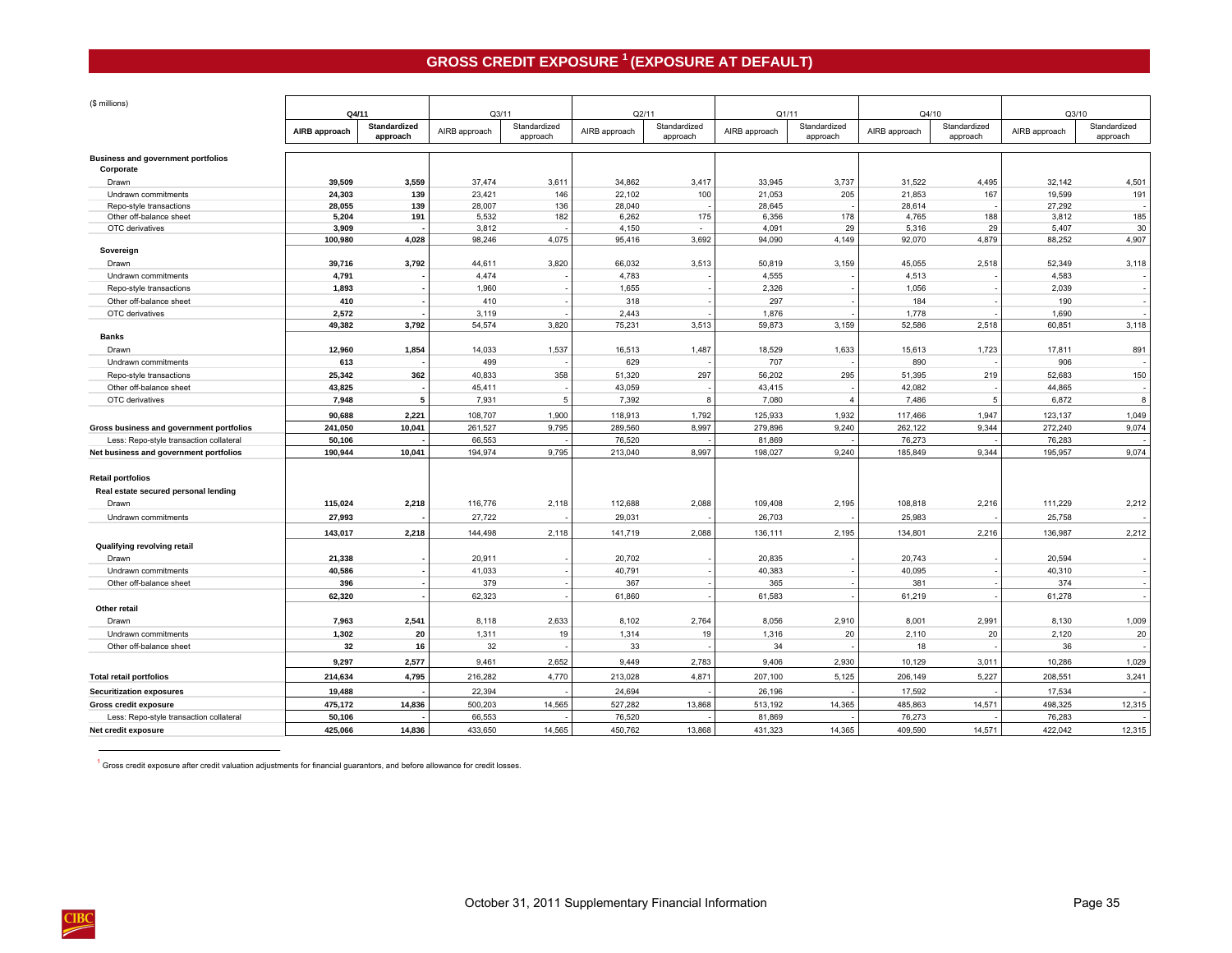## **GROSS CREDIT EXPOSURE 1 (EXPOSURE AT DEFAULT)**

<span id="page-38-0"></span>

| (\$ millions)                                          | Q4/11           |                     | Q3/11           |              | Q2/11           |              | Q1/11           |                | Q4/10           |              | Q3/10           |              |
|--------------------------------------------------------|-----------------|---------------------|-----------------|--------------|-----------------|--------------|-----------------|----------------|-----------------|--------------|-----------------|--------------|
|                                                        |                 | <b>Standardized</b> |                 | Standardized |                 | Standardized |                 | Standardized   |                 | Standardized |                 | Standardized |
|                                                        | AIRB approach   | approach            | AIRB approach   | approach     | AIRB approach   | approach     | AIRB approach   | approach       | AIRB approach   | approach     | AIRB approach   | approach     |
| <b>Business and government portfolios</b><br>Corporate |                 |                     |                 |              |                 |              |                 |                |                 |              |                 |              |
| Drawn                                                  | 39,509          | 3,559               | 37,474          | 3,611        | 34,862          | 3,417        | 33,945          | 3,737          | 31,522          | 4,495        | 32,142          | 4,501        |
| Undrawn commitments                                    | 24,303          | 139                 | 23,421          | 146          | 22,102          | 100          | 21,053          | 205            | 21,853          | 167          | 19,599          | 191          |
| Repo-style transactions                                | 28,055          | 139                 | 28,007          | 136          | 28,040          |              | 28,645          |                | 28,614          |              | 27,292          |              |
| Other off-balance sheet                                | 5,204           | 191                 | 5,532           | 182          | 6,262           | 175          | 6,356           | 178            | 4,765           | 188          | 3,812           | 185          |
| OTC derivatives                                        | 3,909           |                     | 3,812           |              | 4,150           | $\sim$       | 4,091           | 29             | 5,316           | 29           | 5,407           | 30           |
|                                                        | 100,980         | 4,028               | 98,246          | 4,075        | 95,416          | 3,692        | 94,090          | 4,149          | 92,070          | 4,879        | 88,252          | 4,907        |
| Sovereign                                              | 39,716          | 3,792               | 44,611          | 3,820        | 66,032          | 3,513        | 50,819          | 3,159          | 45,055          | 2,518        | 52,349          | 3,118        |
| Drawn                                                  | 4.791           |                     | 4.474           |              | 4,783           |              | 4,555           |                | 4,513           |              | 4.583           |              |
| Undrawn commitments                                    |                 |                     |                 |              |                 |              |                 |                |                 |              |                 |              |
| Repo-style transactions                                | 1,893<br>410    |                     | 1,960<br>410    |              | 1,655<br>318    |              | 2,326<br>297    |                | 1,056<br>184    |              | 2,039<br>190    |              |
| Other off-balance sheet                                |                 |                     |                 |              |                 |              |                 |                |                 |              |                 |              |
| OTC derivatives                                        | 2,572<br>49,382 | 3,792               | 3,119<br>54,574 | 3,820        | 2,443<br>75,231 | 3,513        | 1,876<br>59,873 | 3,159          | 1,778<br>52,586 | 2,518        | 1,690<br>60,851 | 3,118        |
| <b>Banks</b>                                           |                 |                     |                 |              |                 |              |                 |                |                 |              |                 |              |
| Drawn                                                  | 12,960          | 1,854               | 14,033          | 1,537        | 16,513          | 1,487        | 18,529          | 1,633          | 15,613          | 1,723        | 17,811          | 891          |
| Undrawn commitments                                    | 613             |                     | 499             |              | 629             |              | 707             |                | 890             |              | 906             |              |
| Repo-style transactions                                | 25,342          | 362                 | 40,833          | 358          | 51,320          | 297          | 56,202          | 295            | 51,395          | 219          | 52,683          | 150          |
| Other off-balance sheet                                | 43,825          |                     | 45,411          |              | 43,059          |              | 43,415          |                | 42,082          |              | 44,865          |              |
| OTC derivatives                                        | 7.948           | 5                   | 7,931           | 5            | 7,392           | 8            | 7,080           | $\overline{4}$ | 7,486           | -5           | 6,872           | 8            |
|                                                        | 90,688          | 2,221               | 108,707         | 1,900        | 118,913         | 1,792        | 125,933         | 1,932          | 117,466         | 1,947        | 123,137         | 1,049        |
| Gross business and government portfolios               | 241,050         | 10,041              | 261,527         | 9.795        | 289,560         | 8,997        | 279,896         | 9.240          | 262,122         | 9.344        | 272,240         | 9,074        |
| Less: Repo-style transaction collateral                | 50,106          |                     | 66,553          |              | 76,520          |              | 81,869          |                | 76,273          |              | 76,283          |              |
| Net business and government portfolios                 | 190,944         | 10,041              | 194,974         | 9,795        | 213,040         | 8,997        | 198,027         | 9,240          | 185,849         | 9,344        | 195,957         | 9,074        |
|                                                        |                 |                     |                 |              |                 |              |                 |                |                 |              |                 |              |
| <b>Retail portfolios</b>                               |                 |                     |                 |              |                 |              |                 |                |                 |              |                 |              |
| Real estate secured personal lending                   |                 |                     |                 |              |                 |              |                 |                |                 |              |                 |              |
| Drawn                                                  | 115,024         | 2,218               | 116,776         | 2,118        | 112,688         | 2,088        | 109,408         | 2,195          | 108,818         | 2,216        | 111,229         | 2,212        |
| Undrawn commitments                                    | 27,993          |                     | 27,722          |              | 29,031          |              | 26,703          |                | 25,983          |              | 25,758          |              |
|                                                        | 143,017         | 2,218               | 144,498         | 2,118        | 141,719         | 2,088        | 136,111         | 2,195          | 134,801         | 2,216        | 136,987         | 2,212        |
| Qualifying revolving retail                            |                 |                     |                 |              |                 |              |                 |                |                 |              |                 |              |
| Drawn                                                  | 21,338          |                     | 20.911          |              | 20.702          |              | 20,835          |                | 20.743          |              | 20.594          |              |
| Undrawn commitments                                    | 40.586          |                     | 41,033          |              | 40,791          |              | 40,383          |                | 40,095          |              | 40,310          |              |
| Other off-balance sheet                                | 396             |                     | 379             |              | 367             |              | 365             |                | 381             |              | 374             |              |
|                                                        | 62,320          |                     | 62,323          |              | 61,860          |              | 61,583          |                | 61,219          |              | 61,278          |              |
| Other retail                                           |                 |                     |                 |              |                 |              |                 |                |                 |              |                 |              |
| Drawn                                                  | 7,963           | 2,541               | 8,118           | 2,633        | 8,102           | 2,764        | 8,056           | 2,910          | 8,001           | 2,991        | 8,130           | 1,009        |
| Undrawn commitments                                    | 1,302           | 20                  | 1,311           | 19           | 1,314           | 19           | 1,316           | 20             | 2,110           | 20           | 2,120           | 20           |
| Other off-balance sheet                                | 32              | 16                  | 32              |              | 33              |              | 34              |                | 18              |              | 36              |              |
|                                                        | 9,297           | 2,577               | 9,461           | 2,652        | 9,449           | 2,783        | 9,406           | 2,930          | 10,129          | 3,011        | 10,286          | 1,029        |
| <b>Total retail portfolios</b>                         | 214,634         | 4,795               | 216,282         | 4,770        | 213,028         | 4,871        | 207,100         | 5,125          | 206,149         | 5,227        | 208,551         | 3,241        |
| <b>Securitization exposures</b>                        | 19,488          |                     | 22,394          |              | 24,694          |              | 26,196          |                | 17,592          |              | 17,534          |              |
| <b>Gross credit exposure</b>                           | 475,172         | 14,836              | 500,203         | 14,565       | 527,282         | 13,868       | 513,192         | 14,365         | 485,863         | 14,571       | 498,325         | 12,315       |
| Less: Repo-style transaction collateral                | 50.106          |                     | 66,553          |              | 76,520          |              | 81,869          |                | 76,273          |              | 76,283          |              |
| Net credit exposure                                    | 425,066         | 14,836              | 433,650         | 14,565       | 450,762         | 13,868       | 431,323         | 14,365         | 409,590         | 14.571       | 422,042         | 12,315       |

 $1$  Gross credit exposure after credit valuation adjustments for financial guarantors, and before allowance for credit losses.

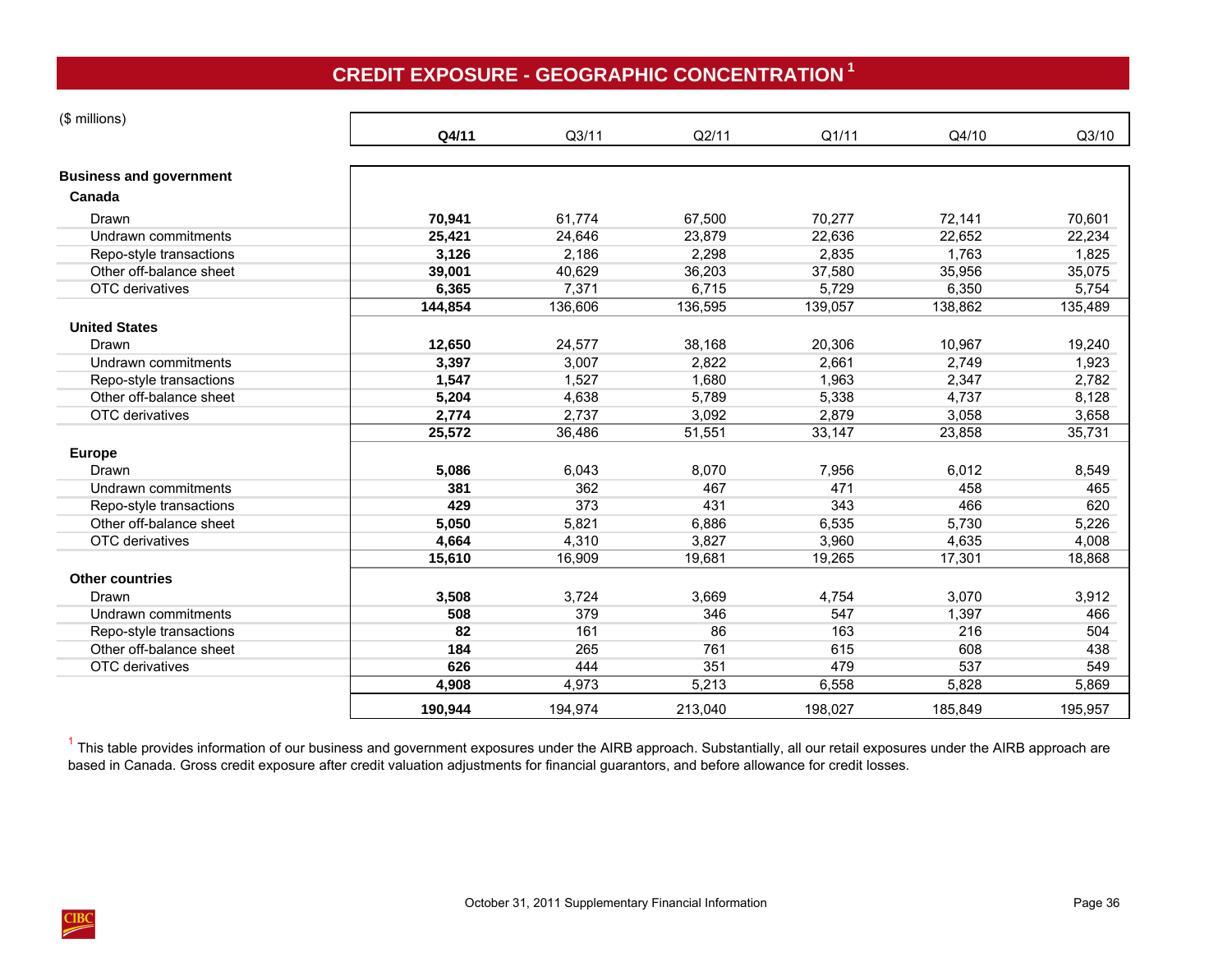# **CREDIT EXPOSURE - GEOGRAPHIC CONCENTRATION <sup>1</sup>**

<span id="page-39-0"></span>

| (\$ millions)                  |         |         |         |         |         |         |
|--------------------------------|---------|---------|---------|---------|---------|---------|
|                                | Q4/11   | Q3/11   | Q2/11   | Q1/11   | Q4/10   | Q3/10   |
| <b>Business and government</b> |         |         |         |         |         |         |
| Canada                         |         |         |         |         |         |         |
| Drawn                          | 70,941  | 61,774  | 67,500  | 70,277  | 72,141  | 70,601  |
| Undrawn commitments            | 25,421  | 24,646  | 23,879  | 22,636  | 22,652  | 22,234  |
| Repo-style transactions        | 3,126   | 2,186   | 2,298   | 2,835   | 1,763   | 1,825   |
| Other off-balance sheet        | 39,001  | 40,629  | 36,203  | 37,580  | 35,956  | 35,075  |
| OTC derivatives                | 6,365   | 7,371   | 6,715   | 5,729   | 6,350   | 5,754   |
|                                | 144,854 | 136,606 | 136,595 | 139,057 | 138,862 | 135,489 |
| <b>United States</b>           |         |         |         |         |         |         |
| Drawn                          | 12,650  | 24,577  | 38,168  | 20,306  | 10,967  | 19,240  |
| Undrawn commitments            | 3,397   | 3,007   | 2,822   | 2,661   | 2,749   | 1,923   |
| Repo-style transactions        | 1,547   | 1,527   | 1,680   | 1,963   | 2,347   | 2,782   |
| Other off-balance sheet        | 5,204   | 4,638   | 5,789   | 5,338   | 4,737   | 8,128   |
| OTC derivatives                | 2,774   | 2,737   | 3,092   | 2.879   | 3,058   | 3,658   |
|                                | 25,572  | 36,486  | 51,551  | 33,147  | 23,858  | 35,731  |
| <b>Europe</b>                  |         |         |         |         |         |         |
| Drawn                          | 5,086   | 6,043   | 8,070   | 7,956   | 6,012   | 8,549   |
| Undrawn commitments            | 381     | 362     | 467     | 471     | 458     | 465     |
| Repo-style transactions        | 429     | 373     | 431     | 343     | 466     | 620     |
| Other off-balance sheet        | 5,050   | 5,821   | 6,886   | 6,535   | 5,730   | 5,226   |
| OTC derivatives                | 4,664   | 4,310   | 3,827   | 3,960   | 4,635   | 4,008   |
|                                | 15,610  | 16,909  | 19,681  | 19,265  | 17,301  | 18,868  |
| <b>Other countries</b>         |         |         |         |         |         |         |
| Drawn                          | 3,508   | 3,724   | 3,669   | 4,754   | 3,070   | 3,912   |
| Undrawn commitments            | 508     | 379     | 346     | 547     | 1,397   | 466     |
| Repo-style transactions        | 82      | 161     | 86      | 163     | 216     | 504     |
| Other off-balance sheet        | 184     | 265     | 761     | 615     | 608     | 438     |
| OTC derivatives                | 626     | 444     | 351     | 479     | 537     | 549     |
|                                | 4,908   | 4,973   | 5,213   | 6,558   | 5,828   | 5,869   |
|                                | 190,944 | 194,974 | 213,040 | 198,027 | 185,849 | 195,957 |

<sup>1</sup> This table provides information of our business and government exposures under the AIRB approach. Substantially, all our retail exposures under the AIRB approach are based in Canada. Gross credit exposure after credit valuation adjustments for financial guarantors, and before allowance for credit losses.

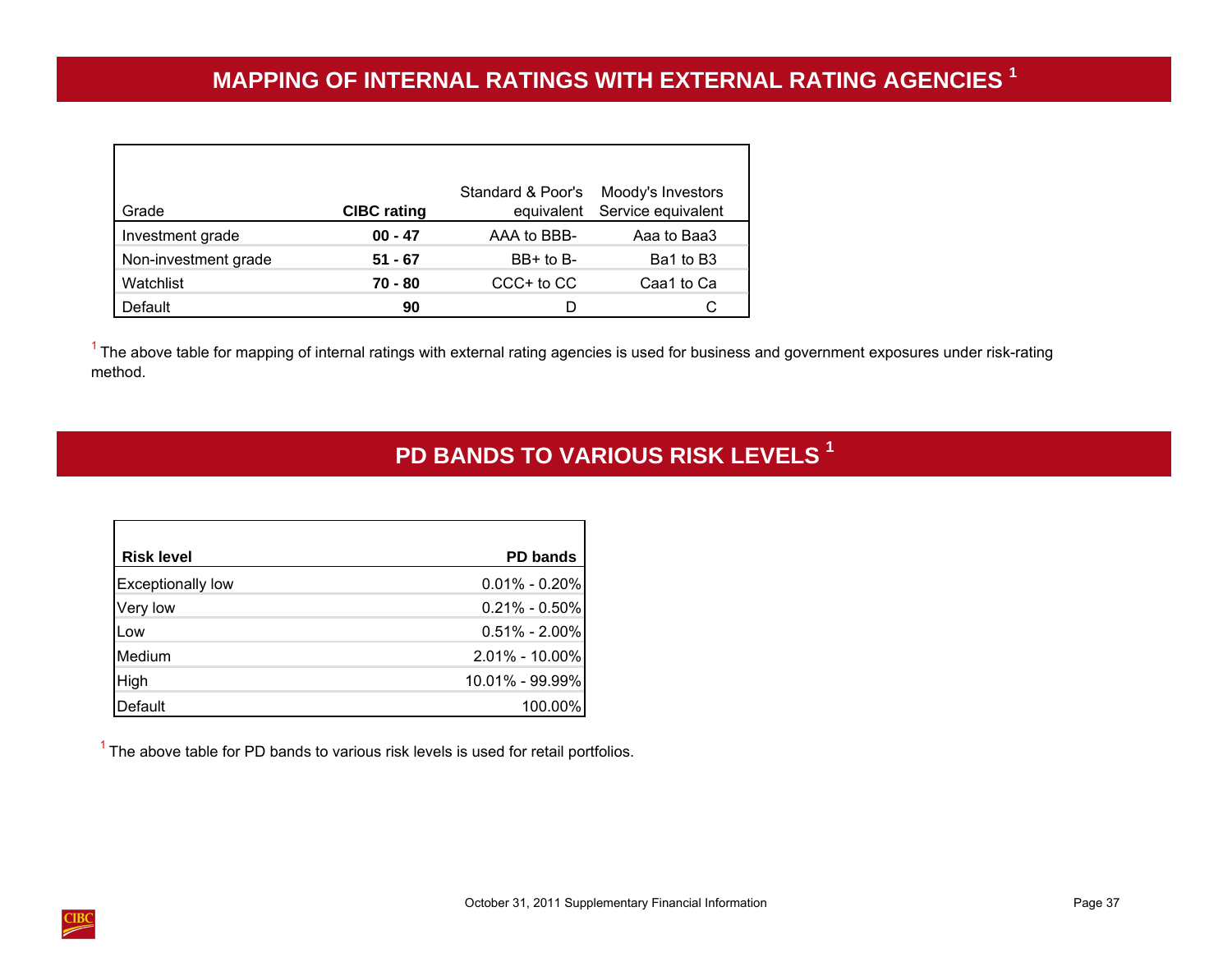<span id="page-40-0"></span>

| Grade                | <b>CIBC</b> rating | Standard & Poor's<br>equivalent | Moody's Investors<br>Service equivalent |
|----------------------|--------------------|---------------------------------|-----------------------------------------|
| Investment grade     | $00 - 47$          | AAA to BBB-                     | Aaa to Baa3                             |
| Non-investment grade | 51 - 67            | $BB+$ to $B-$                   | Ba1 to B3                               |
| Watchlist            | 70 - 80            | $CCC+$ to $CC$                  | Caa1 to Ca                              |
| Default              | 90                 | D                               |                                         |

 $<sup>1</sup>$  The above table for mapping of internal ratings with external rating agencies is used for business and government exposures under risk-rating</sup> method.

# **PD BANDS TO VARIOUS RISK LEVELS <sup>1</sup>**

| <b>Risk level</b>        | <b>PD bands</b>   |
|--------------------------|-------------------|
| <b>Exceptionally low</b> | $0.01\% - 0.20\%$ |
| Very low                 | $0.21\% - 0.50\%$ |
|                          | $0.51\% - 2.00\%$ |
| Medium                   | 2.01% - 10.00%    |
|                          | 10.01% - 99.99%   |
|                          |                   |

 $1$  The above table for PD bands to various risk levels is used for retail portfolios.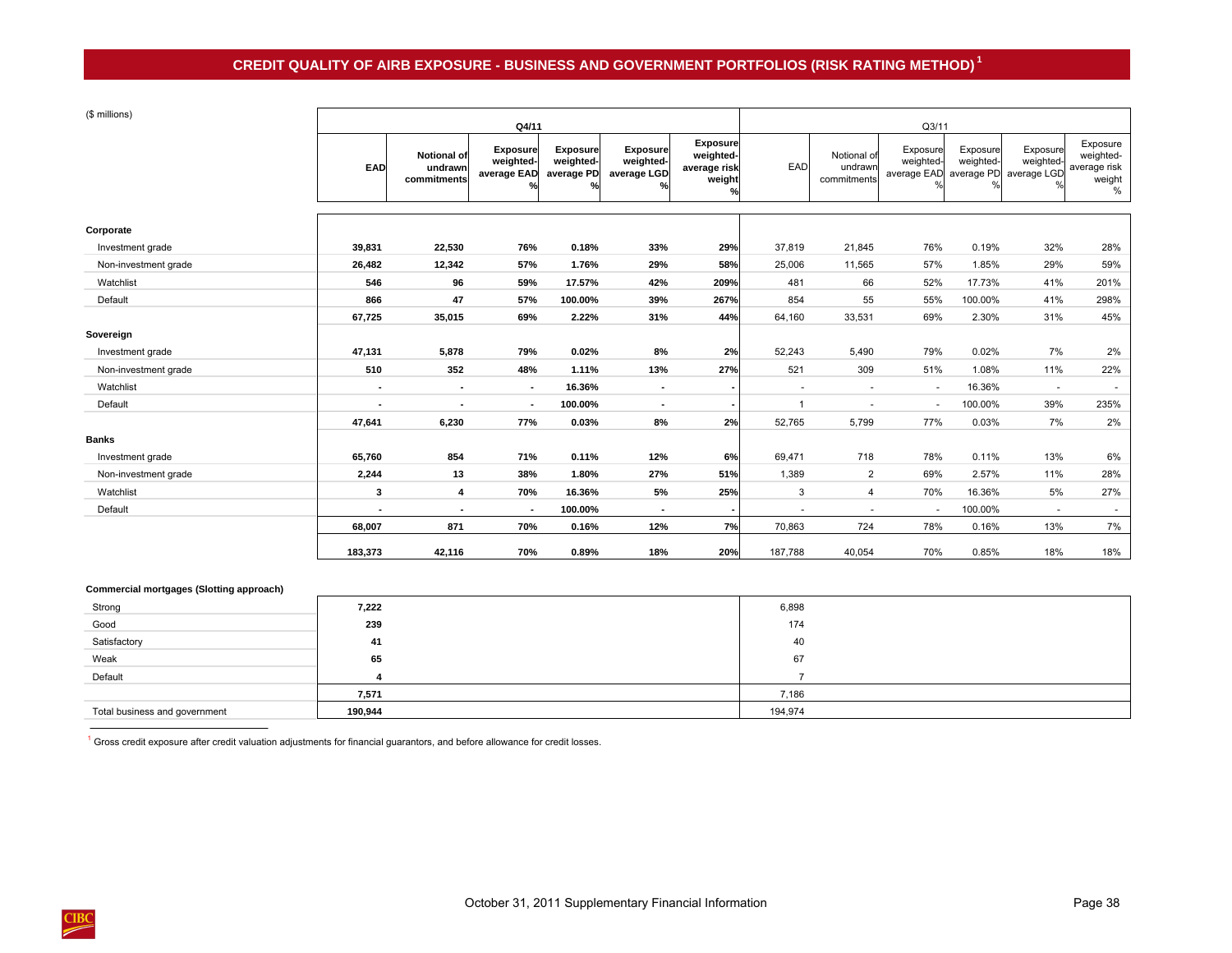## **CREDIT QUALITY OF AIRB EXPOSURE - BUSINESS AND GOVERNMENT PORTFOLIOS (RISK RATING METHOD) 1**

## <span id="page-41-0"></span> $(6 \text{ m} \cdot \text{m})$

| (\$ millions)        |                |                                       | Q4/11                                       |                                            |                                                              |                                                                         | Q3/11                    |                                       |                                                 |                       |                                      |                                                      |
|----------------------|----------------|---------------------------------------|---------------------------------------------|--------------------------------------------|--------------------------------------------------------------|-------------------------------------------------------------------------|--------------------------|---------------------------------------|-------------------------------------------------|-----------------------|--------------------------------------|------------------------------------------------------|
|                      | EAD            | Notional of<br>undrawn<br>commitments | <b>Exposure</b><br>weighted-<br>average EAD | <b>Exposure</b><br>weighted-<br>average PD | <b>Exposure</b><br>weighted-<br>average LGD<br>$\frac{0}{2}$ | <b>Exposure</b><br>weighted-<br>average risk<br>weight<br>$\frac{0}{2}$ | EAD                      | Notional of<br>undrawn<br>commitments | Exposure<br>weighted-<br>average EAD average PD | Exposure<br>weighted- | Exposure<br>weighted-<br>average LGD | Exposure<br>weighted-<br>average risk<br>weight<br>% |
|                      |                |                                       |                                             |                                            |                                                              |                                                                         |                          |                                       |                                                 |                       |                                      |                                                      |
| Corporate            |                |                                       |                                             |                                            |                                                              |                                                                         |                          |                                       |                                                 |                       |                                      |                                                      |
| Investment grade     | 39,831         | 22,530                                | 76%                                         | 0.18%                                      | 33%                                                          | 29%                                                                     | 37,819                   | 21,845                                | 76%                                             | 0.19%                 | 32%                                  | 28%                                                  |
| Non-investment grade | 26,482         | 12,342                                | 57%                                         | 1.76%                                      | 29%                                                          | 58%                                                                     | 25,006                   | 11,565                                | 57%                                             | 1.85%                 | 29%                                  | 59%                                                  |
| Watchlist            | 546            | 96                                    | 59%                                         | 17.57%                                     | 42%                                                          | 209%                                                                    | 481                      | 66                                    | 52%                                             | 17.73%                | 41%                                  | 201%                                                 |
| Default              | 866            | 47                                    | 57%                                         | 100.00%                                    | 39%                                                          | 267%                                                                    | 854                      | 55                                    | 55%                                             | 100.00%               | 41%                                  | 298%                                                 |
|                      | 67,725         | 35,015                                | 69%                                         | 2.22%                                      | 31%                                                          | 44%                                                                     | 64,160                   | 33,531                                | 69%                                             | 2.30%                 | 31%                                  | 45%                                                  |
| Sovereign            |                |                                       |                                             |                                            |                                                              |                                                                         |                          |                                       |                                                 |                       |                                      |                                                      |
| Investment grade     | 47,131         | 5,878                                 | 79%                                         | 0.02%                                      | 8%                                                           | 2%                                                                      | 52,243                   | 5,490                                 | 79%                                             | 0.02%                 | 7%                                   | 2%                                                   |
| Non-investment grade | 510            | 352                                   | 48%                                         | 1.11%                                      | 13%                                                          | 27%                                                                     | 521                      | 309                                   | 51%                                             | 1.08%                 | 11%                                  | 22%                                                  |
| Watchlist            | ٠              | $\overline{\phantom{a}}$              | $\blacksquare$                              | 16.36%                                     | $\sim$                                                       | ٠                                                                       | $\overline{\phantom{a}}$ | $\sim$                                | $\overline{\phantom{a}}$                        | 16.36%                | $\sim$                               | $\sim$                                               |
| Default              | $\blacksquare$ | $\overline{\phantom{a}}$              | $\sim$                                      | 100.00%                                    | $\sim$                                                       | $\overline{\phantom{a}}$                                                | $\overline{1}$           | $\sim$                                | $\sim$                                          | 100.00%               | 39%                                  | 235%                                                 |
|                      | 47,641         | 6,230                                 | 77%                                         | 0.03%                                      | 8%                                                           | 2%                                                                      | 52,765                   | 5,799                                 | 77%                                             | 0.03%                 | 7%                                   | 2%                                                   |
| <b>Banks</b>         |                |                                       |                                             |                                            |                                                              |                                                                         |                          |                                       |                                                 |                       |                                      |                                                      |
| Investment grade     | 65,760         | 854                                   | 71%                                         | 0.11%                                      | 12%                                                          | 6%                                                                      | 69,471                   | 718                                   | 78%                                             | 0.11%                 | 13%                                  | 6%                                                   |
| Non-investment grade | 2,244          | 13                                    | 38%                                         | 1.80%                                      | 27%                                                          | 51%                                                                     | 1,389                    | $\overline{2}$                        | 69%                                             | 2.57%                 | 11%                                  | 28%                                                  |
| Watchlist            | 3              | 4                                     | 70%                                         | 16.36%                                     | 5%                                                           | 25%                                                                     | 3                        | $\overline{4}$                        | 70%                                             | 16.36%                | 5%                                   | 27%                                                  |
| Default              |                |                                       | $\sim$                                      | 100.00%                                    | $\blacksquare$                                               |                                                                         |                          | $\sim$                                | $\overline{\phantom{a}}$                        | 100.00%               | $\sim$                               | $\sim$                                               |
|                      | 68,007         | 871                                   | 70%                                         | 0.16%                                      | 12%                                                          | 7%                                                                      | 70,863                   | 724                                   | 78%                                             | 0.16%                 | 13%                                  | 7%                                                   |
|                      | 183,373        | 42,116                                | 70%                                         | 0.89%                                      | 18%                                                          | 20%                                                                     | 187,788                  | 40,054                                | 70%                                             | 0.85%                 | 18%                                  | 18%                                                  |

## **Commercial mortgages (Slotting approach)**

| Strong                        | 7,222   | 6,898   |
|-------------------------------|---------|---------|
| Good                          | 239     | 174     |
| Satisfactory                  | 41      | 40      |
| Weak                          | 65      | 67      |
| Default                       |         |         |
|                               | 7,571   | 7,186   |
| Total business and government | 190,944 | 194,974 |

1 Gross credit exposure after credit valuation adjustments for financial guarantors, and before allowance for credit losses.

 $\blacksquare$ 

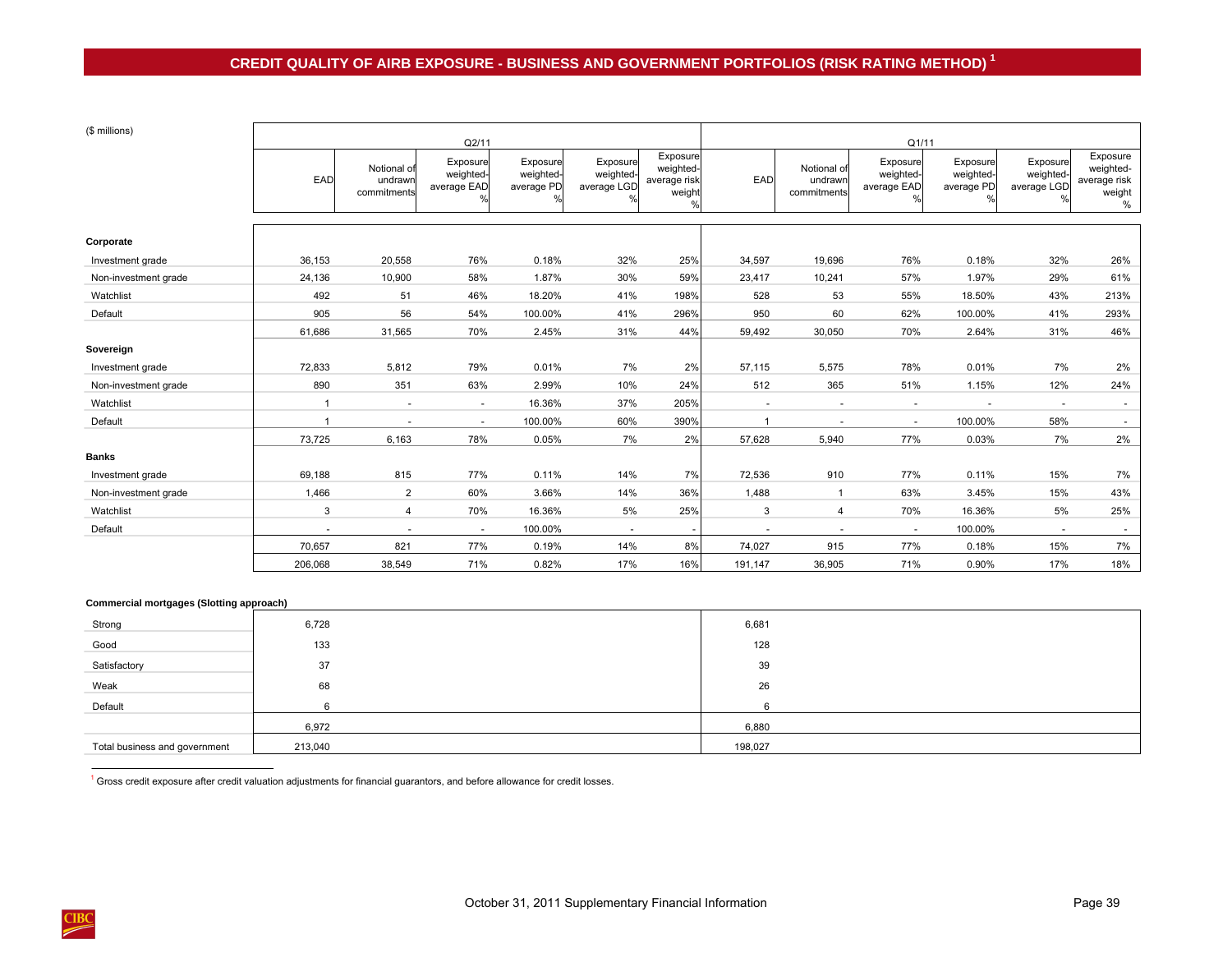| (\$ millions)        |                | Q2/11                                 |                                            |                                     |                                      |                                                                  |              | Q1/11                                 |                                            |                                     |                                      |                                                         |  |
|----------------------|----------------|---------------------------------------|--------------------------------------------|-------------------------------------|--------------------------------------|------------------------------------------------------------------|--------------|---------------------------------------|--------------------------------------------|-------------------------------------|--------------------------------------|---------------------------------------------------------|--|
|                      | EAD            | Notional of<br>undrawn<br>commitments | Exposure<br>weighted-<br>average EAD<br>0/ | Exposure<br>weighted-<br>average PD | Exposure<br>weighted-<br>average LGD | Exposure<br>weighted-<br>average risk<br>weight<br>$\frac{0}{0}$ | EAD          | Notional of<br>undrawn<br>commitments | Exposure<br>weighted-<br>average EAD<br>O/ | Exposure<br>weighted-<br>average PD | Exposure<br>weighted-<br>average LGD | Exposure<br>weighted-<br>average risk<br>weight<br>$\%$ |  |
|                      |                |                                       |                                            |                                     |                                      |                                                                  |              |                                       |                                            |                                     |                                      |                                                         |  |
| Corporate            |                |                                       |                                            |                                     |                                      |                                                                  |              |                                       |                                            |                                     |                                      |                                                         |  |
| Investment grade     | 36,153         | 20,558                                | 76%                                        | 0.18%                               | 32%                                  | 25%                                                              | 34,597       | 19,696                                | 76%                                        | 0.18%                               | 32%                                  | 26%                                                     |  |
| Non-investment grade | 24,136         | 10,900                                | 58%                                        | 1.87%                               | 30%                                  | 59%                                                              | 23,417       | 10,241                                | 57%                                        | 1.97%                               | 29%                                  | 61%                                                     |  |
| Watchlist            | 492            | 51                                    | 46%                                        | 18.20%                              | 41%                                  | 198%                                                             | 528          | 53                                    | 55%                                        | 18.50%                              | 43%                                  | 213%                                                    |  |
| Default              | 905            | 56                                    | 54%                                        | 100.00%                             | 41%                                  | 296%                                                             | 950          | 60                                    | 62%                                        | 100.00%                             | 41%                                  | 293%                                                    |  |
|                      | 61,686         | 31,565                                | 70%                                        | 2.45%                               | 31%                                  | 44%                                                              | 59,492       | 30,050                                | 70%                                        | 2.64%                               | 31%                                  | 46%                                                     |  |
| Sovereign            |                |                                       |                                            |                                     |                                      |                                                                  |              |                                       |                                            |                                     |                                      |                                                         |  |
| Investment grade     | 72,833         | 5,812                                 | 79%                                        | 0.01%                               | 7%                                   | 2%                                                               | 57,115       | 5,575                                 | 78%                                        | 0.01%                               | 7%                                   | 2%                                                      |  |
| Non-investment grade | 890            | 351                                   | 63%                                        | 2.99%                               | 10%                                  | 24%                                                              | 512          | 365                                   | 51%                                        | 1.15%                               | 12%                                  | 24%                                                     |  |
| Watchlist            | $\overline{1}$ | $\overline{\phantom{a}}$              | $\sim$                                     | 16.36%                              | 37%                                  | 205%                                                             | $\sim$       |                                       | $\overline{\phantom{a}}$                   |                                     | $\sim$                               | $\sim$                                                  |  |
| Default              | $\overline{ }$ |                                       | $\sim$                                     | 100.00%                             | 60%                                  | 390%                                                             | $\mathbf{1}$ |                                       | $\sim$                                     | 100.00%                             | 58%                                  | $\sim$                                                  |  |
|                      | 73,725         | 6,163                                 | 78%                                        | 0.05%                               | 7%                                   | 2%                                                               | 57,628       | 5,940                                 | 77%                                        | 0.03%                               | 7%                                   | 2%                                                      |  |
| <b>Banks</b>         |                |                                       |                                            |                                     |                                      |                                                                  |              |                                       |                                            |                                     |                                      |                                                         |  |
| Investment grade     | 69,188         | 815                                   | 77%                                        | 0.11%                               | 14%                                  | 7%                                                               | 72,536       | 910                                   | 77%                                        | 0.11%                               | 15%                                  | 7%                                                      |  |
| Non-investment grade | 1,466          | $\overline{2}$                        | 60%                                        | 3.66%                               | 14%                                  | 36%                                                              | 1,488        | $\overline{1}$                        | 63%                                        | 3.45%                               | 15%                                  | 43%                                                     |  |
| Watchlist            | 3              | 4                                     | 70%                                        | 16.36%                              | 5%                                   | 25%                                                              | 3            | $\overline{4}$                        | 70%                                        | 16.36%                              | 5%                                   | 25%                                                     |  |
| Default              |                |                                       | $\sim$                                     | 100.00%                             | $\sim$                               |                                                                  | $\sim$       |                                       | $\sim$                                     | 100.00%                             | $\sim$                               |                                                         |  |
|                      | 70,657         | 821                                   | 77%                                        | 0.19%                               | 14%                                  | 8%                                                               | 74,027       | 915                                   | 77%                                        | 0.18%                               | 15%                                  | 7%                                                      |  |
|                      | 206,068        | 38,549                                | 71%                                        | 0.82%                               | 17%                                  | 16%                                                              | 191,147      | 36,905                                | 71%                                        | 0.90%                               | 17%                                  | 18%                                                     |  |

### **Commercial mortgages (Slotting approach)**

| Strong                        | 6,728   | 6,681   |  |
|-------------------------------|---------|---------|--|
| Good                          | 133     | 128     |  |
| Satisfactory                  | 37      | 39      |  |
| Weak                          | 68      | 26      |  |
| Default                       |         | 6       |  |
|                               | 6,972   | 6,880   |  |
| Total business and government | 213,040 | 198,027 |  |

 $1$  Gross credit exposure after credit valuation adjustments for financial guarantors, and before allowance for credit losses.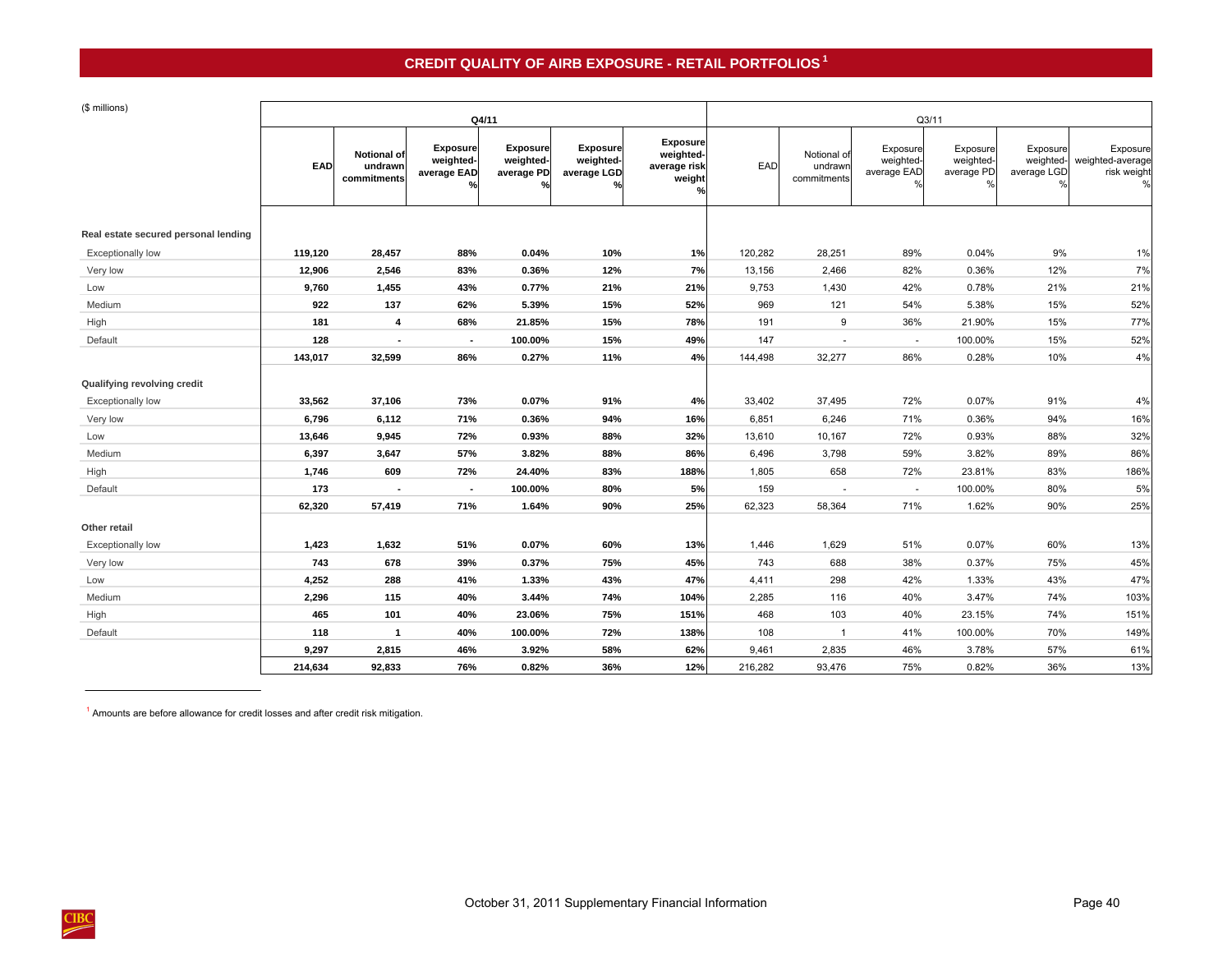# **CREDIT QUALITY OF AIRB EXPOSURE - RETAIL PORTFOLIOS 1**

<span id="page-43-0"></span>

|  |  | (\$ millions) |
|--|--|---------------|
|--|--|---------------|

| (\$ millions)                        |            |                                       |                                             | Q4/11                                      |                                           |                                                        | Q3/11   |                                       |                                                       |                                     |                         |                                                       |
|--------------------------------------|------------|---------------------------------------|---------------------------------------------|--------------------------------------------|-------------------------------------------|--------------------------------------------------------|---------|---------------------------------------|-------------------------------------------------------|-------------------------------------|-------------------------|-------------------------------------------------------|
|                                      | <b>EAD</b> | Notional of<br>undrawn<br>commitments | <b>Exposure</b><br>weighted-<br>average EAD | <b>Exposure</b><br>weighted-<br>average PD | Exposure<br>weighted-<br>average LGD<br>% | <b>Exposure</b><br>weighted-<br>average risk<br>weight | EAD     | Notional of<br>undrawr<br>commitments | Exposure<br>weighted-<br>average EAD<br>$\frac{0}{c}$ | Exposure<br>weighted-<br>average PD | Exposure<br>average LGD | Exposure<br>weighted- weighted-average<br>risk weight |
| Real estate secured personal lending |            |                                       |                                             |                                            |                                           |                                                        |         |                                       |                                                       |                                     |                         |                                                       |
| <b>Exceptionally low</b>             | 119,120    | 28,457                                | 88%                                         | 0.04%                                      | 10%                                       | 1%                                                     | 120,282 | 28,251                                | 89%                                                   | 0.04%                               | 9%                      | 1%                                                    |
| Very low                             | 12,906     | 2,546                                 | 83%                                         | 0.36%                                      | 12%                                       | 7%                                                     | 13,156  | 2,466                                 | 82%                                                   | 0.36%                               | 12%                     | 7%                                                    |
| Low                                  | 9,760      | 1,455                                 | 43%                                         | 0.77%                                      | 21%                                       | 21%                                                    | 9,753   | 1,430                                 | 42%                                                   | 0.78%                               | 21%                     | 21%                                                   |
| Medium                               | 922        | 137                                   | 62%                                         | 5.39%                                      | 15%                                       | 52%                                                    | 969     | 121                                   | 54%                                                   | 5.38%                               | 15%                     | 52%                                                   |
| High                                 | 181        | $\overline{\mathbf{4}}$               | 68%                                         | 21.85%                                     | 15%                                       | 78%                                                    | 191     | 9                                     | 36%                                                   | 21.90%                              | 15%                     | 77%                                                   |
| Default                              | 128        | $\blacksquare$                        | $\sim$                                      | 100.00%                                    | 15%                                       | 49%                                                    | 147     | $\sim$                                | $\sim$                                                | 100.00%                             | 15%                     | 52%                                                   |
|                                      | 143,017    | 32,599                                | 86%                                         | 0.27%                                      | 11%                                       | 4%                                                     | 144,498 | 32,277                                | 86%                                                   | 0.28%                               | 10%                     | 4%                                                    |
| Qualifying revolving credit          |            |                                       |                                             |                                            |                                           |                                                        |         |                                       |                                                       |                                     |                         |                                                       |
| <b>Exceptionally low</b>             | 33,562     | 37,106                                | 73%                                         | 0.07%                                      | 91%                                       | 4%                                                     | 33,402  | 37,495                                | 72%                                                   | 0.07%                               | 91%                     | 4%                                                    |
| Very low                             | 6,796      | 6,112                                 | 71%                                         | 0.36%                                      | 94%                                       | 16%                                                    | 6,851   | 6,246                                 | 71%                                                   | 0.36%                               | 94%                     | 16%                                                   |
| Low                                  | 13,646     | 9,945                                 | 72%                                         | 0.93%                                      | 88%                                       | 32%                                                    | 13,610  | 10,167                                | 72%                                                   | 0.93%                               | 88%                     | 32%                                                   |
| Medium                               | 6,397      | 3,647                                 | 57%                                         | 3.82%                                      | 88%                                       | 86%                                                    | 6,496   | 3,798                                 | 59%                                                   | 3.82%                               | 89%                     | 86%                                                   |
| High                                 | 1,746      | 609                                   | 72%                                         | 24.40%                                     | 83%                                       | 188%                                                   | 1,805   | 658                                   | 72%                                                   | 23.81%                              | 83%                     | 186%                                                  |
| Default                              | 173        |                                       | $\sim$                                      | 100.00%                                    | 80%                                       | 5%                                                     | 159     | $\blacksquare$                        | $\sim$                                                | 100.00%                             | 80%                     | 5%                                                    |
|                                      | 62,320     | 57,419                                | 71%                                         | 1.64%                                      | 90%                                       | 25%                                                    | 62,323  | 58,364                                | 71%                                                   | 1.62%                               | 90%                     | 25%                                                   |
| Other retail                         |            |                                       |                                             |                                            |                                           |                                                        |         |                                       |                                                       |                                     |                         |                                                       |
| Exceptionally low                    | 1,423      | 1,632                                 | 51%                                         | 0.07%                                      | 60%                                       | 13%                                                    | 1,446   | 1,629                                 | 51%                                                   | 0.07%                               | 60%                     | 13%                                                   |
| Very low                             | 743        | 678                                   | 39%                                         | 0.37%                                      | 75%                                       | 45%                                                    | 743     | 688                                   | 38%                                                   | 0.37%                               | 75%                     | 45%                                                   |
| Low                                  | 4,252      | 288                                   | 41%                                         | 1.33%                                      | 43%                                       | 47%                                                    | 4,411   | 298                                   | 42%                                                   | 1.33%                               | 43%                     | 47%                                                   |
| Medium                               | 2,296      | 115                                   | 40%                                         | 3.44%                                      | 74%                                       | 104%                                                   | 2,285   | 116                                   | 40%                                                   | 3.47%                               | 74%                     | 103%                                                  |
| High                                 | 465        | 101                                   | 40%                                         | 23.06%                                     | 75%                                       | 151%                                                   | 468     | 103                                   | 40%                                                   | 23.15%                              | 74%                     | 151%                                                  |
| Default                              | 118        | $\mathbf{1}$                          | 40%                                         | 100.00%                                    | 72%                                       | 138%                                                   | 108     | $\mathbf{1}$                          | 41%                                                   | 100.00%                             | 70%                     | 149%                                                  |
|                                      | 9,297      | 2,815                                 | 46%                                         | 3.92%                                      | 58%                                       | 62%                                                    | 9,461   | 2,835                                 | 46%                                                   | 3.78%                               | 57%                     | 61%                                                   |
|                                      | 214,634    | 92,833                                | 76%                                         | 0.82%                                      | 36%                                       | 12%                                                    | 216,282 | 93,476                                | 75%                                                   | 0.82%                               | 36%                     | 13%                                                   |

<sup>1</sup> Amounts are before allowance for credit losses and after credit risk mitigation.

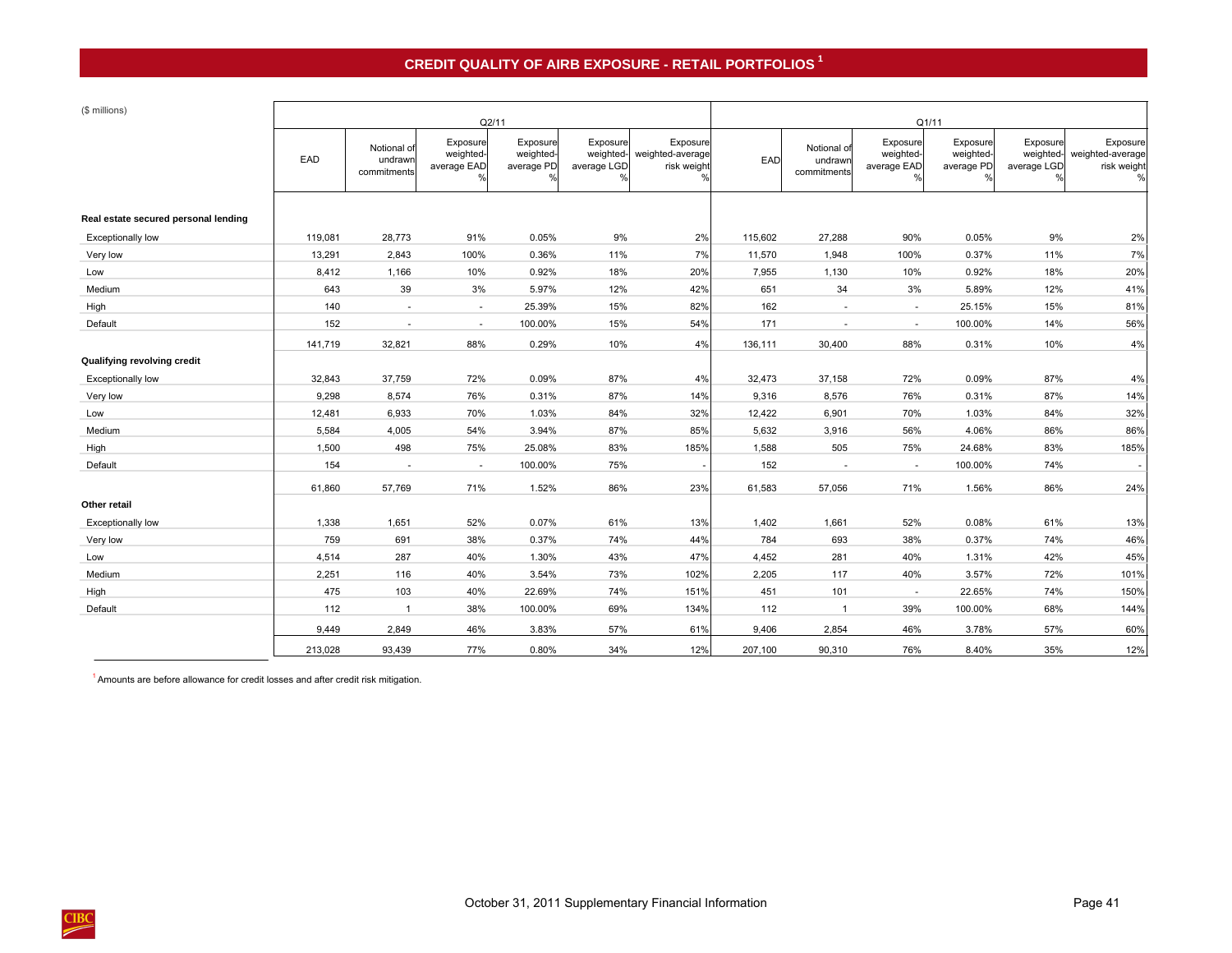## **CREDIT QUALITY OF AIRB EXPOSURE - RETAIL PORTFOLIOS 1**

| (\$ millions)                        |         |                                       |                                           | Q2/11                               |                                      |                                             | Q1/11   |                                       |                                                       |                                     |                                      |                                                  |
|--------------------------------------|---------|---------------------------------------|-------------------------------------------|-------------------------------------|--------------------------------------|---------------------------------------------|---------|---------------------------------------|-------------------------------------------------------|-------------------------------------|--------------------------------------|--------------------------------------------------|
|                                      | EAD     | Notional of<br>undrawn<br>commitments | Exposure<br>weighted-<br>average EAD<br>% | Exposure<br>weighted-<br>average PD | Exposure<br>weighted-<br>average LGD | Exposure<br>weighted-average<br>risk weight | EAD     | Notional of<br>undrawr<br>commitments | Exposure<br>weighted-<br>average EAD<br>$\frac{0}{6}$ | Exposure<br>weighted-<br>average PD | Exposure<br>weighted-<br>average LGD | Exposure<br>weighted-average<br>risk weight<br>% |
| Real estate secured personal lending |         |                                       |                                           |                                     |                                      |                                             |         |                                       |                                                       |                                     |                                      |                                                  |
| Exceptionally low                    | 119,081 | 28,773                                | 91%                                       | 0.05%                               | 9%                                   | 2%                                          | 115,602 | 27,288                                | 90%                                                   | 0.05%                               | 9%                                   | 2%                                               |
| Very low                             | 13,291  | 2,843                                 | 100%                                      | 0.36%                               | 11%                                  | 7%                                          | 11,570  | 1,948                                 | 100%                                                  | 0.37%                               | 11%                                  | 7%                                               |
| Low                                  | 8,412   | 1,166                                 | 10%                                       | 0.92%                               | 18%                                  | 20%                                         | 7,955   | 1,130                                 | 10%                                                   | 0.92%                               | 18%                                  | 20%                                              |
| Medium                               | 643     | 39                                    | 3%                                        | 5.97%                               | 12%                                  | 42%                                         | 651     | 34                                    | 3%                                                    | 5.89%                               | 12%                                  | 41%                                              |
| High                                 | 140     | $\sim$                                | $\sim$                                    | 25.39%                              | 15%                                  | 82%                                         | 162     | $\sim$                                | $\sim$                                                | 25.15%                              | 15%                                  | 81%                                              |
| Default                              | 152     | $\sim$                                | $\sim$                                    | 100.00%                             | 15%                                  | 54%                                         | 171     | $\sim$                                | $\sim$                                                | 100.00%                             | 14%                                  | 56%                                              |
|                                      | 141,719 | 32,821                                | 88%                                       | 0.29%                               | 10%                                  | 4%                                          | 136,111 | 30,400                                | 88%                                                   | 0.31%                               | 10%                                  | 4%                                               |
| Qualifying revolving credit          |         |                                       |                                           |                                     |                                      |                                             |         |                                       |                                                       |                                     |                                      |                                                  |
| Exceptionally low                    | 32,843  | 37,759                                | 72%                                       | 0.09%                               | 87%                                  | 4%                                          | 32,473  | 37,158                                | 72%                                                   | 0.09%                               | 87%                                  | 4%                                               |
| Very low                             | 9,298   | 8,574                                 | 76%                                       | 0.31%                               | 87%                                  | 14%                                         | 9,316   | 8,576                                 | 76%                                                   | 0.31%                               | 87%                                  | 14%                                              |
| Low                                  | 12,481  | 6,933                                 | 70%                                       | 1.03%                               | 84%                                  | 32%                                         | 12,422  | 6,901                                 | 70%                                                   | 1.03%                               | 84%                                  | 32%                                              |
| Medium                               | 5,584   | 4,005                                 | 54%                                       | 3.94%                               | 87%                                  | 85%                                         | 5,632   | 3,916                                 | 56%                                                   | 4.06%                               | 86%                                  | 86%                                              |
| High                                 | 1,500   | 498                                   | 75%                                       | 25.08%                              | 83%                                  | 185%                                        | 1,588   | 505                                   | 75%                                                   | 24.68%                              | 83%                                  | 185%                                             |
| Default                              | 154     | ÷.                                    | ÷                                         | 100.00%                             | 75%                                  |                                             | 152     | $\sim$                                | $\sim$                                                | 100.00%                             | 74%                                  | $\sim$                                           |
|                                      | 61,860  | 57,769                                | 71%                                       | 1.52%                               | 86%                                  | 23%                                         | 61,583  | 57,056                                | 71%                                                   | 1.56%                               | 86%                                  | 24%                                              |
| Other retail                         |         |                                       |                                           |                                     |                                      |                                             |         |                                       |                                                       |                                     |                                      |                                                  |
| <b>Exceptionally low</b>             | 1,338   | 1,651                                 | 52%                                       | 0.07%                               | 61%                                  | 13%                                         | 1,402   | 1,661                                 | 52%                                                   | 0.08%                               | 61%                                  | 13%                                              |
| Very low                             | 759     | 691                                   | 38%                                       | 0.37%                               | 74%                                  | 44%                                         | 784     | 693                                   | 38%                                                   | 0.37%                               | 74%                                  | 46%                                              |
| Low                                  | 4,514   | 287                                   | 40%                                       | 1.30%                               | 43%                                  | 47%                                         | 4,452   | 281                                   | 40%                                                   | 1.31%                               | 42%                                  | 45%                                              |
| Medium                               | 2,251   | 116                                   | 40%                                       | 3.54%                               | 73%                                  | 102%                                        | 2,205   | 117                                   | 40%                                                   | 3.57%                               | 72%                                  | 101%                                             |
| High                                 | 475     | 103                                   | 40%                                       | 22.69%                              | 74%                                  | 151%                                        | 451     | 101                                   | $\sim$                                                | 22.65%                              | 74%                                  | 150%                                             |
| Default                              | 112     | $\overline{1}$                        | 38%                                       | 100.00%                             | 69%                                  | 134%                                        | 112     | $\overline{1}$                        | 39%                                                   | 100.00%                             | 68%                                  | 144%                                             |
|                                      | 9,449   | 2,849                                 | 46%                                       | 3.83%                               | 57%                                  | 61%                                         | 9,406   | 2,854                                 | 46%                                                   | 3.78%                               | 57%                                  | 60%                                              |
|                                      | 213,028 | 93,439                                | 77%                                       | 0.80%                               | 34%                                  | 12%                                         | 207,100 | 90,310                                | 76%                                                   | 8.40%                               | 35%                                  | 12%                                              |

<sup>1</sup> Amounts are before allowance for credit losses and after credit risk mitigation.

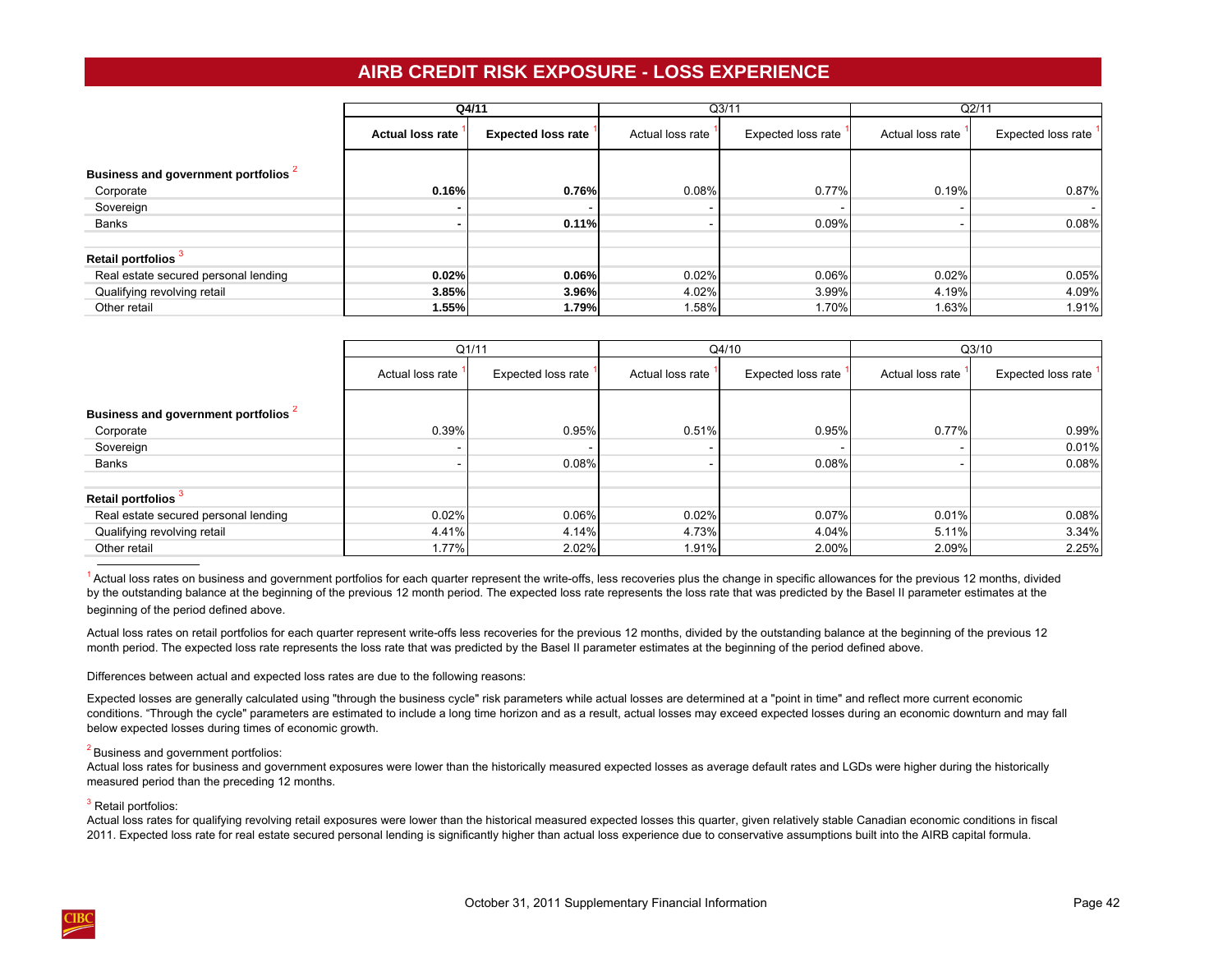## **AIRB CREDIT RISK EXPOSURE - LOSS EXPERIENCE**

<span id="page-45-0"></span>

|                                      |                         | Q4/11                     |                  | Q3/11              |                          | Q2/11              |
|--------------------------------------|-------------------------|---------------------------|------------------|--------------------|--------------------------|--------------------|
|                                      | <b>Actual loss rate</b> | <b>Expected loss rate</b> | Actual loss rate | Expected loss rate | Actual loss rate         | Expected loss rate |
| Business and government portfolios   |                         |                           |                  |                    |                          |                    |
| Corporate                            | 0.16%                   | 0.76%                     | 0.08%            | 0.77%              | 0.19%                    | 0.87%              |
| Sovereign                            |                         |                           |                  |                    | $\overline{\phantom{0}}$ | $\sim$             |
| Banks                                |                         | 0.11%                     |                  | 0.09%              | $\overline{\phantom{a}}$ | 0.08%              |
|                                      |                         |                           |                  |                    |                          |                    |
| Retail portfolios <sup>3</sup>       |                         |                           |                  |                    |                          |                    |
| Real estate secured personal lending | 0.02%                   | 0.06%                     | 0.02%            | 0.06%              | 0.02%                    | 0.05%              |
| Qualifying revolving retail          | 3.85%                   | 3.96%                     | 4.02%            | 3.99%              | 4.19%                    | 4.09%              |
| Other retail                         | 1.55%                   | 1.79%                     | 1.58%            | 1.70%              | 1.63%                    | 1.91%              |

|                                      |                  | Q1/11              |                  | Q4/10              |                          | Q3/10              |
|--------------------------------------|------------------|--------------------|------------------|--------------------|--------------------------|--------------------|
|                                      | Actual loss rate | Expected loss rate | Actual loss rate | Expected loss rate | Actual loss rate         | Expected loss rate |
| Business and government portfolios   |                  |                    |                  |                    |                          |                    |
| Corporate                            | 0.39%            | 0.95%              | 0.51%            | 0.95%              | 0.77%                    | 0.99%              |
| Sovereign                            |                  |                    |                  |                    | $\overline{\phantom{0}}$ | 0.01%              |
| Banks                                |                  | 0.08%              |                  | 0.08%              | $\overline{\phantom{0}}$ | 0.08%              |
|                                      |                  |                    |                  |                    |                          |                    |
| Retail portfolios <sup>3</sup>       |                  |                    |                  |                    |                          |                    |
| Real estate secured personal lending | 0.02%            | 0.06%              | 0.02%            | 0.07%              | 0.01%                    | 0.08%              |
| Qualifying revolving retail          | 4.41%            | 4.14%              | 4.73%            | 4.04%              | 5.11%                    | 3.34%              |
| Other retail                         | 1.77%            | 2.02%              | 1.91%            | 2.00%              | 2.09%                    | 2.25%              |

<sup>1</sup> Actual loss rates on business and government portfolios for each quarter represent the write-offs, less recoveries plus the change in specific allowances for the previous 12 months, divided by the outstanding balance at the beginning of the previous 12 month period. The expected loss rate represents the loss rate that was predicted by the Basel II parameter estimates at the beginning of the period defined above.

Actual loss rates on retail portfolios for each quarter represent write-offs less recoveries for the previous 12 months, divided by the outstanding balance at the beginning of the previous 12 month period. The expected loss rate represents the loss rate that was predicted by the Basel II parameter estimates at the beginning of the period defined above.

Differences between actual and expected loss rates are due to the following reasons:

Expected losses are generally calculated using "through the business cycle" risk parameters while actual losses are determined at a "point in time" and reflect more current economic conditions. "Through the cycle" parameters are estimated to include a long time horizon and as a result, actual losses may exceed expected losses during an economic downturn and may fall below expected losses during times of economic growth.

## 2 Business and government portfolios:

Actual loss rates for business and government exposures were lower than the historically measured expected losses as average default rates and LGDs were higher during the historically measured period than the preceding 12 months.

## <sup>3</sup> Retail portfolios:

Actual loss rates for qualifying revolving retail exposures were lower than the historical measured expected losses this quarter, given relatively stable Canadian economic conditions in fiscal 2011. Expected loss rate for real estate secured personal lending is significantly higher than actual loss experience due to conservative assumptions built into the AIRB capital formula.

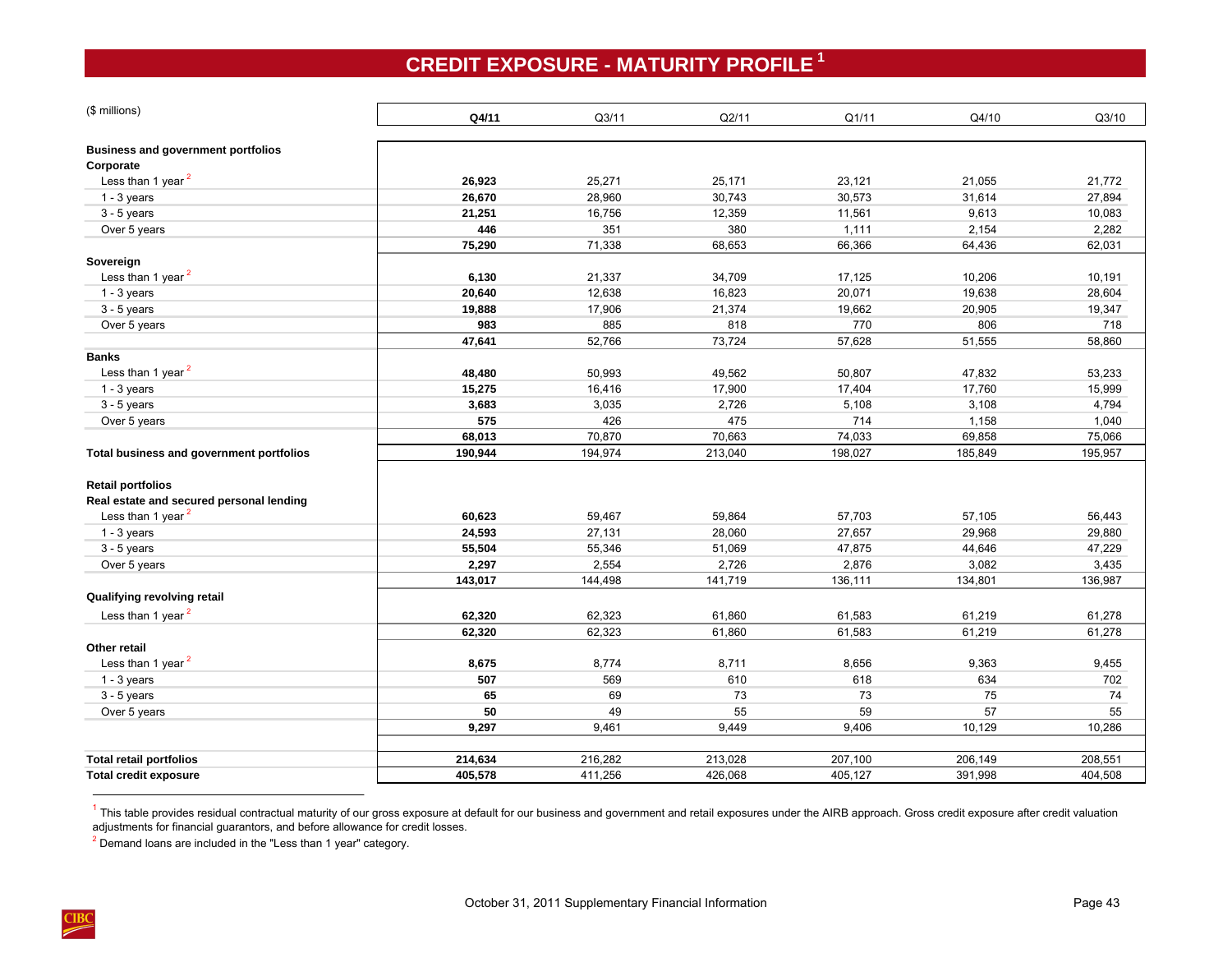# **CREDIT EXPOSURE - MATURITY PROFILE <sup>1</sup>**

<span id="page-46-0"></span>

| (\$ millions)                             | Q4/11   | Q3/11   | Q2/11   | Q1/11   | Q4/10   | Q3/10   |
|-------------------------------------------|---------|---------|---------|---------|---------|---------|
| <b>Business and government portfolios</b> |         |         |         |         |         |         |
| Corporate                                 |         |         |         |         |         |         |
| Less than 1 year <sup>2</sup>             | 26,923  | 25,271  | 25,171  | 23,121  | 21,055  | 21,772  |
| $1 - 3$ years                             | 26,670  | 28,960  | 30,743  | 30,573  | 31,614  | 27,894  |
| $3 - 5$ years                             | 21,251  | 16,756  | 12,359  | 11,561  | 9,613   | 10,083  |
| Over 5 years                              | 446     | 351     | 380     | 1,111   | 2,154   | 2,282   |
|                                           | 75,290  | 71,338  | 68,653  | 66,366  | 64,436  | 62,031  |
| Sovereign                                 |         |         |         |         |         |         |
| Less than 1 year $2$                      | 6,130   | 21,337  | 34,709  | 17,125  | 10,206  | 10,191  |
| $1 - 3$ years                             | 20,640  | 12,638  | 16,823  | 20,071  | 19,638  | 28,604  |
| $3 - 5$ years                             | 19,888  | 17,906  | 21,374  | 19,662  | 20,905  | 19,347  |
| Over 5 years                              | 983     | 885     | 818     | 770     | 806     | 718     |
|                                           | 47,641  | 52,766  | 73,724  | 57,628  | 51,555  | 58,860  |
| <b>Banks</b>                              |         |         |         |         |         |         |
| Less than 1 year <sup>2</sup>             | 48,480  | 50,993  | 49,562  | 50,807  | 47,832  | 53,233  |
| $1 - 3$ years                             | 15,275  | 16,416  | 17,900  | 17,404  | 17,760  | 15,999  |
| $3 - 5$ years                             | 3,683   | 3,035   | 2,726   | 5,108   | 3,108   | 4,794   |
| Over 5 years                              | 575     | 426     | 475     | 714     | 1,158   | 1,040   |
|                                           | 68,013  | 70,870  | 70,663  | 74,033  | 69,858  | 75,066  |
| Total business and government portfolios  | 190,944 | 194,974 | 213,040 | 198,027 | 185,849 | 195,957 |
| <b>Retail portfolios</b>                  |         |         |         |         |         |         |
| Real estate and secured personal lending  |         |         |         |         |         |         |
| Less than 1 year <sup>2</sup>             | 60,623  | 59,467  | 59,864  | 57,703  | 57,105  | 56,443  |
| $1 - 3$ years                             | 24,593  | 27,131  | 28,060  | 27,657  | 29,968  | 29,880  |
| $3 - 5$ years                             | 55,504  | 55,346  | 51,069  | 47,875  | 44,646  | 47,229  |
| Over 5 years                              | 2,297   | 2,554   | 2,726   | 2,876   | 3,082   | 3,435   |
|                                           | 143,017 | 144,498 | 141,719 | 136,111 | 134,801 | 136,987 |
| Qualifying revolving retail               |         |         |         |         |         |         |
| Less than 1 year <sup>2</sup>             | 62,320  | 62,323  | 61,860  | 61,583  | 61,219  | 61,278  |
|                                           | 62,320  | 62,323  | 61,860  | 61,583  | 61,219  | 61,278  |
| Other retail                              |         |         |         |         |         |         |
| Less than 1 year <sup>2</sup>             | 8,675   | 8,774   | 8,711   | 8,656   | 9,363   | 9,455   |
| $1 - 3$ years                             | 507     | 569     | 610     | 618     | 634     | 702     |
| $3 - 5$ years                             | 65      | 69      | 73      | 73      | 75      | 74      |
| Over 5 years                              | 50      | 49      | 55      | 59      | 57      | 55      |
|                                           | 9,297   | 9,461   | 9,449   | 9,406   | 10,129  | 10,286  |
|                                           |         |         |         |         |         |         |
| <b>Total retail portfolios</b>            | 214,634 | 216,282 | 213,028 | 207,100 | 206,149 | 208,551 |
| <b>Total credit exposure</b>              | 405,578 | 411,256 | 426,068 | 405,127 | 391,998 | 404,508 |
|                                           |         |         |         |         |         |         |

 $1$  This table provides residual contractual maturity of our gross exposure at default for our business and government and retail exposures under the AIRB approach. Gross credit exposure after credit valuation adjustments for financial guarantors, and before allowance for credit losses.

<sup>2</sup> Demand loans are included in the "Less than 1 year" category.

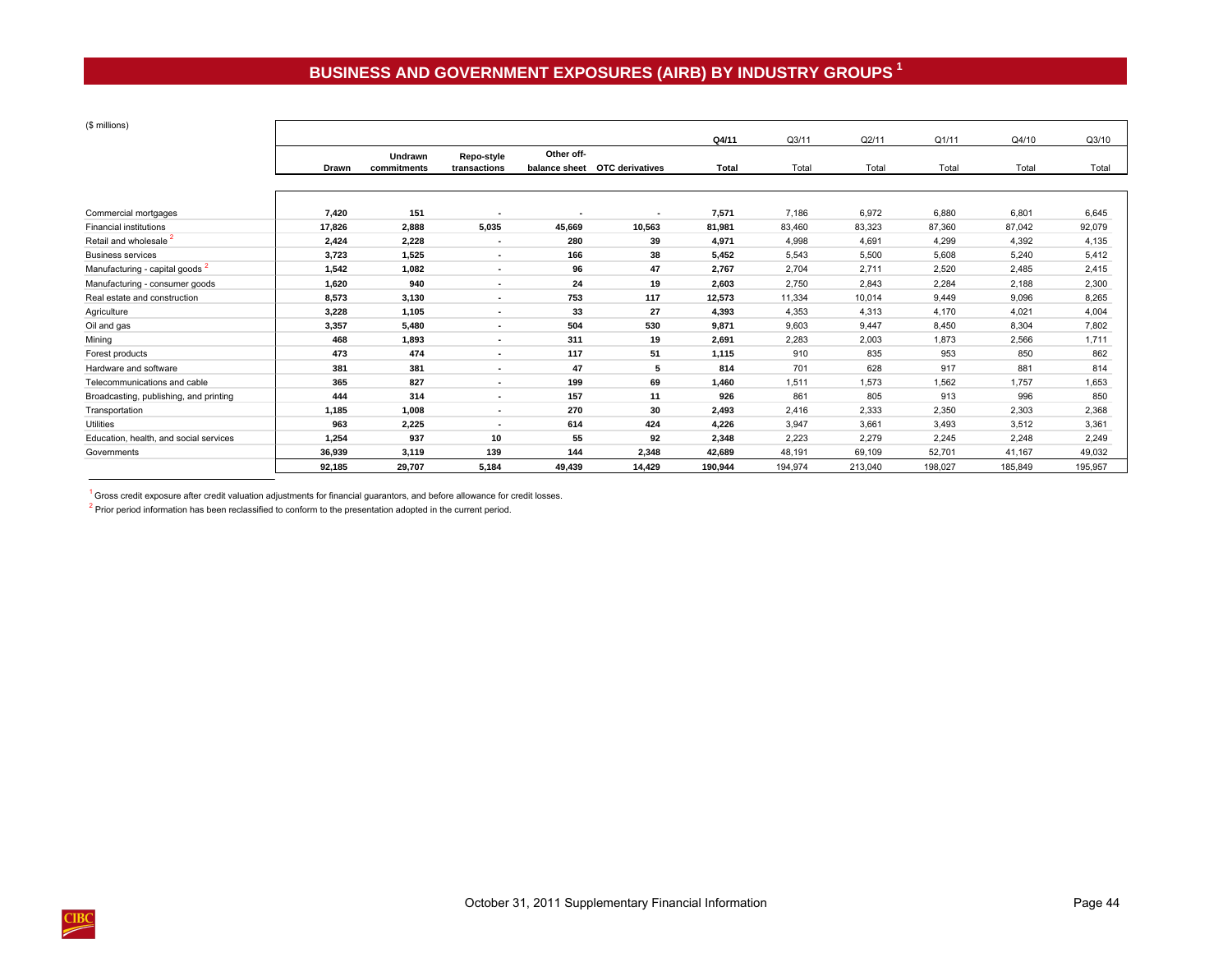# **BUSINESS AND GOVERNMENT EXPOSURES (AIRB) BY INDUSTRY GROUPS <sup>1</sup>**

<span id="page-47-0"></span> $\lambda$  millions) and  $\lambda$ 

| (\$ millions)                              |        |             |                |               |                        |              |         |         |         |         |         |
|--------------------------------------------|--------|-------------|----------------|---------------|------------------------|--------------|---------|---------|---------|---------|---------|
|                                            |        |             |                |               |                        | Q4/11        | Q3/11   | Q2/11   | Q1/11   | Q4/10   | Q3/10   |
|                                            |        | Undrawn     | Repo-style     | Other off-    |                        |              |         |         |         |         |         |
|                                            | Drawn  | commitments | transactions   | balance sheet | <b>OTC derivatives</b> | <b>Total</b> | Total   | Total   | Total   | Total   | Total   |
|                                            |        |             |                |               |                        |              |         |         |         |         |         |
|                                            |        |             |                |               |                        |              |         |         |         |         |         |
| Commercial mortgages                       | 7.420  | 151         |                |               | $\blacksquare$         | 7,571        | 7,186   | 6,972   | 6,880   | 6,801   | 6,645   |
| <b>Financial institutions</b>              | 17,826 | 2,888       | 5,035          | 45,669        | 10,563                 | 81,981       | 83,460  | 83,323  | 87,360  | 87,042  | 92,079  |
| Retail and wholesale <sup>2</sup>          | 2,424  | 2,228       | $\blacksquare$ | 280           | 39                     | 4,971        | 4,998   | 4,691   | 4,299   | 4,392   | 4,135   |
| <b>Business services</b>                   | 3,723  | 1,525       | ٠              | 166           | 38                     | 5,452        | 5,543   | 5,500   | 5,608   | 5,240   | 5,412   |
| Manufacturing - capital goods <sup>2</sup> | 1,542  | 1,082       | ٠              | 96            | 47                     | 2,767        | 2,704   | 2,711   | 2,520   | 2,485   | 2,415   |
| Manufacturing - consumer goods             | 1,620  | 940         | $\blacksquare$ | 24            | 19                     | 2,603        | 2,750   | 2,843   | 2,284   | 2,188   | 2,300   |
| Real estate and construction               | 8,573  | 3,130       | $\blacksquare$ | 753           | 117                    | 12,573       | 11,334  | 10,014  | 9.449   | 9,096   | 8,265   |
| Agriculture                                | 3,228  | 1,105       | $\blacksquare$ | 33            | 27                     | 4,393        | 4,353   | 4,313   | 4,170   | 4,021   | 4,004   |
| Oil and gas                                | 3,357  | 5.480       | $\blacksquare$ | 504           | 530                    | 9.871        | 9,603   | 9,447   | 8,450   | 8,304   | 7,802   |
| Mining                                     | 468    | 1,893       | $\blacksquare$ | 311           | 19                     | 2,691        | 2,283   | 2,003   | 1,873   | 2,566   | 1,711   |
| Forest products                            | 473    | 474         | $\blacksquare$ | 117           | 51                     | 1,115        | 910     | 835     | 953     | 850     | 862     |
| Hardware and software                      | 381    | 381         | $\blacksquare$ | 47            | 5                      | 814          | 701     | 628     | 917     | 881     | 814     |
| Telecommunications and cable               | 365    | 827         | $\blacksquare$ | 199           | 69                     | 1,460        | 1,511   | 1,573   | 1,562   | 1,757   | 1,653   |
| Broadcasting, publishing, and printing     | 444    | 314         | $\blacksquare$ | 157           | 11                     | 926          | 861     | 805     | 913     | 996     | 850     |
| Transportation                             | 1,185  | 1,008       | $\blacksquare$ | 270           | 30                     | 2,493        | 2,416   | 2,333   | 2,350   | 2,303   | 2,368   |
| <b>Utilities</b>                           | 963    | 2,225       | $\blacksquare$ | 614           | 424                    | 4,226        | 3,947   | 3,661   | 3,493   | 3,512   | 3,361   |
| Education, health, and social services     | 1,254  | 937         | 10             | 55            | 92                     | 2,348        | 2,223   | 2,279   | 2,245   | 2,248   | 2,249   |
| Governments                                | 36,939 | 3,119       | 139            | 144           | 2,348                  | 42,689       | 48,191  | 69,109  | 52,701  | 41,167  | 49,032  |
|                                            | 92,185 | 29,707      | 5,184          | 49,439        | 14,429                 | 190,944      | 194,974 | 213,040 | 198,027 | 185,849 | 195,957 |

 $1$  Gross credit exposure after credit valuation adjustments for financial guarantors, and before allowance for credit losses.

 $2$  Prior period information has been reclassified to conform to the presentation adopted in the current period.

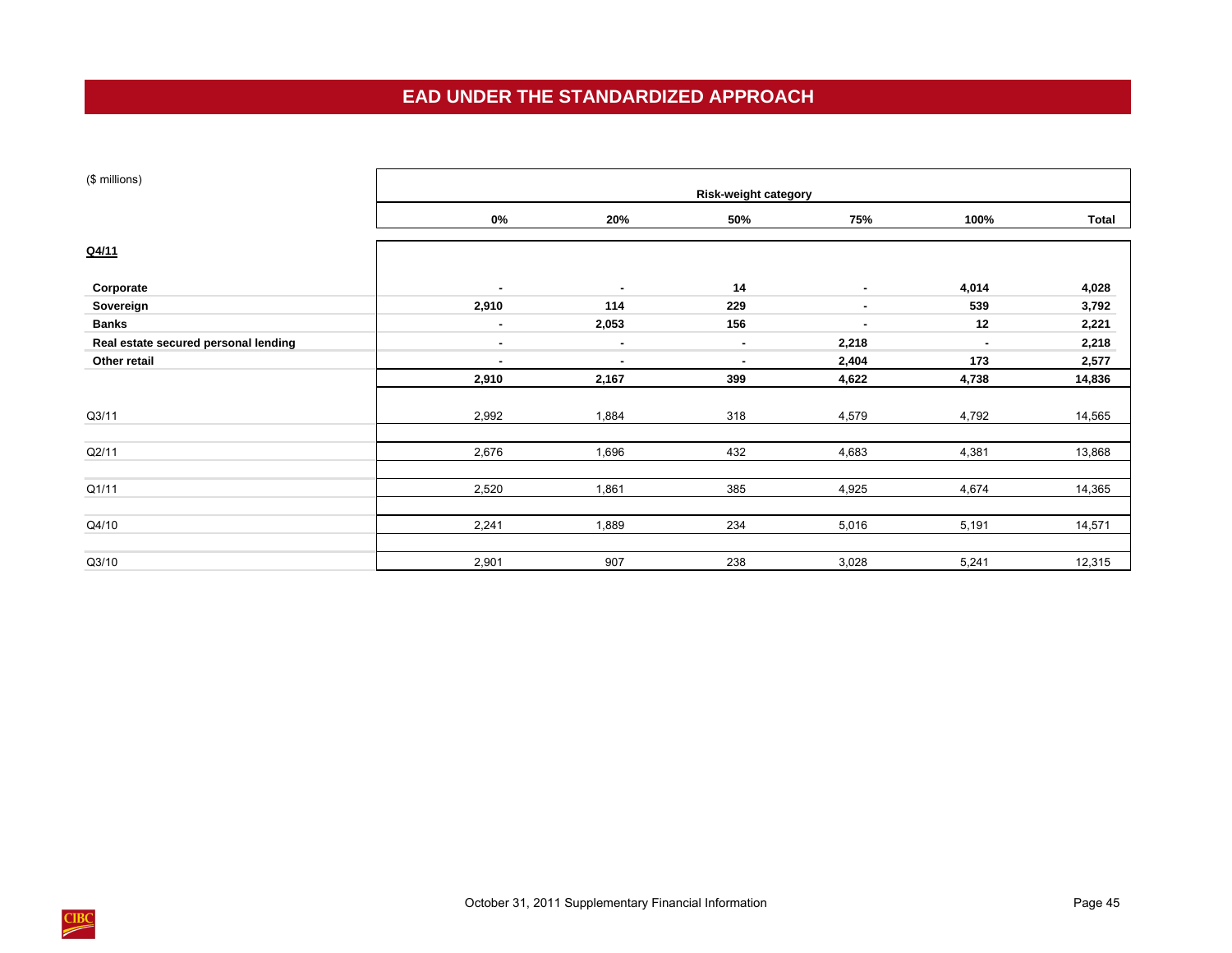## **EAD UNDER THE STANDARDIZED APPROACH**

<span id="page-48-0"></span>

| (\$ millions)                        | <b>Risk-weight category</b> |        |        |                |                |        |  |  |  |  |  |  |
|--------------------------------------|-----------------------------|--------|--------|----------------|----------------|--------|--|--|--|--|--|--|
|                                      | $0\%$                       | 20%    | 50%    | 75%            | 100%           | Total  |  |  |  |  |  |  |
| Q4/11                                |                             |        |        |                |                |        |  |  |  |  |  |  |
| Corporate                            | $\sim$                      | $\sim$ | 14     | $\sim$         | 4,014          | 4,028  |  |  |  |  |  |  |
| Sovereign                            | 2,910                       | 114    | 229    |                | 539            | 3,792  |  |  |  |  |  |  |
| <b>Banks</b>                         | $\sim$                      | 2,053  | 156    | $\blacksquare$ | 12             | 2,221  |  |  |  |  |  |  |
| Real estate secured personal lending | $\blacksquare$              | $\sim$ | $\sim$ | 2,218          | $\blacksquare$ | 2,218  |  |  |  |  |  |  |
| Other retail                         | ٠                           | ٠      | ٠      | 2,404          | 173            | 2,577  |  |  |  |  |  |  |
|                                      | 2,910                       | 2,167  | 399    | 4,622          | 4,738          | 14,836 |  |  |  |  |  |  |
| Q3/11                                | 2,992                       | 1,884  | 318    | 4,579          | 4,792          | 14,565 |  |  |  |  |  |  |
| Q2/11                                | 2,676                       | 1,696  | 432    | 4,683          | 4,381          | 13,868 |  |  |  |  |  |  |
| Q1/11                                | 2,520                       | 1,861  | 385    | 4,925          | 4,674          | 14,365 |  |  |  |  |  |  |
| Q4/10                                | 2,241                       | 1,889  | 234    | 5,016          | 5,191          | 14,571 |  |  |  |  |  |  |
| Q3/10                                | 2,901                       | 907    | 238    | 3,028          | 5,241          | 12,315 |  |  |  |  |  |  |

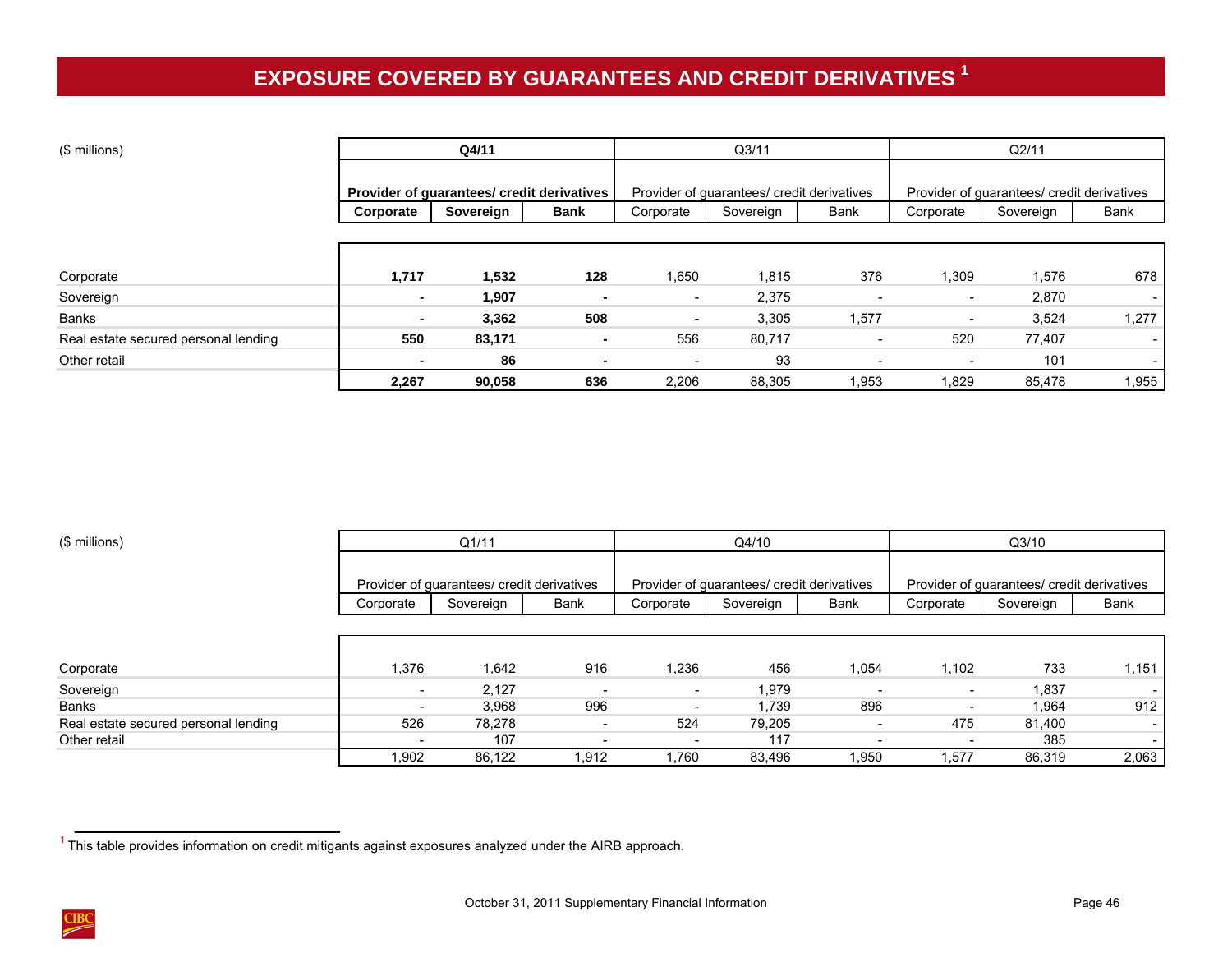# **EXPOSURE COVERED BY GUARANTEES AND CREDIT DERIVATIVES <sup>1</sup>**

<span id="page-49-0"></span>

| (\$ millions)                        |                                            | Q4/11                    |                |                          | Q <sub>3/11</sub>                          |                          | Q2/11                                      |           |                          |
|--------------------------------------|--------------------------------------------|--------------------------|----------------|--------------------------|--------------------------------------------|--------------------------|--------------------------------------------|-----------|--------------------------|
|                                      |                                            |                          |                |                          |                                            |                          |                                            |           |                          |
|                                      | Provider of guarantees/ credit derivatives |                          |                |                          | Provider of guarantees/ credit derivatives |                          | Provider of guarantees/ credit derivatives |           |                          |
|                                      | Corporate                                  | Sovereign<br><b>Bank</b> |                | Corporate                | Sovereign                                  | Bank                     | Corporate                                  | Sovereign | Bank                     |
|                                      |                                            |                          |                |                          |                                            |                          |                                            |           |                          |
|                                      |                                            |                          |                |                          |                                            |                          |                                            |           |                          |
| Corporate                            | 1,717                                      | 1,532                    | 128            | 1,650                    | 1,815                                      | 376                      | 1,309                                      | 1,576     | 678                      |
| Sovereign                            | $\sim$                                     | 1,907                    |                | $\sim$                   | 2,375                                      | $\overline{\phantom{a}}$ | $\overline{\phantom{a}}$                   | 2,870     | $\sim$                   |
| <b>Banks</b>                         | ۰                                          | 3,362                    | 508            | $\overline{\phantom{0}}$ | 3,305                                      | 1,577                    | $\overline{\phantom{a}}$                   | 3,524     | 1,277                    |
| Real estate secured personal lending | 550                                        | 83,171                   | $\blacksquare$ | 556                      | 80,717                                     | $\overline{\phantom{a}}$ | 520                                        | 77,407    | $\sim$                   |
| Other retail                         |                                            | 86                       |                |                          | 93                                         | $\overline{\phantom{a}}$ |                                            | 101       | $\overline{\phantom{a}}$ |
|                                      | 2,267                                      | 90,058                   | 636            | 2,206                    | 88,305                                     | 1,953                    | 1,829                                      | 85,478    | 1,955                    |

| (\$ millions)                        |                          | Q1/11                                      |                          |                          | Q4/10                                      |                          |                                            | Q3/10     |        |  |
|--------------------------------------|--------------------------|--------------------------------------------|--------------------------|--------------------------|--------------------------------------------|--------------------------|--------------------------------------------|-----------|--------|--|
|                                      |                          |                                            |                          |                          |                                            |                          |                                            |           |        |  |
|                                      |                          | Provider of guarantees/ credit derivatives |                          |                          | Provider of guarantees/ credit derivatives |                          | Provider of guarantees/ credit derivatives |           |        |  |
|                                      | Corporate                | Sovereign                                  | Bank                     | Corporate                | Sovereign                                  | Bank                     | Corporate                                  | Sovereign | Bank   |  |
|                                      |                          |                                            |                          |                          |                                            |                          |                                            |           |        |  |
|                                      |                          |                                            |                          |                          |                                            |                          |                                            |           |        |  |
| Corporate                            | 1,376                    | 1,642                                      | 916                      | 1,236                    | 456                                        | 1,054                    | 1.102                                      | 733       | 1,151  |  |
| Sovereign                            | $\overline{\phantom{a}}$ | 2,127                                      |                          | $\overline{\phantom{a}}$ | 1,979                                      |                          | $\overline{\phantom{a}}$                   | 1,837     |        |  |
| <b>Banks</b>                         | $\overline{\phantom{a}}$ | 3.968                                      | 996                      |                          | 1,739                                      | 896                      |                                            | 1,964     | 912    |  |
| Real estate secured personal lending | 526                      | 78,278                                     | $\overline{\phantom{0}}$ | 524                      | 79.205                                     | $\overline{\phantom{a}}$ | 475                                        | 81,400    |        |  |
| Other retail                         | $\overline{\phantom{a}}$ | 107                                        |                          |                          | 117                                        | $\overline{\phantom{0}}$ |                                            | 385       | $\sim$ |  |
|                                      | 1,902                    | 86,122                                     | 1,912                    | 1.760                    | 83.496                                     | .950                     | 1,577                                      | 86,319    | 2,063  |  |

 $1$  This table provides information on credit mitigants against exposures analyzed under the AIRB approach.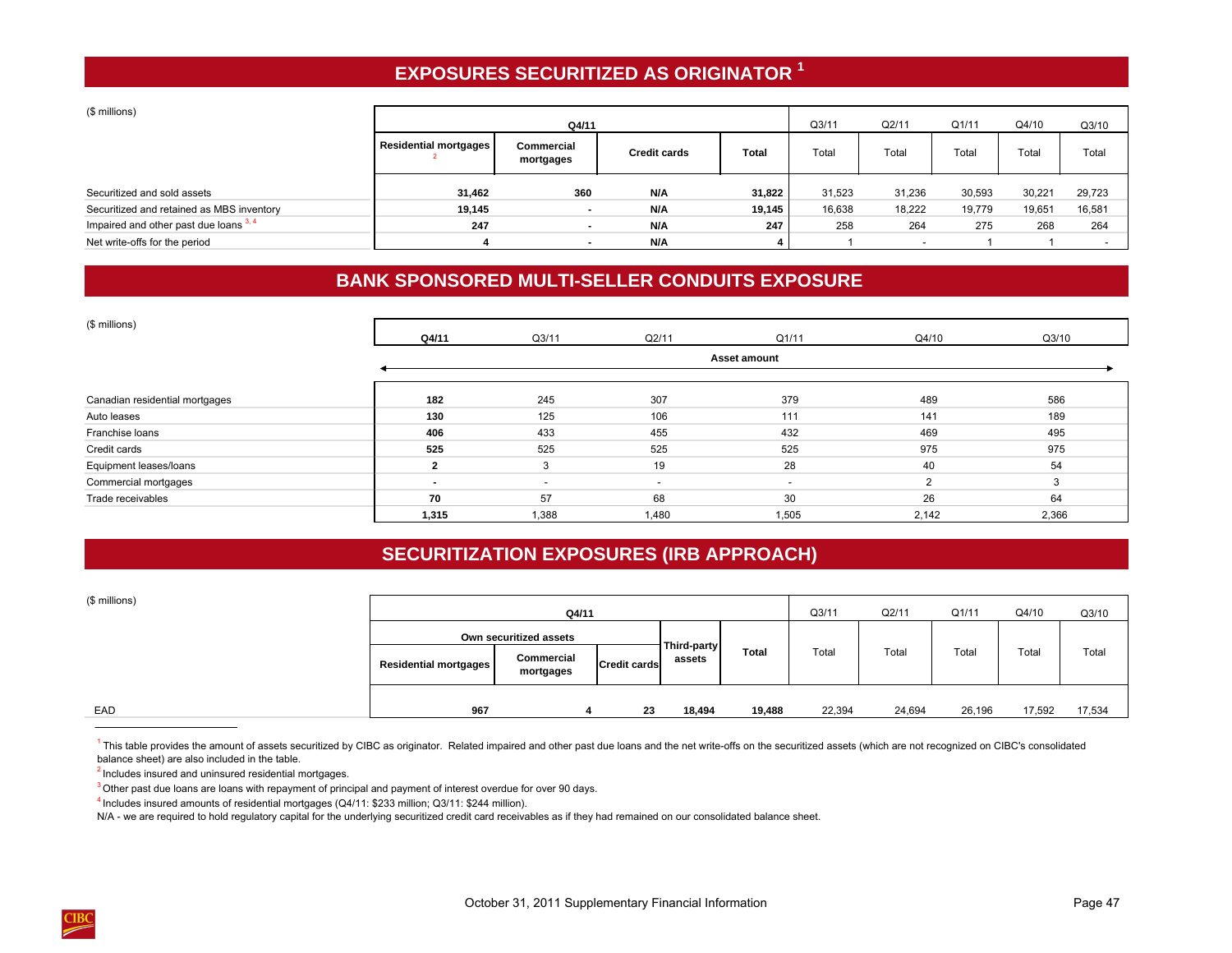# **EXPOSURES SECURITIZED AS ORIGINATOR <sup>1</sup>**

<span id="page-50-0"></span>(\$ millions)

| (Detrillions)                             |                              |                          | Q3/11               | Q2/11        |        |                          |        |        |        |
|-------------------------------------------|------------------------------|--------------------------|---------------------|--------------|--------|--------------------------|--------|--------|--------|
|                                           |                              | Q4/11                    |                     |              |        |                          | Q1/11  | Q4/10  | Q3/10  |
|                                           | <b>Residential mortgages</b> | Commercial<br>mortgages  | <b>Credit cards</b> | <b>Total</b> | Total  | Total                    | Total  | Total  | Total  |
| Securitized and sold assets               | 31,462                       | 360                      | N/A                 | 31,822       | 31,523 | 31,236                   | 30,593 | 30,221 | 29,723 |
| Securitized and retained as MBS inventory | 19,145                       |                          | N/A                 | 19,145       | 16,638 | 18,222                   | 19,779 | 19,651 | 16,581 |
| Impaired and other past due loans $3, 4$  | 247                          | $\overline{\phantom{a}}$ | N/A                 | 247          | 258    | 264                      | 275    | 268    | 264    |
| Net write-offs for the period             |                              |                          | N/A                 |              |        | $\overline{\phantom{a}}$ |        |        |        |

# **BANK SPONSORED MULTI-SELLER CONDUITS EXPOSURE**

| (\$ millions)                  |                     |                          |                          |                          |          |       |  |  |  |  |
|--------------------------------|---------------------|--------------------------|--------------------------|--------------------------|----------|-------|--|--|--|--|
|                                | Q4/11               | Q3/11                    | Q2/11                    | Q1/11                    | Q4/10    | Q3/10 |  |  |  |  |
|                                | <b>Asset amount</b> |                          |                          |                          |          |       |  |  |  |  |
| Canadian residential mortgages | 182                 | 245                      | 307                      | 379                      | 489      | 586   |  |  |  |  |
| Auto leases                    | 130                 | 125                      | 106                      | 111                      | 141      | 189   |  |  |  |  |
| Franchise loans                | 406                 | 433                      | 455                      | 432                      | 469      | 495   |  |  |  |  |
| Credit cards                   | 525                 | 525                      | 525                      | 525                      | 975      | 975   |  |  |  |  |
| Equipment leases/loans         | $\sim$              | 3                        | 19                       | 28                       | 40       | 54    |  |  |  |  |
| Commercial mortgages           |                     | $\overline{\phantom{a}}$ | $\overline{\phantom{0}}$ | $\overline{\phantom{0}}$ | $\Omega$ | 3     |  |  |  |  |
| Trade receivables              | 70                  | 57                       | 68                       | 30                       | 26       | 64    |  |  |  |  |
|                                | 1,315               | 1,388                    | 1,480                    | 1,505                    | 2,142    | 2,366 |  |  |  |  |

## **SECURITIZATION EXPOSURES (IRB APPROACH)**

| (\$ millions) |  |
|---------------|--|
|               |  |

| (\$ millions) | Q4/11                   |                         |                     |             |        | Q3/11  | Q2/11  | Q1/11  | Q4/10  | Q3/10  |
|---------------|-------------------------|-------------------------|---------------------|-------------|--------|--------|--------|--------|--------|--------|
|               | Own securitized assets  |                         |                     | Third-party |        |        |        |        |        |        |
|               | Residential mortgages I | Commercial<br>mortgages | <b>Credit cards</b> | assets      | Total  | Total  | Total  | Total  | Total  | Total  |
|               |                         |                         |                     |             |        |        |        |        |        |        |
| EAD           | 967                     |                         | 23                  | 18,494      | 19,488 | 22,394 | 24,694 | 26,196 | 17,592 | 17,534 |

<sup>1</sup> This table provides the amount of assets securitized by CIBC as originator. Related impaired and other past due loans and the net write-offs on the securitized assets (which are not recognized on CIBC's consolidated balance sheet) are also included in the table.

<sup>2</sup> Includes insured and uninsured residential mortgages.

 $3$  Other past due loans are loans with repayment of principal and payment of interest overdue for over 90 days.

 $<sup>4</sup>$  Includes insured amounts of residential mortgages (Q4/11: \$233 million; Q3/11: \$244 million).</sup>

N/A - we are required to hold regulatory capital for the underlying securitized credit card receivables as if they had remained on our consolidated balance sheet.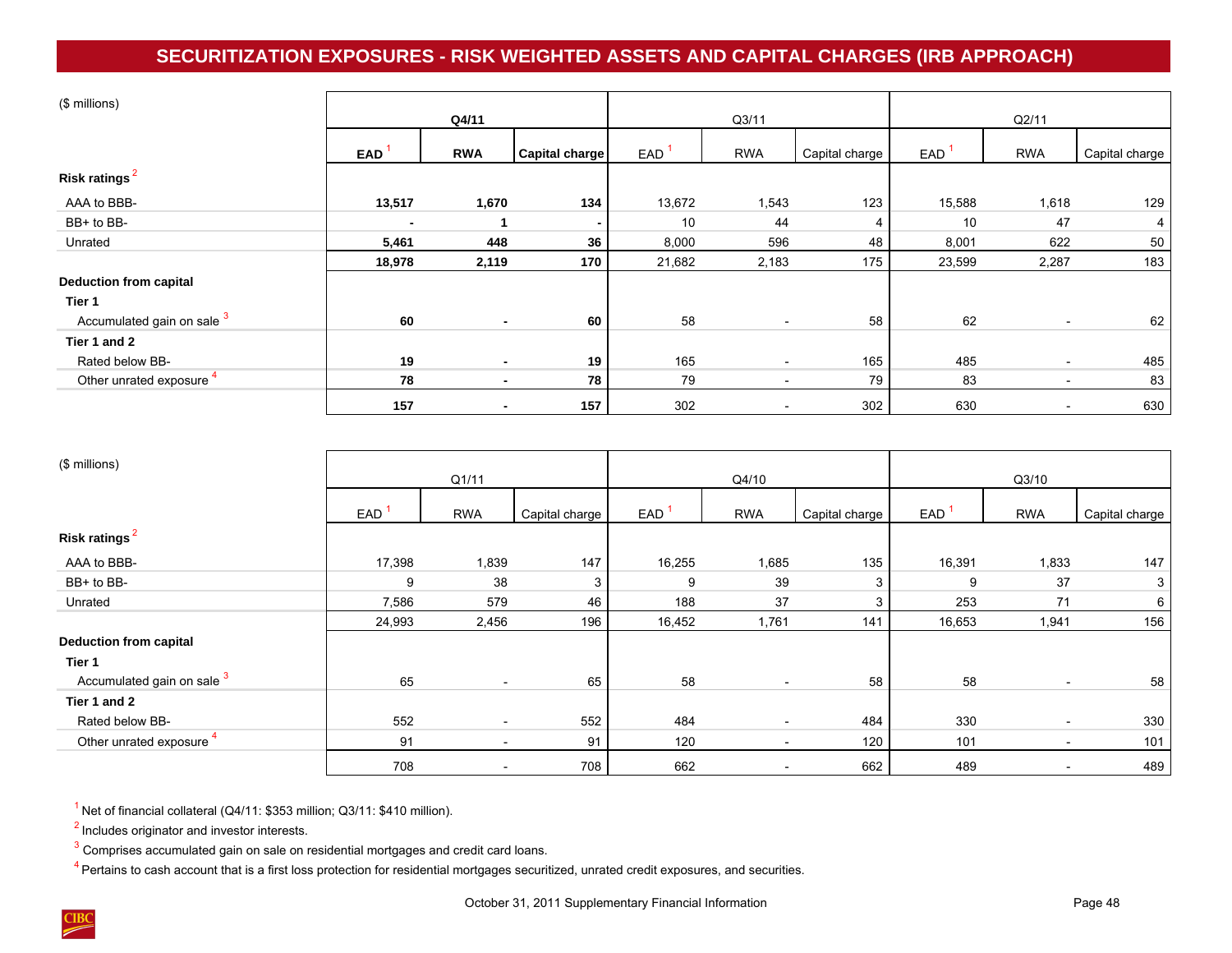# **SECURITIZATION EXPOSURES - RISK WEIGHTED ASSETS AND CAPITAL CHARGES (IRB APPROACH)**

<span id="page-51-0"></span>

| (\$ millions)                 |        |                |                       |        |                          |                |        |                          |                |  |
|-------------------------------|--------|----------------|-----------------------|--------|--------------------------|----------------|--------|--------------------------|----------------|--|
|                               |        | Q4/11          |                       |        | Q3/11                    |                | Q2/11  |                          |                |  |
|                               | EAD    | <b>RWA</b>     | <b>Capital charge</b> | EAD    | <b>RWA</b>               | Capital charge | EAD    | <b>RWA</b>               | Capital charge |  |
| Risk ratings <sup>2</sup>     |        |                |                       |        |                          |                |        |                          |                |  |
| AAA to BBB-                   | 13,517 | 1,670          | 134                   | 13,672 | 1,543                    | 123            | 15,588 | 1,618                    | 129            |  |
| BB+ to BB-                    |        |                | ۰                     | 10     | 44                       | 4              | 10     | 47                       | 4              |  |
| Unrated                       | 5,461  | 448            | 36                    | 8,000  | 596                      | 48             | 8,001  | 622                      | 50             |  |
|                               | 18,978 | 2,119          | 170                   | 21,682 | 2,183                    | 175            | 23,599 | 2,287                    | 183            |  |
| <b>Deduction from capital</b> |        |                |                       |        |                          |                |        |                          |                |  |
| Tier 1                        |        |                |                       |        |                          |                |        |                          |                |  |
| Accumulated gain on sale 3    | 60     | $\blacksquare$ | 60                    | 58     | $\overline{\phantom{a}}$ | 58             | 62     | $\overline{\phantom{a}}$ | 62             |  |
| Tier 1 and 2                  |        |                |                       |        |                          |                |        |                          |                |  |
| Rated below BB-               | 19     | $\blacksquare$ | 19                    | 165    |                          | 165            | 485    |                          | 485            |  |
| Other unrated exposure        | 78     | $\blacksquare$ | 78                    | 79     | $\overline{\phantom{a}}$ | 79             | 83     |                          | 83             |  |
|                               | 157    | $\blacksquare$ | 157                   | 302    | $\overline{\phantom{0}}$ | 302            | 630    |                          | 630            |  |

| (\$ millions)                 | Q1/11  |                          |                | Q4/10  |                          |                | Q3/10  |                          |                 |  |
|-------------------------------|--------|--------------------------|----------------|--------|--------------------------|----------------|--------|--------------------------|-----------------|--|
|                               | EAD    | <b>RWA</b>               | Capital charge | EAD    | <b>RWA</b>               | Capital charge | EAD    | <b>RWA</b>               | Capital charge  |  |
| Risk ratings <sup>2</sup>     |        |                          |                |        |                          |                |        |                          |                 |  |
| AAA to BBB-                   | 17,398 | 1,839                    | 147            | 16,255 | 1,685                    | 135            | 16,391 | 1,833                    | 147             |  |
| BB+ to BB-                    | 9      | 38                       | 3              | 9      | 39                       | 3              | 9      | 37                       | 3 <sup>1</sup>  |  |
| Unrated                       | 7,586  | 579                      | 46             | 188    | 37                       | 3              | 253    | 71                       | 6 <sup>1</sup>  |  |
|                               | 24,993 | 2,456                    | 196            | 16,452 | 1,761                    | 141            | 16,653 | 1,941                    | 156             |  |
| <b>Deduction from capital</b> |        |                          |                |        |                          |                |        |                          |                 |  |
| Tier 1                        |        |                          |                |        |                          |                |        |                          |                 |  |
| Accumulated gain on sale 3    | 65     | $\overline{\phantom{a}}$ | 65             | 58     | $\overline{\phantom{0}}$ | 58             | 58     | $\overline{\phantom{a}}$ | 58 <sup>1</sup> |  |
| Tier 1 and 2                  |        |                          |                |        |                          |                |        |                          |                 |  |
| Rated below BB-               | 552    | $\overline{\phantom{a}}$ | 552            | 484    | $\overline{\phantom{a}}$ | 484            | 330    | $\overline{\phantom{a}}$ | 330             |  |
| Other unrated exposure        | 91     | $\overline{\phantom{a}}$ | 91             | 120    | $\overline{\phantom{a}}$ | 120            | 101    | $\overline{\phantom{a}}$ | 101             |  |
|                               | 708    | $\overline{\phantom{a}}$ | 708            | 662    | $\overline{\phantom{a}}$ | 662            | 489    | $\overline{\phantom{a}}$ | 489             |  |

 $<sup>1</sup>$  Net of financial collateral (Q4/11: \$353 million; Q3/11: \$410 million).</sup>

<sup>2</sup> Includes originator and investor interests.

 $3$  Comprises accumulated gain on sale on residential mortgages and credit card loans.

 $4$  Pertains to cash account that is a first loss protection for residential mortgages securitized, unrated credit exposures, and securities.